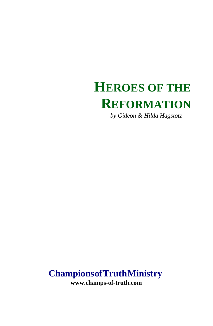# **HEROES OF THE REFORMATION**

*by Gideon & Hilda Hagstotz*

## **Champions of Truth Ministry**

**www.champs-of-truth.com**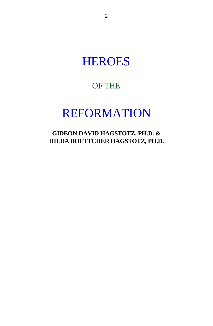# **HEROES**

## OF THE

# REFORMATION

**GIDEON DAVID HAGSTOTZ, PH.D. & HILDA BOETTCHER HAGSTOTZ, PH.D.**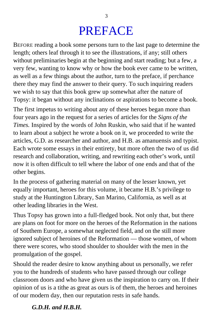# PREFACE

BEFORE reading a book some persons turn to the last page to determine the length; others leaf through it to see the illustrations, if any; still others without preliminaries begin at the beginning and start reading; but a few, a very few, wanting to know why or how the book ever came to be written, as well as a few things about the author, turn to the preface, if perchance there they may find the answer to their query. To such inquiring readers we wish to say that this book grew up somewhat after the nature of Topsy: it began without any inclinations or aspirations to become a book.

The first impetus to writing about any of these heroes began more than four years ago in the request for a series of articles for the *Signs of the Times.* Inspired by the words of John Ruskin, who said that if he wanted to learn about a subject he wrote a book on it, we proceeded to write the articles, G.D. as researcher and author, and H.B. as amanuensis and typist. Each wrote some essays in their entirety, but more often the two of us did research and collaboration, writing, and rewriting each other's work, until now it is often difficult to tell where the labor of one ends and that of the other begins.

In the process of gathering material on many of the lesser known, yet equally important, heroes for this volume, it became H.B.'s privilege to study at the Huntington Library, San Marino, California, as well as at other leading libraries in the West.

Thus Topsy has grown into a full-fledged book. Not only that, but there are plans on foot for more on the heroes of the Reformation in the nations of Southem Europe, a somewhat neglected field, and on the still more ignored subject of heroines of the Reformation — those women, of whom there were scores, who stood shoulder to shoulder with the men in the promulgation of the gospel.

Should the reader desire to know anything about us personally, we refer you to the hundreds of students who have passed through our college classroom doors and who have given us the inspiration to carry on. If their opinion of us is a tithe as great as ours is of them, the heroes and heroines of our modern day, then our reputation rests in safe hands.

### *G.D.H. and H.B.H.*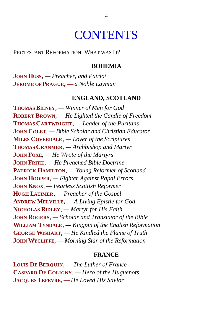# **CONTENTS**

PROTESTANT REFORMATION, WHAT WAS IT?

#### **BOHEMIA**

**JOHN HUSS***, — Preacher, and Patriot* **JEROME OF PRAGUE, —***a Noble Layman*

#### **ENGLAND, SCOTLAND**

**THOMAS BILNEY***, — Winner of Men for God* **ROBERT BROWN***, — He Lighted the Candle of Freedom* **THOMAS CARTWRIGHT***, — Leader of the Puritans* **JOHN COLET***, — Bible Scholar and Christian Educator* **MILES COVERDALE***, — Lover of the Scriptures* **THOMAS CRANMER***, — Archbishop and Martyr* **JOHN FOXE***, — He Wrote of the Martyrs* **JOHN FRITH***, — He Preached Bible Doctrine* **PATRICK HAMILTON***, — Young Reformer of Scotland* **JOHN HOOPER***, — Fighter Against Papal Errors* **JOHN KNOX***, — Fearless Scottish Reformer* **HUGH LATIMER***, — Preacher of the Gospel* **ANDREW MELVILLE, —***A Living Epistle for God* **NICHOLAS RIDLEY***, — Martyr for His Faith* **JOHN ROGERS***, — Scholar and Translator of the Bible* **WILLIAM TYNDALE***, — Kingpin of the English Reformation* **GEORGE WISHART***, — He Kindled the Flame of Truth* **JOHN WYCLIFFE, —***Morning Star of the Reformation*

#### **FRANCE**

**LOUIS DE BERQUIN***, — The Luther of France* **CASPARD DE COLIGNY***, — Hero of the Huguenots* **JACQUES LEFEVRE, —***He Loved His Savior*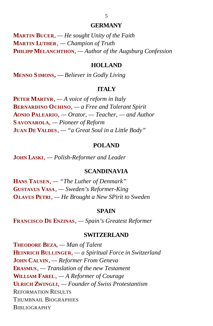#### **GERMANY**

**MARTIN BUCER***, — He sought Unity of the Faith* **MARTIN LUTHER***, — Champion of Truth* **PHILIPP MELANCHTHON***, — Author of the Augsburg Confession*

#### **HOLLAND**

**MENNO SIMONS, —***Believer in Godly Living*

### **ITALY**

**PETER MARTYR***, — A voice of reform in Italy* **BERNARDINO OCHINO***, — a Free and Tolerant Spirit* **AONIO PALEARIO***, — Orator, — Teacher, — and Author* **S AVONAROLA***, — Pioneer of Reform* **JUAN DE VALDES***, — "a Great Soul in a Little Body"*

#### **POLAND**

**JOHN LASKI***, — Polish-Reformer and Leader*

### **SCANDINAVIA**

**HANS TAUSEN***, — "The Luther of Denmark"* **GUSTAVUS VASA***, — Sweden's Reformer-King* **OLAVUS PETRI***, — He Brought a New SPirit to Sweden*

#### **SPAIN**

**FRANCISCO DE ENZINAS***, — Spain's Greatest Reformer*

#### **SWITZERLAND**

**THEODORE BEZA***, — Man of Talent* **HEINRICH BULLINGER***, — a Spiritual Force in Switzerland* **JOHN CALVIN***, — Reformer From Geneva* **ERASMUS***, — Translation of the new Testament* **WILLIAM FAREL***, — A Reformer of Courage* **ULRICH ZWINGLI***, — Founder of Swiss Protestantism* REFORMATION RESULTS THUMBNAIL BIOGRAPHIES **BIBLIOGRAPHY**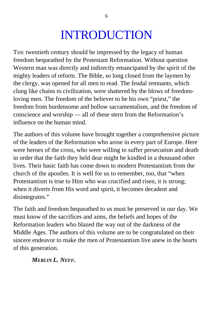# INTRODUCTION

THE twentieth century should be impressed by the legacy of human freedom bequeathed by the Protestant Reformation. Without question Western man was directly and indirectly emancipated by the spirit of the mighty leaders of reform. The Bible, so long closed from the laymen by the clergy, was opened for all men to read. The feudal remnants, which clung like chains to civilization, were shattered by the blows of freedomloving men. The freedom of the believer to be his own "priest," the freedom from burdensome and hollow sacramentalism, and the freedom of conscience and worship — all of these stern from the Reformation's influence on the human mind.

The authors of this volume have brought together a comprehensive picture of the leaders of the Reformation who arose in every part of Europe. Here were heroes of the cross, who were willing to suffer persecution and death in order that the faith they held dear might be kindled in a thousand other lives. Their basic faith has come down to modern Protestantism from the church of the apostles. It is well for us to remember, too, that "when Protestantism is true to Him who was crucified and risen, it is strong; when it diverts from His word and spirit, it becomes decadent and disintegrates."

The faith and freedom bequeathed to us must be preserved in our day. We must know of the sacrifices and aims, the beliefs and hopes of the Reformation leaders who blazed the way out of the darkness of the Middle Ages. The authors of this volume are to be congratulated on their sincere endeavor to make the men of Protestantism live anew in the hearts of this generation.

*MERLIN L. NEFF.*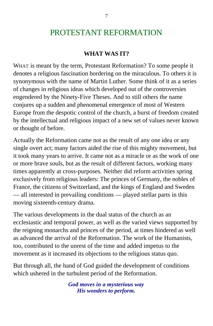## PROTESTANT REFORMATION

### **WHAT WAS IT?**

WHAT is meant by the term, Protestant Reformation? To some people it denotes a religious fascination bordering on the miraculous. To others it is synonymous with the name of Martin Luther. Some think of it as a series of changes in religious ideas which developed out of the controversies engendered by the Ninety-Five Theses. And to still others the name conjures up a sudden and phenomenal emergence of most of Western Europe from the despotic control of the church, a burst of freedom created by the intellectual and religious impact of a new set of values never known or thought of before.

Actually the Reformation came not as the result of any one idea or any single overt act; many factors aided the rise of this mighty movement, but it took many years to arrive. It came not as a miracle or as the work of one or more brave souls, but as the result of different factors, working many times apparently at cross-purposes. Neither did reform activities spring exclusively from religious leaders: The princes of Germany, the nobles of France, the citizens of Switzerland, and the kings of England and Sweden — all interested in prevailing conditions — played stellar parts in this moving sixteenth-century drama.

The various developments in the dual status of the church as an ecclesiastic and temporal power, as well as the varied views supported by the reigning monarchs and princes of the period, at times hindered as well as advanced the arrival of the Reformation. The work of the Humanists, too, contributed to the unrest of the time and added impetus to the movement as it increased its objections to the religious status quo.

But through all, the hand of God guided the development of conditions which ushered in the turbulent period of the Reformation.

> *God moves in a mysterious way His wonders to perform.*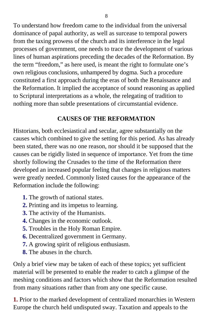To understand how freedom came to the individual from the universal dominance of papal authority, as well as surcease to temporal powers from the taxing prowess of the church and its interference in the legal processes of government, one needs to trace the development of various lines of human aspirations preceding the decades of the Reformation. By the term "freedom," as here used, is meant the right to formulate one's own religious conclusions, unhampered by dogma. Such a procedure constituted a first approach during the eras of both the Renaissance and the Reformation. It implied the acceptance of sound reasoning as applied to Scriptural interpretations as a whole, the relegating of tradition to nothing more than subtle presentations of circumstantial evidence.

### **CAUSES OF THE REFORMATION**

Historians, both ecclesiastical and secular, agree substantially on the causes which combined to give the setting for this period. As has already been stated, there was no one reason, nor should it be supposed that the causes can be rigidly listed in sequence of importance. Yet from the time shortly following the Crusades to the time of the Reformation there developed an increased popular feeling that changes in religious matters were greatly needed. Commonly listed causes for the appearance of the Reformation include the following:

- **1.** The growth of national states.
- **2.** Printing and its impetus to learning.
- **3.** The activity of the Humanists.
- **4.** Changes in the economic outlook.
- **5.** Troubles in the Holy Roman Empire.
- **6.** Decentralized government in Germany.
- **7.** A growing spirit of religious enthusiasm.
- **8.** The abuses in the church.

Only a brief view may be taken of each of these topics; yet sufficient material will be presented to enable the reader to catch a glimpse of the meshing conditions and factors which show that the Reformation resulted from many situations rather than from any one specific cause.

**1.** Prior to the marked development of centralized monarchies in Western Europe the church held undisputed sway. Taxation and appeals to the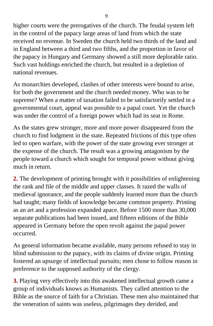higher courts were the prerogatives of the church. The feudal system left in the control of the papacy large areas of land from which the state received no revenue. In Sweden the church held two thirds of the land and in England between a third and two fifths, and the proportion in favor of the papacy in Hungary and Germany showed a still more deplorable ratio. Such vast holdings enriched the church, but resulted in a depletion of national revenues.

As monarchies developed, clashes of other interests were bound to arise, for both the government and the church needed money. Who was to be supreme? When a matter of taxation failed to be satisfactorily settled in a governmental court, appeal was possible to a papal court. Yet the church was under the control of a foreign power which had its seat in Rome.

As the states grew stronger, more and more power disappeared from the church to find lodgment in the state. Repeated frictions of this type often led to open warfare, with the power of the state growing ever stronger at the expense of the church. The result was a growing antagonism by the people toward a church which sought for temporal power without giving much in return.

**2.** The development of printing brought with it possibilities of enlightening the rank and file of the middle and upper classes. It razed the walls of medieval ignorance, and the people suddenly learned more than the church had taught; many fields of knowledge became common property. Printing as an art and a profession expanded apace. Before 1500 more than 30,000 separate publications had been issued, and fifteen editions of the Bible appeared in Germany before the open revolt against the papal power occurred.

As general information became available, many persons refused to stay in blind submission to the papacy, with its claims of divine origin. Printing fostered an upsurge of intellectual pursuits; men chose to follow reason in preference to the supposed authority of the clergy.

**3.** Playing very effectively into this awakened intellectual growth came a group of individuals knows as Humanists. They called attention to the Bible as the source of faith for a Christian. These men also maintained that the veneration of saints was useless, pilgrimages they derided, and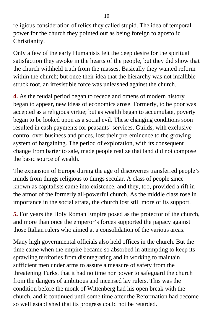religious consideration of relics they called stupid. The idea of temporal power for the church they pointed out as being foreign to apostolic Christianity.

Only a few of the early Humanists felt the deep desire for the spiritual satisfaction they awoke in the hearts of the people, but they did show that the church withheld truth from the masses. Basically they wanted reform within the church; but once their idea that the hierarchy was not infallible struck root, an irresistible force was unleashed against the church.

**4.** As the feudal period began to recede and omens of modern history began to appear, new ideas of economics arose. Formerly, to be poor was accepted as a religious virtue; but as wealth began to accumulate, poverty began to be looked upon as a social evil. These changing conditions soon resulted in cash payments for peasants' services. Guilds, with exclusive control over business and prices, lost their pre-eminence to the growing system of bargaining. The period of exploration, with its consequent change from barter to sale, made people realize that land did not compose the basic source of wealth.

The expansion of Europe during the age of discoveries transferred people's minds from things religious to things secular. A class of people since known as capitalists came into existence, and they, too, provided a rift in the armor of the formerly all-powerful church. As the middle class rose in importance in the social strata, the church lost still more of its support.

**5.** For years the Holy Roman Empire posed as the protector of the church, and more than once the emperor's forces supported the papacy against those Italian rulers who aimed at a consolidation of the various areas.

Many high governmental officials also held offices in the church. But the time came when the empire became so absorbed in attempting to keep its sprawling territories from disintegrating and in working to maintain sufficient men under arms to assure a measure of safety from the threatening Turks, that it had no time nor power to safeguard the church from the dangers of ambitious and incensed lay rulers. This was the condition before the monk of Wittenberg had his open break with the church, and it continued until some time after the Reformation had become so well established that its progress could not be retarded.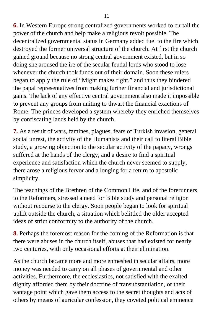**6.** In Western Europe strong centralized governments worked to curtail the power of the church and help make a religious revolt possible. The decentralized governmental status in Germany added fuel to the fire which destroyed the former universal structure of the church. At first the church gained ground because no strong central government existed, but in so doing she aroused the ire of the secular feudal lords who stood to lose whenever the church took funds out of their domain. Soon these rulers began to apply the rule of "Might makes right," and thus they hindered the papal representatives from making further financial and jurisdictional gains. The lack of any effective central government also made it impossible to prevent any groups from uniting to thwart the financial exactions of Rome. The princes developed a system whereby they enriched themselves by confiscating lands held by the church.

**7.** As a result of wars, famines, plagues, fears of Turkish invasion, general social unrest, the activity of the Humanists and their call to literal Bible study, a growing objection to the secular activity of the papacy, wrongs suffered at the hands of the clergy, and a desire to find a spiritual experience and satisfaction which the church never seemed to supply, there arose a religious fervor and a longing for a return to apostolic simplicity.

The teachings of the Brethren of the Common Life, and of the forerunners to the Reformers, stressed a need for Bible study and personal religion without recourse to the clergy. Soon people began to look for spiritual uplift outside the church, a situation which belittled the older accepted ideas of strict conformity to the authority of the church.

**8.** Perhaps the foremost reason for the coming of the Reformation is that there were abuses in the church itself, abuses that had existed for nearly two centuries, with only occasional efforts at their elimination.

As the church became more and more enmeshed in secular affairs, more money was needed to carry on all phases of governmental and other activities. Furthermore, the ecclesiastics, not satisfied with the exalted dignity afforded them by their doctrine of transubstantiation, or their vantage point which gave them access to the secret thoughts and acts of others by means of auricular confession, they coveted political eminence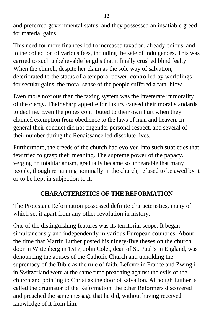and preferred governmental status, and they possessed an insatiable greed for material gains.

This need for more finances led to increased taxation, already odious, and to the collection of various fees, including the sale of indulgences. This was carried to such unbelievable lengths that it finally crushed blind fealty. When the church, despite her claim as the sole way of salvation, deteriorated to the status of a temporal power, controlled by worldlings for secular gains, the moral sense of the people suffered a fatal blow.

Even more noxious than the taxing system was the inveterate immorality of the clergy. Their sharp appetite for luxury caused their moral standards to decline. Even the popes contributed to their own hurt when they claimed exemption from obedience to the laws of man and heaven. In general their conduct did not engender personal respect, and several of their number during the Renaissance led dissolute lives.

Furthermore, the creeds of the church had evolved into such subtleties that few tried to grasp their meaning. The supreme power of the papacy, verging on totalitarianism, gradually became so unbearable that many people, though remaining nominally in the church, refused to be awed by it or to be kept in subjection to it.

## **CHARACTERISTICS OF THE REFORMATION**

The Protestant Reformation possessed definite characteristics, many of which set it apart from any other revolution in history.

One of the distinguishing features was its territorial scope. It began simultaneously and independently in various European countries. About the time that Martin Luther posted his ninety-five theses on the church door in Wittenberg in 1517, John Colet, dean of St. Paul's in England, was denouncing the abuses of the Catholic Church and upholding the supremacy of the Bible as the rule of faith. Lefevre in France and Zwingli in Switzerland were at the same time preaching against the evils of the church and pointing to Christ as the door of salvation. Although Luther is called the originator of the Reformation, the other Reformers discovered and preached the same message that he did, without having received knowledge of it from him.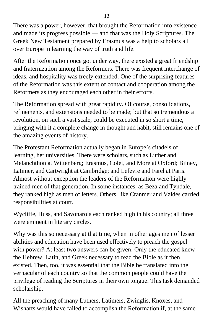There was a power, however, that brought the Reformation into existence and made its progress possible — and that was the Holy Scriptures. The Greek New Testament prepared by Erasmus was a help to scholars all over Europe in learning the way of truth and life.

After the Reformation once got under way, there existed a great friendship and fraternization among the Reformers. There was frequent interchange of ideas, and hospitality was freely extended. One of the surprising features of the Reformation was this extent of contact and cooperation among the Reformers as they encouraged each other in their efforts.

The Reformation spread with great rapidity. Of course, consolidations, refinements, and extensions needed to be made; but that so tremendous a revolution, on such a vast scale, could be executed in so short a time, bringing with it a complete change in thought and habit, still remains one of the amazing events of history.

The Protestant Reformation actually began in Europe's citadels of learning, her universities. There were scholars, such as Luther and Melanchthon at Wittenberg; Erasmus, Colet, and More at Oxford; Bilney, Latimer, and Cartwright at Cambridge; and Lefevre and Farel at Paris. Almost without exception the leaders of the Reformation were highly trained men of that generation. In some instances, as Beza and Tyndale, they ranked high as men of letters. Others, like Cranmer and Valdes carried responsibilities at court.

Wycliffe, Huss, and Savonarola each ranked high in his country; all three were eminent in literary circles.

Why was this so necessary at that time, when in other ages men of lesser abilities and education have been used effectively to preach the gospel with power? At least two answers can be given: Only the educated knew the Hebrew, Latin, and Greek necessary to read the Bible as it then existed. Then, too, it was essential that the Bible be translated into the vernacular of each country so that the common people could have the privilege of reading the Scriptures in their own tongue. This task demanded scholarship.

All the preaching of many Luthers, Latimers, Zwinglis, Knoxes, and Wisharts would have failed to accomplish the Reformation if, at the same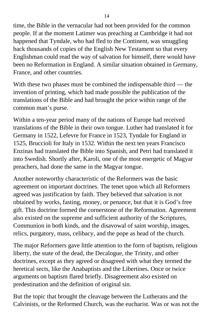time, the Bible in the vernacular had not been provided for the common people. If at the moment Latimer was preaching at Cambridge it had not happened that Tyndale, who had fled to the Continent, was smuggling back thousands of copies of the English New Testament so that every Englishman could read the way of salvation for himself, there would have been no Reformation in England. A similar situation obtained in Germany, France, and other countries.

With these two phases must be combined the indispensable third — the invention of printing, which had made possible the publication of the translations of the Bible and had brought the price within range of the common man's purse.

Within a ten-year period many of the nations of Europe had received translations of the Bible in their own tongue. Luther had translated it for Germany in 1522, Lefevre for France in 1523, Tyndale for England in 1525, Bruccioli for Italy in 1532. Within the next ten years Francisco Enzinas had translated the Bible into Spanish, and Petri had translated it into Swedish. Shortly after, Karoli, one of the most energetic of Magyar preachers, had done the same in the Magyar tongue.

Another noteworthy characteristic of the Reformers was the basic agreement on important doctrines. The tenet upon which all Reformers agreed was justification by faith. They believed that salvation is not obtained by works, fasting, money, or penance, but that it is God's free gift. This doctrine formed the cornerstone of the Reformation. Agreement also existed on the supreme and sufficient authority of the Scriptures, Communion in both kinds, and the disavowal of saint worship, images, relics, purgatory, mass, celibacy, and the pope as head of the church.

The major Reformers gave little attention to the form of baptism, religious liberty, the state of the dead, the Decalogue, the Trinity, and other doctrines, except as they agreed or disagreed with what they termed the heretical sects, like the Anabaptists and the Libertines. Once or twice arguments on baptism flared briefly. Disagreement also existed on predestination and the definition of original sin.

But the topic that brought the cleavage between the Lutherans and the Calvinists, or the Reformed Church, was the eucharist. Was or was not the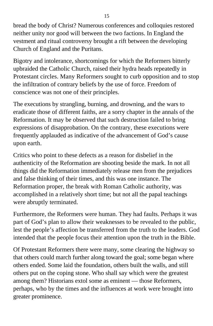bread the body of Christ? Numerous conferences and colloquies restored neither unity nor good will between the two factions. In England the vestment and ritual controversy brought a rift between the developing Church of England and the Puritans.

Bigotry and intolerance, shortcomings for which the Reformers bitterly upbraided the Catholic Church, raised their hydra heads repeatedly in Protestant circles. Many Reformers sought to curb opposition and to stop the infiltration of contrary beliefs by the use of force. Freedom of conscience was not one of their principles.

The executions by strangling, burning, and drowning, and the wars to eradicate those of different faiths, are a sorry chapter in the annals of the Reformation. It may be observed that such destruction failed to bring expressions of disapprobation. On the contrary, these executions were frequently applauded as indicative of the advancement of God's cause upon earth.

Critics who point to these defects as a reason for disbelief in the authenticity of the Reformation are shooting beside the mark. In not all things did the Reformation immediately release men from the prejudices and false thinking of their times, and this was one instance. The Reformation proper, the break with Roman Catholic authority, was accomplished in a relatively short time; but not all the papal teachings were abruptly terminated.

Furthermore, the Reformers were human. They had faults. Perhaps it was part of God's plan to allow their weaknesses to be revealed to the public, lest the people's affection be transferred from the truth to the leaders. God intended that the people focus their attention upon the truth in the Bible.

Of Protestant Reformers there were many, some clearing the highway so that others could march further along toward the goal; some began where others ended. Some laid the foundation, others built the walls, and still others put on the coping stone. Who shall say which were the greatest among them? Historians extol some as eminent — those Reformers, perhaps, who by the times and the influences at work were brought into greater prominence.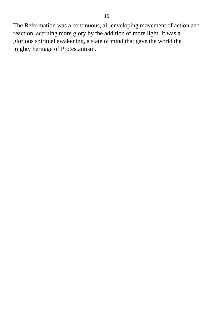The Reformation was a continuous, all-enveloping movement of action and reaction, accruing more glory by the addition of more light. It was a glorious spiritual awakening, a state of mind that gave the world the mighty heritage of Protestantism.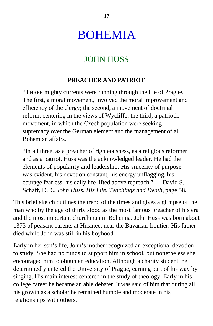# BOHEMIA

## JOHN HUSS

## **PREACHER AND PATRIOT**

"THREE mighty currents were running through the life of Prague. The first, a moral movement, involved the moral improvement and efficiency of the clergy; the second, a movement of doctrinal reform, centering in the views of Wycliffe; the third, a patriotic movement, in which the Czech population were seeking supremacy over the German element and the management of all Bohemian affairs.

"In all three, as a preacher of righteousness, as a religious reformer and as a patriot, Huss was the acknowledged leader. He had the elements of popularity and leadership. His sincerity of purpose was evident, his devotion constant, his energy unflagging, his courage fearless, his daily life lifted above reproach." — David S. Schaff, D.D., *John Huss, His Life, Teachings and Death,* page 58.

This brief sketch outlines the trend of the times and gives a glimpse of the man who by the age of thirty stood as the most famous preacher of his era and the most important churchman in Bohemia. John Huss was born about 1373 of peasant parents at Husinec, near the Bavarian frontier. His father died while John was still in his boyhood.

Early in her son's life, John's mother recognized an exceptional devotion to study. She had no funds to support him in school, but nonetheless she encouraged him to obtain an education. Although a charity student, he determinedly entered the University of Prague, earning part of his way by singing. His main interest centered in the study of theology. Early in his college career he became an able debater. It was said of him that during all his growth as a scholar he remained humble and moderate in his relationships with others.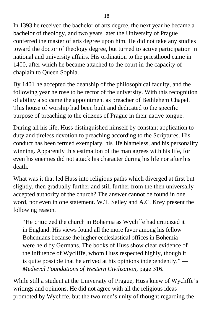In 1393 he received the bachelor of arts degree, the next year he became a bachelor of theology, and two years later the University of Prague conferred the master of arts degree upon him. He did not take any studies toward the doctor of theology degree, but turned to active participation in national and university affairs. His ordination to the priesthood came in 1400, after which he became attached to the court in the capacity of chaplain to Queen Sophia.

By 1401 he accepted the deanship of the philosophical faculty, and the following year he rose to be rector of the university. With this recognition of ability also came the appointment as preacher of Bethlehem Chapel. This house of worship had been built and dedicated to the specific purpose of preaching to the citizens of Prague in their native tongue.

During all his life, Huss distinguished himself by constant application to duty and tireless devotion to preaching according to the Scriptures. His conduct has been termed exemplary, his life blameless, and his personality winning. Apparently this estimation of the man agrees with his life, for even his enemies did not attack his character during his life nor after his death.

What was it that led Huss into religious paths which diverged at first but slightly, then gradually further and still further from the then universally accepted authority of the church? The answer cannot be found in one word, nor even in one statement. W.T. Selley and A.C. Krey present the following reason.

"He criticized the church in Bohemia as Wycliffe had criticized it in England. His views found all the more favor among his fellow Bohemians because the higher ecclesiastical offices in Bohemia were held by Germans. The books of Huss show clear evidence of the influence of Wycliffe, whom Huss respected highly, though it is quite possible that he arrived at his opinions independently." — *Medieval Foundations of Western Civilization,* page 316.

While still a student at the University of Prague, Huss knew of Wycliffe's writings and opinions. He did not agree with all the religious ideas promoted by Wycliffe, but the two men's unity of thought regarding the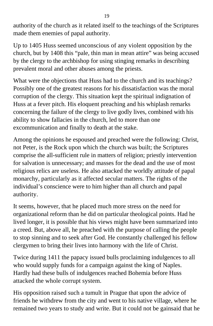authority of the church as it related itself to the teachings of the Scriptures made them enemies of papal authority.

Up to 1405 Huss seemed unconscious of any violent opposition by the church, but by 1408 this "pale, thin man in mean attire" was being accused by the clergy to the archbishop for using stinging remarks in describing prevalent moral and other abuses among the priests.

What were the objections that Huss had to the church and its teachings? Possibly one of the greatest reasons for his dissatisfaction was the moral corruption of the clergy. This situation kept the spiritual indignation of Huss at a fever pitch. His eloquent preaching and his whiplash remarks concerning the failure of the clergy to live godly lives, combined with his ability to show fallacies in the church, led to more than one excommunication and finally to death at the stake.

Among the opinions he espoused and preached were the following: Christ, not Peter, is the Rock upon which the church was built; the Scriptures comprise the all-sufficient rule in matters of religion; priestly intervention for salvation is unnecessary; and masses for the dead and the use of most religious relics are useless. He also attacked the worldly attitude of papal monarchy, particularly as it affected secular matters. The rights of the individual's conscience were to him higher than all church and papal authority.

It seems, however, that he placed much more stress on the need for organizational reform than he did on particular theological points. Had he lived longer, it is possible that his views might have been summarized into a creed. But, above all, he preached with the purpose of calling the people to stop sinning and to seek after God. He constantly challenged his fellow clergymen to bring their lives into harmony with the life of Christ.

Twice during 1411 the papacy issued bulls proclaiming indulgences to all who would supply funds for a campaign against the king of Naples. Hardly had these bulls of indulgences reached Bohemia before Huss attacked the whole corrupt system.

His opposition raised such a tumult in Prague that upon the advice of friends he withdrew from the city and went to his native village, where he remained two years to study and write. But it could not be gainsaid that he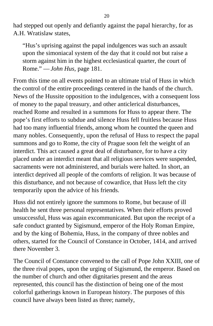had stepped out openly and defiantly against the papal hierarchy, for as A.H. Wratislaw states,

"Hus's uprising against the papal indulgences was such an assault upon the simoniacal system of the day that it could not but raise a storm against him in the highest ecclesiastical quarter, the court of Rome." — *John Hus,* page 181.

From this time on all events pointed to an ultimate trial of Huss in which the control of the entire proceedings centered in the hands of the church. News of the Hussite opposition to the indulgences, with a consequent loss of money to the papal treasury, and other anticlerical disturbances, reached Rome and resulted in a summons for Huss to appear there. The pope's first efforts to subdue and silence Huss fell fruitless because Huss had too many influential friends, among whom he counted the queen and many nobles. Consequently, upon the refusal of Huss to respect the papal summons and go to Rome, the city of Prague soon felt the weight of an interdict. This act caused a great deal of disturbance, for to have a city placed under an interdict meant that all religious services were suspended, sacraments were not administered, and burials were halted. In short, an interdict deprived all people of the comforts of religion. It was because of this disturbance, and not because of cowardice, that Huss left the city temporarily upon the advice of his friends.

Huss did not entirely ignore the summons to Rome, but because of ill health he sent three personal representatives. When their efforts proved unsuccessful, Huss was again excommunicated. But upon the receipt of a safe conduct granted by Sigismund, emperor of the Holy Roman Empire, and by the king of Bohemia, Huss, in the company of three nobles and others, started for the Council of Constance in October, 1414, and arrived there November 3.

The Council of Constance convened to the call of Pope John XXIII, one of the three rival popes, upon the urging of Sigismund, the emperor. Based on the number of church and other dignitaries present and the areas represented, this council has the distinction of being one of the most colorful gatherings known in European history. The purposes of this council have always been listed as three; namely,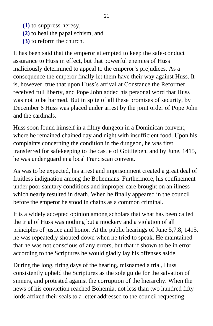- **(1)** to suppress heresy,
- **(2)** to heal the papal schism, and
- **(3)** to reform the church.

It has been said that the emperor attempted to keep the safe-conduct assurance to Huss in effect, but that powerful enemies of Huss maliciously determined to appeal to the emperor's prejudices. As a consequence the emperor finally let them have their way against Huss. It is, however, true that upon Huss's arrival at Constance the Reformer received full liberty, and Pope John added his personal word that Huss was not to be harmed. But in spite of all these promises of security, by December 6 Huss was placed under arrest by the joint order of Pope John and the cardinals.

Huss soon found himself in a filthy dungeon in a Dominican convent, where he remained chained day and night with insufficient food. Upon his complaints concerning the condition in the dungeon, he was first transferred for safekeeping to the castle of Gottlieben, and by June, 1415, he was under guard in a local Franciscan convent.

As was to be expected, his arrest and imprisonment created a great deal of fruitless indignation among the Bohemians. Furthermore, his confinement under poor sanitary conditions and improper care brought on an illness which nearly resulted in death. When he finally appeared in the council before the emperor he stood in chains as a common criminal.

It is a widely accepted opinion among scholars that what has been called the trial of Huss was nothing but a mockery and a violation of all principles of justice and honor. At the public hearings of June 5,7,8, 1415, he was repeatedly shouted down when he tried to speak. He maintained that he was not conscious of any errors, but that if shown to be in error according to the Scriptures he would gladly lay his offenses aside.

During the long, tiring days of the hearing, misnamed a trial, Huss consistently upheld the Scriptures as the sole guide for the salvation of sinners, and protested against the corruption of the hierarchy. When the news of his conviction reached Bohemia, not less than two hundred fifty lords affixed their seals to a letter addressed to the council requesting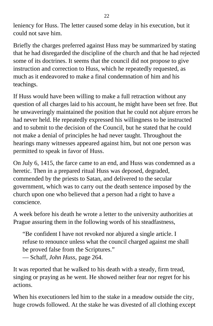leniency for Huss. The letter caused some delay in his execution, but it could not save him.

Briefly the charges preferred against Huss may be summarized by stating that he had disregarded the discipline of the church and that he had rejected some of its doctrines. It seems that the council did not propose to give instruction and correction to Huss, which he repeatedly requested, as much as it endeavored to make a final condemnation of him and his teachings.

If Huss would have been willing to make a full retraction without any question of all charges laid to his account, he might have been set free. But he unwaveringly maintained the position that he could not abjure errors he had never held. He repeatedly expressed his willingness to be instructed and to submit to the decision of the Council, but he stated that he could not make a denial of principles he had never taught. Throughout the hearings many witnesses appeared against him, but not one person was permitted to speak in favor of Huss.

On July 6, 1415, the farce came to an end, and Huss was condemned as a heretic. Then in a prepared ritual Huss was deposed, degraded, commended by the priests to Satan, and delivered to the secular government, which was to carry out the death sentence imposed by the church upon one who believed that a person had a right to have a conscience.

A week before his death he wrote a letter to the university authorities at Prague assuring them in the following words of his steadfastness,

"Be confident I have not revoked nor abjured a single article. I refuse to renounce unless what the council charged against me shall be proved false from the Scriptures."

— Schaff, *John Huss,* page 264.

It was reported that he walked to his death with a steady, firm tread, singing or praying as he went. He showed neither fear nor regret for his actions.

When his executioners led him to the stake in a meadow outside the city, huge crowds followed. At the stake he was divested of all clothing except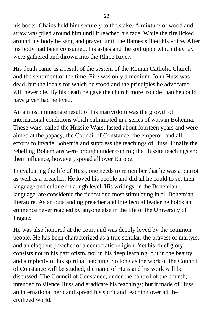his boots. Chains held him securely to the stake. A mixture of wood and straw was piled around him until it reached his face. While the fire licked around his body he sang and prayed until the flames stilled his voice. After his body had been consumed, his ashes and the soil upon which they lay were gathered and thrown into the Rhine River.

His death came as a result of the system of the Roman Catholic Church and the sentiment of the time. Fire was only a medium. John Huss was dead, but the ideals for which he stood and the principles he advocated will never die. By his death he gave the church more trouble than he could have given had he lived.

An almost immediate result of his martyrdom was the growth of international conditions which culminated in a series of wars in Bohemia. These wars, called the Hussite Wars, lasted about fourteen years and were aimed at the papacy, the Council of Constance, the emperor, and all efforts to invade Bohemia and suppress the teachings of Huss. Finally the rebelling Bohemians were brought under control; the Hussite teachings and their influence, however, spread all over Europe.

In evaluating the life of Huss, one needs to remember that he was a patriot as well as a preacher. He loved his people and did all he could to set their language and culture on a high level. His writings, in the Bohemian language, are considered the richest and most stimulating in all Bohemian literature. As an outstanding preacher and intellectual leader he holds an eminence never reached by anyone else in the life of the University of Prague.

He was also honored at the court and was deeply loved by the common people. He has been characterized as a true scholar, the bravest of martyrs, and an eloquent preacher of a democratic religion. Yet his chief glory consists not in his patriotism, nor in his deep learning, but in the beauty and simplicity of his spiritual teaching. So long as the work of the Council of Constance will be studied, the name of Huss and his work will be discussed. The Council of Constance, under the control of the church, intended to silence Huss and eradicate his teachings; but it made of Huss an international hero and spread his spirit and teaching over all the civilized world.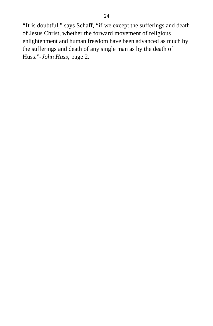"It is doubtful," says Schaff, "if we except the sufferings and death of Jesus Christ, whether the forward movement of religious enlightenment and human freedom have been advanced as much by the sufferings and death of any single man as by the death of Huss."-*John Huss,* page 2.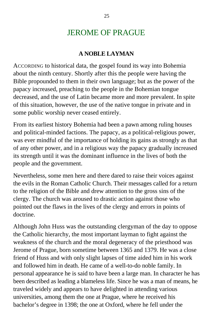## JEROME OF PRAGUE

### **A NOBLE LAYMAN**

ACCORDING to historical data, the gospel found its way into Bohemia about the ninth century. Shortly after this the people were having the Bible propounded to them in their own language; but as the power of the papacy increased, preaching to the people in the Bohemian tongue decreased, and the use of Latin became more and more prevalent. In spite of this situation, however, the use of the native tongue in private and in some public worship never ceased entirely.

From its earliest history Bohemia had been a pawn among ruling houses and political-minded factions. The papacy, as a political-religious power, was ever mindful of the importance of holding its gains as strongly as that of any other power, and in a religious way the papacy gradually increased its strength until it was the dominant influence in the lives of both the people and the government.

Nevertheless, some men here and there dared to raise their voices against the evils in the Roman Catholic Church. Their messages called for a return to the religion of the Bible and drew attention to the gross sins of the clergy. The church was aroused to drastic action against those who pointed out the flaws in the lives of the clergy and errors in points of doctrine.

Although John Huss was the outstanding clergyman of the day to oppose the Catholic hierarchy, the most important layman to fight against the weakness of the church and the moral degeneracy of the priesthood was Jerome of Prague, born sometime between 1365 and 1379. He was a close friend of Huss and with only slight lapses of time aided him in his work and followed him in death. He came of a well-to-do noble family. In personal appearance he is said to have been a large man. In character he has been described as leading a blameless life. Since he was a man of means, he traveled widely and appears to have delighted in attending various universities, among them the one at Prague, where he received his bachelor's degree in 1398; the one at Oxford, where he fell under the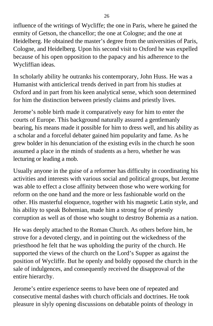influence of the writings of Wycliffe; the one in Paris, where he gained the enmity of Getson, the chancellor; the one at Cologne; and the one at Heidelberg. He obtained the master's degree from the universities of Paris, Cologne, and Heidelberg. Upon his second visit to Oxford he was expelled because of his open opposition to the papacy and his adherence to the Wycliffian ideas.

In scholarly ability he outranks his contemporary, John Huss. He was a Humanist with anticlerical trends derived in part from his studies at Oxford and in part from his keen analytical sense, which soon determined for him the distinction between priestly claims and priestly lives.

Jerome's noble birth made it comparatively easy for him to enter the courts of Europe. This background naturally assured a gentlemanly bearing, his means made it possible for him to dress well, and his ability as a scholar and a forceful debater gained him popularity and fame. As he grew bolder in his denunciation of the existing evils in the church he soon assumed a place in the minds of students as a hero, whether he was lecturing or leading a mob.

Usually anyone in the guise of a reformer has difficulty in coordinating his activities and interests with various social and political groups, but Jerome was able to effect a close affinity between those who were working for reform on the one hand and the more or less fashionable world on the other. His masterful eloquence, together with his magnetic Latin style, and his ability to speak Bohemian, made him a strong foe of priestly corruption as well as of those who sought to destroy Bohemia as a nation.

He was deeply attached to the Roman Church. As others before him, he strove for a devoted clergy, and in pointing out the wickedness of the priesthood he felt that he was upholding the purity of the church. He supported the views of the church on the Lord's Supper as against the position of Wycliffe. But he openly and boldly opposed the church in the sale of indulgences, and consequently received the disapproval of the entire hierarchy.

Jerome's entire experience seems to have been one of repeated and consecutive mental dashes with church officials and doctrines. He took pleasure in slyly opening discussions on debatable points of theology in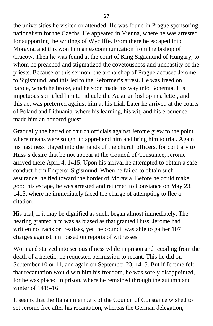the universities he visited or attended. He was found in Prague sponsoring nationalism for the Czechs. He appeared in Vienna, where he was arrested for supporting the writings of Wycliffe. From there he escaped into Moravia, and this won him an excommunication from the bishop of Cracow. Then he was found at the court of King Sigismund of Hungary, to whom he preached and stigmatized the covetousness and unchastity of the priests. Because of this sermon, the archbishop of Prague accused Jerome to Sigismund, and this led to the Reformer's arrest. He was freed on parole, which he broke, and he soon made his way into Bohemia. His impetuous spirit led him to ridicule the Austrian bishop in a letter, and this act was preferred against him at his trial. Later he arrived at the courts of Poland and Lithuania, where his learning, his wit, and his eloquence made him an honored guest.

Gradually the hatred of church officials against Jerome grew to the point where means were sought to apprehend him and bring him to trial. Again his hastiness played into the hands of the church officers, for contrary to Huss's desire that he not appear at the Council of Constance, Jerome arrived there April 4, 1415. Upon his arrival he attempted to obtain a safe conduct from Emperor Sigismund. When he failed to obtain such assurance, he fled toward the border of Moravia. Before he could make good his escape, he was arrested and returned to Constance on May 23, 1415, where he immediately faced the charge of attempting to flee a citation.

His trial, if it may be dignified as such, began almost immediately. The hearing granted him was as biased as that granted Huss. Jerome had written no tracts or treatises, yet the council was able to gather 107 charges against him based on reports of witnesses.

Worn and starved into serious illness while in prison and recoiling from the death of a heretic, he requested permission to recant. This he did on September 10 or 11, and again on September 23, 1415. But if Jerome felt that recantation would win him his freedom, he was sorely disappointed, for he was placed in prison, where he remained through the autumn and winter of 1415-16.

It seems that the Italian members of the Council of Constance wished to set Jerome free after his recantation, whereas the German delegation,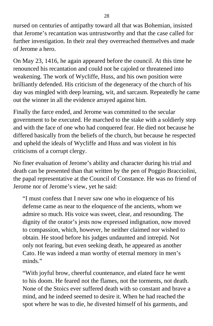nursed on centuries of antipathy toward all that was Bohemian, insisted that Jerome's recantation was untrustworthy and that the case called for further investigation. In their zeal they overreached themselves and made of Jerome a hero.

On May 23, 1416, he again appeared before the council. At this time he renounced his recantation and could not be cajoled or threatened into weakening. The work of Wycliffe, Huss, and his own position were brilliantly defended. His criticism of the degeneracy of the church of his day was mingled with deep learning, wit, and sarcasm. Repeatedly he came out the winner in all the evidence arrayed against him.

Finally the farce ended, and Jerome was committed to the secular government to be executed. He marched to the stake with a soldierly step and with the face of one who had conquered fear. He died not because he differed basically from the beliefs of the church, but because he respected and upheld the ideals of Wycliffe and Huss and was violent in his criticisms of a corrupt clergy.

No finer evaluation of Jerome's ability and character during his trial and death can be presented than that written by the pen of Poggio Bracciolini, the papal representative at the Council of Constance. He was no friend of Jerome nor of Jerome's view, yet he said:

"I must confess that I never saw one who in eloquence of his defense came as near to the eloquence of the ancients, whom we admire so much. His voice was sweet, clear, and resounding. The dignity of the orator's jests now expressed indignation, now moved to compassion, which, however, he neither claimed nor wished to obtain. He stood before his judges undaunted and intrepid. Not only not fearing, but even seeking death, he appeared as another Cato. He was indeed a man worthy of eternal memory in men's minds."

"With joyful brow, cheerful countenance, and elated face he went to his doom. He feared not the flames, not the torments, not death. None of the Stoics ever suffered death with so constant and brave a mind, and he indeed seemed to desire it. When he had reached the spot where he was to die, he divested himself of his garments, and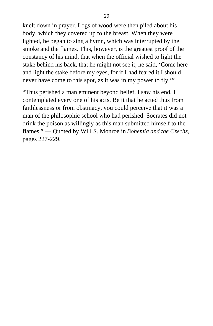knelt down in prayer. Logs of wood were then piled about his body, which they covered up to the breast. When they were lighted, he began to sing a hymn, which was interrupted by the smoke and the flames. This, however, is the greatest proof of the constancy of his mind, that when the official wished to light the stake behind his back, that he might not see it, he said, 'Come here and light the stake before my eyes, for if I had feared it I should never have come to this spot, as it was in my power to fly.'"

"Thus perished a man eminent beyond belief. I saw his end, I contemplated every one of his acts. Be it that he acted thus from faithlessness or from obstinacy, you could perceive that it was a man of the philosophic school who had perished. Socrates did not drink the poison as willingly as this man submitted himself to the flames." — Quoted by Will S. Monroe in *Bohemia and the Czechs,* pages 227-229.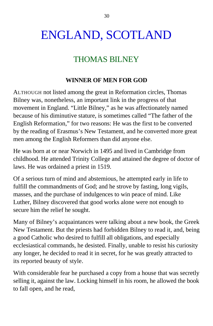# ENGLAND, SCOTLAND

## THOMAS BILNEY

### **WINNER OF MEN FOR GOD**

ALTHOUGH not listed among the great in Reformation circles, Thomas Bilney was, nonetheless, an important link in the progress of that movement in England. "Little Bilney," as he was affectionately named because of his diminutive stature, is sometimes called "The father of the English Reformation," for two reasons: He was the first to be converted by the reading of Erasmus's New Testament, and he converted more great men among the English Reformers than did anyone else.

He was born at or near Norwich in 1495 and lived in Cambridge from childhood. He attended Trinity College and attained the degree of doctor of laws. He was ordained a priest in 1519.

Of a serious turn of mind and abstemious, he attempted early in life to fulfill the commandments of God; and he strove by fasting, long vigils, masses, and the purchase of indulgences to win peace of mind. Like Luther, Bilney discovered that good works alone were not enough to secure him the relief he sought.

Many of Bilney's acquaintances were talking about a new book, the Greek New Testament. But the priests had forbidden Bilney to read it, and, being a good Catholic who desired to fulfill all obligations, and especially ecclesiastical commands, he desisted. Finally, unable to resist his curiosity any longer, he decided to read it in secret, for he was greatly attracted to its reported beauty of style.

With considerable fear he purchased a copy from a house that was secretly selling it, against the law. Locking himself in his room, he allowed the book to fall open, and he read,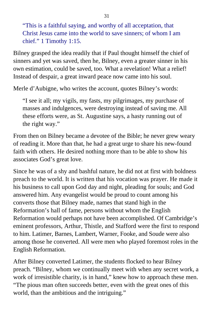"This is a faithful saying, and worthy of all acceptation, that Christ Jesus came into the world to save sinners; of whom I am chief." 1 Timothy 1:15.

Bilney grasped the idea readily that if Paul thought himself the chief of sinners and yet was saved, then he, Bilney, even a greater sinner in his own estimation, could be saved, too. What a revelation! What a relief! Instead of despair, a great inward peace now came into his soul.

Merle d'Aubigne, who writes the account, quotes Bilney's words:

"I see it all; my vigils, my fasts, my pilgrimages, my purchase of masses and indulgences, were destroying instead of saving me. All these efforts were, as St. Augustine says, a hasty running out of the right way."

From then on Bilney became a devotee of the Bible; he never grew weary of reading it. More than that, he had a great urge to share his new-found faith with others. He desired nothing more than to be able to show his associates God's great love.

Since he was of a shy and bashful nature, he did not at first with boldness preach to the world. It is written that his vocation was prayer. He made it his business to call upon God day and night, pleading for souls; and God answered him. Any evangelist would be proud to count among his converts those that Bilney made, names that stand high in the Reformation's hall of fame, persons without whom the English Reformation would perhaps not have been accomplished. Of Cambridge's eminent professors, Arthur, Thistle, and Stafford were the first to respond to him. Latimer, Barnes, Lambert, Warner, Fooke, and Soude were also among those he converted. All were men who played foremost roles in the English Reformation.

After Bilney converted Latimer, the students flocked to hear Bilney preach. "Bilney, whom we continually meet with when any secret work, a work of irresistible charity, is in hand," knew how to approach these men. "The pious man often succeeds better, even with the great ones of this world, than the ambitious and the intriguing."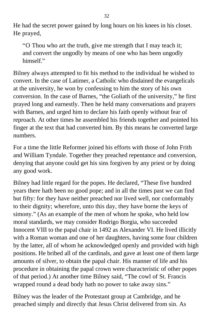He had the secret power gained by long hours on his knees in his closet. He prayed,

"O Thou who art the truth, give me strength that I may teach it; and convert the ungodly by means of one who has been ungodly himself."

Bilney always attempted to fit his method to the individual he wished to convert. In the case of Latimer, a Catholic who disdained the evangelicals at the university, he won by confessing to him the story of his own conversion. In the case of Barnes, "the Goliath of the university," he first prayed long and earnestly. Then he held many conversations and prayers with Barnes, and urged him to declare his faith openly without fear of reproach. At other times he assembled his friends together and pointed his finger at the text that had converted him. By this means he converted large numbers.

For a time the little Reformer joined his efforts with those of John Frith and William Tyndale. Together they preached repentance and conversion, denying that anyone could get his sins forgiven by any priest or by doing any good work.

Bilney had little regard for the popes. He declared, "These five hundred years there hath been no good pope; and in all the times past we can find but fifty: for they have neither preached nor lived well, nor conformably to their dignity; wherefore, unto this day, they have borne the keys of simony." (As an example of the men of whom he spoke, who held low moral standards, we may consider Rodrigo Borgia, who succeeded Innocent VIII to the papal chair in 1492 as Alexander VI. He lived illicitly with a Roman woman and one of her daughters, having some four children by the latter, all of whom he acknowledged openly and provided with high positions. He bribed all of the cardinals, and gave at least one of them large amounts of silver, to obtain the papal chair. His manner of life and his procedure in obtaining the papal crown were characteristic of other popes of that period.) At another time Bilney said, "The cowl of St. Francis wrapped round a dead body hath no power to take away sins."

Bilney was the leader of the Protestant group at Cambridge, and he preached simply and directly that Jesus Christ delivered from sin. As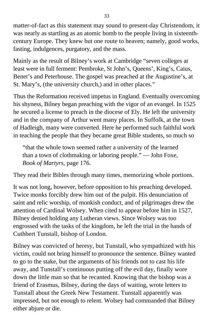matter-of-fact as this statement may sound to present-day Christendom, it was nearly as startling as an atomic bomb to the people living in sixteenthcentury Europe. They knew but one route to heaven; namely, good works, fasting, indulgences, purgatory, and the mass.

Mainly as the result of Bilney's work at Cambridge "seven colleges at least were in full ferment: Pembroke, St John's, Queens', King's, Caius, Benet's and Peterhouse. The gospel was preached at the Augustine's, at St. Mary's, (the university church,) and in other places."

Thus the Reformation received impetus in England. Eventually overcoming his shyness, Bilney began preaching with the vigor of an evangel. In 1525 he secured a license to preach in the diocese of Ely. He left the university and in the company of Arthur went many places. In Suffolk, at the town of Hadleigh, many were converted. Here he performed such faithful work in teaching the people that they became great Bible students, so much so

"that the whole town seemed rather a university of the learned than a town of clothmaking or laboring people." — John Foxe, *Book of Martyrs,* page 176.

They read their Bibles through many times, memorizing whole portions.

It was not long, however, before opposition to his preaching developed. Twice monks forcibly drew him out of the pulpit. His denunciation of saint and relic worship, of monkish conduct, and of pilgrimages drew the attention of Cardinal Wolsey. When cited to appear before him in 1527, Bilney denied holding any Lutheran views. Since Wolsey was too engrossed with the tasks of the kingdom, he left the trial in the hands of Cuthbert Tunstall, bishop of London.

Bilney was convicted of heresy, but Tunstall, who sympathized with his victim, could not bring himself to pronounce the sentence. Bilney wanted to go to the stake, but the arguments of his friends not to cast his life away, and Tunstall's continuous putting off the evil day, finally wore down the little man so that he recanted. Knowing that the bishop was a friend of Erasmus, Bilney, during the days of waiting, wrote letters to Tunstall about the Greek New Testament. Tunstall apparently was impressed, but not enough to relent. Wolsey had commanded that Bilney either abjure or die.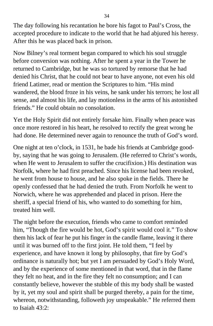The day following his recantation he bore his fagot to Paul's Cross, the accepted procedure to indicate to the world that he had abjured his heresy. After this he was placed back in prison.

Now Bilney's real torment began compared to which his soul struggle before conversion was nothing. After he spent a year in the Tower he returned to Cambridge, but he was so tortured by remorse that he had denied his Christ, that he could not bear to have anyone, not even his old friend Latimer, read or mention the Scriptures to him. "His mind wandered, the blood froze in his veins, he sank under his terrors; he lost all sense, and almost his life, and lay motionless in the arms of his astonished friends." He could obtain no consolation.

Yet the Holy Spirit did not entirely forsake him. Finally when peace was once more restored in his heart, he resolved to rectify the great wrong he had done. He determined never again to renounce the truth of God's word.

One night at ten o'clock, in 1531, he bade his friends at Cambridge goodby, saying that he was going to Jerusalem. (He referred to Christ's words, when He went to Jerusalem to suffer the crucifixion.) His destination was Norfolk, where he had first preached. Since his license had been revoked, he went from house to house, and he also spoke in the fields. There he openly confessed that he had denied the truth. From Norfolk he went to Norwich, where he was apprehended and placed in prison. Here the sheriff, a special friend of his, who wanted to do something for him, treated him well.

The night before the execution, friends who came to comfort reminded him, "Though the fire would be hot, God's spirit would cool it." To show them his lack of fear he put his finger in the candle flame, leaving it there until it was burned off to the first joint. He told them, "I feel by experience, and have known it long by philosophy, that fire by God's ordinance is naturally hot; but yet I am persuaded by God's Holy Word, and by the experience of some mentioned in that word, that in the flame they felt no heat, and in the fire they felt no consumption; and I can constantly believe, however the stubble of this my body shall be wasted by it, yet my soul and spirit shall be purged thereby, a pain for the time, whereon, notwithstanding, followeth joy unspeakable." He referred them to Isaiah 43:2: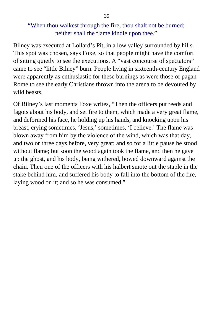### "When thou walkest through the fire, thou shalt not be burned; neither shall the flame kindle upon thee."

Bilney was executed at Lollard's Pit, in a low valley surrounded by hills. This spot was chosen, says Foxe, so that people might have the comfort of sitting quietly to see the executions. A "vast concourse of spectators" came to see "little Bilney" burn. People living in sixteenth-century England were apparently as enthusiastic for these burnings as were those of pagan Rome to see the early Christians thrown into the arena to be devoured by wild beasts.

Of Bilney's last moments Foxe writes, "Then the officers put reeds and fagots about his body, and set fire to them, which made a very great flame, and deformed his face, he holding up his hands, and knocking upon his breast, crying sometimes, 'Jesus,' sometimes, 'I believe.' The flame was blown away from him by the violence of the wind, which was that day, and two or three days before, very great; and so for a little pause he stood without flame; but soon the wood again took the flame, and then he gave up the ghost, and his body, being withered, bowed downward against the chain. Then one of the officers with his halbert smote out the staple in the stake behind him, and suffered his body to fall into the bottom of the fire, laying wood on it; and so he was consumed."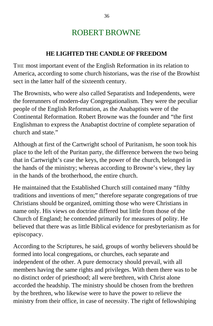## ROBERT BROWNE

### **HE LIGHTED THE CANDLE OF FREEDOM**

THE most important event of the English Reformation in its relation to America, according to some church historians, was the rise of the Browhist sect in the latter half of the sixteenth century.

The Brownists, who were also called Separatists and Independents, were the forerunners of modern-day Congregationalism. They were the peculiar people of the English Reformation, as the Anabaptists were of the Continental Reformation. Robert Browne was the founder and "the first Englishman to express the Anabaptist doctrine of complete separation of church and state."

Although at first of the Cartwright school of Puritanism, he soon took his place to the left of the Puritan party, the difference between the two being that in Cartwright's case the keys, the power of the church, belonged in the hands of the ministry; whereas according to Browne's view, they lay in the hands of the brotherhood, the entire church.

He maintained that the Established Church still contained many "filthy traditions and inventions of men;" therefore separate congregations of true Christians should be organized, omitting those who were Christians in name only. His views on doctrine differed but little from those of the Church of England; he contended primarily for measures of polity. He believed that there was as little Biblical evidence for presbyterianism as for episcopacy.

According to the Scriptures, he said, groups of worthy believers should be formed into local congregations, or churches, each separate and independent of the other. A pure democracy should prevail, with all members having the same rights and privileges. With them there was to be no distinct order of priesthood; all were brethren, with Christ alone accorded the headship. The ministry should be chosen from the brethren by the brethren, who likewise were to have the power to relieve the ministry from their office, in case of necessity. The right of fellowshiping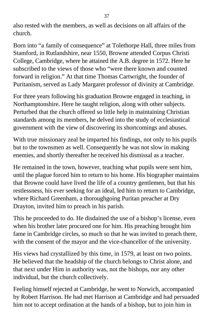also rested with the members, as well as decisions on all affairs of the church.

Born into "a family of consequence" at Tolethorpe Hall, three miles from Stamford, in Rutlandshire, near 1550, Browne attended Corpus Christi College, Cambridge, where he attained the A.B. degree in 1572. Here he subscribed to the views of those who "were there known and counted forward in religion." At that time Thomas Cartwright, the founder of Puritanism, served as Lady Margaret professor of divinity at Cambridge.

For three years following his graduation Browne engaged in teaching, in Northamptonshire. Here he taught religion, along with other subjects. Perturbed that the church offered so little help in maintaining Christian standards among its members, he delved into the study of ecclesiastical government with the view of discovering its shortcomings and abuses.

With true missionary zeal he imparted his findings, not only to his pupils but to the townsmen as well. Consequently he was not slow in making enemies, and shortly thereafter he received his dismissal as a teacher.

He remained in the town, however, teaching what pupils were sent him, until the plague forced him to return to his home. His biographer maintains that Browne could have lived the life of a country gentlemen, but that his restlessness, his ever seeking for an ideal, led him to return to Cambridge, where Richard Greenham, a thoroughgoing Puritan preacher at Dry Drayton, invited him to preach in his parish.

This he proceeded to do. He disdained the use of a bishop's license, even when his brother later procured one for him. His preaching brought him fame in Cambridge circles, so much so that he was invited to preach there, with the consent of the mayor and the vice-chancellor of the university.

His views had crystallized by this time, in 1579, at least on two points. He believed that the headship of the church belongs to Christ alone, and that next under Him in authority was, not the bishops, nor any other individual, but the church collectively.

Feeling himself rejected at Cambridge, he went to Norwich, accompanied by Robert Harrison. He had met Harrison at Cambridge and had persuaded him not to accept ordination at the hands of a bishop, but to join him in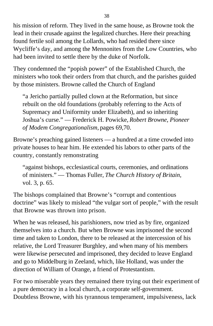his mission of reform. They lived in the same house, as Browne took the lead in their crusade against the legalized churches. Here their preaching found fertile soil among the Lollards, who had resided there since Wycliffe's day, and among the Mennonites from the Low Countries, who had been invited to settle there by the duke of Norfolk.

They condemned the "popish power" of the Established Church, the ministers who took their orders from that church, and the parishes guided by those ministers. Browne called the Church of England

"a Jericho partially pulled clown at the Reformation, but since rebuilt on the old foundations (probably referring to the Acts of Supremacy and Uniformity under Elizabeth), and so inheriting Joshua's curse." — Frederick H. Powicke, *Robert Browne, Pioneer of Modem Congregationalism,* pages 69,70.

Browne's preaching gained listeners — a hundred at a time crowded into private houses to hear him. He extended his labors to other parts of the country, constantly remonstrating

"against bishops, ecclesiastical courts, ceremonies, and ordinations of ministers." — Thomas Fuller, *The Church History of Britain,* vol. 3, p. 65.

The bishops complained that Browne's "corrupt and contentious doctrine" was likely to mislead "the vulgar sort of people," with the result that Browne was thrown into prison.

When he was released, his parishioners, now tried as by fire, organized themselves into a church. But when Browne was imprisoned the second time and taken to London, there to be released at the intercession of his relative, the Lord Treasurer Burghley, and when many of his members were likewise persecuted and imprisoned, they decided to leave England and go to Middelburg in Zeeland, which, like Holland, was under the direction of William of Orange, a friend of Protestantism.

For two miserable years they remained there trying out their experiment of a pure democracy in a local church, a corporate self-government. Doubtless Browne, with his tyrannous temperament, impulsiveness, lack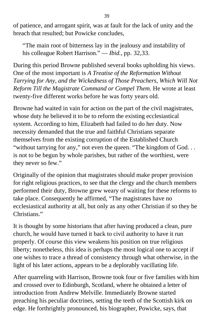of patience, and arrogant spirit, was at fault for the lack of unity and the breach that resulted; but Powicke concludes,

"The main root of bitterness lay in the jealousy and instability of his colleague Robert Harrison." — *Ibid.,* pp. 32,33.

During this period Browne published several books upholding his views. One of the most important is *A Treatise of the Reformation Without Tarrying for Any, and the Wickedness of Those Preachers, Which Will Not Reform Till the Magistrate Command or Compel Them.* He wrote at least twenty-five different works before he was forty years old.

Browne had waited in vain for action on the part of the civil magistrates, whose duty he believed it to be to reform the existing ecclesiastical system. According to him, Elizabeth had failed to do her duty. Now necessity demanded that the true and faithful Christians separate themselves from the existing corruption of the Established Church "without tarrying for any," not even the queen. "The kingdom of God..." is not to be begun by whole parishes, but rather of the worthiest, were they never so few."

Originally of the opinion that magistrates should make proper provision for right religious practices, to see that the clergy and the church members performed their duty, Browne grew weary of waiting for these reforms to take place. Consequently he affirmed, "The magistrates have no ecclesiastical authority at all, but only as any other Christian if so they be Christians."

It is thought by some historians that after having produced a clean, pure church, he would have turned it back to civil authority to have it run properly. Of course this view weakens his position on true religious liberty; nonetheless, this idea is perhaps the most logical one to accept if one wishes to trace a thread of consistency through what otherwise, in the light of his later actions, appears to be a deplorably vacillating life.

After quarreling with Harrison, Browne took four or five families with him and crossed over to Edinburgh, Scotland, where he obtained a letter of introduction from Andrew Melville. Immediately Browne started preaching his peculiar doctrines, setting the teeth of the Scottish kirk on edge. He forthrightly pronounced, his biographer, Powicke, says, that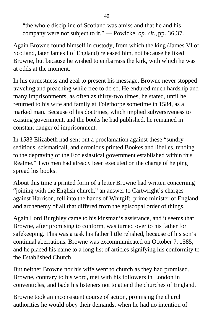"the whole discipline of Scotland was amiss and that he and his company were not subject to it." — Powicke, *op. cit.,* pp. 36,37.

Again Browne found himself in custody, from which the king (James VI of Scotland, later James I of England) released him, not because he liked Browne, but because he wished to embarrass the kirk, with which he was at odds at the moment.

In his earnestness and zeal to present his message, Browne never stopped traveling and preaching while free to do so. He endured much hardship and many imprisonments, as often as thirty-two times, he stated, until he returned to his wife and family at Tolethorpe sometime in 1584, as a marked man. Because of his doctrines, which implied subversiveness to existing government, and the books he had published, he remained in constant danger of imprisonment.

In 1583 Elizabeth had sent out a proclamation against these "sundry seditious, scismaticall, and erronious printed Bookes and libelles, tending to the depraving of the Ecclesiastical government established within this Realme." Two men had already been executed on the charge of helping spread his books.

About this time a printed form of a letter Browne had written concerning "joining with the English church," an answer to Cartwright's charges against Harrison, fell into the hands of Whitgift, prime minister of England and archenemy of all that differed from the episcopal order of things.

Again Lord Burghley came to his kinsman's assistance, and it seems that Browne, after promising to conform, was turned over to his father for safekeeping. This was a task his father little relished, because of his son's continual aberrations. Browne was excommunicated on October 7, 1585, and he placed his name to a long list of articles signifying his conformity to the Established Church.

But neither Browne nor his wife went to church as they had promised. Browne, contrary to his word, met with his followers in London in conventicles, and bade his listeners not to attend the churches of England.

Browne took an inconsistent course of action, promising the church authorities he would obey their demands, when he had no intention of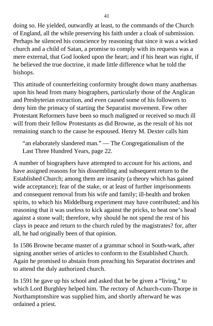doing so. He yielded, outwardly at least, to the commands of the Church of England, all the while preserving his faith under a cloak of submission. Perhaps he silenced his conscience by reasoning that since it was a wicked church and a child of Satan, a promise to comply with its requests was a mere external, that God looked upon the heart; and if his heart was right, if he believed the true doctrine, it made little difference what he told the bishops.

This attitude of counterfeiting conformity brought down many anathemas upon his head from many biographers, particularly those of the Anglican and Presbyterian extraction, and even caused some of his followers to deny him the primacy of starting the Separatist movement. Few other Protestant Reformers have been so much maligned or received so much ill will from their fellow Protestants as did Browne, as the result of his not remaining stanch to the cause he espoused. Henry M. Dexter calls him

"an elaborately slandered man." — The Congregationalism of the Last Three Hundred Years, page 22.

A number of biographers have attempted to account for his actions, and have assigned reasons for his dissembling and subsequent return to the Established Church; among them are insanity (a theory which has gained wide acceptance); fear of the stake, or at least of further imprisonments and consequent removal from his wife and family; ill-health and broken spirits, to which his Middelburg experiment may have contributed; and his reasoning that it was useless to kick against the pricks, to beat one's head against a stone wall; therefore, why should he not spend the rest of his clays in peace and return to the church ruled by the magistrates? for, after all, he had originally been of that opinion.

In 1586 Browne became master of a grammar school in South-wark, after signing another series of articles to conform to the Established Church. Again he promised to abstain from preaching his Separatist doctrines and to attend the duly authorized church.

In 1591 he gave up his school and asked that he be given a "living," to which Lord Burghley helped him. The rectory of Achurch-cum-Thorpe in Northamptonshire was supplied him, and shortly afterward he was ordained a priest.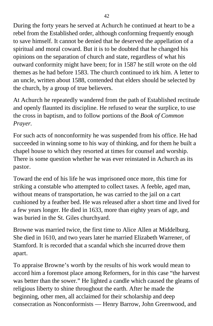During the forty years he served at Achurch he continued at heart to be a rebel from the Established order, although conforming frequently enough to save himself. It cannot be denied that he deserved the appellation of a spiritual and moral coward. But it is to be doubted that he changed his opinions on the separation of church and state, regardless of what his outward conformity might have been; for in 1587 he still wrote on the old themes as he had before 1583. The church continued to irk him. A letter to an uncle, written about 1588, contended that elders should be selected by the church, by a group of true believers.

At Achurch he repeatedly wandered from the path of Established rectitude and openly flaunted its discipline. He refused to wear the surplice, to use the cross in baptism, and to follow portions of the *Book of Common Prayer.*

For such acts of nonconformity he was suspended from his office. He had succeeded in winning some to his way of thinking, and for them he built a chapel house to which they resorted at times for counsel and worship. There is some question whether he was ever reinstated in Achurch as its pastor.

Toward the end of his life he was imprisoned once more, this time for striking a constable who attempted to collect taxes. A feeble, aged man, without means of transportation, he was carried to the jail on a cart cushioned by a feather bed. He was released after a short time and lived for a few years longer. He died in 1633, more than eighty years of age, and was buried in the St. Giles churchyard.

Browne was married twice, the first time to Alice Allen at Middelburg. She died in 1610, and two years later he married Elizabeth Warrener, of Stamford. It is recorded that a scandal which she incurred drove them apart.

To appraise Browne's worth by the results of his work would mean to accord him a foremost place among Reformers, for in this case "the harvest was better than the sower." He lighted a candle which caused the gleams of religious liberty to shine throughout the earth. After he made the beginning, other men, all acclaimed for their scholarship and deep consecration as Nonconformists — Henry Barrow, John Greenwood, and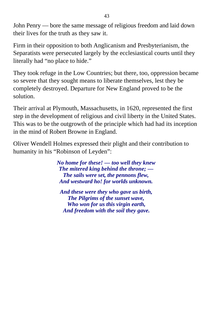John Penry — bore the same message of religious freedom and laid down their lives for the truth as they saw it.

Firm in their opposition to both Anglicanism and Presbyterianism, the Separatists were persecuted largely by the ecclesiastical courts until they literally had "no place to hide."

They took refuge in the Low Countries; but there, too, oppression became so severe that they sought means to liberate themselves, lest they be completely destroyed. Departure for New England proved to be the solution.

Their arrival at Plymouth, Massachusetts, in 1620, represented the first step in the development of religious and civil liberty in the United States. This was to be the outgrowth of the principle which had had its inception in the mind of Robert Browne in England.

Oliver Wendell Holmes expressed their plight and their contribution to humanity in his "Robinson of Leyden":

> *No home for these! — too well they knew The mitered king behind the throne; — The sails were set, the pennons flew, And westward ho! for worlds unknown.*

*And these were they who gave us birth, The Pilgrims of the sunset wave, Who won for us this virgin earth, And freedom with the soil they gave.*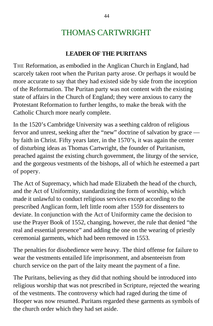# THOMAS CARTWRIGHT

### **LEADER OF THE PURITANS**

THE Reformation, as embodied in the Anglican Church in England, had scarcely taken root when the Puritan party arose. Or perhaps it would be more accurate to say that they had existed side by side from the inception of the Reformation. The Puritan party was not content with the existing state of affairs in the Church of England; they were anxious to carry the Protestant Reformation to further lengths, to make the break with the Catholic Church more nearly complete.

In the 1520's Cambridge University was a seething caldron of religious fervor and unrest, seeking after the "new" doctrine of salvation by grace by faith in Christ. Fifty years later, in the 1570's, it was again the center of disturbing ideas as Thomas Cartwright, the founder of Puritanism, preached against the existing church government, the liturgy of the service, and the gorgeous vestments of the bishops, all of which he esteemed a part of popery.

The Act of Supremacy, which had made Elizabeth the head of the church, and the Act of Uniformity, standardizing the form of worship, which made it unlawful to conduct religious services except according to the prescribed Anglican form, left little room after 1559 for dissenters to deviate. In conjunction with the Act of Uniformity came the decision to use the Prayer Book of 1552, changing, however, the rule that denied "the real and essential presence" and adding the one on the wearing of priestly ceremonial garments, which had been removed in 1553.

The penalties for disobedience were heavy. The third offense for failure to wear the vestments entailed life imprisonment, and absenteeism from church service on the part of the laity meant the payment of a fine.

The Puritans, believing as they did that nothing should be introduced into religious worship that was not prescribed in Scripture, rejected the wearing of the vestments. The controversy which had raged during the time of Hooper was now resumed. Puritans regarded these garments as symbols of the church order which they had set aside.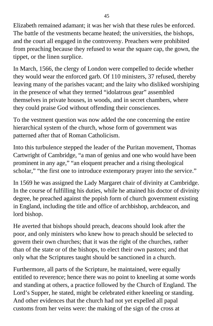Elizabeth remained adamant; it was her wish that these rules be enforced. The battle of the vestments became heated; the universities, the bishops, and the court all engaged in the controversy. Preachers were prohibited from preaching because they refused to wear the square cap, the gown, the tippet, or the linen surplice.

In March, 1566, the clergy of London were compelled to decide whether they would wear the enforced garb. Of 110 ministers, 37 refused, thereby leaving many of the parishes vacant; and the laity who disliked worshiping in the presence of what they termed "idolatrous gear" assembled themselves in private houses, in woods, and in secret chambers, where they could praise God without offending their consciences.

To the vestment question was now added the one concerning the entire hierarchical system of the church, whose form of government was patterned after that of Roman Catholicism.

Into this turbulence stepped the leader of the Puritan movement, Thomas Cartwright of Cambridge, "a man of genius and one who would have been prominent in any age," "an eloquent preacher and a rising theological scholar," "the first one to introduce extemporary prayer into the service."

In 1569 he was assigned the Lady Margaret chair of divinity at Cambridge. In the course of fulfilling his duties, while he attained his doctor of divinity degree, he preached against the popish form of church government existing in England, including the title and office of archbishop, archdeacon, and lord bishop.

He averted that bishops should preach, deacons should look after the poor, and only ministers who knew how to preach should be selected to govern their own churches; that it was the right of the churches, rather than of the state or of the bishops, to elect their own pastors; and that only what the Scriptures taught should be sanctioned in a church.

Furthermore, all parts of the Scripture, he maintained, were equally entitled to reverence; hence there was no point to kneeling at some words and standing at others, a practice followed by the Church of England. The Lord's Supper, he stated, might be celebrated either kneeling or standing. And other evidences that the church had not yet expelled all papal customs from her veins were: the making of the sign of the cross at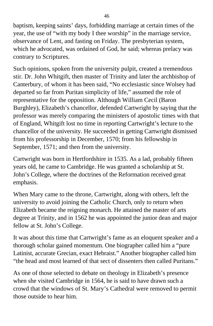baptism, keeping saints' days, forbidding marriage at certain times of the year, the use of "with my body I thee worship" in the marriage service, observance of Lent, and fasting on Friday. The presbyterian system, which he advocated, was ordained of God, he said; whereas prelacy was contrary to Scriptures.

Such opinions, spoken from the university pulpit, created a tremendous stir. Dr. John Whitgift, then master of Trinity and later the archbishop of Canterbury, of whom it has been said, "No ecclesiastic since Wolsey had departed so far from Puritan simplicity of life," assumed the role of representative for the opposition. Although William Cecil (Baron Burghley), Elizabeth's chancellor, defended Cartwright by saying that the professor was merely comparing the ministers of apostolic times with that of England, Whitgift lost no time in reporting Cartwright's lecture to the chancellor of the university. He succeeded in getting Cartwright dismissed from his professorship in December, 1570; from his fellowship in September, 1571; and then from the university.

Cartwright was born in Hertfordshire in 1535. As a lad, probably fifteen years old, he came to Cambridge. He was granted a scholarship at St. John's College, where the doctrines of the Reformation received great emphasis.

When Mary came to the throne, Cartwright, along with others, left the university to avoid joining the Catholic Church, only to return when Elizabeth became the reigning monarch. He attained the master of arts degree at Trinity, and in 1562 he was appointed the junior dean and major fellow at St. John's College.

It was about this time that Cartwright's fame as an eloquent speaker and a thorough scholar gained momentum. One biographer called him a "pure Latinist, accurate Grecian, exact Hebraist." Another biographer called him "the head and most learned of that sect of dissenters then called Puritans."

As one of those selected to debate on theology in Elizabeth's presence when she visited Cambridge in 1564, he is said to have drawn such a crowd that the windows of St. Mary's Cathedral were removed to permit those outside to hear him.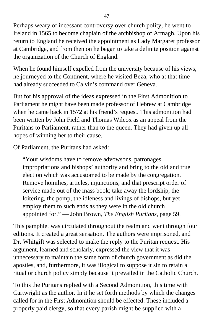Perhaps weary of incessant controversy over church polity, he went to Ireland in 1565 to become chaplain of the archbishop of Armagh. Upon his return to England he received the appointment as Lady Margaret professor at Cambridge, and from then on he began to take a definite position against the organization of the Church of England.

When he found himself expelled from the university because of his views, he journeyed to the Continent, where he visited Beza, who at that time had already succeeded to Calvin's command over Geneva.

But for his approval of the ideas expressed in the First Admonition to Parliament he might have been made professor of Hebrew at Cambridge when he came back in 1572 at his friend's request. This admonition had been written by John Field and Thomas Wilcox as an appeal from the Puritans to Parliament, rather than to the queen. They had given up all hopes of winning her to their cause.

Of Parliament, the Puritans had asked:

"Your wisdoms have to remove advowsons, patronages, impropriations and bishops' authority and bring to the old and true election which was accustomed to be made by the congregation. Remove homilies, articles, injunctions, and that prescript order of service made out of the mass book; take away the lordship, the loitering, the pomp, the idleness and livings of bishops, but yet employ them to such ends as they were in the old church appointed for." — John Brown, *The English Puritans,* page 59.

This pamphlet was circulated throughout the realm and went through four editions. It created a great sensation. The authors were imprisoned, and Dr. Whitgift was selected to make the reply to the Puritan request. His argument, learned and scholarly, expressed the view that it was unnecessary to maintain the same form of church government as did the apostles, and, furthermore, it was illogical to suppose it sin to retain a ritual or church policy simply because it prevailed in the Catholic Church.

To this the Puritans replied with a Second Admonition, this time with Cartwright as the author. In it he set forth methods by which the changes called for in the First Admonition should be effected. These included a properly paid clergy, so that every parish might be supplied with a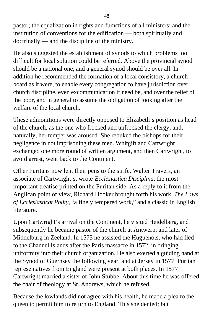pastor; the equalization in rights and fumctions of all ministers; and the institution of conventions for the edification — both spiritually and doctrinally — and the discipline of the ministry.

He also suggested the establishment of synods to which problems too difficult for local solution could be referred. Above the provincial synod should be a national one, and a general synod should be over all. In addition he recommended the formation of a local consistory, a church board as it were, to enable every congregation to have jurisdiction over church discipline, even excommunication if need be, and over the relief of the poor, and in general to assume the obligation of looking after the welfare of the local church.

These admonitions were directly opposed to Elizabeth's position as head of the church, as the one who frocked and unfrocked the clergy; and, naturally, her temper was aroused. She rebuked the bishops for their negligence in not imprisoning these men. Whitgift and Cartwright exchanged one more round of written argument, and then Cartwright, to avoid arrest, went back to the Continent.

Other Puritans now lent their pens to the strife. Walter Travers, an associate of Cartwright's, wrote *Ecclesiastica Disciplina,* the most important treatise printed on the Puritan side. As a reply to it from the Anglican point of view, Richard Hooker brought forth his work, *The Laws of Ecclesiasticat Polity,* "a finely tempered work," and a classic in English literature.

Upon Cartwright's arrival on the Continent, he visited Heidelberg, and subsequently he became pastor of the church at Antwerp, and later of Middelburg in Zeeland. In 1575 he assisted the Huguenots, who had fled to the Channel Islands after the Paris massacre in 1572, in bringing uniformity into their church organization. He also exerted a guiding hand at the Synod of Guernsey the following year, and at Jersey in 1577. Puritan representatives from England were present at both places. In 1577 Cartwright married a sister of John Stubbe. About this time he was offered the chair of theology at St. Andrews, which he refused.

Because the lowlands did not agree with his health, he made a plea to the queen to permit him to return to England. This she denied; but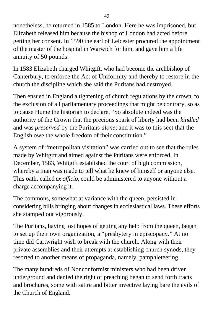nonetheless, he returned in 1585 to London. Here he was imprisoned, but Elizabeth released him because the bishop of London had acted before getting her consent. In 1590 the earl of Leicester procured the appointment of the master of the hospital in Warwich for him, and gave him a life annuity of 50 pounds.

In 1583 Elizabeth charged Whitgift, who had become the archbishop of Canterbury, to enforce the Act of Uniformity and thereby to restore in the church the discipline which she said the Puritans had destroyed.

Then ensued in England a tightening of church regulations by the crown, to the exclusion of all parliamentary proceedings that might be contrary, so as to cause Hume the historian to declare, "So absolute indeed was the authority of the Crown that the precious spark of liberty had been *kindled* and was *preserved* by the Puritans *alone;* and it was to this sect that the English owe the whole freedom of their constitution."

A system of "metropolitan visitation" was carried out to see that the rules made by Whitgift and aimed against the Puritans were enforced. In December, 1583, Whitgift established the court of high commission, whereby a man was made to tell what he knew of himself or anyone else. This oath, called *ex officio,* could be administered to anyone without a charge accompanying it.

The commons, somewhat at variance with the queen, persisted in considering bills bringing about changes in ecclesiastical laws. These efforts she stamped out vigorously.

The Puritans, having lost hopes of getting any help from the queen, began to set up their own organization, a "presbytery in episcopacy." At no time did Cartwright wish to break with the church. Along with their private assemblies and their attempts at establishing church synods, they resorted to another means of propaganda, namely, pamphleteering.

The many hundreds of Nonconformist ministers who had been driven underground and denied the right of preaching began to send forth tracts and brochures, some with satire and bitter invective laying bare the evils of the Church of England.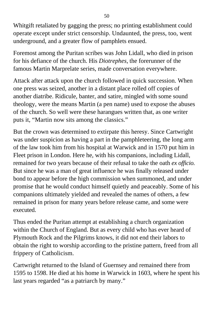Whitgift retaliated by gagging the press; no printing establishment could operate except under strict censorship. Undaunted, the press, too, went underground, and a greater flow of pamphlets ensued.

Foremost among the Puritan scribes was John Lidall, who died in prison for his defiance of the church. His *Diotrephes,* the forerunner of the famous Martin Marprelate series, made conversation everywhere.

Attack after attack upon the church followed in quick succession. When one press was seized, another in a distant place rolled off copies of another diatribe. Ridicule, banter, and satire, mingled with some sound theology, were the means Martin (a pen name) used to expose the abuses of the church. So well were these harangues written that, as one writer puts it, "Martin now sits among the classics."

But the crown was determined to extirpate this heresy. Since Cartwright was under suspicion as having a part in the pamphleteering, the long arm of the law took him from his hospital at Warwick and in 1570 put him in Fleet prison in London. Here he, with his companions, including Lidall, remained for two years because of their refusal to take the oath *ex officio.* But since he was a man of great influence he was finally released under bond to appear before the high commission when summoned, and under promise that he would conduct himself quietly and peaceably. Some of his companions ultimately yielded and revealed the names of others, a few remained in prison for many years before release came, and some were executed.

Thus ended the Puritan attempt at establishing a church organization within the Church of England. But as every child who has ever heard of Plymouth Rock and the Pilgrims knows, it did not end their labors to obtain the right to worship according to the pristine pattern, freed from all frippery of Catholicism.

Cartwright returned to the Island of Guernsey and remained there from 1595 to 1598. He died at his home in Warwick in 1603, where he spent his last years regarded "as a patriarch by many."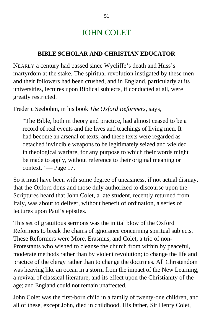## JOHN COLET

### **BIBLE SCHOLAR AND CHRISTIAN EDUCATOR**

NEARLY a century had passed since Wycliffe's death and Huss's martyrdom at the stake. The spiritual revolution instigated by these men and their followers had been crushed, and in England, particularly at its universities, lectures upon Biblical subjects, if conducted at all, were greatly restricted.

Frederic Seebohm, in his book *The Oxford Reformers,* says,

"The Bible, both in theory and practice, had almost ceased to be a record of real events and the lives and teachings of living men. It had become an arsenal of texts; and these texts were regarded as detached invincible weapons to be legitimately seized and wielded in theological warfare, for any purpose to which their words might be made to apply, without reference to their original meaning or context." — Page 17.

So it must have been with some degree of uneasiness, if not actual dismay, that the Oxford dons and those duly authorized to discourse upon the Scriptures heard that John Colet, a late student, recently returned from Italy, was about to deliver, without benefit of ordination, a series of lectures upon Paul's epistles.

This set of gratuitous sermons was the initial blow of the Oxford Reformers to break the chains of ignorance concerning spiritual subjects. These Reformers were More, Erasmus, and Colet, a trio of non-Protestants who wished to cleanse the church from within by peaceful, moderate methods rather than by violent revolution; to change the life and practice of the clergy rather than to change the doctrines. All Christendom was heaving like an ocean in a storm from the impact of the New Learning, a revival of classical literature, and its effect upon the Christianity of the age; and England could not remain unaffected.

John Colet was the first-born child in a family of twenty-one children, and all of these, except John, died in childhood. His father, Sir Henry Colet,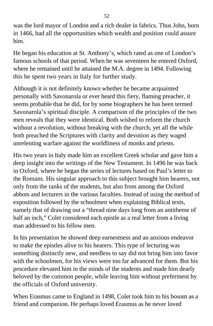was the lord mayor of London and a rich dealer in fabrics. Thus John, born in 1466, had all the opportunities which wealth and position could assure him.

He began his education at St. Anthony's, which rated as one of London's famous schools of that period. When he was seventeen he entered Oxford, where he remained until he attained the M.A. degree in 1494. Following this he spent two years in Italy for further study.

Although it is not definitely known whether he became acquainted personally with Savonarola or ever heard this fiery, flaming preacher, it seems probable that he did, for by some biographers he has been termed Savonarola's spiritual disciple. A comparison of the principles of the two men reveals that they were identical. Both wished to reform the church without a revolution, without breaking with the church, yet all the while both preached the Scriptures with clarity and devotion as they waged unrelenting warfare against the worldliness of monks and priests.

His two years in Italy made him an excellent Greek scholar and gave him a deep insight into the writings of the New Testament. In 1496 he was back in Oxford, where he began the series of lectures based on Paul's letter to the Romans. His singular approach to this subject brought him hearers, not only from the ranks of the students, but also from among the Oxford abbots and lecturers in the various faculties. Instead of using the method of exposition followed by the schoolmen when explaining Biblical texts, namely that of drawing out a "thread nine days long from an antitheme of half an inch," Colet considered each epistle as a real letter from a living man addressed to his fellow men.

In his presentation he showed deep earnestness and an anxious endeavor to make the epistles alive to his hearers. This type of lecturing was something distinctly new, and needless to say did not bring him into favor with the schoolmen, for his views were too far advanced for them. But his procedure elevated him in the minds of the students and made him dearly beloved by the common people, while leaving him without preferment by the officials of Oxford university.

When Erasmus came to England in 1498, Colet took him to his bosom as a friend and companion. He perhaps loved Erasmus as he never loved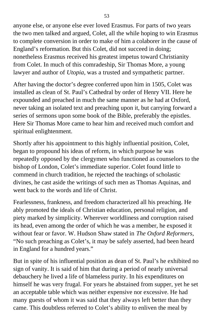anyone else, or anyone else ever loved Erasmus. For parts of two years the two men talked and argued, Colet, all the while hoping to win Erasmus to complete conversion in order to make of him a colaborer in the cause of England's reformation. But this Colet, did not succeed in doing; nonetheless Erasmus received his greatest impetus toward Christianity from Colet. In much of this comradeship, Sir Thomas More, a young lawyer and author of *Utopia,* was a trusted and sympathetic partner.

After having the doctor's degree conferred upon him in 1505, Colet was installed as clean of St. Paul's Cathedral by order of Henry VII. Here he expounded and preached in much the same manner as he had at Oxford, never taking an isolated text and preaching upon it, but carrying forward a series of sermons upon some book of the Bible, preferably the epistles. Here Sir Thomas More came to hear him and received much comfort and spiritual enlightenment.

Shortly after his appointment to this highly influential position, Colet, began to propound his ideas of reform, in which purpose he was repeatedly opposed by the clergymen who functioned as counselors to the bishop of London, Colet's immediate superior. Colet found little to commend in church tradition, he rejected the teachings of scholastic divines, he cast aside the writings of such men as Thomas Aquinas, and went back to the words and life of Christ.

Fearlessness, frankness, and freedom characterized all his preaching. He ably promoted the ideals of Christian education, personal religion, and piety marked by simplicity. Wherever worldliness and corruption raised its head, even among the order of which he was a member, he exposed it without fear or favor. W. Hudson Shaw stated in *The Oxford Reformers,* "No such preaching as Colet's, it may be safely asserted, had been heard in England for a hundred years."

But in spite of his influential position as dean of St. Paul's he exhibited no sign of vanity. It is said of him that during a period of nearly universal debauchery he lived a life of blameless purity. In his expenditures on himself he was very frugal. For years he abstained from supper, yet he set an acceptable table which was neither expensive nor excessive. He had many guests of whom it was said that they always left better than they came. This doubtless referred to Colet's ability to enliven the meal by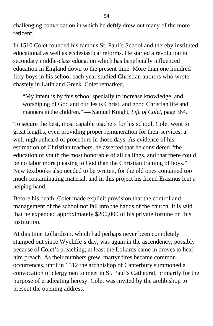challenging conversation in which he deftly drew out many of the more reticent.

In 1510 Colet founded his famous St. Paul's School and thereby instituted educational as well as ecclesiastical reforms. He started a revolution in secondary middle-class education which has beneficially influenced education in England down to the present time. More than one hundred fifty boys in his school each year studied Christian authors who wrote chastely in Latin and Greek. Colet remarked,

"My intent is by this school specially to increase knowledge, and worshiping of God and our Jesus Christ, and good Christian life and manners in the children." — Samuel Knight, *Life of Colet*, page 364.

To secure the best, most capable teachers for his school, Colet went to great lengths, even providing proper remuneration for their services, a well-nigh unheard of procedure in those days. As evidence of his estimation of Christian teachers, he asserted that he considered "the education of youth the most honorable of all callings, and that there could be no labor more pleasing to God than the Christian training of boys." New textbooks also needed to be written, for the old ones contained too much contaminating material, and in this project his friend Erasmus lent a helping hand.

Before his death, Colet made explicit provision that the control and management of the school not fall into the hands of the church. It is said that he expended approximately \$200,000 of his private fortune on this institution.

At this time Lollardism, which had perhaps never been completely stamped out since Wycliffe's day, was again in the ascendency, possibly because of Colet's preaching; at least the Lollards came in droves to hear him preach. As their numbers grew, martyr fires became common occurrences, until in 1512 the archbishop of Canterbury summoned a convocation of clergymen to meet in St. Paul's Cathedral, primarily for the purpose of eradicating heresy. Colet was invited by the archbishop to present the opening address.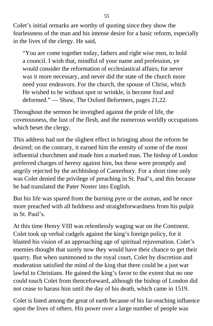Colet's initial remarks are worthy of quoting since they show the fearlessness of the man and his intense desire for a basic reform, especially in the lives of the clergy. He said,

"You are come together today, fathers and right wise men, to hold a council. I wish that, mindful of your name and profession, ye would consider the reformation of ecclesiastical affairs; for never was it more necessary, and never did the state of the church more need your endeavors. For the church, the spouse of Christ, which He wished to he without spot or wrinkle, is become foul and deformed." — Shaw, The Oxford Beformers, pages 21,22.

Throughout the sermon he inveighed against the pride of life, the covetousness, the lust of the flesh, and the numerous worldly occupations which beset the clergy.

This address had not the slighest effect in bringing about the reform he desired; on the contrary, it earned him the enmity of some of the most influential churchmen and made him a marked man. The bishop of London preferred charges of heresy against him, but these were promptly and angrily rejected by the archbishop of Canterbury. For a short time only was Colet denied the privilege of preaching in St. Paul's, and this because he had translated the Pater Noster into English.

But his life was spared from the burning pyre or the axman, and he once more preached with all boldness and straightforwardness from his pulpit in St. Paul's.

At this time Henry VIII was relentlessly waging war on the Continent. Colet took up verbal cudgels against the king's foreign policy, for it blasted his vision of an approaching age of spiritual rejuvenation. Colet's enemies thought that surely now they would have their chance to get their quarry. But when summoned to the royal court, Colet by discretion and moderation satisfied the mind of the king that there could be a just war lawful to Christians. He gained the king's favor to the extent that no one could touch Colet from thenceforward, although the bishop of London did not cease to harass him until the day of his death, which came in 1519.

Colet is listed among the great of earth because of his far-reaching influence upon the lives of others. His power over a large number of people was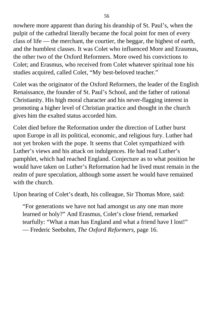nowhere more apparent than during his deanship of St. Paul's, when the pulpit of the cathedral literally became the focal point for men of every class of life — the merchant, the courtier, the beggar, the highest of earth, and the humblest classes. It was Colet who influenced More and Erasmus, the other two of the Oxford Reformers. More owed his convictions to Colet; and Erasmus, who received from Colet whatever spiritual tone his studies acquired, called Colet, "My best-beloved teacher."

Colet was the originator of the Oxford Reformers, the leader of the English Renaissance, the founder of St. Paul's School, and the father of rational Christianity. His high moral character and his never-flagging interest in promoting a higher level of Christian practice and thought in the church gives him the exalted status accorded him.

Colet died before the Reformation under the direction of Luther burst upon Europe in all its political, economic, and religious fury. Luther had not yet broken with the pope. It seems that Colet sympathized with Luther's views and his attack on indulgences. He had read Luther's pamphlet, which had reached England. Conjecture as to what position he would have taken on Luther's Reformation had he lived must remain in the realm of pure speculation, although some assert he would have remained with the church.

Upon hearing of Colet's death, his colleague, Sir Thomas More, said:

"For generations we have not had amongst us any one man more learned or holy?" And Erasmus, Colet's close friend, remarked tearfully: "What a man has England and what a friend have I lost!" — Frederic Seebohm, *The Oxford Reformers,* page 16.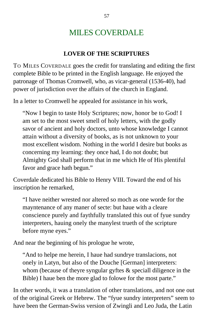# MILES COVERDALE

#### **LOVER OF THE SCRIPTURES**

TO MILES COVERDALE goes the credit for translating and editing the first complete Bible to be printed in the English language. He enjoyed the patronage of Thomas Cromwell, who, as vicar-general (1536-40), had power of jurisdiction over the affairs of the church in England.

In a letter to Cromwell he appealed for assistance in his work,

"Now I begin to taste Holy Scriptures; now, honor be to God! I am set to the most sweet smell of holy letters, with the godly savor of ancient and holy doctors, unto whose knowledge I cannot attain without a diversity of books, as is not unknown to your most excellent wisdom. Nothing in the world I desire but books as concerning my learning: they once had, I do not doubt; but Almighty God shall perform that in me which He of His plentiful favor and grace hath begun."

Coverdale dedicated his Bible to Henry VIII. Toward the end of his inscription he remarked,

"I have neither wrested nor altered so moch as one worde for the mayntenance of any maner of secte: but haue with a cleare conscience purely and faythfully translated this out of fyue sundry interpreters, hauing onely the manylest trueth of the scripture before myne eyes."

And near the beginning of his prologue he wrote,

"And to helpe me herein, I haue had sundrye translacions, not onely in Latyn, but also of the Douche [German] interpreters: whom (because of theyre syngular gyftes  $\&$  speciall diligence in the Bible) I haue ben the more glad to folowe for the most parte."

In other words, it was a translation of other translations, and not one out of the original Greek or Hebrew. The "fyue sundry interpreters" seem to have been the German-Swiss version of Zwingli and Leo Juda, the Latin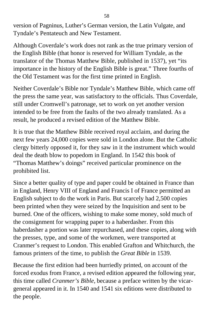version of Pagninus, Luther's German version, the Latin Vulgate, and Tyndale's Pentateuch and New Testament.

Although Coverdale's work does not rank as the true primary version of the English Bible (that honor is reserved for William Tyndale, as the translator of the Thomas Matthew Bible, published in 1537), yet "its importance in the history of the English Bible is great." Three fourths of the Old Testament was for the first time printed in English.

Neither Coverdale's Bible nor Tyndale's Matthew Bible, which came off the press the same year, was satisfactory to the officials. Thus Coverdale, still under Cromwell's patronage, set to work on yet another version intended to be free from the faults of the two already translated. As a result, he produced a revised edition of the Matthew Bible.

It is true that the Matthew Bible received royal acclaim, and during the next few years 24,000 copies were sold in London alone. But the Catholic clergy bitterly opposed it, for they saw in it the instrument which would deal the death blow to popedom in England. In 1542 this book of "Thomas Matthew's doings" received particular prominence on the prohibited list.

Since a better quality of type and paper could be obtained in France than in England, Henry VIII of England and Francis I of France permitted an English subject to do the work in Paris. But scarcely had 2,500 copies been printed when they were seized by the Inquisition and sent to be burned. One of the officers, wishing to make some money, sold much of the consignment for wrapping paper to a haberdasher. From this haberdasher a portion was later repurchased, and these copies, along with the presses, type, and some of the workmen, were transported at Cranmer's request to London. This enabled Grafton and Whitchurch, the famous printers of the time, to publish the *Great Bible* in 1539.

Because the first edition had been hurriedly printed, on account of the forced exodus from France, a revised edition appeared the following year, this time called *Cranmer's Bible,* because a preface written by the vicargeneral appeared in it. In 1540 and 1541 six editions were distributed to the people.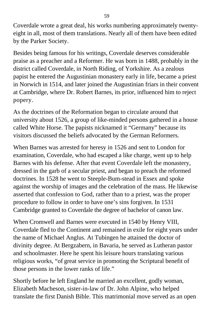Coverdale wrote a great deal, his works numbering approximately twentyeight in all, most of them translations. Nearly all of them have been edited by the Parker Society.

Besides being famous for his writings, Coverdale deserves considerable praise as a preacher and a Reformer. He was born in 1488, probably in the district called Coverdale, in North Riding, of Yorkshire. As a zealous papist he entered the Augustinian monastery early in life, became a priest in Norwich in 1514, and later joined the Augustinian friars in their convent at Cambridge, where Dr. Robert Barnes, its prior, influenced him to reject popery.

As the doctrines of the Reformation began to circulate around that university about 1526, a group of like-minded persons gathered in a house called White Horse. The papists nicknamed it "Germany" because its visitors discussed the beliefs advocated by the German Reformers.

When Barnes was arrested for heresy in 1526 and sent to London for examination, Coverdale, who had escaped a like charge, went up to help Barnes with his defense. After that event Coverdale left the monastery, dressed in the garb of a secular priest, and began to preach the reformed doctrines. In 1528 he went to Steeple-Bum-stead in Essex and spoke against the worship of images and the celebration of the mass. He likewise asserted that confession to God, rather than to a priest, was the proper procedure to follow in order to have one's sins forgiven. In 1531 Cambridge granted to Coverdale the degree of bachelor of canon law.

When Cromwell and Barnes were executed in 1540 by Henry VIII, Coverdale fled to the Continent and remained in exile for eight years under the name of Michael Anglus. At Tubingen he attained the doctor of divinity degree. At Bergzabern, in Bavaria, he served as Lutheran pastor and schoolmaster. Here he spent his leisure hours translating various religious works, "of great service in promoting the Scriptural benefit of those persons in the lower ranks of life."

Shortly before he left England he married an excellent, godly woman, Elizabeth Macheson, sister-in-law of Dr. John Alpine, who helped translate the first Danish Bible. This matrimonial move served as an open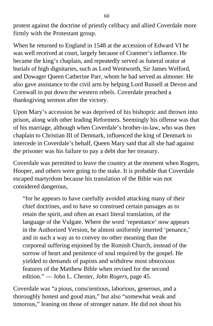protest against the doctrine of priestly celibacy and allied Coverdale more firmly with the Protestant group.

When he returned to England in 1548 at the accession of Edward VI he was well received at court, largely because of Cranmer's influence. He became the king's chaplain, and repeatedly served as funeral orator at burials of high dignitaries, such as Lord Wentworth, Sir James Welford, and Dowager Queen Catherine Parr, whom he had served as almoner. He also gave assistance to the civil arm by helping Lord Russell at Devon and Cornwall to put down the western rebels. Coverdale preached a thanksgiving sermon after the victory.

Upon Mary's accession he was deprived of his bishopric and thrown into prison, along with other leading Reformers. Seemingly his offense was that of his marriage, although when Coverdale's brother-in-law, who was then chaplain to Christian III of Denmark, influenced the king of Denmark to intercede in Coverdale's behalf, Queen Mary said that all she had against the prisoner was his failure to pay a debt due her treasury.

Coverdale was permitted to leave the country at the moment when Rogers, Hooper, and others were going to the stake. It is probable that Coverdale escaped martyrdom because his translation of the Bible was not considered dangerous,

"for he appears to have carefully avoided attacking many of their chief doctrines, and to have so construed certain passages as to retain the spirit, and often an exact literal translation, of the language of the Vulgate. Where the word 'repentance' now appears in the Authorized Version, he almost uniformly inserted 'penance,' and in such a way as to convey no other meaning than the corporeal suffering enjoined by the Romish Church, instead of the sorrow of heart and penitence of soul required by the gospel. He yielded to demands of papists and withdrew most obnoxious features of the Matthew Bible when revised for the second edition." — John L. Chester, *John Rogers,* page 45.

Coverdale was "a pious, conscientious, laborious, generous, and a thoroughly honest and good man," but also "somewhat weak and timorous," leaning on those of stronger nature. He did not shout his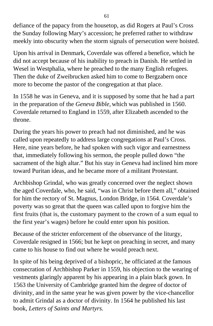defiance of the papacy from the housetop, as did Rogers at Paul's Cross the Sunday following Mary's accession; he preferred rather to withdraw meekly into obscurity when the storm signals of persecution were hoisted.

Upon his arrival in Denmark, Coverdale was offered a benefice, which he did not accept because of his inability to preach in Danish. He settled in Wesel in Westphalia, where he preached to the many English refugees. Then the duke of Zweibrucken asked him to come to Bergzabern once more to become the pastor of the congregation at that place.

In 1558 he was in Geneva, and it is supposed by some that he had a part in the preparation of the *Geneva Bible,* which was published in 1560. Coverdale returned to England in 1559, after Elizabeth ascended to the throne.

During the years his power to preach had not diminished, and he was called upon repeatedly to address large congregations at Paul's Cross. Here, nine years before, he had spoken with such vigor and earnestness that, immediately following his sermon, the people pulled down "the sacrament of the high altar." But his stay in Geneva had inclined him more toward Puritan ideas, and he became more of a militant Protestant.

Archbishop Grindal, who was greatly concerned over the neglect shown the aged Coverdale, who, he said, "was in Christ before them all," obtained for him the rectory of St. Magnus, London Bridge, in 1564. Coverdale's poverty was so great that the queen was called upon to forgive him the first fruits (that is, the customary payment to the crown of a sum equal to the first year's wages) before he could enter upon his position.

Because of the stricter enforcement of the observance of the liturgy, Coverdale resigned in 1566; but he kept on preaching in secret, and many came to his house to find out where he would preach next.

In spite of his being deprived of a bishopric, he officiated at the famous consecration of Archbishop Parker in 1559, his objection to the wearing of vestments glaringly apparent by his appearing in a plain black gown. In 1563 the University of Cambridge granted him the degree of doctor of divinity, and in the same year he was given power by the vice-chancellor to admit Grindal as a doctor of divinity. In 1564 he published his last book, *Letters of Saints and Martyrs.*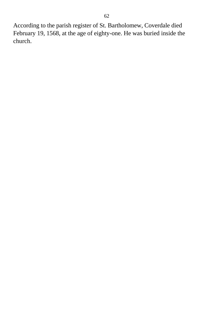According to the parish register of St. Bartholomew, Coverdale died February 19, 1568, at the age of eighty-one. He was buried inside the church.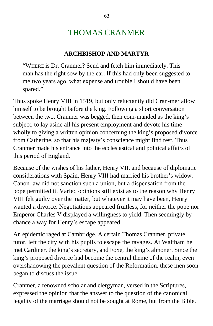## THOMAS CRANMER

#### **ARCHBISHOP AND MARTYR**

"WHERE is Dr. Cranmer? Send and fetch him immediately. This man has the right sow by the ear. If this had only been suggested to me two years ago, what expense and trouble I should have been spared."

Thus spoke Henry VIII in 1519, but only reluctantly did Cran-mer allow himself to be brought before the king. Following a short conversation between the two, Cranmer was begged, then com-manded as the king's subject, to lay aside all his present employment and devote his time wholly to giving a written opinion concerning the king's proposed divorce from Catherine, so that his majesty's conscience might find rest. Thus Cranmer made his entrance into the ecclesiastical and political affairs of this period of England.

Because of the wishes of his father, Henry VII, and because of diplomatic considerations with Spain, Henry VIII had married his brother's widow. Canon law did not sanction such a union, but a dispensation from the pope permitted it. Varied opinions still exist as to the reason why Henry VIII felt guilty over the matter, but whatever it may have been, Henry wanted a divorce. Negotiations appeared fruitless, for neither the pope nor Emperor Charles V displayed a willingness to yield. Then seemingly by chance a way for Henry's escape appeared.

An epidemic raged at Cambridge. A certain Thomas Cranmer, private tutor, left the city with his pupils to escape the ravages. At Waltham he met Cardiner, the king's secretary, and Foxe, the king's almoner. Since the king's proposed divorce had become the central theme of the realm, even overshadowing the prevalent question of the Reformation, these men soon began to discuss the issue.

Cranmer, a renowned scholar and clergyman, versed in the Scriptures, expressed the opinion that the answer to the question of the canonical legality of the marriage should not be sought at Rome, but from the Bible.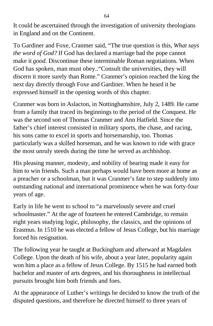It could be ascertained through the investigation of university theologians in England and on the Continent.

To Gardiner and Foxe, Cranmer said, "The true question is this, *What says the word of God?* If God has declared a marriage bad the pope cannot make it *good.* Discontinue these interminable Roman negotiations. When God has spoken, man must obey.."Consult the universities, they will discern it more surely than Rome." Cranmer's opinion reached the king the next day directly through Foxe and Gardiner. When he heard it he expressed himself in the opening words of this chapter.

Cranmer was born in Aslacton, in Nottinghamshire, July 2, 1489. He came from a family that traced its beginnings to the period of the Conquest. He was the second son of Thomas Cranmer and Ann Hatfield. Since the father's chief interest consisted in military sports, the chase, and racing, his sons came to excel in sports and horsemanship, too. Thomas particularly was a skilled horseman, and he was known to ride with grace the most unruly steeds during the time he served as archbishop.

His pleasing manner, modesty, and nobility of bearing made it easy for him to win friends. Such a man perhaps would have been more at home as a preacher or a schoolman, but it was Cranmer's fate to step suddenly into outstanding national and international prominence when he was forty-four years of age.

Early in life he went to school to "a marvelously severe and cruel schoolmaster." At the age of fourteen he entered Cambridge, to remain eight years studying logic, philosophy, the classics, and the opinions of Erasmus. In 1510 he was elected a fellow of Jesus College, but his marriage forced his resignation.

The following year he taught at Buckingham and afterward at Magdalen College. Upon the death of his wife, about a year later, popularity again won him a place as a fellow of Jesus College. By 1515 he had earned both bachelor and master of arts degrees, and his thoroughness in intellectual pursuits brought him both friends and foes.

At the appearance of Luther's writings he decided to know the truth of the disputed questions, and therefore he directed himself to three years of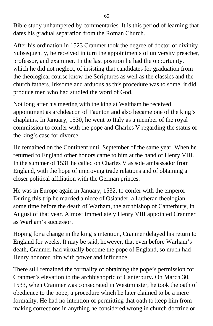Bible study unhampered by commentaries. It is this period of learning that dates his gradual separation from the Roman Church.

After his ordination in 1523 Cranmer took the degree of doctor of divinity. Subsequently, he received in turn the appointments of university preacher, professor, and examiner. In the last position he had the opportunity, which he did not neglect, of insisting that candidates for graduation from the theological course know the Scriptures as well as the classics and the church fathers. Irksome and arduous as this procedure was to some, it did produce men who had studied the word of God.

Not long after his meeting with the king at Waltham he received appointment as archdeacon of Taunton and also became one of the king's chaplains. In January, 1530, he went to Italy as a member of the royal commission to confer with the pope and Charles V regarding the status of the king's case for divorce.

He remained on the Continent until September of the same year. When he returned to England other honors came to him at the hand of Henry VIII. In the summer of 1531 he called on Charles V as sole ambassador from England, with the hope of improving trade relations and of obtaining a closer political affiliation with the German princes.

He was in Europe again in January, 1532, to confer with the emperor. During this trip he married a niece of Osiander, a Lutheran theologian, some time before the death of Warham, the archbishop of Canterbury, in August of that year. Almost immediately Henry VIII appointed Cranmer as Warham's successor.

Hoping for a change in the king's intention, Cranmer delayed his return to England for weeks. It may be said, however, that even before Warham's death, Cranmer had virtually become the pope of England, so much had Henry honored him with power and influence.

There still remained the formality of obtaining the pope's permission for Cranmer's elevation to the archbishopric of Canterbury. On March 30, 1533, when Cranmer was consecrated in Westminster, he took the oath of obedience to the pope, a procedure which he later claimed to be a mere formality. He had no intention of permitting that oath to keep him from making corrections in anything he considered wrong in church doctrine or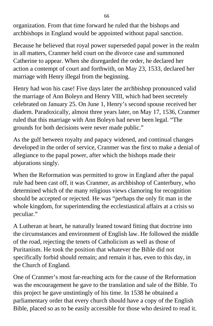organization. From that time forward he ruled that the bishops and archbishops in England would be appointed without papal sanction.

Because he believed that royal power superseded papal power in the realm in all matters, Cranmer held court on the divorce case and summoned Catherine to appear. When she disregarded the order, he declared her action a contempt of court and forthwith, on May 23, 1533, declared her marriage with Henry illegal from the beginning.

Henry had won his case! Five days later the archbishop pronounced valid the marriage of Ann Boleyn and Henry VIII, which had been secretely celebrated on January 25. On June 1, Henry's second spouse received her diadem. Paradoxically, almost three years later, on May 17, 1536, Cranmer ruled that this marriage with Ann Boleyn had never been legal. "The grounds for both decisions were never made public."

As the gulf between royalty and papacy widened, and continual changes developed in the order of service, Cranmer was the first to make a denial of allegiance to the papal power, after which the bishops made their abjurations singly.

When the Reformation was permitted to grow in England after the papal rule had been cast off, it was Cranmer, as archbishop of Canterbury, who determined which of the many religious views clamoring for recognition should be accepted or rejected. He was "perhaps the only fit man in the whole kingdom, for superintending the ecclestiastical affairs at a crisis so peculiar."

A Lutheran at heart, he naturally leaned toward fitting that doctrine into the circumstances and environment of English law. He followed the middle of the road, rejecting the tenets of Catholicism as well as those of Puritanism. He took the position that whatever the Bible did not specifically forbid should remain; and remain it has, even to this day, in the Church of England.

One of Cranmer's most far-reaching acts for the cause of the Reformation was the encouragement he gave to the translation and sale of the Bible. To this project he gave unstintingly of his time. In 1538 he obtained a parliamentary order that every church should have a copy of the English Bible, placed so as to be easily accessible for those who desired to read it.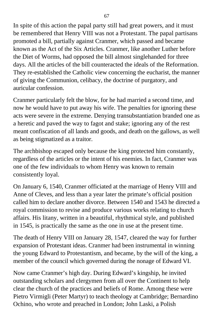In spite of this action the papal party still had great powers, and it must be remembered that Henry VIII was not a Protestant. The papal partisans promoted a bill, partially against Cranmer, which passed and became known as the Act of the Six Articles. Cranmer, like another Luther before the Diet of Worms, had opposed the bill almost singlehanded for three days. All the articles of the bill counteracted the ideals of the Reformation. They re-established the Catholic view concerning the eucharist, the manner of giving the Communion, celibacy, the doctrine of purgatory, and auricular confession.

Cranmer particularly felt the blow, for he had married a second time, and now he would have to put away his wife. The penalties for ignoring these acts were severe in the extreme. Denying transubstantiation branded one as a heretic and paved the way to fagot and stake; ignoring any of the rest meant confiscation of all lands and goods, and death on the gallows, as well as being stigmatized as a traitor.

The archbishop escaped only because the king protected him constantly, regardless of the articles or the intent of his enemies. In fact, Cranmer was one of the few individuals to whom Henry was known to remain consistently loyal.

On January 6, 1540, Cranmer officiated at the marriage of Henry VIII and Anne of Cleves, and less than a year later the primate's official position called him to declare another divorce. Between 1540 and 1543 he directed a royal commission to revise and produce various works relating to church affairs. His litany, written in a beautiful, rhythmical style, and published in 1545, is practically the same as the one in use at the present time.

The death of Henry VIII on January 28, 1547, cleared the way for further expansion of Protestant ideas. Cranmer had been instrumental in winning the young Edward to Protestantism, and became, by the will of the king, a member of the council which governed during the nonage of Edward VI.

Now came Cranmer's high day. During Edward's kingship, he invited outstanding scholars and clergymen from all over the Continent to help clear the church of the practices and beliefs of Rome. Among these were Pietro Virmigli (Peter Martyr) to teach theology at Cambridge; Bernardino Ochino, who wrote and preached in London; John Laski, a Polish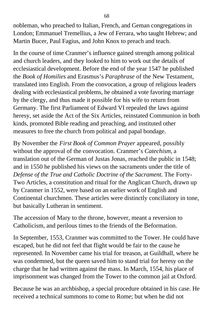nobleman, who preached to Italian, French, and Geman congregations in London; Emmanuel Tremellius, a Jew of Ferrara, who taught Hebrew; and Martin Bucer, Paul Fagius, and John Knox to preach and teach.

In the course of time Cranmer's influence gained strength among political and church leaders, and they looked to him to work out the details of ecclesiastical development. Before the end of the year 1547 he published the *Book of Homilies* and Erasmus's *Paraphrase* of the New Testament, translated into English. From the convocation, a group of religious leaders dealing with ecclesiastical problems, he obtained a vote favoring marriage by the clergy, and thus made it possible for his wife to return from Germany. The first Parliament of Edward VI repealed the laws against heresy, set aside the Act of the Six Articles, reinstated Communion in both kinds, promoted Bible reading and preaching, and instituted other measures to free the church from political and papal bondage.

By November the *First Book of Common Prayer* appeared, possibly without the approval of the convocation. Cranmer's *Catechism,* a translation out of the German of Justas Jonas, reached the public in 1548; and in 1550 he published his views on the sacraments under the title of *Defense of the True and Catholic Doctrine of the Sacrament.* The Forty-Two Articles, a constitution and ritual for the Anglican Church, drawn up by Cranmer in 1552, were based on an earlier work of English and Continental churchmen. These articles were distinctly conciliatory in tone, but basically Lutheran in sentiment.

The accession of Mary to the throne, however, meant a reversion to Catholicism, and perilous times to the friends of the Beformation.

In September, 1553, Cranmer was committed to the Tower. He could have escaped, but he did not feel that flight would be fair to the cause he represented. In November came his trial for treason, at Guildhall, where he was condemned, but the queen saved him to stand trial for heresy on the charge that he had written against the mass. In March, 1554, his place of imprisonment was changed from the Tower to the common jail at Oxford.

Because he was an archbishop, a special procedure obtained in his case. He received a technical summons to come to Rome; but when he did not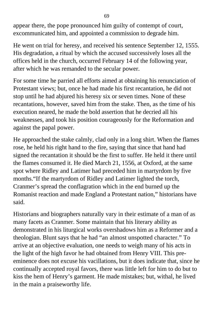appear there, the pope pronounced him guilty of contempt of court, excommunicated him, and appointed a commission to degrade him.

He went on trial for heresy, and received his sentence September 12, 1555. His degradation, a ritual by which the accused successively loses all the offices held in the church, occurred February 14 of the following year, after which he was remanded to the secular power.

For some time he parried all efforts aimed at obtaining his renunciation of Protestant views; but, once he had made his first recantation, he did not stop until he had abjured his heresy six or seven times. None of these recantations, however, saved him from the stake. Then, as the time of his execution neared, he made the bold assertion that he decried all his weaknesses, and took his position courageously for the Reformation and against the papal power.

He approached the stake calmly, clad only in a long shirt. When the flames rose, he held his right hand to the fire, saying that since that hand had signed the recantation it should be the first to suffer. He held it there until the flames consumed it. He died March 21, 1556, at Oxford, at the same spot where Ridley and Latimer had preceded him in martyrdom by five months."If the martyrdom of Ridley and Latimer lighted the torch, Cranmer's spread the conflagration which in the end burned up the Romanist reaction and made England a Protestant nation," historians have said.

Historians and biographers naturally vary in their estimate of a man of as many facets as Cranmer. Some maintain that his literary ability as demonstrated in his liturgical works overshadows him as a Reformer and a theologian. Blunt says that he had "an almost unspotted character." To arrive at an objective evaluation, one needs to weigh many of his acts in the light of the high favor he had obtained from Henry VIII. This preeminence does not excuse his vacillations, but it does indicate that, since he continually accepted royal favors, there was little left for him to do but to kiss the hem of Henry's garment. He made mistakes; but, withal, he lived in the main a praiseworthy life.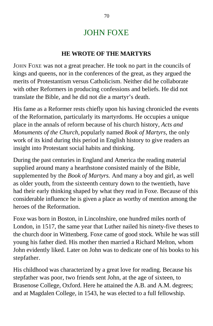## JOHN FOXE

### **HE WROTE OF THE MARTYRS**

JOHN FOXE was not a great preacher. He took no part in the councils of kings and queens, nor in the conferences of the great, as they argued the merits of Protestantism versus Catholicism. Neither did he collaborate with other Reformers in producing confessions and beliefs. He did not translate the Bible, and he did not die a martyr's death.

His fame as a Reformer rests chiefly upon his having chronicled the events of the Reformation, particularly its martyrdoms. He occupies a unique place in the annals of reform because of his church history, *Acts and Monuments of the Church,* popularly named *Book of Martyrs,* the only work of its kind during this period in English history to give readers an insight into Protestant social habits and thinking.

During the past centuries in England and America the reading material supplied around many a hearthstone consisted mainly of the Bible, supplemented by the *Book of Martyrs.* And many a boy and girl, as well as older youth, from the sixteenth century down to the twentieth, have had their early thinking shaped by what they read in Foxe. Because of this considerable influence he is given a place as worthy of mention among the heroes of the Reformation.

Foxe was born in Boston, in Lincolnshire, one hundred miles north of London, in 1517, the same year that Luther nailed his ninety-five theses to the church door in Wittenberg. Foxe came of good stock. While he was still young his father died. His mother then married a Richard Melton, whom John evidently liked. Later on John was to dedicate one of his books to his stepfather.

His childhood was characterized by a great love for reading. Because his stepfather was poor, two friends sent John, at the age of sixteen, to Brasenose College, Oxford. Here he attained the A.B. and A.M. degrees; and at Magdalen College, in 1543, he was elected to a full fellowship.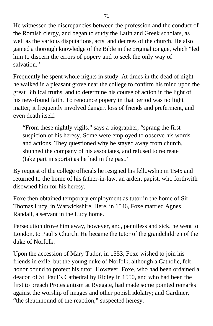He witnessed the discrepancies between the profession and the conduct of the Romish clergy, and began to study the Latin and Greek scholars, as well as the various disputations, acts, and decrees of the church. He also gained a thorough knowledge of the Bible in the original tongue, which "led him to discern the errors of popery and to seek the only way of salvation."

Frequently he spent whole nights in study. At times in the dead of night he walked in a pleasant grove near the college to confirm his mind upon the great Biblical truths, and to determine his course of action in the light of his new-found faith. To renounce popery in that period was no light matter; it frequently involved danger, loss of friends and preferment, and even death itself.

"From these nightly vigils," says a biographer, "sprang the first suspicion of his heresy. Some were employed to observe his words and actions. They questioned why he stayed away from church, shunned the company of his associates, and refused to recreate (take part in sports) as he had in the past."

By request of the college officials he resigned his fellowship in 1545 and returned to the home of his father-in-law, an ardent papist, who forthwith disowned him for his heresy.

Foxe then obtained temporary employment as tutor in the home of Sir Thomas Lucy, in Warwickshire. Here, in 1546, Foxe married Agnes Randall, a servant in the Lucy home.

Persecution drove him away, however, and, penniless and sick, he went to London, to Paul's Church. He became the tutor of the grandchildren of the duke of Norfolk.

Upon the accession of Mary Tudor, in 1553, Foxe wished to join his friends in exile, but the young duke of Norfolk, although a Catholic, felt honor bound to protect his tutor. However, Foxe, who had been ordained a deacon of St. Paul's Cathedral by Ridley in 1550, and who had been the first to preach Protestantism at Ryegate, had made some pointed remarks against the worship of images and other popish idolatry; and Gardiner, "the sleuthhound of the reaction," suspected heresy.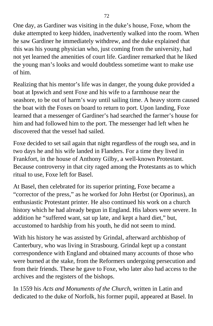One day, as Gardiner was visiting in the duke's house, Foxe, whom the duke attempted to keep hidden, inadvertently walked into the room. When he saw Gardiner he immediately withdrew, and the duke explained that this was his young physician who, just coming from the university, had not yet learned the amenities of court life. Gardiner remarked that he liked the young man's looks and would doubtless sometime want to make use of him.

Realizing that his mentor's life was in danger, the young duke provided a boat at Ipswich and sent Foxe and his wife to a farmhouse near the seashore, to be out of harm's way until sailing time. A heavy storm caused the boat with the Foxes on board to return to port. Upon landing, Foxe learned that a messenger of Gardiner's had searched the farmer's house for him and had followed him to the port. The messenger had left when he discovered that the vessel had sailed.

Foxe decided to set sail again that night regardless of the rough sea, and in two days he and his wife landed in Flanders. For a time they lived in Frankfort, in the house of Anthony Gilby, a well-known Protestant. Because controversy in that city raged among the Protestants as to which ritual to use, Foxe left for Basel.

At Basel, then celebrated for its superior printing, Foxe became a "corrector of the press," as he worked for John Herbst (or Oporinus), an enthusiastic Protestant printer. He also continued his work on a church history which he had already begun in England. His labors were severe. In addition he "suffered want, sat up late, and kept a hard diet," but, accustomed to hardship from his youth, he did not seem to mind.

With his history he was assisted by Grindal, afterward archbishop of Canterbury, who was living in Strasbourg. Grindal kept up a constant correspondence with England and obtained many accounts of those who were burned at the stake, from the Reformers undergoing persecution and from their friends. These he gave to Foxe, who later also had access to the archives and the registers of the bishops.

In 1559 his *Acts and Monuments of the Church,* written in Latin and dedicated to the duke of Norfolk, his former pupil, appeared at Basel. In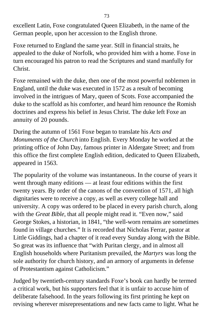excellent Latin, Foxe congratulated Queen Elizabeth, in the name of the German people, upon her accession to the English throne.

Foxe returned to England the same year. Still in financial straits, he appealed to the duke of Norfolk, who provided him with a home. Foxe in turn encouraged his patron to read the Scriptures and stand manfully for Christ.

Foxe remained with the duke, then one of the most powerful noblemen in England, until the duke was executed in 1572 as a result of becoming involved in the intrigues of Mary, queen of Scots. Foxe accompanied the duke to the scaffold as his comforter, and heard him renounce the Romish doctrines and express his belief in Jesus Christ. The duke left Foxe an annuity of 20 pounds.

During the autumn of 1561 Foxe began to translate his *Acts and Monuments of the Church* into English. Every Monday he worked at the printing office of John Day, famous printer in Aldergate Street; and from this office the first complete English edition, dedicated to Queen Elizabeth, appeared in 1563.

The popularity of the volume was instantaneous. In the course of years it went through many editions — at least four editions within the first twenty years. By order of the canons of the convention of 1571, all high dignitaries were to receive a copy, as well as every college hall and university. A copy was ordered to be placed in every parish church, along with the *Great Bible*, that all people might read it. "Even now," said George Stokes, a historian, in 1841, "the well-worn remains are sometimes found in village churches." It is recorded that Nicholas Ferrar, pastor at Little Giddings, had a chapter of it read every Sunday along with the Bible. So great was its influence that "with Puritan clergy, and in almost all English households where Puritanism prevailed, the *Martyrs* was long the sole authority for church history, and an armory of arguments in defense of Protestantism against Catholicism."

Judged by twentieth-century standards Foxe's book can hardly be termed a critical work, but his supporters feel that it is unfair to accuse him of deliberate falsehood. In the years following its first printing he kept on revising wherever misrepresentations and new facts came to light. What he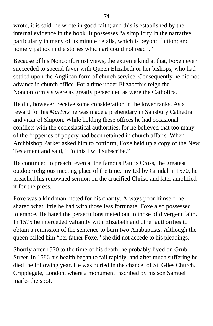wrote, it is said, he wrote in good faith; and this is established by the internal evidence in the book. It possesses "a simplicity in the narrative, particularly in many of its minute details, which is beyond fiction; and homely pathos in the stories which art could not reach."

Because of his Nonconformist views, the extreme kind at that, Foxe never succeeded to special favor with Queen Elizabeth or her bishops, who had settled upon the Anglican form of church service. Consequently he did not advance in church office. For a time under Elizabeth's reign the Nonconformists were as greatly persecuted as were the Catholics.

He did, however, receive some consideration in the lower ranks. As a reward for his *Martyrs* he was made a prebendary in Salisbury Cathedral and vicar of Shipton. While holding these offices he had occasional conflicts with the ecclesiastical authorities, for he believed that too many of the fripperies of popery had been retained in church affairs. When Archbishop Parker asked him to conform, Foxe held up a copy of the New Testament and said, "To this I will subscribe."

He continued to preach, even at the famous Paul's Cross, the greatest outdoor religious meeting place of the time. Invited by Grindal in 1570, he preached his renowned sermon on the crucified Christ, and later amplified it for the press.

Foxe was a kind man, noted for his charity. Always poor himself, he shared what little he had with those less fortunate. Foxe also possessed tolerance. He hated the persecutions meted out to those of divergent faith. In 1575 he interceded valiantly with Elizabeth and other authorities to obtain a remission of the sentence to burn two Anabaptists. Although the queen called him "her father Foxe," she did not accede to his pleadings.

Shortly after 1570 to the time of his death, he probably lived on Grub Street. In 1586 his health began to fail rapidly, and after much suffering he died the following year. He was buried in the chancel of St. Giles Church, Cripplegate, London, where a monument inscribed by his son Samuel marks the spot.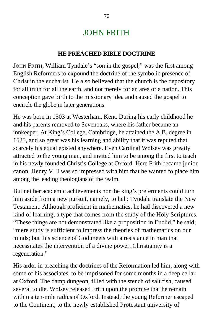## JOHN FRITH

#### **HE PREACHED BIBLE DOCTRINE**

JOHN FRITH, William Tyndale's "son in the gospel," was the first among English Reformers to expound the doctrine of the symbolic presence of Christ in the eucharist. He also believed that the church is the depository for all truth for all the earth, and not merely for an area or a nation. This conception gave birth to the missionary idea and caused the gospel to encircle the globe in later generations.

He was born in 1503 at Westerham, Kent. During his early childhood he and his parents removed to Sevenoaks, where his father became an innkeeper. At King's College, Cambridge, he attained the A.B. degree in 1525, and so great was his learning and ability that it was reputed that scarcely his equal existed anywhere. Even Cardinal Wolsey was greatly attracted to the young man, and invited him to be among the first to teach in his newly founded Christ's College at Oxford. Here Frith became junior canon. Henry VIII was so impressed with him that he wanted to place him among the leading theologians of the realm.

But neither academic achievements nor the king's preferments could turn him aside from a new pursuit, namely, to help Tyndale translate the New Testament. Although proficient in mathematics, he had discovered a new kind of learning, a type that comes from the study of the Holy Scriptures. "These things are not demonstrated like a proposition in Euclid," he said; "mere study is sufficient to impress the theories of mathematics on our minds; but this science of God meets with a resistance in man that necessitates the intervention of a divine power. Christianity is a regeneration."

His ardor in preaching the doctrines of the Reformation led him, along with some of his associates, to be imprisoned for some months in a deep cellar at Oxford. The damp dungeon, filled with the stench of salt fish, caused several to die. Wolsey released Frith upon the promise that he remain within a ten-mile radius of Oxford. Instead, the young Reformer escaped to the Continent, to the newly established Protestant university of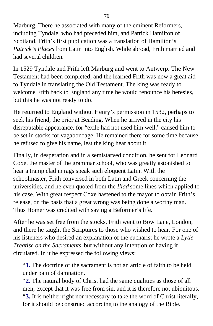Marburg. There he associated with many of the eminent Reformers, including Tyndale, who had preceded him, and Patrick Hamilton of Scotland. Frith's first publication was a translation of Hamilton's *Patrick's Places* from Latin into English. While abroad, Frith married and had several children.

In 1529 Tyndale and Frith left Marburg and went to Antwerp. The New Testament had been completed, and the learned Frith was now a great aid to Tyndale in translating the Old Testament. The king was ready to welcome Frith back to England any time he would renounce his heresies, but this he was not ready to do.

He returned to England without Henry's permission in 1532, perhaps to seek his friend, the prior at Beading. When he arrived in the city his disreputable appearance, for "exile had not used him well," caused him to be set in stocks for vagabondage. He remained there for some time because he refused to give his name, lest the king hear about it.

Finally, in desperation and in a semistarved condition, he sent for Leonard Coxe, the master of the grammar school, who was greatly astonished to hear a tramp clad in rags speak such eloquent Latin. With the schoolmaster, Frith conversed in both Latin and Greek concerning the universities, and he even quoted from the *Iliad* some lines which applied to his case. With great respect Coxe hastened to the mayor to obtain Frith's release, on the basis that a great wrong was being done a worthy man. Thus Homer was credited with saving a Beformer's life.

After he was set free from the stocks, Frith went to Bow Lane, London, and there he taught the Scriptures to those who wished to hear. For one of his listeners who desired an explanation of the eucharist he wrote a *Lytle Treatise on the Sacraments,* but without any intention of having it circulated. In it he expressed the following views:

"**1.** The doctrine of the sacrament is not an article of faith to be held under pain of damnation.

"**2.** The natural body of Christ had the same qualities as those of all men, except that it was free from sin, and it is therefore not ubiquitous. "**3.** It is neither right nor necessary to take the word of Christ literally, for it should be construed according to the analogy of the Bible.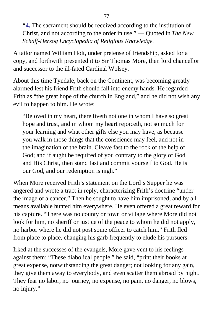"**4.** The sacrament should be received according to the institution of Christ, and not according to the order in use." — Quoted in *The New Schaff-Herzog Encyclopedia of Religious Knowledge.*

A tailor named William Holt, under pretense of friendship, asked for a copy, and forthwith presented it to Sir Thomas More, then lord chancellor and successor to the ill-fated Cardinal Wolsey.

About this time Tyndale, back on the Continent, was becoming greatly alarmed lest his friend Frith should fall into enemy hands. He regarded Frith as "the great hope of the church in England," and he did not wish any evil to happen to him. He wrote:

"Beloved in my heart, there liveth not one in whom I have so great hope and trust, and in whom my heart rejoiceth, not so much for your learning and what other gifts else you may have, as because you walk in those things that the conscience may feel, and not in the imagination of the brain. Cleave fast to the rock of the help of God; and if aught be required of you contrary to the glory of God and His Christ, then stand fast and commit yourself to God. He is our God, and our redemption is nigh."

When More received Frith's statement on the Lord's Supper he was angered and wrote a tract in reply, characterizing Frith's doctrine "under the image of a cancer." Then he sought to have him imprisoned, and by all means available hunted him everywhere. He even offered a great reward for his capture. "There was no county or town or village where More did not look for him, no sheriff or justice of the peace to whom he did not apply, no harbor where he did not post some officer to catch him." Frith fled from place to place, changing his garb frequently to elude his pursuers.

Irked at the successes of the evangels, More gave vent to his feelings against them: "These diabolical people," he said, "print their books at great expense, notwithstanding the great danger; not looking for any gain, they give them away to everybody, and even scatter them abroad by night. They fear no labor, no journey, no expense, no pain, no danger, no blows, no injury."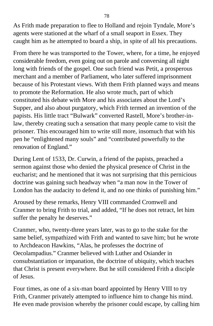As Frith made preparation to flee to Holland and rejoin Tyndale, More's agents were stationed at the wharf of a small seaport in Essex. They caught him as he attempted to board a ship, in spite of all his precautions.

From there he was transported to the Tower, where, for a time, he enjoyed considerable freedom, even going out on parole and conversing all night long with friends of the gospel. One such friend was Petit, a prosperous merchant and a member of Parliament, who later suffered imprisonment because of his Protestant views. With them Frith planned ways and means to promote the Reformation. He also wrote much, part of which constituted his debate with More and his associates about the Lord's Supper, and also about purgatory, which Frith termed an invention of the papists. His little tract "Bulwark" converted Rastell, More's brother-inlaw, thereby creating such a sensation that many people came to visit the prisoner. This encouraged him to write still more, insomuch that with his pen he "enlightened many souls" and "contributed powerfully to the renovation of England."

During Lent of 1533, Dr. Curwin, a friend of the papists, preached a sermon against those who denied the physical presence of Christ in the eucharist; and he mentioned that it was not surprising that this pernicious doctrine was gaining such headway when "a man now in the Tower of London has the audacity to defend it, and no one thinks of punishing him."

Aroused by these remarks, Henry VIII commanded Cromwell and Cranmer to bring Frith to trial, and added, "If he does not retract, let him suffer the penalty he deserves."

Cranmer, who, twenty-three years later, was to go to the stake for the same belief, sympathized with Frith and wanted to save him; but he wrote to Archdeacon Hawkins, "Alas, he professes the doctrine of Oecolampadius." Cranmer believed with Luther and Osiander in consubstantiation or impanation, the doctrine of ubiquity, which teaches that Christ is present everywhere. But he still considered Frith a disciple of Jesus.

Four times, as one of a six-man board appointed by Henry VIII to try Frith, Cranmer privately attempted to influence him to change his mind. He even made provision whereby the prisoner could escape, by calling him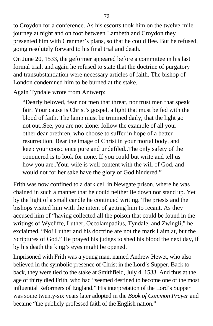to Croydon for a conference. As his escorts took him on the twelve-mile journey at night and on foot between Lambeth and Croydon they presented him with Cranmer's plans, so that he could flee. But he refused, going resolutely forward to his final trial and death.

On June 20, 1533, the geformer appeared before a committee in his last formal trial, and again he refused to state that the doctrine of purgatory and transubstantiation were necessary articles of faith. The bishop of London condemned him to be burned at the stake.

Again Tyndale wrote from Antwerp:

"Dearly beloved, fear not men that threat, nor trust men that speak fair. Your cause is Christ's gospel, a light that must be fed with the blood of faith. The lamp must be trimmed daily, that the light go not out..See, you are not alone: follow the example of all your other dear brethren, who choose to suffer in hope of a better resurrection. Bear the image of Christ in your mortal body, and keep your conscience pure and undefiled..The only safety of the conquered is to look for none. If you could but write and tell us how you are..Your wife is well content with the will of God, and would not for her sake have the glory of God hindered."

Frith was now confined to a dark cell in Newgate prison, where he was chained in such a manner that he could neither lie down nor stand up. Yet by the light of a small candle he continued writing. The priests and the bishops visited him with the intent of getting him to recant. As they accused him of "having collected all the poison that could be found in the writings of Wycliffe, Luther, Oecolampadius, Tyndale, and Zwingli," he exclaimed, "No! Luther and his doctrine are not the mark I aim at, but the Scriptures of God." He prayed his judges to shed his blood the next day, if by his death the king's eyes might be opened.

Imprisoned with Frith was a young man, named Andrew Hewet, who also believed in the symbolic presence of Christ in the Lord's Supper. Back to back, they were tied to the stake at Smithfield, July 4, 1533. And thus at the age of thirty died Frith, who had "seemed destined to become one of the most influential Reformers of England." His interpretation of the Lord's Supper was some twenty-six years later adopted in the *Book of Common Prayer* and became "the publicly professed faith of the English nation."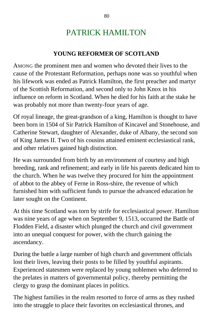# PATRICK HAMILTON

### **YOUNG REFORMER OF SCOTLAND**

AMONG the prominent men and women who devoted their lives to the cause of the Protestant Reformation, perhaps none was so youthful when his lifework was ended as Patrick Hamilton, the first preacher and martyr of the Scottish Reformation, and second only to John Knox in his influence on reform in Scotland. When he died for his faith at the stake he was probably not more than twenty-four years of age.

Of royal lineage, the great-grandson of a king, Hamilton is thought to have been born in 1504 of Sir Patrick Hamilton of Kincavel and Stonehouse, and Catherine Stewart, daughter of Alexander, duke of Albany, the second son of King James II. Two of his cousins attained eminent ecclesiastical rank, and other relatives gained high distinction.

He was surrounded from birth by an environment of courtesy and high breeding, rank and refinement; and early in life his parents dedicated him to the church. When he was twelve they procured for him the appointment of abbot to the abbey of Ferne in Ross-shire, the revenue of which furnished him with sufficient funds to pursue the advanced education he later sought on the Continent.

At this time Scotland was torn by strife for ecclesiastical power. Hamilton was nine years of age when on September 9, 1513, occurred the Battle of Flodden Field, a disaster which plunged the church and civil government into an unequal conquest for power, with the church gaining the ascendancy.

During the battle a large number of high church and government officials lost their lives, leaving their posts to be filled by youthful aspirants. Experienced statesmen were replaced by young noblemen who deferred to the prelates in matters of governmental policy, thereby permitting the clergy to grasp the dominant places in politics.

The highest families in the realm resorted to force of arms as they rushed into the struggle to place their favorites on ecclesiastical thrones, and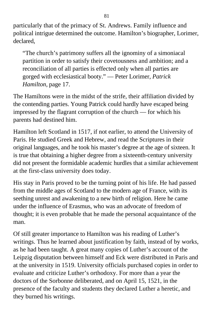particularly that of the primacy of St. Andrews. Family influence and political intrigue determined the outcome. Hamilton's biographer, Lorimer, declared,

"The church's patrimony suffers all the ignominy of a simoniacal partition in order to satisfy their covetousness and ambition; and a reconciliation of all parties is effected only when all parties are gorged with ecclesiastical booty." — Peter Lorimer, *Patrick Hamilton,* page 17.

The Hamiltons were in the midst of the strife, their affiliation divided by the contending parties. Young Patrick could hardly have escaped being impressed by the flagrant corruption of the church — for which his parents had destined him.

Hamilton left Scotland in 1517, if not earlier, to attend the University of Paris. He studied Greek and Hebrew, and read the Scriptures in their original languages, and he took his master's degree at the age of sixteen. It is true that obtaining a higher degree from a sixteenth-century university did not present the formidable academic hurdles that a similar achievement at the first-class university does today.

His stay in Paris proved to be the turning point of his life. He had passed from the middle ages of Scotland to the modern age of France, with its seething unrest and awakening to a new birth of religion. Here he came under the influence of Erasmus, who was an advocate of freedom of thought; it is even probable that he made the personal acquaintance of the man.

Of still greater importance to Hamilton was his reading of Luther's writings. Thus he learned about justification by faith, instead of by works, as he had been taught. A great many copies of Luther's account of the Leipzig disputation between himself and Eck were distributed in Paris and at the university in 1519. University officials purchased copies in order to evaluate and criticize Luther's orthodoxy. For more than a year the doctors of the Sorbonne deliberated, and on April 15, 1521, in the presence of the faculty and students they declared Luther a heretic, and they burned his writings.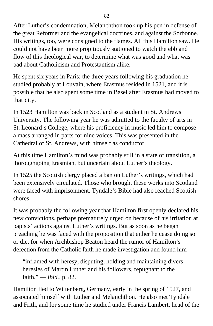After Luther's condemnation, Melanchthon took up his pen in defense of the great Reformer and the evangelical doctrines, and against the Sorbonne. His writings, too, were consigned to the flames. All this Hamilton saw. He could not have been more propitiously stationed to watch the ebb and flow of this theological war, to determine what was good and what was bad about Catholicism and Protestantism alike.

He spent six years in Paris; the three years following his graduation he studied probably at Louvain, where Erasmus resided in 1521, and it is possible that he also spent some time in Basel after Erasmus had moved to that city.

In 1523 Hamilton was back in Scotland as a student in St. Andrews University. The following year he was admitted to the faculty of arts in St. Leonard's College, where his proficiency in music led him to compose a mass arranged in parts for nine voices. This was presented in the Cathedral of St. Andrews, with himself as conductor.

At this time Hamilton's mind was probably still in a state of transition, a thoroughgoing Erasmian, but uncertain about Luther's theology.

In 1525 the Scottish clergy placed a ban on Luther's writings, which had been extensively circulated. Those who brought these works into Scotland were faced with imprisonment. Tyndale's Bible had also reached Scottish shores.

It was probably the following year that Hamilton first openly declared his new convictions, perhaps prematurely urged on because of his irritation at papists' actions against Luther's writings. But as soon as he began preaching he was faced with the proposition that either he cease doing so or die, for when Archbishop Beaton heard the rumor of Hamilton's defection from the Catholic faith he made investigation and found him

"inflamed with heresy, disputing, holding and maintaining divers heresies of Martin Luther and his followers, repugnant to the faith." — *Ibid.,* p. 82.

Hamilton fled to Wittenberg, Germany, early in the spring of 1527, and associated himself with Luther and Melanchthon. He also met Tyndale and Frith, and for some time he studied under Francis Lambert, head of the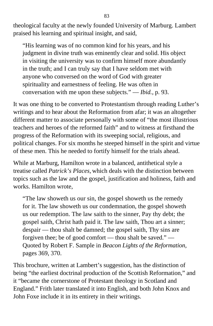theological faculty at the newly founded University of Marburg. Lambert praised his learning and spiritual insight, and said,

"His learning was of no common kind for his years, and his judgment in divine truth was eminently clear and solid. His object in visiting the university was to confirm himself more abundantly in the truth; and I can truly say that I have seldom met with anyone who conversed on the word of God with greater spirituality and earnestness of feeling. He was often in conversation with me upon these subjects." — *Ibid.,* p. 93.

It was one thing to be converted to Protestantism through reading Luther's writings and to hear about the Reformation from afar; it was an altogether different matter to associate personally with some of "the most illustrious teachers and heroes of the reformed faith" and to witness at firsthand the progress of the Reformation with its sweeping social, religious, and political changes. For six months he steeped himself in the spirit and virtue of these men. This he needed to fortify himself for the trials ahead.

While at Marburg, Hamilton wrote in a balanced, antithetical style a treatise called *Patrick's Places,* which deals with the distinction between topics such as the law and the gospel, justification and holiness, faith and works. Hamilton wrote,

"The law showeth us our sin, the gospel showeth us the remedy for it. The law showeth us our condemnation, the gospel showeth us our redemption. The law saith to the sinner, Pay thy debt; the gospel saith, Christ hath paid it. The law saith, Thou art a sinner; despair — thou shalt be damned; the gospel saith, Thy sins are forgiven thee; be of good comfort — thou shalt be saved." — Quoted by Robert F. Sample in *Beacon Lights of the Reformation,* pages 369, 370.

This brochure, written at Lambert's suggestion, has the distinction of being "the earliest doctrinal production of the Scottish Reformation," and it "became the cornerstone of Protestant theology in Scotland and England." Frith later translated it into English, and both John Knox and John Foxe include it in its entirety in their writings.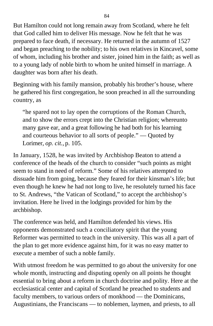But Hamilton could not long remain away from Scotland, where he felt that God called him to deliver His message. Now he felt that he was prepared to face death, if necessary. He returned in the autumn of 1527 and began preaching to the nobility; to his own relatives in Kincavel, some of whom, including his brother and sister, joined him in the faith; as well as to a young lady of noble birth to whom he united himself in marriage. A daughter was born after his death.

Beginning with his family mansion, probably his brother's house, where he gathered his first congregation, he soon preached in all the surrounding country, as

"he spared not to lay open the corruptions of the Roman Church, and to show the errors crept into the Christian religion; whereunto many gave ear, and a great following he had both for his learning and courteous behavior to all sorts of people." — Quoted by Lorimer, *op. cit.,* p. 105.

In January, 1528, he was invited by Archbishop Beaton to attend a conference of the heads of the church to consider "such points as might seem to stand in need of reform." Some of his relatives attempted to dissuade him from going, because they feared for their kinsman's life; but even though he knew he had not long to live, he resolutely turned his face to St. Andrews, "the Vatican of Scotland," to accept the archbishop's invitation. Here he lived in the lodgings provided for him by the archbishop.

The conference was held, and Hamilton defended his views. His opponents demonstrated such a conciliatory spirit that the young Reformer was permitted to teach in the university. This was all a part of the plan to get more evidence against him, for it was no easy matter to execute a member of such a noble family.

With utmost freedom he was permitted to go about the university for one whole month, instructing and disputing openly on all points he thought essential to bring about a reform in church doctrine and polity. Here at the ecclesiastical center and capital of Scotland he preached to students and faculty members, to various orders of monkhood — the Dominicans, Augustinians, the Franciscans — to noblemen, laymen, and priests, to all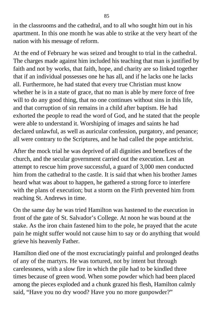in the classrooms and the cathedral, and to all who sought him out in his apartment. In this one month he was able to strike at the very heart of the nation with his message of reform.

At the end of February he was seized and brought to trial in the cathedral. The charges made against him included his teaching that man is justified by faith and not by works, that faith, hope, and charity are so linked together that if an individual possesses one he has all, and if he lacks one he lacks all. Furthermore, he had stated that every true Christian must know whether he is in a state of grace, that no man is able by mere force of free will to do any good thing, that no one continues without sins in this life, and that corruption of sin remains in a child after baptism. He had exhorted the people to read the word of God, and he stated that the people were able to understand it. Worshiping of images and saints he had declared unlawful, as well as auricular confession, purgatory, and penance; all were contrary to the Scriptures, and he had called the pope antichrist.

After the mock trial he was deprived of all dignities and benefices of the church, and the secular government carried out the execution. Lest an attempt to rescue him prove successful, a guard of 3,000 men conducted him from the cathedral to the castle. It is said that when his brother James heard what was about to happen, he gathered a strong force to interfere with the plans of execution; but a storm on the Firth prevented him from reaching St. Andrews in time.

On the same day he was tried Hamilton was hastened to the execution in front of the gate of St. Salvador's College. At noon he was bound at the stake. As the iron chain fastened him to the pole, he prayed that the acute pain he might suffer would not cause him to say or do anything that would grieve his heavenly Father.

Hamilton died one of the most excruciatingly painful and prolonged deaths of any of the martyrs. He was tortured, not by intent but through carelessness, with a slow fire in which the pile had to be kindled three times because of green wood. When some powder which had been placed among the pieces exploded and a chunk grazed his flesh, Hamilton calmly said, "Have you no dry wood? Have you no more gunpowder?"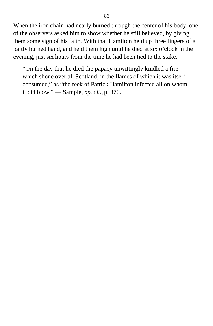When the iron chain had nearly burned through the center of his body, one of the observers asked him to show whether he still believed, by giving them some sign of his faith. With that Hamilton held up three fingers of a partly burned hand, and held them high until he died at six o'clock in the evening, just six hours from the time he had been tied to the stake.

"On the day that he died the papacy unwittingly kindled a fire which shone over all Scotland, in the flames of which it was itself consumed," as "the reek of Patrick Hamilton infected all on whom it did blow." — Sample, *op. cit.,* p. 370.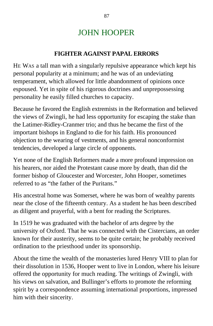# JOHN HOOPER

### **FIGHTER AGAINST PAPAL ERRORS**

HE WAS a tall man with a singularly repulsive appearance which kept his personal popularity at a minimum; and he was of an undeviating temperament, which allowed for little abandonment of opinions once espoused. Yet in spite of his rigorous doctrines and unprepossessing personality he easily filled churches to capacity.

Because he favored the English extremists in the Reformation and believed the views of Zwingli, he had less opportunity for escaping the stake than the Latimer-Ridley-Cranmer trio; and thus he became the first of the important bishops in England to die for his faith. His pronounced objection to the wearing of vestments, and his general nonconformist tendencies, developed a large circle of opponents.

Yet none of the English Reformers made a more profound impression on his hearers, nor aided the Protestant cause more by death, than did the former bishop of Gloucester and Worcester, John Hooper, sometimes referred to as "the father of the Puritans."

His ancestral home was Somerset, where he was born of wealthy parents near the close of the fifteenth century. As a student he has been described as diligent and prayerful, with a bent for reading the Scriptures.

In 1519 he was graduated with the bachelor of arts degree by the university of Oxford. That he was connected with the Cistercians, an order known for their austerity, seems to be quite certain; he probably received ordination to the priesthood under its sponsorship.

About the time the wealth of the monasteries lured Henry VIII to plan for their dissolution in 1536, Hooper went to live in London, where his leisure offered the opportunity for much reading. The writings of Zwingli, with his views on salvation, and Bullinger's efforts to promote the reforming spirit by a correspondence assuming international proportions, impressed him with their sincerity.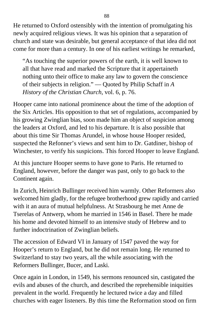He returned to Oxford ostensibly with the intention of promulgating his newly acquired religious views. It was his opinion that a separation of church and state was desirable, but general acceptance of that idea did not come for more than a century. In one of his earliest writings he remarked,

"As touching the superior powers of the earth, it is well known to all that have read and marked the Scripture that it appertaineth nothing unto their office to make any law to govern the conscience of their subjects in religion." — Quoted by Philip Schaff in *A History of the Christian Church,* vol. 6, p. 76.

Hooper came into national prominence about the time of the adoption of the Six Articles. His opposition to that set of regulations, accompanied by his growing Zwinglian bias, soon made him an object of suspicion among the leaders at Oxford, and led to his departure. It is also possible that about this time Sir Thomas Arundel, in whose house Hooper resided, suspected the Refonner's views and sent him to Dr. Gatdiner, bishop of Winchester, to verify his suspicions. This forced Hooper to leave England.

At this juncture Hooper seems to have gone to Paris. He returned to England, however, before the danger was past, only to go back to the Continent again.

In Zurich, Heinrich Bullinger received him warmly. Other Reformers also welcomed him gladly, for the refugee brotherhood grew rapidly and carried with it an aura of mutual helpfulness. At Strasbourg he met Anne de Tserelas of Antwerp, whom he married in 1546 in Basel. There he made his home and devoted himself to an intensive study of Hebrew and to further indoctrination of Zwinglian beliefs.

The accession of Edward VI in January of 1547 paved the way for Hooper's return to England, but he did not remain long. He returned to Switzerland to stay two years, all the while associating with the Reformers Bullinger, Bucer, and Laski.

Once again in London, in 1549, his sermons renounced sin, castigated the evils and abuses of the church, and described the reprehensible iniquities prevalent in the world. Frequently he lectured twice a day and filled churches with eager listeners. By this time the Reformation stood on firm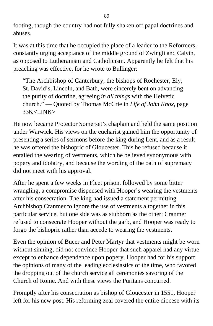footing, though the country had not fully shaken off papal doctrines and abuses.

It was at this time that he occupied the place of a leader to the Reformers, constantly urging acceptance of the middle ground of Zwingli and Calvin, as opposed to Lutheranism and Catholicism. Apparently he felt that his preaching was effective, for he wrote to Bullinger:

"The Archbishop of Canterbury, the bishops of Rochester, Ely, St. David's, Lincoln, and Bath, were sincerely bent on advancing the purity of doctrine, agreeing *in all things* with the Helvetic church." — Quoted by Thomas McCrie in *Life of John Knox,* page  $336 < I$  JNK  $>$ 

He now became Protector Somerset's chaplain and held the same position under Warwick. His views on the eucharist gained him the opportunity of presenting a series of sermons before the king during Lent, and as a result he was offered the bishopric of Gloucester. This he refused because it entailed the wearing of vestments, which he believed synonymous with popery and idolatry, and because the wording of the oath of supremacy did not meet with his approval.

After he spent a few weeks in Fleet prison, followed by some bitter wrangling, a compromise dispensed with Hooper's wearing the vestments after his consecration. The king had issued a statement permitting Archbishop Cranmer to ignore the use of vestments altogether in this particular service, but one side was as stubborn as the other: Cranmer refused to consecrate Hooper without the garb, and Hooper was ready to forgo the bishopric rather than accede to wearing the vestments.

Even the opinion of Bucer and Peter Martyr that vestments might be worn without sinning, did not convince Hooper that such apparel had any virtue except to enhance dependence upon popery. Hooper had for his support the opinions of many of the leading ecclesiastics of the time, who favored the dropping out of the church service all ceremonies savoring of the Church of Rome. And with these views the Puritans concurred.

Promptly after his consecration as bishop of Gloucester in 1551, Hooper left for his new post. His reforming zeal covered the entire diocese with its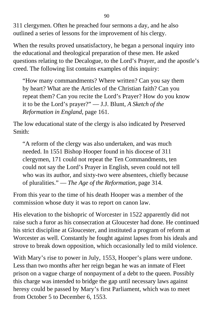311 clergymen. Often he preached four sermons a day, and he also outlined a series of lessons for the improvement of his clergy.

When the results proved unsatisfactory, he began a personal inquiry into the educational and theological preparation of these men. He asked questions relating to the Decalogue, to the Lord's Prayer, and the apostle's creed. The following list contains examples of this inquiry:

"How many commandments? Where written? Can you say them by heart? What are the Articles of the Christian faith? Can you repeat them? Can you recite the Lord's Prayer? How do you know it to be the Lord's prayer?" — J.J. Blunt, *A Sketch of the Reformation in England,* page 161.

The low educational state of the clergy is also indicated by Preserved Smith:

"A reform of the clergy was also undertaken, and was much needed. In 1551 Bishop Hooper found in his diocese of 311 clergymen, 171 could not repeat the Ten Commandments, ten could not say the Lord's Prayer in English, seven could not tell who was its author, and sixty-two were absentees, chiefly because of pluralities." — *The Age of the Reformation,* page 314.

From this year to the time of his death Hooper was a member of the commission whose duty it was to report on canon law.

His elevation to the bishopric of Worcester in 1522 apparently did not raise such a furor as his consecration at Gloucester had done. He continued his strict discipline at Gloucester, and instituted a program of reform at Worcester as well. Constantly he fought against lapses from his ideals and strove to break down opposition, which occasionally led to mild violence.

With Mary's rise to power in July, 1553, Hooper's plans were undone. Less than two months after her reign began he was an inmate of Fleet prison on a vague charge of nonpayment of a debt to the queen. Possibly this charge was intended to bridge the gap until necessary laws against heresy could be passed by Mary's first Parliament, which was to meet from October 5 to December 6, 1553.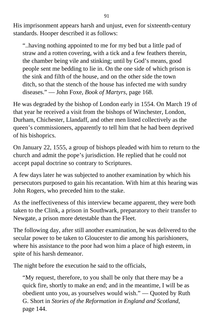His imprisonment appears harsh and unjust, even for sixteenth-century standards. Hooper described it as follows:

"..having nothing appointed to me for my bed but a little pad of straw and a rotten covering, with a tick and a few feathers therein, the chamber being vile and stinking; until by God's means, good people sent me bedding to lie in. On the one side of which prison is the sink and filth of the house, and on the other side the town ditch, so that the stench of the house has infected me with sundry diseases." — John Foxe, *Book of Martyrs,* page 168.

He was degraded by the bishop of London early in 1554. On March 19 of that year he received a visit from the bishops of Winchester, London, Durham, Chichester, Llandaff, and other men listed collectively as the queen's commissioners, apparently to tell him that he had been deprived of his bishoprics.

On January 22, 1555, a group of bishops pleaded with him to return to the church and admit the pope's jurisdiction. He replied that he could not accept papal doctrine so contrary to Scriptures.

A few days later he was subjected to another examination by which his persecutors purposed to gain his recantation. With him at this hearing was John Rogers, who preceded him to the stake.

As the ineffectiveness of this interview became apparent, they were both taken to the Clink, a prison in Southwark, preparatory to their transfer to Newgate, a prison more detestable than the Fleet.

The following day, after still another examination, he was delivered to the secular power to be taken to Gloucester to die among his parishioners, where his assistance to the poor had won him a place of high esteem, in spite of his harsh demeanor.

The night before the execution he said to the officials,

"My request, therefore, to you shall be only that there may be a quick fire, shortly to make an end; and in the meantime, I will be as obedient unto you, as yourselves would wish." — Quoted by Ruth G. Short in *Stories of the Reformation in England and Scotland,* page 144.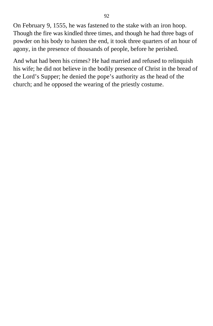On February 9, 1555, he was fastened to the stake with an iron hoop. Though the fire was kindled three times, and though he had three bags of powder on his body to hasten the end, it took three quarters of an hour of agony, in the presence of thousands of people, before he perished.

And what had been his crimes? He had married and refused to relinquish his wife; he did not believe in the bodily presence of Christ in the bread of the Lord's Supper; he denied the pope's authority as the head of the church; and he opposed the wearing of the priestly costume.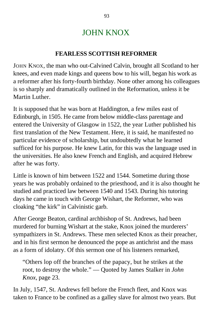## JOHN KNOX

#### **FEARLESS SCOTTISH REFORMER**

JOHN KNOX, the man who out-Calvined Calvin, brought all Scotland to her knees, and even made kings and queens bow to his will, began his work as a reformer after his forty-fourth birthday. None other among his colleagues is so sharply and dramatically outlined in the Reformation, unless it be Martin Luther.

It is supposed that he was born at Haddington, a few miles east of Edinburgh, in 1505. He came from below middle-class parentage and entered the University of Glasgow in 1522, the year Luther published his first translation of the New Testament. Here, it is said, he manifested no particular evidence of scholarship, but undoubtedly what he learned sufficed for his purpose. He knew Latin, for this was the language used in the universities. He also knew French and English, and acquired Hebrew after he was forty.

Little is known of him between 1522 and 1544. Sometime during those years he was probably ordained to the priesthood, and it is also thought he studied and practiced law between 1540 and 1543. During his tutoring days he came in touch with George Wishart, the Reformer, who was cloaking "the kirk" in Calvinistic garb.

After George Beaton, cardinal archbishop of St. Andrews, had been murdered for burning Wishart at the stake, Knox joined the murderers' sympathizers in St. Andrews. These men selected Knox as their preacher, and in his first sermon he denounced the pope as antichrist and the mass as a form of idolatry. Of this sermon one of his listeners remarked,

"Others lop off the branches of the papacy, but he strikes at the root, to destroy the whole." — Quoted by James Stalker in *John Knox,* page 23.

In July, 1547, St. Andrews fell before the French fleet, and Knox was taken to France to be confined as a galley slave for almost two years. But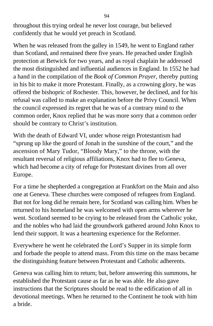throughout this trying ordeal he never lost courage, but believed confidently that he would yet preach in Scotland.

When he was released from the galley in 1549, he went to England rather than Scotland, and remained there five years. He preached under English protection at Betwick for two years, and as royal chaplain he addressed the most distinguished and influential audiences in England. In 1552 he had a hand in the compilation of the *Book of Common Prayer,* thereby putting in his bit to make it more Protestant. Finally, as a crowning glory, he was offered the bishopric of Rochester. This, however, he declined, and for his refusal was called to make an explanation before the Privy Council. When the council expressed its regret that he was of a contrary mind to the common order, Knox replied that he was more sorry that a common order should be contrary to Christ's institution.

With the death of Edward VI, under whose reign Protestantism had "sprung up like the gourd of Jonah in the sunshine of the court," and the ascension of Mary Tudor, "Bloody Mary," to the throne, with the resultant reversal of religious affiliations, Knox had to flee to Geneva, which had become a city of refuge for Protestant divines from all over Europe.

For a time he shepherded a congregation at Frankfort on the Main and also one at Geneva. These churches were composed of refugees from England. But not for long did he remain here, for Scotland was calling him. When he returned to his homeland he was welcomed with open arms wherever he went. Scotland seemed to be crying to be released from the Catholic yoke, and the nobles who had laid the groundwork gathered around John Knox to lend their support. It was a heartening experience for the Reformer.

Everywhere he went he celebrated the Lord's Supper in its simple form and forbade the people to attend mass. From this time on the mass became the distinguishing feature between Protestant and Catholic adherents.

Geneva was calling him to return; but, before answering this summons, he established the Protestant cause as far as he was able. He also gave instructions that the Scriptures should be read to the edification of all in devotional meetings. When he returned to the Continent he took with him a bride.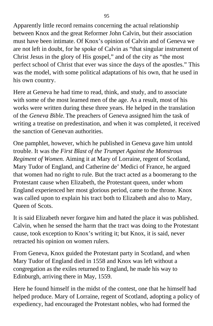Apparently little record remains concerning the actual relationship between Knox and the great Reformer John Calvin, but their association must have been intimate. Of Knox's opinion of Calvin and of Geneva we are not left in doubt, for he spoke of Calvin as "that singular instrument of Christ Jesus in the glory of His gospel," and of the city as "the most perfect school of Christ that ever was since the days of the apostles." This was the model, with some political adaptations of his own, that he used in his own country.

Here at Geneva he had time to read, think, and study, and to associate with some of the most learned men of the age. As a result, most of his works were written during these three years. He helped in the translation of the *Geneva Bible.* The preachers of Geneva assigned him the task of writing a treatise on predestination, and when it was completed, it received the sanction of Genevan authorities.

One pamphlet, however, which he published in Geneva gave him untold trouble. It was the *First Blast of the Trumpet Against the Monstrous Regiment of Women.* Aiming it at Mary of Lorraine, regent of Scotland, Mary Tudor of England, and Catherine de' Medici of France, he argued that women had no right to rule. But the tract acted as a boomerang to the Protestant cause when Elizabeth, the Protestant queen, under whom England experienced her most glorious period, came to the throne. Knox was called upon to explain his tract both to Elizabeth and also to Mary, Queen of Scots.

It is said Elizabeth never forgave him and hated the place it was published. Calvin, when he sensed the harm that the tract was doing to the Protestant cause, took exception to Knox's writing it; but Knox, it is said, never retracted his opinion on women rulers.

From Geneva, Knox guided the Protestant party in Scotland, and when Mary Tudor of England died in 1558 and Knox was left without a congregation as the exiles returned to England, he made his way to Edinburgh, arriving there in May, 1559.

Here he found himself in the midst of the contest, one that he himself had helped produce. Mary of Lorraine, regent of Scotland, adopting a policy of expediency, had encouraged the Protestant nobles, who had formed the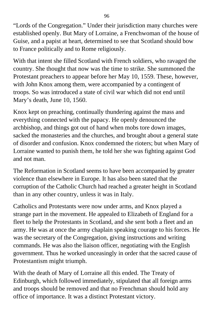"Lords of the Congregation." Under their jurisdiction many churches were established openly. But Mary of Lorraine, a Frenchwoman of the house of Guise, and a papist at heart, determined to see that Scotland should bow to France politically and to Rome religiously.

With that intent she filled Scotland with French soldiers, who ravaged the country. She thought that now was the time to strike. She summoned the Protestant preachers to appear before her May 10, 1559. These, however, with John Knox among them, were accompanied by a contingent of troops. So was introduced a state of civil war which did not end until Mary's death, June 10, 1560.

Knox kept on preaching, continually thundering against the mass and everything connected with the papacy. He openly denounced the archbishop, and things got out of hand when mobs tore down images, sacked the monasteries and the churches, and brought about a general state of disorder and confusion. Knox condemned the rioters; but when Mary of Lorraine wanted to punish them, he told her she was fighting against God and not man.

The Reformation in Scotland seems to have been accompanied by greater violence than elsewhere in Europe. It has also been stated that the corruption of the Catholic Church had reached a greater height in Scotland than in any other country, unless it was in Italy.

Catholics and Protestants were now under arms, and Knox played a strange part in the movement. He appealed to Elizabeth of England for a fleet to help the Protestants in Scotland, and she sent both a fleet and an army. He was at once the army chaplain speaking courage to his forces. He was the secretary of the Congregation, giving instructions and writing commands. He was also the liaison officer, negotiating with the English government. Thus he worked unceasingly in order that the sacred cause of Protestantism might triumph.

With the death of Mary of Lorraine all this ended. The Treaty of Edinburgh, which followed immediately, stipulated that all foreign arms and troops should be removed and that no Frenchman should hold any office of importance. It was a distinct Protestant victory.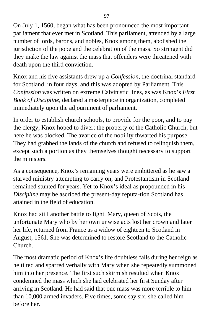On July 1, 1560, began what has been pronounced the most important parliament that ever met in Scotland. This parliament, attended by a large number of lords, barons, and nobles, Knox among them, abolished the jurisdiction of the pope and the celebration of the mass. So stringent did they make the law against the mass that offenders were threatened with death upon the third conviction.

Knox and his five assistants drew up a *Confession,* the doctrinal standard for Scotland, in four days, and this was adopted by Parliament. This *Confession* was written on extreme Calvinistic lines, as was Knox's *First Book of Discipline,* declared a masterpiece in organization, completed immediately upon the adjournment of parliament.

In order to establish church schools, to provide for the poor, and to pay the clergy, Knox hoped to divert the property of the Catholic Church, but here he was blocked. The avarice of the nobility thwarted his purpose. They had grabbed the lands of the church and refused to relinquish them, except such a portion as they themselves thought necessary to support the ministers.

As a consequence, Knox's remaining years were embittered as he saw a starved ministry attempting to carry on, and Protestantism in Scotland remained stunted for years. Yet to Knox's ideal as propounded in his *Discipline* may be ascribed the present-day reputa-tion Scotland has attained in the field of education.

Knox had still another battle to fight. Mary, queen of Scots, the unfortunate Mary who by her own unwise acts lost her crown and later her life, returned from France as a widow of eighteen to Scotland in August, 1561. She was determined to restore Scotland to the Catholic Church.

The most dramatic period of Knox's life doubtless falls during her reign as he tilted and sparred verbally with Mary when she repeatedly summoned him into her presence. The first such skirmish resulted when Knox condemned the mass which she had celebrated her first Sunday after arriving in Scotland. He had said that one mass was more terrible to him than 10,000 armed invaders. Five times, some say six, she called him before her.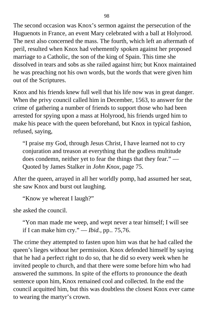The second occasion was Knox's sermon against the persecution of the Huguenots in France, an event Mary celebrated with a ball at Holyrood. The next also concerned the mass. The fourth, which left an aftermath of peril, resulted when Knox had vehemently spoken against her proposed marriage to a Catholic, the son of the king of Spain. This time she dissolved in tears and sobs as she railed against him; but Knox maintained he was preaching not his own words, but the words that were given him out of the Scriptures.

Knox and his friends knew full well that his life now was in great danger. When the privy council called him in December, 1563, to answer for the crime of gathering a number of friends to support those who had been arrested for spying upon a mass at Holyrood, his friends urged him to make his peace with the queen beforehand, but Knox in typical fashion, refused, saying,

"I praise my God, through Jesus Christ, I have learned not to cry conjuration and treason at everything that the godless multitude does condemn, neither yet to fear the things that they fear." — Quoted by James Stalker in *John Knox,* page 75.

After the queen, arrayed in all her worldly pomp, had assumed her seat, she saw Knox and burst out laughing.

```
"Know ye whereat I laugh?"
```
she asked the council.

"Yon man made me weep, and wept never a tear himself; I will see if I can make him cry." — *Ibid.,* pp.. 75,76.

The crime they attempted to fasten upon him was that he had called the queen's lieges without her permission. Knox defended himself by saying that he had a perfect right to do so, that he did so every week when he invited people to church, and that there were some before him who had answered the summons. In spite of the efforts to pronounce the death sentence upon him, Knox remained cool and collected. In the end the council acquitted him, but this was doubtless the closest Knox ever came to wearing the martyr's crown.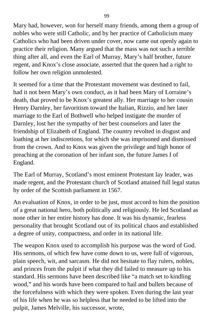Mary had, however, won for herself many friends, among them a group of nobles who were still Catholic, and by her practice of Catholicism many Catholics who had been driven under cover, now came out openly again to practice their religion. Many argued that the mass was not such a terrible thing after all, and even the Earl of Murray, Mary's half brother, future regent, and Knox's close associate, asserted that the queen had a right to follow her own religion unmolested.

It seemed for a time that the Protestant movement was destined to fail, had it not been Mary's own conduct, as it had been Mary of Lorraine's death, that proved to be Knox's greatest ally. Her marriage to her cousin Henry Darnley, her favoritism toward the Italian, Rizzio, and her later marriage to the Earl of Bothwell who helped instigate the murder of Darnley, lost her the sympathy of her best counselors and later the friendship of Elizabeth of England. The country revolted in disgust and loathing at her indiscretions, for which she was imprisoned and dismissed from the crown. And to Knox was given the privilege and high honor of preaching at the coronation of her infant son, the future James I of England.

The Earl of Murray, Scotland's most eminent Protestant lay leader, was made regent, and the Protestant church of Scotland attained full legal status by order of the Scottish parliament in 1567.

An evaluation of Knox, in order to be just, must accord to him the position of a great national hero, both politically and religiously. He led Scotland as none other in her entire history has done. It was his dynamic, fearless personality that brought Scotland out of its political chaos and established a degree of unity, compactness, and order in its national life.

The weapon Knox used to accomplish his purpose was the word of God. His sermons, of which few have come down to us, were full of vigorous, plain speech, wit, and sarcasm. He did not hesitate to flay rulers, nobles, and princes from the pulpit if what they did failed to measure up to his standard. His sermons have been described like "a match set to kindling wood," and his words have been compared to hail and bullets because of the forcefulness with which they were spoken. Even during the last year of his life when he was so helpless that he needed to be lifted into the pulpit, James Melville, his successor, wrote,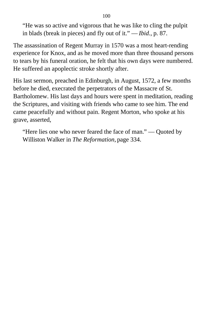"He was so active and vigorous that he was like to cling the pulpit in blads (break in pieces) and fly out of it." — *Ibid.,* p. 87.

The assassination of Regent Murray in 1570 was a most heart-rending experience for Knox, and as he moved more than three thousand persons to tears by his funeral oration, he felt that his own days were numbered. He suffered an apoplectic stroke shortly after.

His last sermon, preached in Edinburgh, in August, 1572, a few months before he died, execrated the perpetrators of the Massacre of St. Bartholomew. His last days and hours were spent in meditation, reading the Scriptures, and visiting with friends who came to see him. The end came peacefully and without pain. Regent Morton, who spoke at his grave, asserted,

"Here lies one who never feared the face of man." — Quoted by Williston Walker in *The Reformation,* page 334.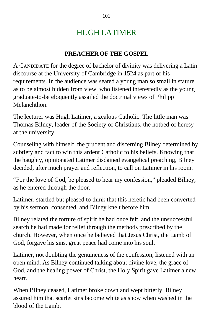# HUGH LATIMER

### **PREACHER OF THE GOSPEL**

A CANDIDATE for the degree of bachelor of divinity was delivering a Latin discourse at the University of Cambridge in 1524 as part of his requirements. In the audience was seated a young man so small in stature as to be almost hidden from view, who listened interestedly as the young graduate-to-be eloquently assailed the doctrinal views of Philipp Melanchthon.

The lecturer was Hugh Latimer, a zealous Catholic. The little man was Thomas Bilney, leader of the Society of Christians, the hotbed of heresy at the university.

Counseling with himself, the prudent and discerning Bilney determined by subtlety and tact to win this ardent Catholic to his beliefs. Knowing that the haughty, opinionated Latimer disdained evangelical preaching, Bilney decided, after much prayer and reflection, to call on Latimer in his room.

"For the love of God, be pleased to hear my confession," pleaded Bilney, as he entered through the door.

Latimer, startled but pleased to think that this heretic had been converted by his sermon, consented, and Bilney knelt before him.

Bilney related the torture of spirit he had once felt, and the unsuccessful search he had made for relief through the methods prescribed by the church. However, when once he believed that Jesus Christ, the Lamb of God, forgave his sins, great peace had come into his soul.

Latimer, not doubting the genuineness of the confession, listened with an open mind. As Bilney continued talking about divine love, the grace of God, and the healing power of Christ, the Holy Spirit gave Latimer a new heart.

When Bilney ceased, Latimer broke down and wept bitterly. Bilney assured him that scarlet sins become white as snow when washed in the blood of the Lamb.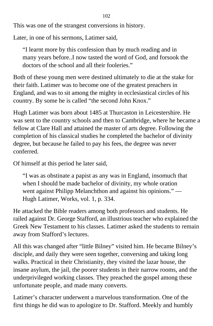This was one of the strangest conversions in history.

Later, in one of his sermons, Latimer said,

"I learnt more by this confession than by much reading and in many years before..I now tasted the word of God, and forsook the doctors of the school and all their fooleries."

Both of these young men were destined ultimately to die at the stake for their faith. Latimer was to become one of the greatest preachers in England, and was to sit among the mighty in ecclesiastical circles of his country. By some he is called "the second John Knox."

Hugh Latimer was born about 1485 at Thurcaston in Leicestershire. He was sent to the country schools and then to Cambridge, where he became a fellow at Clare Hall and attained the master of arts degree. Following the completion of his classical studies he completed the bachelor of divinity degree, but because he failed to pay his fees, the degree was never conferred.

Of himself at this period he later said,

"I was as obstinate a papist as any was in England, insomuch that when I should be made bachelor of divinity, my whole oration went against Philipp Melanchthon and against his opinions." — Hugh Latimer, Works, vol. 1, p. 334.

He attacked the Bible readers among both professors and students. He railed against Dr. George Stafford, an illustrious teacher who explained the Greek New Testament to his classes. Latimer asked the students to remain away from Stafford's lectures.

All this was changed after "little Bilney" visited him. He became Bilney's disciple, and daily they were seen together, conversing and taking long walks. Practical in their Christianity, they visited the lazar house, the insane asylum, the jail, the poorer students in their narrow rooms, and the underprivileged working classes. They preached the gospel among these unfortunate people, and made many converts.

Latimer's character underwent a marvelous transformation. One of the first things he did was to apologize to Dr. Stafford. Meekly and humbly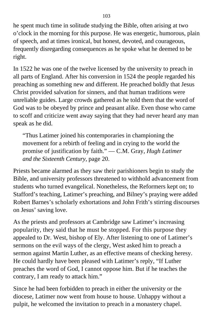he spent much time in solitude studying the Bible, often arising at two o'clock in the morning for this purpose. He was energetic, humorous, plain of speech, and at times ironical, but honest, devoted, and courageous, frequently disregarding consequences as he spoke what he deemed to be right.

In 1522 he was one of the twelve licensed by the university to preach in all parts of England. After his conversion in 1524 the people regarded his preaching as something new and different. He preached boldly that Jesus Christ provided salvation for sinners, and that human traditions were unreliable guides. Large crowds gathered as he told them that the word of God was to be obeyed by prince and peasant alike. Even those who came to scoff and criticize went away saying that they had never heard any man speak as he did.

"Thus Latimer joined his contemporaries in championing the movement for a rebirth of feeling and in crying to the world the promise of justification by faith." — C.M. Gray, *Hugh Latimer and the Sixteenth Century,* page 20.

Priests became alarmed as they saw their parishioners begin to study the Bible, and university professors threatened to withhold advancement from students who turned evangelical. Nonetheless, the Reformers kept on; to Stafford's teaching, Latimer's preaching, and Bilney's praying were added Robert Barnes's scholarly exhortations and John Frith's stirring discourses on Jesus' saving love.

As the priests and professors at Cambridge saw Latimer's increasing popularity, they said that he must be stopped. For this purpose they appealed to Dr. West, bishop of Ely. After listening to one of Latimer's sermons on the evil ways of the clergy, West asked him to preach a sermon against Martin Luther, as an effective means of checking heresy. He could hardly have been pleased with Latimer's reply, "If Luther preaches the word of God, I cannot oppose him. But if he teaches the contrary, I am ready to attack him."

Since he had been forbidden to preach in either the university or the diocese, Latimer now went from house to house. Unhappy without a pulpit, he welcomed the invitation to preach in a monastery chapel.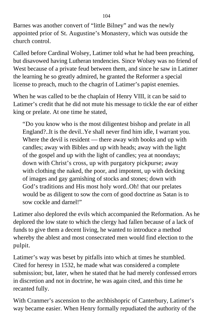Barnes was another convert of "little Bilney" and was the newly appointed prior of St. Augustine's Monastery, which was outside the church control.

Called before Cardinal Wolsey, Latimer told what he had been preaching, but disavowed having Lutheran tendencies. Since Wolsey was no friend of West because of a private feud between them, and since he saw in Latimer the learning he so greatly admired, he granted the Reformer a special license to preach, much to the chagrin of Latimer's papist enemies.

When he was called to be the chaplain of Henry VIII, it can be said to Latimer's credit that he did not mute his message to tickle the ear of either king or prelate. At one time he stated,

"Do you know who is the most diligentest bishop and prelate in all England?..It is the devil..Ye shall never find him idle, I warrant you. Where the devil is resident — there away with books and up with candles; away with Bibles and up with heads; away with the light of the gospel and up with the light of candles; yea at noondays; down with Christ's cross, up with purgatory pickpurse; away with clothing the naked, the poor, and impotent, up with decking of images and gay garnishing of stocks and stones; down with God's traditions and His most holy word..Oh! that our prelates would be as diligent to sow the corn of good doctrine as Satan is to sow cockle and darnel!"

Latimer also deplored the evils which accompanied the Reformation. As he deplored the low state to which the clergy had fallen because of a lack of funds to give them a decent living, he wanted to introduce a method whereby the ablest and most consecrated men would find election to the pulpit.

Latimer's way was beset by pitfalls into which at times he stumbled. Cited for heresy in 1532, he made what was considered a complete submission; but, later, when he stated that he had merely confessed errors in discretion and not in doctrine, he was again cited, and this time he recanted fully.

With Cranmer's ascension to the archbishopric of Canterbury, Latimer's way became easier. When Henry formally repudiated the authority of the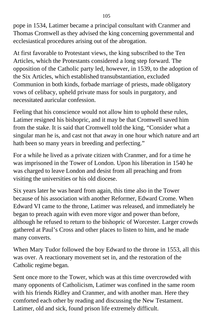pope in 1534, Latimer became a principal consultant with Cranmer and Thomas Cromwell as they advised the king concerning governmental and ecclesiastical procedures arising out of the abrogation.

At first favorable to Protestant views, the king subscribed to the Ten Articles, which the Protestants considered a long step forward. The opposition of the Catholic party led, however, in 1539, to the adoption of the Six Articles, which established transubstantiation, excluded Communion in both kinds, forbade marriage of priests, made obligatory vows of celibacy, upheld private mass for souls in purgatory, and necessitated auricular confession.

Feeling that his conscience would not allow him to uphold these rules, Latimer resigned his bishopric, and it may be that Cromwell saved him from the stake. It is said that Cromwell told the king, "Consider what a singular man he is, and cast not that away in one hour which nature and art hath been so many years in breeding and perfecting."

For a while he lived as a private citizen with Cranmer, and for a time he was imprisoned in the Tower of London. Upon his liberation in 1540 he was charged to leave London and desist from all preaching and from visiting the universities or his old diocese.

Six years later he was heard from again, this time also in the Tower because of his association with another Reformer, Edward Crome. When Edward VI came to the throne, Latimer was released, and immediately he began to preach again with even more vigor and power than before, although he refused to return to the bishopric of Worcester. Larger crowds gathered at Paul's Cross and other places to listen to him, and he made many converts.

When Mary Tudor followed the boy Edward to the throne in 1553, all this was over. A reactionary movement set in, and the restoration of the Catholic regime began.

Sent once more to the Tower, which was at this time overcrowded with many opponents of Catholicism, Latimer was confined in the same room with his friends Ridley and Cranmer, and with another man. Here they comforted each other by reading and discussing the New Testament. Latimer, old and sick, found prison life extremely difficult.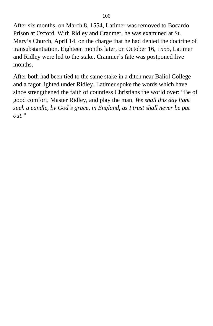After six months, on March 8, 1554, Latimer was removed to Bocardo Prison at Oxford. With Ridley and Cranmer, he was examined at St. Mary's Church, April 14, on the charge that he had denied the doctrine of transubstantiation. Eighteen months later, on October 16, 1555, Latimer and Ridley were led to the stake. Cranmer's fate was postponed five months.

After both had been tied to the same stake in a ditch near Baliol College and a fagot lighted under Ridley, Latimer spoke the words which have since strengthened the faith of countless Christians the world over: "Be of good comfort, Master Ridley, and play the man. *We shall this day light such a candle, by God's grace, in England, as I trust shall never be put out."*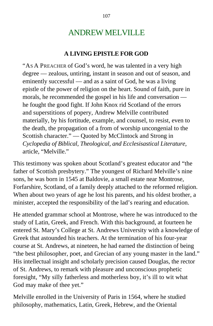# ANDREW MELVILLE

### **A LIVING EPISTLE FOR GOD**

"AS A PREACHER of God's word, he was talented in a very high degree — zealous, untiring, instant in season and out of season, and eminently successful — and as a saint of God, he was a living epistle of the power of religion on the heart. Sound of faith, pure in morals, he recommended the gospel in his life and conversation he fought the good fight. If John Knox rid Scotland of the errors and superstitions of popery, Andrew Melville contributed materially, by his fortitude, example, and counsel, to resist, even to the death, the propagation of a from of worship uncongenial to the Scottish character." — Quoted by McClintock and Strong in *Cyclopedia of Biblical, Theological, and Ecclesisastical Literature,* article, "Melville."

This testimony was spoken about Scotland's greatest educator and "the father of Scottish presbytery." The youngest of Richard Melville's nine sons, he was born in 1545 at Baldovie, a small estate near Montrose, Forfarshire, Scotland, of a family deeply attached to the reformed religion. When about two years of age he lost his parents, and his oldest brother, a minister, accepted the responsibility of the lad's rearing and education.

He attended grammar school at Montrose, where he was introduced to the study of Latin, Greek, and French. With this background, at fourteen he entered St. Mary's College at St. Andrews University with a knowledge of Greek that astounded his teachers. At the termination of his four-year course at St. Andrews, at nineteen, he had earned the distinction of being "the best philosopher, poet, and Grecian of any young master in the land." His intellectual insight and scholarly precision caused Douglas, the rector of St. Andrews, to remark with pleasure and unconscious prophetic foresight, "My silly fatherless and motherless boy, it's ill to wit what God may make of thee yet."

Melville enrolled in the University of Paris in 1564, where he studied philosophy, mathematics, Latin, Greek, Hebrew, and the Oriental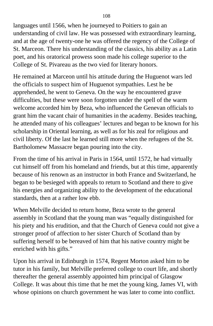languages until 1566, when he journeyed to Poitiers to gain an understanding of civil law. He was possessed with extraordinary learning, and at the age of twenty-one he was offered the regency of the College of St. Marceon. There his understanding of the classics, his ability as a Latin poet, and his oratorical prowess soon made his college superior to the College of St. Pivareau as the two vied for literary honors.

He remained at Marceon until his attitude during the Huguenot wars led the officials to suspect him of Huguenot sympathies. Lest he be apprehended, he went to Geneva. On the way he encountered grave difficulties, but these were soon forgotten under the spell of the warm welcome accorded him by Beza, who influenced the Genevan officials to grant him the vacant chair of humanities in the academy. Besides teaching, he attended many of his colleagues' lectures and began to be known for his scholarship in Oriental learning, as well as for his zeal for religious and civil liberty. Of the last he learned still more when the refugees of the St. Bartholomew Massacre began pouring into the city.

From the time of his arrival in Paris in 1564, until 1572, he had virtually cut himself off from his homeland and friends, but at this time, apparently because of his renown as an instructor in both France and Switzerland, he began to be besieged with appeals to return to Scotland and there to give his energies and organizing ability to the development of the educational standards, then at a rather low ebb.

When Melville decided to return home, Beza wrote to the general assembly in Scotland that the young man was "equally distinguished for his piety and his erudition, and that the Church of Geneva could not give a stronger proof of affection to her sister Church of Scotland than by suffering herself to be bereaved of him that his native country might be enriched with his gifts."

Upon his arrival in Edinburgh in 1574, Regent Morton asked him to be tutor in his family, but Melville preferred college to court life, and shortly thereafter the general assembly appointed him principal of Glasgow College. It was about this time that he met the young king, James VI, with whose opinions on church government he was later to come into conflict.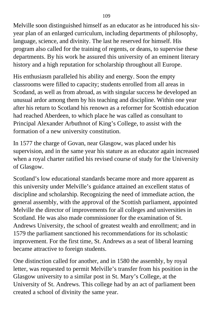Melville soon distinguished himself as an educator as he introduced his sixyear plan of an enlarged curriculum, including departments of philosophy, language, science, and divinity. The last he reserved for himself. His program also called for the training of regents, or deans, to supervise these departments. By his work he assured this university of an eminent literary history and a high reputation for scholarship throughout all Europe.

His enthusiasm paralleled his ability and energy. Soon the empty classrooms were filled to capacity; students enrolled from all areas in Scodand, as well as from abroad, as with singular success he developed an unusual ardor among them by his teaching and discipline. Within one year after his return to Scotland his renown as a reformer for Scottish education had reached Aberdeen, to which place he was called as consultant to Principal Alexander Arbuthnot of King's College, to assist with the formation of a new university constitution.

In 1577 the charge of Govan, near Glasgow, was placed under his supervision, and in the same year his stature as an educator again increased when a royal charter ratified his revised course of study for the University of Glasgow.

Scotland's low educational standards became more and more apparent as this university under Melville's guidance attained an excellent status of discipline and scholarship. Recognizing the need of immediate action, the general assembly, with the approval of the Scottish parliament, appointed Melville the director of improvements for all colleges and universities in Scotland. He was also made commissioner for the examination of St. Andrews University, the school of greatest wealth and enrollment; and in 1579 the parliament sanctioned his recommendations for its scholastic improvement. For the first time, St. Andrews as a seat of liberal learning became attractive to foreign students.

One distinction called for another, and in 1580 the assembly, by royal letter, was requested to permit Melville's transfer from his position in the Glasgow university to a similar post in St. Mary's College, at the University of St. Andrews. This college had by an act of parliament been created a school of divinity the same year.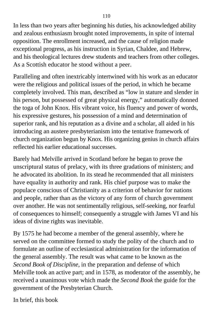In less than two years after beginning his duties, his acknowledged ability and zealous enthusiasm brought noted improvements, in spite of internal opposition. The enrollment increased, and the cause of religion made exceptional progress, as his instruction in Syrian, Chaldee, and Hebrew, and his theological lectures drew students and teachers from other colleges. As a Scottish educator he stood without a peer.

Paralleling and often inextricably intertwined with his work as an educator were the religious and political issues of the period, in which he became completely involved. This man, described as "low in stature and slender in his person, but possessed of great physical energy," automatically donned the toga of John Knox. His vibrant voice, his fluency and power of words, his expressive gestures, his possession of a mind and determination of superior rank, and his reputation as a divine and a scholar, all aided in his introducing an austere presbyterianism into the tentative framework of church organization begun by Knox. His organizing genius in church affairs reflected his earlier educational successes.

Barely had Melville arrived in Scotland before he began to prove the unscriptural status of prelacy, with its three gradations of ministers; and he advocated its abolition. In its stead he recommended that all ministers have equality in authority and rank. His chief purpose was to make the populace conscious of Christianity as a criterion of behavior for nations and people, rather than as the victory of any form of church government over another. He was not sentimentally religious, self-seeking, nor fearful of consequences to himself; consequently a struggle with James VI and his ideas of divine rights was inevitable.

By 1575 he had become a member of the general assembly, where he served on the committee formed to study the polity of the church and to formulate an outline of ecclesiastical administration for the information of the general assembly. The result was what came to be known as the *Second Book of Discipline,* in the preparation and defense of which Melville took an active part; and in 1578, as moderator of the assembly, he received a unanimous vote which made the *Second Book* the guide for the government of the Presbyterian Church.

In brief, this book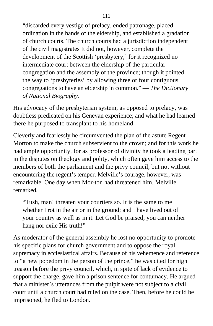"discarded every vestige of prelacy, ended patronage, placed ordination in the hands of the eldership, and established a gradation of church courts. The church courts had a jurisdiction independent of the civil magistrates It did not, however, complete the development of the Scottish 'presbytery,' for it recognized no intermediate court between the eldership of the particular congregation and the assembly of the province; though it pointed the way to 'presbyteries' by allowing three or four contiguous congregations to have an eldership in common." — *The Dictionary of National Biography.*

His advocacy of the presbyterian system, as opposed to prelacy, was doubtless predicated on his Genevan experience; and what he had learned there he purposed to transplant to his homeland.

Cleverly and fearlessly he circumvented the plan of the astute Regent Morton to make the church subservient to the crown; and for this work he had ample opportunity, for as professor of divinity he took a leading part in the disputes on theology and polity, which often gave him access to the members of both the parliament and the privy council; but not without encountering the regent's temper. Melville's courage, however, was remarkable. One day when Mor-ton had threatened him, Melville remarked,

"Tush, man! threaten your courtiers so. It is the same to me whether I rot in the air or in the ground; and I have lived out of your country as well as in it. Let God be praised; you can neither hang nor exile His truth!"

As moderator of the general assembly he lost no opportunity to promote his specific plans for church government and to oppose the royal supremacy in ecclesiastical affairs. Because of his vehemence and reference to "a new popedom in the person of the prince," he was cited for high treason before the privy council, which, in spite of lack of evidence to support the charge, gave him a prison sentence for contumacy. He argued that a minister's utterances from the pulpit were not subject to a civil court until a church court had ruled on the case. Then, before he could be imprisoned, he fled to London.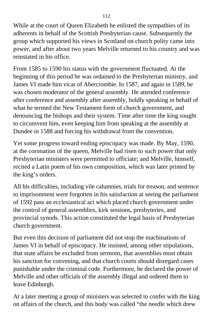While at the court of Queen Elizabeth he enlisted the sympathies of its adherents in behalf of the Scottish Presbyterian cause. Subsequently the group which supported his views in Scotland on church polity came into power, and after about two years Melville returned to his country and was reinstated in his office.

From 1585 to 1590 his status with the government fluctuated. At the beginning of this period he was ordained to the Presbyterian ministry, and James VI made him vicar of Abercrombie. In 1587, and again in 1589, he was chosen moderator of the general assembly. He attended conference after conference and assembly after assembly, boldly speaking in behalf of what he termed the New Testament form of church government, and denouncing the bishops and their system. Time after time the king sought to circumvent him, even keeping him from speaking at the assembly at Dundee in 1588 and forcing his withdrawal from the convention.

Yet some progress toward ending episcopacy was made. By May, 1590, at the coronation of the queen, Melville had risen to such power that only Presbyterian ministers were permitted to officiate; and Melville, himself, recited a Latin poem of his own composition, which was later printed by the king's orders.

All his difficulties, including vile calumnies, trials for treason, and sentence to imprisonment were forgotten in his satisfaction at seeing the parliament of 1592 pass an ecclesiastical act which placed church government under the control of general assemblies, kirk sessions, presbyteries, and provincial synods. This action constituted the legal basis of Presbyterian church government.

But even this decision of parliament did not stop the machinations of James VI in behalf of episcopacy. He insisted, among other stipulations, that state affairs be excluded from sermons, that assemblies must obtain his sanction for convening, and that church courts should disregard cases punishable under the criminal code. Furthermore, he declared the power of Melville and other officials of the assembly illegal and ordered them to leave Edinburgh.

At a later meeting a group of ministers was selected to confer with the king on affairs of the church, and this body was called "the needle which drew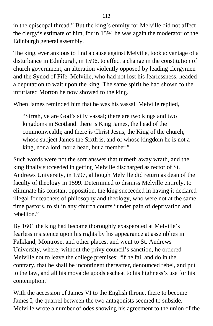in the episcopal thread." But the king's enmity for Melville did not affect the clergy's estimate of him, for in 1594 he was again the moderator of the Edinburgh general assembly.

The king, ever anxious to find a cause against Melville, took advantage of a disturbance in Edinburgh, in 1596, to effect a change in the constitution of church government, an alteration violently opposed by leading clergymen and the Synod of Fife. Melville, who had not lost his fearlessness, headed a deputation to wait upon the king. The same spirit he had shown to the infuriated Morton he now showed to the king.

When James reminded him that he was his vassal, Melville replied,

"Sirrah, ye are God's silly vassal; there are two kings and two kingdoms in Scotland: there is King James, the head of the commonwealth; and there is Christ Jesus, the King of the church, whose subject James the Sixth is, and of whose kingdom he is not a king, nor a lord, nor a head, but a member."

Such words were not the soft answer that turneth away wrath, and the king finally succeeded in getting Melville discharged as rector of St. Andrews University, in 1597, although Melville did return as dean of the faculty of theology in 1599. Determined to dismiss Melville entirely, to eliminate his constant opposition, the king succeeded in having it declared illegal for teachers of philosophy and theology, who were not at the same time pastors, to sit in any church courts "under pain of deprivation and rebellion."

By 1601 the king had become thoroughly exasperated at Melville's fearless insistence upon his rights by his appearance at assemblies in Falkland, Montrose, and other places, and went to St. Andrews University, where, without the privy council's sanction, he ordered Melville not to leave the college premises; "if he fail and do in the contrary, that he shall be incontinent thereafter, denounced rebel, and put to the law, and all his movable goods escheat to his highness's use for his contemption."

With the accession of James VI to the English throne, there to become James I, the quarrel between the two antagonists seemed to subside. Melville wrote a number of odes showing his agreement to the union of the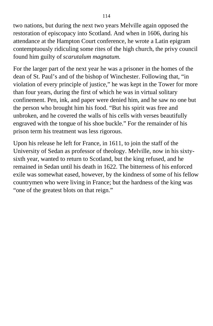two nations, but during the next two years Melville again opposed the restoration of episcopacy into Scotland. And when in 1606, during his attendance at the Hampton Court conference, he wrote a Latin epigram contemptuously ridiculing some rites of the high church, the privy council found him guilty of *scarutalum magnatum.*

For the larger part of the next year he was a prisoner in the homes of the dean of St. Paul's and of the bishop of Winchester. Following that, "in violation of every principle of justice," he was kept in the Tower for more than four years, during the first of which he was in virtual solitary confinement. Pen, ink, and paper were denied him, and he saw no one but the person who brought him his food. "But his spirit was free and unbroken, and he covered the walls of his cells with verses beautifully engraved with the tongue of his shoe buckle." For the remainder of his prison term his treatment was less rigorous.

Upon his release he left for France, in 1611, to join the staff of the University of Sedan as professor of theology. Melville, now in his sixtysixth year, wanted to return to Scotland, but the king refused, and he remained in Sedan until his death in 1622. The bitterness of his enforced exile was somewhat eased, however, by the kindness of some of his fellow countrymen who were living in France; but the hardness of the king was "one of the greatest blots on that reign."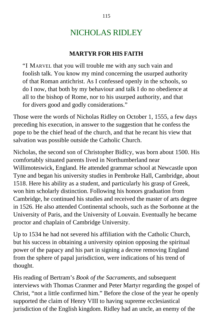# NICHOLAS RIDLEY

### **MARTYR FOR HIS FAITH**

"I MARVEL that you will trouble me with any such vain and foolish talk. You know my mind concerning the usurped authority of that Roman antichrist. As I confessed openly in the schools, so do I now, that both by my behaviour and talk I do no obedience at all to the bishop of Rome, nor to his usurped authority, and that for divers good and godly considerations."

Those were the words of Nicholas Ridley on October 1, 1555, a few days preceding his execution, in answer to the suggestion that he confess the pope to be the chief head of the church, and that he recant his view that salvation was possible outside the Catholic Church.

Nicholas, the second son of Christopher BidIcy, was born about 1500. His comfortably situated parents lived in Northumberland near Willimoteswick, England. He attended grammar school at Newcastle upon Tyne and began his university studies in Pembroke Hall, Cambridge, about 1518. Here his ability as a student, and particularly his grasp of Greek, won him scholarly distinction. Following his honors graduation from Cambridge, he continued his studies and received the master of arts degree in 1526. He also attended Continental schools, such as the Sorbonne at the University of Paris, and the University of Louvain. Eventually he became proctor and chaplain of Cambridge University.

Up to 1534 he had not severed his affiliation with the Catholic Church, but his success in obtaining a university opinion opposing the spiritual power of the papacy and his part in signing a decree removing England from the sphere of papal jurisdiction, were indications of his trend of thought.

His reading of Bertram's *Book of the Sacraments,* and subsequent interviews with Thomas Cranmer and Peter Martyr regarding the gospel of Christ, "not a little confirmed him." Before the close of the year he openly supported the claim of Henry VIII to having supreme ecclesiastical jurisdiction of the English kingdom. Ridley had an uncle, an enemy of the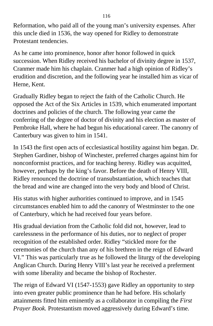Reformation, who paid all of the young man's university expenses. After this uncle died in 1536, the way opened for Ridley to demonstrate Protestant tendencies.

As he came into prominence, honor after honor followed in quick succession. When Ridley received his bachelor of divinity degree in 1537, Cranmer made him his chaplain. Cranmer had a high opinion of Ridley's erudition and discretion, and the following year he installed him as vicar of Herne, Kent.

Gradually Ridley began to reject the faith of the Catholic Church. He opposed the Act of the Six Articles in 1539, which enumerated important doctrines and policies of the church. The following year came the conferring of the degree of doctor of divinity and his election as master of Pembroke Hall, where he had begun his educational career. The canonry of Canterbury was given to him in 1541.

In 1543 the first open acts of ecclesiastical hostility against him began. Dr. Stephen Gardiner, bishop of Winchester, preferred charges against him for nonconformist practices, and for teaching heresy. Ridley was acquitted, however, perhaps by the king's favor. Before the death of Henry VIII, Ridley renounced the doctrine of transubstantiation, which teaches that the bread and wine are changed into the very body and blood of Christ.

His status with higher authorities continued to improve, and in 1545 circumstances enabled him to add the canonry of Westminster to the one of Canterbury, which he had received four years before.

His gradual deviation from the Catholic fold did not, however, lead to carelessness in the performance of his duties, nor to neglect of proper recognition of the established order. Ridley "stickled more for the ceremonies of the church than any of his brethren in the reign of Edward VI." This was particularly true as he followed the liturgy of the developing Anglican Church. During Henry VIII's last year he received a preferment with some liberality and became the bishop of Rochester.

The reign of Edward VI (1547-1553) gave Ridley an opportunity to step into even greater public prominence than he had before. His scholarly attainments fitted him eminently as a collaborator in compiling the *First Prayer Book.* Protestantism moved aggressively during Edward's time.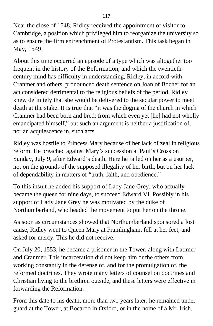Near the close of 1548, Ridley received the appointment of visitor to Cambridge, a position which privileged him to reorganize the university so as to ensure the firm entrenchment of Protestantism. This task began in May, 1549.

About this time occurred an episode of a type which was altogether too frequent in the history of the Beformation, and which the twentiethcentury mind has difficulty in understanding, Ridley, in accord with Cranmer and others, pronounced death sentence on Joan of Bocher for an act considered detrimental to the religious beliefs of the period. Ridley knew definitely that she would be delivered to the secular power to meet death at the stake. It is true that "it was the dogma of the church in which Cranmer had been born and bred; from which even yet [he] had not wholly emancipated himself," but such an argument is neither a justification of, nor an acquiescence in, such acts.

Ridley was hostile to Princess Mary because of her lack of zeal in religious reform. He preached against Mary's succession at Paul's Cross on Sunday, July 9, after Edward's death. Here he railed on her as a usurper, not on the grounds of the supposed illegality of her birth, but on her lack of dependability in matters of "truth, faith, and obedience."

To this insult he added his support of Lady Jane Grey, who actually became the queen for nine days, to succeed Edward VI. Possibly in his support of Lady Jane Grey he was motivated by the duke of Northumberland, who headed the movement to put her on the throne.

As soon as circumstances showed that Northumberland sponsored a lost cause, Ridley went to Queen Mary at Framlingham, fell at her feet, and asked for mercy. This he did not receive.

On July 20, 1553, he became a prisoner in the Tower, along with Latimer and Cranmer. This incarceration did not keep him or the others from working constantly in the defense of, and for the promulgation of, the reformed doctrines. They wrote many letters of counsel on doctrines and Christian living to the brethren outside, and these letters were effective in forwarding the Reformation.

From this date to his death, more than two years later, he remained under guard at the Tower, at Bocardo in Oxford, or in the home of a Mr. Irish.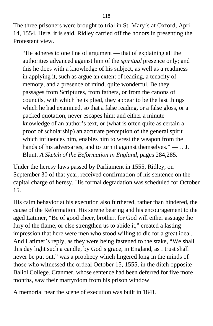The three prisoners were brought to trial in St. Mary's at Oxford, April 14, 1554. Here, it is said, Ridley carried off the honors in presenting the Protestant view.

"He adheres to one line of argument — that of explaining all the authorities advanced against him of the *spiritual* presence only; and this he does with a knowledge of his subject, as well as a readiness in applying it, such as argue an extent of reading, a tenacity of memory, and a presence of mind, quite wonderful. Be they passages from Scriptures, from fathers, or from the canons of councils, with which he is plied, they appear to be the last things which he had examined, so that a false reading, or a false gloss, or a packed quotation, never escapes him: and either a minute knowledge of an author's text, or (what is often quite as certain a proof of scholarship) an accurate perception of the general spirit which influences him, enables him to wrest the weapon from the hands of his adversaries, and to turn it against themselves." — J. J. Blunt, *A Sketch of the Beformation in England,* pages 284,285.

Under the heresy laws passed by Parliament in 1555, Ridley, on September 30 of that year, received confirmation of his sentence on the capital charge of heresy. His formal degradation was scheduled for October 15.

His calm behavior at his execution also furthered, rather than hindered, the cause of the Reformation. His serene bearing and his encouragement to the aged Latimer, "Be of good cheer, brother, for God will either assuage the fury of the flame, or else strengthen us to abide it," created a lasting impression that here were men who stood willing to die for a great ideal. And Latimer's reply, as they were being fastened to the stake, "We shall this day light such a candle, by God's grace, in England, as I trust shall never be put out," was a prophecy which lingered long in the minds of those who witnessed the ordeal October 15, 1555, in the ditch opposite Baliol College. Cranmer, whose sentence had been deferred for five more months, saw their martyrdom from his prison window.

A memorial near the scene of execution was built in 1841.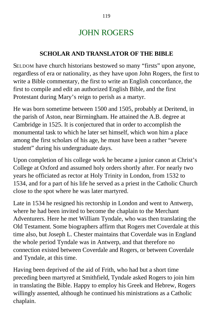## JOHN ROGERS

### **SCHOLAR AND TRANSLATOR OF THE BIBLE**

SELDOM have church historians bestowed so many "firsts" upon anyone, regardless of era or nationality, as they have upon John Rogers, the first to write a Bible commentary, the first to write an English concordance, the first to compile and edit an authorized English Bible, and the first Protestant during Mary's reign to perish as a martyr.

He was born sometime between 1500 and 1505, probably at Deritend, in the parish of Aston, near Birmingham. He attained the A.B. degree at Cambridge in 1525. It is conjectured that in order to accomplish the monumental task to which he later set himself, which won him a place among the first scholars of his age, he must have been a rather "severe student" during his undergraduate days.

Upon completion of his college work he became a junior canon at Christ's College at Oxford and assumed holy orders shortly after. For nearly two years he officiated as rector at Holy Trinity in London, from 1532 to 1534, and for a part of his life he served as a priest in the Catholic Church close to the spot where he was later martyred.

Late in 1534 he resigned his rectorship in London and went to Antwerp, where he had been invited to become the chaplain to the Merchant Adventurers. Here he met William Tyndale, who was then translating the Old Testament. Some biographers affirm that Rogers met Coverdale at this time also, but Joseph L. Chester maintains that Coverdale was in England the whole period Tyndale was in Antwerp, and that therefore no connection existed between Coverdale and Rogers, or between Coverdale and Tyndale, at this time.

Having been deprived of the aid of Frith, who had but a short time preceding been martyred at Smithfield, Tyndale asked Rogers to join him in translating the Bible. Happy to employ his Greek and Hebrew, Rogers willingly assented, although he continued his ministrations as a Catholic chaplain.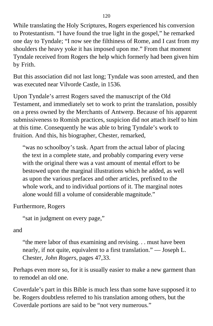While translating the Holy Scriptures, Rogers experienced his conversion to Protestantism. "I have found the true light in the gospel," he remarked one day to Tyndale; "I now see the filthiness of Rome, and I cast from my shoulders the heavy yoke it has imposed upon me." From that moment Tyndale received from Rogers the help which formerly had been given him by Frith.

But this association did not last long; Tyndale was soon arrested, and then was executed near Vilvorde Castle, in 1536*.*

Upon Tyndale's arrest Rogers saved the manuscript of the Old Testament, and immediately set to work to print the translation, possibly on a press owned by the Merchants of Antwerp. Because of his apparent submissiveness to Romish practices, suspicion did not attach itself to him at this time. Consequently he was able to bring Tyndale's work to fruition. And this, his biographer, Chester, remarked,

"was no schoolboy's task. Apart from the actual labor of placing the text in a complete state, and probably comparing every verse with the original there was a vast amount of mental effort to be bestowed upon the marginal illustrations which he added, as well as upon the various prefaces and other articles, prefixed to the whole work, and to individual portions of it. The marginal notes alone would fill a volume of considerable magnitude."

Furthermore, Rogers

"sat in judgment on every page,"

and

"the mere labor of thus examining and revising. . . must have been nearly, if not quite, equivalent to a first translation." — Joseph L. Chester, *John Rogers,* pages 47,33.

Perhaps even more so, for it is usually easier to make a new garment than to remodel an old one.

Coverdale's part in this Bible is much less than some have supposed it to be. Rogers doubtless referred to his translation among others, but the Coverdale portions are said to be "not very numerous."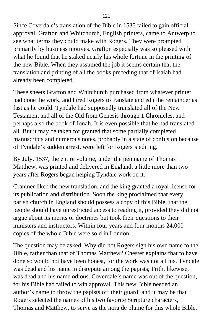Since Coverdale's translation of the Bible in 1535 failed to gain official approval, Grafton and Whitchurch, English printers, came to Antwerp to see what terms they could make with Rogers. They were prompted primarily by business motives. Grafton especially was so pleased with what he found that he staked nearly his whole fortune in the printing of the new Bible. When they assumed the job it seems certain that the translation and printing of all the books preceding that of Isaiah had already been completed.

These sheets Grafton and Whitchurch purchased from whatever printer had done the work, and hired Rogers to translate and edit the remainder as fast as he could. Tyndale had supposedly translated all of the New Testament and all of the Old from Genesis through 1 Chronicles, and perhaps also the book of Jonah. It is even possible that he had translated all. But it may be taken for granted that some partially completed manuscripts and numerous notes, probably in a state of confusion because of Tyndale's sudden arrest, were left for Rogers's editing.

By July, 1537, the entire volume, under the pen name of Thomas Matthew, was printed and delivered in England, a little more than two years after Rogers began helping Tyndale work on it.

Cranmer liked the new translation, and the king granted a royal license for its publication and distribution. Soon the king proclaimed that every parish church in England should possess a copy of this Bible, that the people should have unrestricted access to reading it, provided they did not argue about its merits or doctrines but took their questions to their ministers and instructors. Within four years and four months 24,000 copies of the whole Bible were sold in London.

The question may be asked, Why did not Rogers sign his own name to the Bible, rather than that of Thomas Matthew? Chester explains that to have done so would not have been honest, for the work was not all his. Tyndale was dead and his name in disrepute among the papists; Frith, likewise, was dead and his name odious. Coverdale's name was out of the question, for his Bible had failed to win approval. This new Bible needed an author's name to throw the papists off their guard, and it may be that Rogers selected the names of his two favorite Scripture characters, Thomas and Matthew, to serve as the nora de plume for this whole Bible,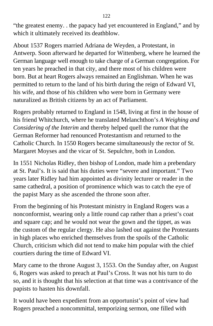"the greatest enemy. . the papacy had yet encountered in England," and by which it ultimately received its deathblow.

About 1537 Rogers married Adriana de Weyden, a Protestant, in Antwerp. Soon afterward he departed for Wittenberg, where he learned the German language well enough to take charge of a German congregation. For ten years he preached in that city, and there most of his children were born. But at heart Rogers always remained an Englishman. When he was permitted to return to the land of his birth during the reign of Edward VI, his wife, and those of his children who were born in Germany were naturalized as British citizens by an act of Parliament.

Rogers probably returned to England in 1548, living at first in the house of his friend Whitchurch, where he translated Melanchthon's *A Weighing and Considering of the Interim* and thereby helped quell the rumor that the German Reformer had renounced Protestantism and returned to the Catholic Church. In 1550 Rogers became simultaneously the rector of St. Margaret Moyses and the vicar of St. Sepulchre, both in London.

In 1551 Nicholas Ridley, then bishop of London, made him a prebendary at St. Paul's. It is said that his duties were "severe and important." Two years later Ridley had him appointed as divinity lecturer or reader in the same cathedral, a position of prominence which was to catch the eye of the papist Mary as she ascended the throne soon after.

From the beginning of his Protestant ministry in England Rogers was a nonconformist, wearing only a little round cap rather than a priest's coat and square cap; and he would not wear the gown and the tippet, as was the custom of the regular clergy. He also lashed out against the Protestants in high places who enriched themselves from the spoils of the Catholic Church, criticism which did not tend to make him popular with the chief courtiers during the time of Edward VI.

Mary came to the throne August 3, 1553. On the Sunday after, on August 6, Rogers was asked to preach at Paul's Cross. It was not his turn to do so, and it is thought that his selection at that time was a contrivance of the papists to hasten his downfall.

It would have been expedient from an opportunist's point of view had Rogers preached a noncommittal, temporizing sermon, one filled with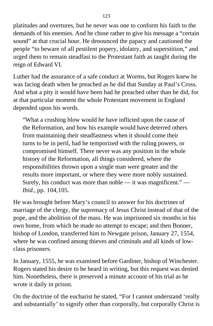platitudes and overtures, but he never was one to conform his faith to the demands of his enemies. And he chose rather to give his message a "certain sound" at that crucial hour. He denounced the papacy and cautioned the people "to beware of all pestilent popery, idolatry, and superstition," and urged them to remain steadfast to the Protestant faith as taught during the reign of Edward VI.

Luther had the assurance of a safe conduct at Worms, but Rogers knew he was facing death when he preached as he did that Sunday at Paul's Cross. And what a pity it would have been had he preached other than he did, for at that particular moment the whole Protestant movement in England depended upon his words.

"What a crushing blow would he have inflicted upon the cause of the Reformation, and how his example would have deterred others from maintaining their steadfastness when it should come their turns to be in peril, had he temporized with the ruling powers, or compromised himself. There never was any position in the whole history of the Reformation, all things considered, where the responsibilities thrown upon a single man were greater and the results more important, or where they were more nobly sustained. Surely, his conduct was more than noble — it was magnificent." — *Ibid.,* pp. 104,105.

He was brought before Mary's council to answer for his doctrines of marriage of the clergy, the supremacy of Jesus Christ instead of that of the pope, and the abolition of the mass. He was imprisoned six months in his own home, from which he made no attempt to escape; and then Bonner, bishop of London, transferred him to Newgate prison, January 27, 1554, where he was confined among thieves and criminals and all kinds of lowclass prisoners.

In January, 1555, he was examined before Gardiner, bishop of Winchester. Rogers stated his desire to be heard in writing, but this request was denied him. Nonetheless, there is preserved a minute account of his trial as he wrote it daily in prison.

On the doctrine of the eucharist he stated, "For I cannot understand 'really and substantially' to signify other than corporally, but corporally Christ is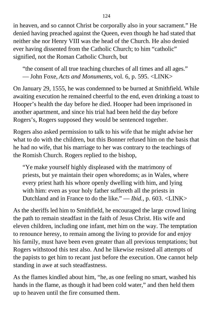in heaven, and so cannot Christ be corporally also in your sacrament." He denied having preached against the Queen, even though he had stated that neither she nor Henry VIII was the head of the Church. He also denied ever having dissented from the Catholic Church; to him "catholic" signified, not the Roman Catholic Church, but

"the consent of all true teaching churches of all times and all ages." — John Foxe, *Acts and Monuments,* vol. 6, p. 595. <LINK>

On January 29, 1555, he was condemned to be burned at Smithfield. While awaiting execution he remained cheerful to the end, even drinking a toast to Hooper's health the day before he died. Hooper had been imprisoned in another apartment, and since his trial had been held the day before Rogers's, Rogers supposed they would be sentenced together.

Rogers also asked permission to talk to his wife that he might advise her what to do with the children, but this Bonner refused him on the basis that he had no wife, that his marriage to her was contrary to the teachings of the Romish Church. Rogers replied to the bishop,

"Ye make yourself highly displeased with the matrimony of priests, but ye maintain their open whoredoms; as in Wales, where every priest hath his whore openly dwelling with him, and lying with him: even as your holy father suffereth all the priests in Dutchland and in France to do the like." — *Ibid.,* p. 603. <LINK>

As the sheriffs led him to Smithfield, he encouraged the large crowd lining the path to remain steadfast in the faith of Jesus Christ. His wife and eleven children, including one infant, met him on the way. The temptation to renounce heresy, to remain among the living to provide for and enjoy his family, must have been even greater than all previous temptations; but Rogers withstood this test also. And he likewise resisted all attempts of the papists to get him to recant just before the execution. One cannot help standing in awe at such steadfastness.

As the flames kindled about him, "he, as one feeling no smart, washed his hands in the flame, as though it had been cold water," and then held them up to heaven until the fire consumed them.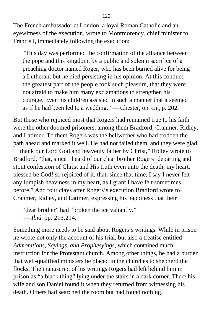The French ambassador at London, a loyal Roman Catholic and an eyewitness of the execution, wrote to Montmorency, chief minister to Francis I, immediately following the execution:

"This day was performed the confirmation of the alliance between the pope and this kingdom, by a public and solemn sacrifice of a preaching doctor named Roger, who has been burned alive for being a Lutheran; but he died persisting in his opinion. At this conduct, the greatest part of the people took such pleasure, that they were not afraid to make him many exclamations to strengthen his courage. Even his children assisted in such a manner that it seemed as if he had been led to a wedding." — Chester, op. *cit.,* p. 202.

But those who rejoiced most that Rogers had remained true to his faith were the other doomed prisoners, among them Bradford, Cranmer, Ridley, and Latimer. To them Rogers was the bellwether who had trodden the path ahead and marked it well. He had not failed them, and they were glad. "I thank our Lord God and heavenly father by Christ," Ridley wrote to Bradford, "that, since I heard of our clear brother Rogers' departing and stout confession of Christ and His truth even unto the death, my heart, blessed be God! so rejoiced of it, that, since that time, I say I never felt any lumpish heaviness in my heart, as I grant I have felt sometimes before." And four clays after Rogers's execution Bradford wrote to Cranmer, Ridley, and Latimer, expressing his happiness that their

"dear brother" had "broken the ice valiantly." |— *Ibid.* pp. 213,214.

Something more needs to be said about Rogers's writings. While in prison he wrote not only the account of his trial, but also a treatise entitled *Admonitions, Sayings, and Prophesyings,* which contained much instruction for the Protestant church. Among other things, he had a burden that well-qualified ministers be placed in the churches to shepherd the flocks. The manuscript of his writings Rogers had left behind him in prison as "a black thing" lying under the stairs in a dark corner. There his wife and son Daniel found it when they returned from witnessing his death. Others had searched the room but had found nothing.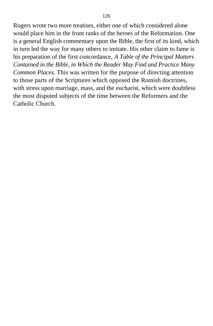Rogers wrote two more treatises, either one of which considered alone would place him in the front ranks of the heroes of the Reformation. One is a general English commentary upon the Bible, the first of its kind, which in turn led the way for many others to imitate. His other claim to fame is his preparation of the first concordance, *A Table of the Principal Matters Contained in the Bible, in Which the Reader May Find and Practice Many Common Places.* This was written for the purpose of directing attention to those parts of the Scriptures which opposed the Romish doctrines, with stress upon marriage, mass, and the eucharist, which were doubtless the most disputed subjects of the time between the Reformers and the Catholic Church.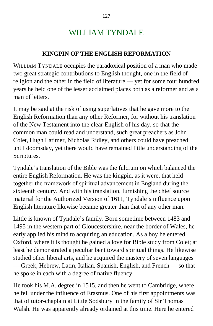# WILLIAM TYNDALE

### **KINGPIN OF THE ENGLISH REFORMATION**

WILLIAM TYNDALE occupies the paradoxical position of a man who made two great strategic contributions to English thought, one in the field of religion and the other in the field of literature — yet for some four hundred years he held one of the lesser acclaimed places both as a reformer and as a man of letters.

It may be said at the risk of using superlatives that he gave more to the English Reformation than any other Reformer, for without his translation of the New Testament into the clear English of his day, so that the common man could read and understand, such great preachers as John Colet, Hugh Latimer, Nicholas Ridley, and others could have preached until doomsday, yet there would have remained little understanding of the Scriptures.

Tyndale's translation of the Bible was the fulcrum on which balanced the entire English Reformation. He was the kingpin, as it were, that held together the framework of spiritual advancement in England during the sixteenth century. And with his translation, furnishing the chief source material for the Authorized Version of 1611, Tyndale's influence upon English literature likewise became greater than that of any other man.

Little is known of Tyndale's family. Born sometime between 1483 and 1495 in the western part of Gloucestershire, near the border of Wales, he early applied his mind to acquiring an education. As a boy he entered Oxford, where it is thought he gained a love for Bible study from Colet; at least he demonstrated a peculiar bent toward spiritual things. He likewise studied other liberal arts, and he acquired the mastery of seven languages — Greek, Hebrew, Latin, Italian, Spanish, English, and French — so that he spoke in each with a degree of native fluency.

He took his M.A. degree in 1515, and then he went to Cambridge, where he fell under the influence of Erasmus. One of his first appointments was that of tutor-chaplain at Little Sodsbury in the family of Sir Thomas Walsh. He was apparently already ordained at this time. Here he entered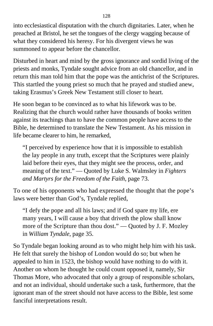into ecclesiastical disputation with the church dignitaries. Later, when he preached at Bristol, he set the tongues of the clergy wagging because of what they considered his heresy. For his divergent views he was summoned to appear before the chancellor.

Disturbed in heart and mind by the gross ignorance and sordid living of the priests and monks, Tyndale sought advice from an old chancellor, and in return this man told him that the pope was the antichrist of the Scriptures. This startled the young priest so much that he prayed and studied anew, taking Erasmus's Greek New Testament still closer to heart.

He soon began to be convinced as to what his lifework was to be. Realizing that the church would rather have thousands of books written against its teachings than to have the common people have access to the Bible, he determined to translate the New Testament. As his mission in life became clearer to him, he remarked,

"I perceived by experience how that it is impossible to establish the lay people in any truth, except that the Scriptures were plainly laid before their eyes, that they might see the process, order, and meaning of the text." — Quoted by Luke S. Walmsley in *Fighters and Martyrs for the Freedom of the Faith,* page 73.

To one of his opponents who had expressed the thought that the pope's laws were better than God's, Tyndale replied,

"I defy the pope and all his laws; and if God spare my life, ere many years, I will cause a boy that driveth the plow shall know more of the Scripture than thou dost." — Quoted by J. F. Mozley in *William Tyndale,* page 35.

So Tyndale began looking around as to who might help him with his task. He felt that surely the bishop of London would do so; but when he appealed to him in 1523, the bishop would have nothing to do with it. Another on whom he thought he could count opposed it, namely, Sir Thomas More, who advocated that only a group of responsible scholars, and not an individual, should undertake such a task, furthermore, that the ignorant man of the street should not have access to the Bible, lest some fanciful interpretations result.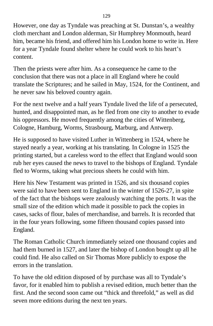However, one day as Tyndale was preaching at St. Dunstan's, a wealthy cloth merchant and London alderman, Sir Humphrey Monmouth, heard him, became his friend, and offered him his London home to write in. Here for a year Tyndale found shelter where he could work to his heart's content.

Then the priests were after him. As a consequence he came to the conclusion that there was not a place in all England where he could translate the Scriptures; and he sailed in May, 1524, for the Continent, and he never saw his beloved country again.

For the next twelve and a half years Tyndale lived the life of a persecuted, hunted, and disappointed man, as he fled from one city to another to evade his oppressors. He moved frequently among the cities of Wittenberg, Cologne, Hamburg, Worms, Strasbourg, Marburg, and Antwerp.

He is supposed to have visited Luther in Wittenberg in 1524, where he stayed nearly a year, working at his translating. In Cologne in 1525 the printing started, but a careless word to the effect that England would soon rub her eyes caused the news to travel to the bishops of England. Tyndale fled to Worms, taking what precious sheets he could with him.

Here his New Testament was printed in 1526, and six thousand copies were said to have been sent to England in the winter of 1526-27, in spite of the fact that the bishops were zealously watching the ports. It was the small size of the edition which made it possible to pack the copies in cases, sacks of flour, bales of merchandise, and barrels. It is recorded that in the four years following, some fifteen thousand copies passed into England.

The Roman Catholic Church immediately seized one thousand copies and had them burned in 1527, and later the bishop of London bought up all he could find. He also called on Sir Thomas More publicly to expose the errors in the translation.

To have the old edition disposed of by purchase was all to Tyndale's favor, for it enabled him to publish a revised edition, much better than the first. And the second soon came out "thick and threefold," as well as did seven more editions during the next ten years.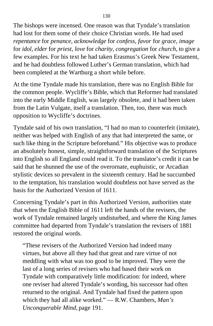The bishops were incensed. One reason was that Tyndale's translation had lost for them some of their choice Christian words. He had used *repentance* for *penance, acknowledge* for *confess, favor* for *grace, image* for *idol, elder* for *priest, love* for *charity, congregation* for *church,* to give a few examples. For his text he had taken Erasmus's Greek New Testament, and he had doubtless followed Luther's German translation, which had been completed at the Wartburg a short while before.

At the time Tyndale made his translation, there was no English Bible for the common people. Wycliffe's Bible, which that Reformer had translated into the early Middle English, was largely obsolete, and it had been taken from the Latin Vulgate, itself a translation. Then, too, there was much opposition to Wycliffe's doctrines.

Tyndale said of his own translation, "I had no man to counterfeit (imitate), neither was helped with English of any that had interpreted the same, or such like thing in the Scripture beforehand." His objective was to produce an absolutely honest, simple, straightforward translation of the Scriptures into English so all England could read it. To the translator's credit it can be said that he shunned the use of the overornate, euphuistic, or Arcadian stylistic devices so prevalent in the sixteenth century. Had he succumbed to the temptation, his translation would doubtless not have served as the basis for the Authorized Version of 1611.

Concerning Tyndale's part in this Authorized Version, authorities state that when the English Bible of 1611 left the hands of the revisers, the work of Tyndale remained largely undisturbed, and where the King James committee had departed from Tyndale's translation the revisers of 1881 restored the original words.

"These revisers of the Authorized Version had indeed many virtues, but above all they had that great and rare virtue of not meddling with what was too good to be improved. They were the last of a long series of revisers who had based their work on Tyndale with comparatively little modification: for indeed, where one reviser had altered Tyndale's wording, his successor had often returned to the original. And Tyndale had fixed the pattern upon which they had all alike worked." — R.W. Chambers, *Man's Unconquerable Mind,* page 191.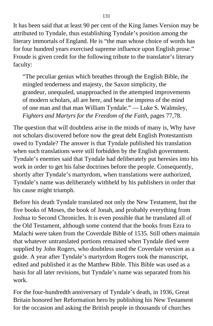It has been said that at least 90 per cent of the King James Version may be attributed to Tyndale, thus establishing Tyndale's position among the literary immortals of England. He is "the man whose choice of words has for four hundred years exercised supreme influence upon English prose." Froude is given credit for the following tribute to the translator's literary faculty:

"The peculiar genius which breathes through the English Bible, the mingled tenderness and majesty, the Saxon simplicity, the grandeur, unequaled, unapproached in the attempted improvements of modern scholars, all are here, and bear the impress of the mind of one man and that man William Tyndale." — Luke S. Walmsley, *Fighters and Martyrs for the Freedom of the Faith,* pages 77,78.

The question that will doubtless arise in the minds of many is, Why have not scholars discovered before now the great debt English Protestantism owed to Tyndale? The answer is that Tyndale published his translation when such translations were still forbidden by the English government. Tyndale's enemies said that Tyndale had deliberately put heresies into his work in order to get his false doctrines before the people. Consequently, shortly after Tyndale's martyrdom, when translations were authorized, Tyndale's name was deliberately withheld by his publishers in order that his cause might triumph.

Before his death Tyndale translated not only the New Testament, but the five books of Moses, the book of Jonah, and probably everything from Joshua to Second Chronicles. It is even possible that he translated all of the Old Testament, although some contend that the books from Ezra to Malachi were taken from the Coverdale Bible of 1535*.* Still others maintain that whatever untranslated portions remained when Tyndale died were supplied by John Rogers, who doubtless used the Coverdale version as a guide. A year after Tyndale's martyrdom Rogers took the manuscript, edited and published it as the Matthew Bible. This Bible was used as a basis for all later revisions, but Tyndale's name was separated from his work.

For the four-hundredth anniversary of Tyndale's death, in 1936, Great Britain honored her Reformation hero by publishing his New Testament for the occasion and asking the British people in thousands of churches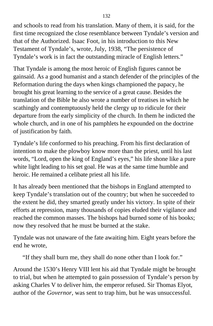and schools to read from his translation. Many of them, it is said, for the first time recognized the close resemblance between Tyndale's version and that of the Authorized. Isaac Foot, in his introduction to this New Testament of Tyndale's, wrote, July, 1938, "The persistence of Tyndale's work is in fact the outstanding miracle of English letters."

That Tyndale is among the most heroic of English figures cannot be gainsaid. As a good humanist and a stanch defender of the principles of the Reformation during the days when kings championed the papacy, he brought his great learning to the service of a great cause. Besides the translation of the Bible he also wrote a number of treatises in which he scathingly and contemptuously held the clergy up to ridicule for their departure from the early simplicity of the church. In them he indicted the whole church, and in one of his pamphlets he expounded on the doctrine of justification by faith.

Tyndale's life conformed to his preaching. From his first declaration of intention to make the plowboy know more than the priest, until his last words, "Lord, open the king of England's eyes," his life shone like a pure white light leading to his set goal. He was at the same time humble and heroic. He remained a celibate priest all his life.

It has already been mentioned that the bishops in England attempted to keep Tyndale's translation out of the country; but when he succeeded to the extent he did, they smarted greatly under his victory. In spite of their efforts at repression, many thousands of copies eluded their vigilance and reached the common masses. The bishops had burned some of his books; now they resolved that he must be burned at the stake.

Tyndale was not unaware of the fate awaiting him. Eight years before the end he wrote,

"If they shall burn me, they shall do none other than I look for."

Around the 1530's Henry VIII lent his aid that Tyndale might be brought to trial, but when he attempted to gain possession of Tyndale's person by asking Charles V to deliver him, the emperor refused. Sir Thomas Elyot, author of the *Governor,* was sent to trap him, but he was unsuccessful.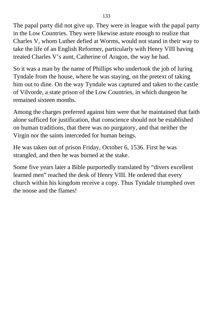The papal party did not give up. They were in league with the papal party in the Low Countries. They were likewise astute enough to realize that Charles V, whom Luther defied at Worms, would not stand in their way to take the life of an English Reformer, particularly with Henry VIII having treated Charles V's aunt, Catherine of Aragon, the way he had.

So it was a man by the name of Phillips who undertook the job of luring Tyndale from the house, where he was staying, on the pretext of taking him out to dine. On the way Tyndale was captured and taken to the castle of Vilvorde, a state prison of the Low Countries, in which dungeon he remained sixteen months.

Among the charges preferred against him were that he maintained that faith alone sufficed for justification, that conscience should not be established on human traditions, that there was no purgatory, and that neither the Virgin nor the saints interceded for human beings.

He was taken out of prison Friday, October 6, 1536. First he was strangled, and then he was burned at the stake.

Some five years later a Bible purportedly translated by "divers excellent learned men" reached the desk of Henry VIII. He ordered that every church within his kingdom receive a copy. Thus Tyndale triumphed over the noose and the flames!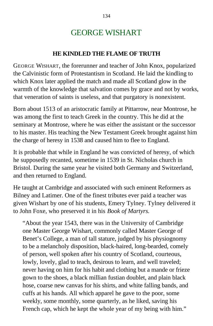### GEORGE WISHART

#### **HE KINDLED THE FLAME OF TRUTH**

GEORGE WISHART, the forerunner and teacher of John Knox, popularized the Calvinistic form of Protestantism in Scotland. He laid the kindling to which Knox later applied the match and made all Scotland glow in the warmth of the knowledge that salvation comes by grace and not by works, that veneration of saints is useless, and that purgatory is nonexistent.

Born about 1513 of an aristocratic family at Pittarrow, near Montrose, he was among the first to teach Greek in the country. This he did at the seminary at Montrose, where he was either the assistant or the successor to his master. His teaching the New Testament Greek brought against him the charge of heresy in 1538 and caused him to flee to England.

It is probable that while in England he was convicted of heresy, of which he supposedly recanted, sometime in 1539 in St. Nicholas church in Bristol. During the same year he visited both Germany and Switzerland, and then returned to England.

He taught at Cambridge and associated with such eminent Reformers as Bilney and Latimer. One of the finest tributes ever paid a teacher was given Wishart by one of his students, Emery Tylney. Tylney delivered it to John Foxe, who preserved it in his *Book of Martyrs.*

"About the year 1543, there was in the University of Cambridge one Master George Wishart, commonly called Master George of Benet's College, a man of tall stature, judged by his physiognomy to be a melancholy disposition, black-haired, long-bearded, comely of person, well spoken after his country of Scotland, courteous, lowly, lovely, glad to teach, desirous to learn, and well traveled; never having on him for his habit and clothing but a mande or frieze gown to the shoes, a black millian fustian doublet, and plain black hose, coarse new canvas for his shirts, and white falling bands, and cuffs at his hands. All which apparel he gave to the poor, some weekly, some monthly, some quarterly, as he liked, saving his French cap, which he kept the whole year of my being with him."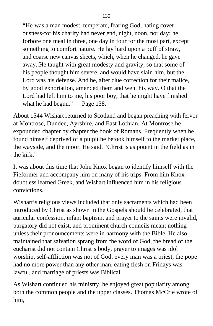"He was a man modest, temperate, fearing God, hating covetousness-for his charity had never end, night, noon, nor day; he forbore one meal in three, one day in four for the most part, except something to comfort nature. He lay hard upon a puff of straw, and coarse new canvas sheets, which, when he changed, he gave away..He taught with great modesty and gravity, so that some of his people thought him severe, and would have slain him, but the Lord was his defense. And he, after clue correction for their malice, by good exhortation, amended them and went his way. O that the Lord had left him to me, his poor boy, that he might have finished what he had begun." — Page 138.

About 1544 Wishart returned to Scotland and began preaching with fervor at Montrose, Dundee, Ayrshire, and East Lothian. At Montrose he expounded chapter by chapter the book of Romans. Frequently when he found himself deprived of a pulpit he betook himself to the market place, the wayside, and the moor. He said, "Christ is as potent in the field as in the kirk."

It was about this time that John Knox began to identify himself with the Fieformer and accompany him on many of his trips. From him Knox doubtless learned Greek, and Wishart influenced him in his religious convictions.

Wishart's religious views included that only sacraments which had been introduced by Christ as shown in the Gospels should be celebrated, that auricular confession, infant baptism, and prayer to the saints were invalid, purgatory did not exist, and prominent church councils meant nothing unless their pronouncements were in harmony with the Bible. He also maintained that salvation sprang from the word of God, the bread of the eucharist did not contain Christ's body, prayer to images was idol worship, self-affliction was not of God, every man was a priest, the pope had no more power than any other man, eating flesh on Fridays was lawful, and marriage of priests was Biblical.

As Wishart continued his ministry, he enjoyed great popularity among both the common people and the upper classes. Thomas McCrie wrote of him,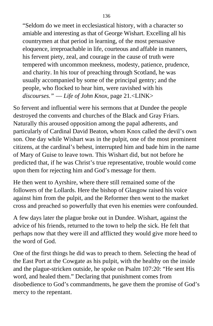"Seldom do we meet in ecclesiastical history, with a character so amiable and interesting as that of George Wishart. Excelling all his countrymen at that period in learning, of the most persuasive eloquence, irreproachable in life, courteous and affable in manners, his fervent piety, zeal, and courage in the cause of truth were tempered with uncommon meekness, modesty, patience, prudence, and charity. In his tour of preaching through Scotland, he was usually accompanied by some of the principal gentry; and the people, who flocked to hear him, were ravished with his *discourses."* — *Life of John Knox,* page 21.<LINK>

So fervent and influential were his sermons that at Dundee the people destroyed the convents and churches of the Black and Gray Friars. Naturally this aroused opposition among the papal adherents, and particularly of Cardinal David Beaton, whom Knox called the devil's own son. One day while Wishart was in the pulpit, one of the most prominent citizens, at the cardinal's behest, interrupted him and bade him in the name of Mary of Guise to leave town. This Wishart did, but not before he predicted that, if he was Christ's true representative, trouble would come upon them for rejecting him and God's message for them.

He then went to Ayrshire, where there still remained some of the followers of the Lollards. Here the bishop of Glasgow raised his voice against him from the pulpit, and the Reformer then went to the market cross and preached so powerfully that even his enemies were confounded.

A few days later the plague broke out in Dundee. Wishart, against the advice of his friends, returned to the town to help the sick. He felt that perhaps now that they were ill and afflicted they would give more heed to the word of God.

One of the first things he did was to preach to them. Selecting the head of the East Port at the Cowgate as his pulpit, with the healthy on the inside and the plague-stricken outside, he spoke on Psalm 107:20: "He sent His word, and healed them." Declaring that punishment comes from disobedience to God's commandments, he gave them the promise of God's mercy to the repentant.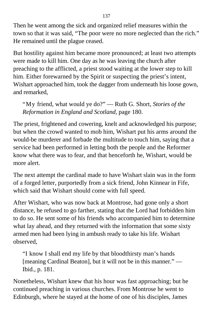Then he went among the sick and organized relief measures within the town so that it was said, "The poor were no more neglected than the rich." He remained until the plague ceased.

But hostility against him became more pronounced; at least two attempts were made to kill him. One day as he was leaving the church after preaching to the afflicted, a priest stood waiting at the lower step to kill him. Either forewarned by the Spirit or suspecting the priest's intent, Wishart approached him, took the dagger from underneath his loose gown, and remarked,

"My friend, what would ye do?" — Ruth G. Short, *Stories of the Reformation in England and Scotland,* page 180.

The priest, frightened and cowering, knelt and acknowledged his purpose; but when the crowd wanted to mob him, Wishart put his arms around the would-be murderer and forbade the multitude to touch him, saying that a service had been performed in letting both the people and the Reformer know what there was to fear, and that henceforth he, Wishart, would be more alert.

The next attempt the cardinal made to have Wishart slain was in the form of a forged letter, purportedly from a sick friend, John Kinnear in Fife, which said that Wishart should come with full speed.

After Wishart, who was now back at Montrose, had gone only a short distance, he refused to go farther, stating that the Lord had forbidden him to do so. He sent some of his friends who accompanied him to determine what lay ahead, and they returned with the information that some sixty armed men had been lying in ambush ready to take his life. Wishart observed,

"I know I shall end my life by that bloodthirsty man's hands [meaning Cardinal Beaton], but it will not be in this manner." — Ibid., p. 181.

Nonetheless, Wishart knew that his hour was fast approaching; but he continued preaching in various churches. From Montrose he went to Edinburgh, where he stayed at the home of one of his disciples, James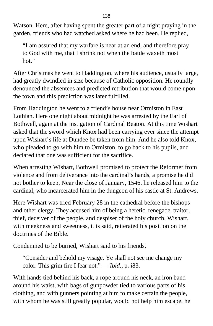Watson. Here, after having spent the greater part of a night praying in the garden, friends who had watched asked where he had been. He replied,

"I am assured that my warfare is near at an end, and therefore pray to God with me, that I shrink not when the batde waxeth most hot."

After Christmas he went to Haddington, where his audience, usually large, had greatly dwindled in size because of Catholic opposition. He roundly denounced the absentees and predicted retribution that would come upon the town and this prediction was later fulfilled.

From Haddington he went to a friend's house near Ormiston in East Lothian. Here one night about midnight he was arrested by the Earl of Bothwell, again at the instigation of Cardinal Beaton. At this time Wishart asked that the sword which Knox had been carrying ever since the attempt upon Wishart's life at Dundee be taken from him. And he also told Knox, who pleaded to go with him to Ormiston, to go back to his pupils, and declared that one was sufficient for the sacrifice.

When arresting Wishart, Bothwell promised to protect the Reformer from violence and from deliverance into the cardinal's hands, a promise he did not bother to keep. Near the close of January, 1546, he released him to the cardinal, who incarcerated him in the dungeon of his castle at St. Andrews.

Here Wishart was tried February 28 in the cathedral before the bishops and other clergy. They accused him of being a heretic, renegade, traitor, thief, deceiver of the people, and despiser of the holy church. Wishart, with meekness and sweetness, it is said, reiterated his position on the doctrines of the Bible.

Condemned to be burned, Wishart said to his friends,

"Consider and behold my visage. Ye shall not see me change my color. This grim fire I fear not." — *Ibid.,* p. i83.

With hands tied behind his back, a rope around his neck, an iron band around his waist, with bags of gunpowder tied to various parts of his clothing, and with gunners pointing at him to make certain the people, with whom he was still greatly popular, would not help him escape, he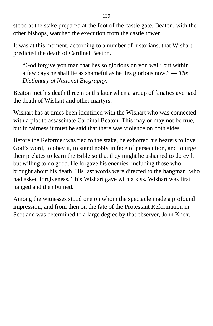stood at the stake prepared at the foot of the castle gate. Beaton, with the other bishops, watched the execution from the castle tower.

It was at this moment, according to a number of historians, that Wishart predicted the death of Cardinal Beaton.

"God forgive yon man that lies so glorious on yon wall; but within a few days he shall lie as shameful as he lies glorious now." — *The Dictionary of National Biography.*

Beaton met his death three months later when a group of fanatics avenged the death of Wishart and other martyrs.

Wishart has at times been identified with the Wishart who was connected with a plot to assassinate Cardinal Beaton. This may or may not be true, but in fairness it must be said that there was violence on both sides.

Before the Reformer was tied to the stake, he exhorted his hearers to love God's word, to obey it, to stand nobly in face of persecution, and to urge their prelates to learn the Bible so that they might be ashamed to do evil, but willing to do good. He forgave his enemies, including those who brought about his death. His last words were directed to the hangman, who had asked forgiveness. This Wishart gave with a kiss. Wishart was first hanged and then burned.

Among the witnesses stood one on whom the spectacle made a profound impression; and from then on the fate of the Protestant Reformation in Scotland was determined to a large degree by that observer, John Knox.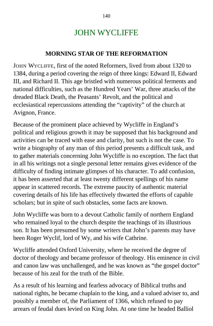## JOHN WYCLIFFE

#### **MORNING STAR OF THE REFORMATION**

JOHN WYCLIFFE, first of the noted Reformers, lived from about 1320 to 1384, during a period covering the reign of three kings: Edward II, Edward III, and Richard II. This age bristled with numerous political ferments and national difficulties, such as the Hundred Years' War, three attacks of the dreaded Black Death, the Peasants' Revolt, and the political and ecclesiastical repercussions attending the "captivity" of the church at Avignon, France.

Because of the prominent place achieved by Wycliffe in England's political and religious growth it may be supposed that his background and activities can be traced with ease and clarity, but such is not the case. To write a biography of any man of this period presents a difficult task, and to gather materials concerning John Wycliffe is no exception. The fact that in all his writings not a single personal letter remains gives evidence of the difficulty of finding intimate glimpses of his character. To add confusion, it has been asserted that at least twenty different spellings of his name appear in scattered records. The extreme paucity of authentic material covering details of his life has effectively thwarted the efforts of capable scholars; but in spite of such obstacles, some facts are known.

John Wycliffe was born to a devout Catholic family of northern England who remained loyal to the church despite the teachings of its illustrious son. It has been presumed by some writers that John's parents may have been Roger Wyclif, lord of Wy, and his wife Cathrine.

Wycliffe attended Oxford University, where he received the degree of doctor of theology and became professor of theology. His eminence in civil and canon law was unchallenged, and he was known as "the gospel doctor" because of his zeal for the truth of the Bible.

As a result of his learning and fearless advocacy of Biblical truths and national rights, he became chaplain to the king, and a valued adviser to, and possibly a member of, the Parliament of 1366, which refused to pay arrears of feudal dues levied on King John. At one time he headed Balliol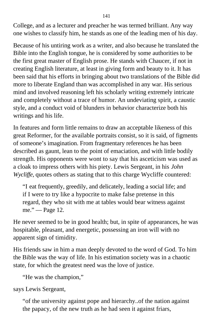College, and as a lecturer and preacher he was termed brilliant. Any way one wishes to classify him, he stands as one of the leading men of his day.

Because of his untiring work as a writer, and also because he translated the Bible into the English tongue, he is considered by some authorities to be the first great master of English prose. He stands with Chaucer, if not in creating English literature, at least in giving form and beauty to it. It has been said that his efforts in bringing about two translations of the Bible did more to liberate England than was accomplished in any war. His serious mind and involved reasoning left his scholarly writing extremely intricate and completely without a trace of humor. An undeviating spirit, a caustic style, and a conduct void of blunders in behavior characterize both his writings and his life.

In features and form little remains to draw an acceptable likeness of this great Reformer, for the available portraits consist, so it is said, of figments of someone's imagination. From fragmentary references he has been described as gaunt, lean to the point of emaciation, and with little bodily strength. His opponents were wont to say that his asceticism was used as a cloak to impress others with his piety. Lewis Sergeant, in his *John Wycliffe, quotes others as stating that to this charge Wycliffe countered:* 

"I eat frequently, greedily, and delicately, leading a social life; and if I were to try like a hypocrite to make false pretense in this regard, they who sit with me at tables would bear witness against me." — Page 12.

He never seemed to be in good health; but, in spite of appearances, he was hospitable, pleasant, and energetic, possessing an iron will with no apparent sign of timidity.

His friends saw in him a man deeply devoted to the word of God. To him the Bible was the way of life. In his estimation society was in a chaotic state, for which the greatest need was the love of justice.

"He was the champion,"

says Lewis Sergeant,

"of the university against pope and hierarchy..of the nation against the papacy, of the new truth as he had seen it against friars,

141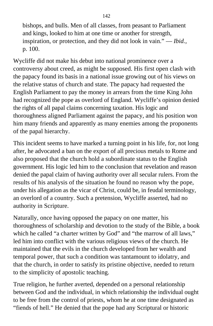bishops, and bulls. Men of all classes, from peasant to Parliament and kings, looked to him at one time or another for strength, inspiration, or protection, and they did not look in vain." — *Ibid.,* p. 100.

Wycliffe did not make his debut into national prominence over a controversy about creed, as might be supposed. His first open clash with the papacy found its basis in a national issue growing out of his views on the relative status of church and state. The papacy had requested the English Parliament to pay the money in arrears from the time King John had recognized the pope as overlord of England. Wycliffe's opinion denied the rights of all papal claims concerning taxation. His logic and thoroughness aligned Parliament against the papacy, and his position won him many friends and apparently as many enemies among the proponents of the papal hierarchy.

This incident seems to have marked a turning point in his life, for, not long after, he advocated a ban on the export of all precious metals to Rome and also proposed that the church hold a subordinate status to the English government. His logic led him to the conclusion that revelation and reason denied the papal claim of having authority over all secular rulers. From the results of his analysis of the situation he found no reason why the pope, under his allegation as the vicar of Christ, could be, in feudal terminology, an overlord of a country. Such a pretension, Wycliffe asserted, had no authority in Scripture.

Naturally, once having opposed the papacy on one matter, his thoroughness of scholarship and devotion to the study of the Bible, a book which he called "a charter written by God" and "the marrow of all laws," led him into conflict with the various religious views of the church. He maintained that the evils in the church developed from her wealth and temporal power, that such a condition was tantamount to idolatry, and that the church, in order to satisfy its pristine objective, needed to return to the simplicity of apostolic teaching.

True religion, he further averted, depended on a personal relationship between God and the individual, in which relationship the individual ought to be free from the control of priests, whom he at one time designated as "fiends of hell." He denied that the pope had any Scriptural or historic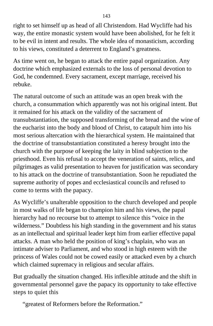right to set himself up as head of all Christendom. Had Wycliffe had his way, the entire monastic system would have been abolished, for he felt it to be evil in intent and results. The whole idea of monasticism, according to his views, constituted a deterrent to England's greatness.

As time went on, he began to attack the entire papal organization. Any doctrine which emphasized externals to the loss of personal devotion to God, he condemned. Every sacrament, except marriage, received his rebuke.

The natural outcome of such an attitude was an open break with the church, a consummation which apparently was not his original intent. But it remained for his attack on the validity of the sacrament of transubstantiation, the supposed transforming of the bread and the wine of the eucharist into the body and blood of Christ, to catapult him into his most serious altercation with the hierarchical system. He maintained that the doctrine of transubstantiation constituted a heresy brought into the church with the purpose of keeping the laity in blind subjection to the priesthood. Even his refusal to accept the veneration of saints, relics, and pilgrimages as valid presentation to heaven for justification was secondary to his attack on the doctrine of transubstantiation. Soon he repudiated the supreme authority of popes and ecclesiastical councils and refused to come to terms with the papacy.

As Wycliffe's unalterable opposition to the church developed and people in most walks of life began to champion him and his views, the papal hierarchy had no recourse but to attempt to silence this "voice in the wilderness." Doubtless his high standing in the government and his status as an intellectual and spiritual leader kept him from earlier effective papal attacks. A man who held the position of king's chaplain, who was an intimate adviser to Parliament, and who stood in high esteem with the princess of Wales could not be cowed easily or attacked even by a church which claimed supremacy in religious and secular affairs.

But gradually the situation changed. His inflexible attitude and the shift in governmental personnel gave the papacy its opportunity to take effective steps to quiet this

"greatest of Reformers before the Reformation."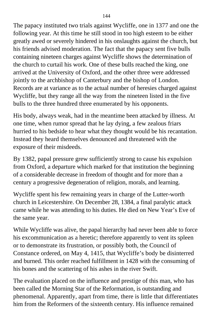The papacy instituted two trials against Wycliffe, one in 1377 and one the following year. At this time he still stood in too high esteem to be either greatly awed or severely hindered in his onslaughts against the church, but his friends advised moderation. The fact that the papacy sent five bulls containing nineteen charges against Wycliffe shows the determination of the church to curtail his work. One of these bulls reached the king, one arrived at the University of Oxford, and the other three were addressed jointly to the archbishop of Canterbury and the bishop of London. Records are at variance as to the actual number of heresies charged against Wycliffe, but they range all the way from the nineteen listed in the five bulls to the three hundred three enumerated by his opponents.

His body, always weak, had in the meantime been attacked by illness. At one time, when rumor spread that he lay dying, a few zealous friars hurried to his bedside to hear what they thought would be his recantation. Instead they heard themselves denounced and threatened with the exposure of their misdeeds.

By 1382, papal pressure grew sufficiently strong to cause his expulsion from Oxford, a departure which marked for that institution the beginning of a considerable decrease in freedom of thought and for more than a century a progressive degeneration of religion, morals, and learning.

Wycliffe spent his few remaining years in charge of the Lutter-worth church in Leicestershire. On December 28, 1384, a final paralytic attack came while he was attending to his duties. He died on New Year's Eve of the same year.

While Wycliffe was alive, the papal hierarchy had never been able to force his excommunication as a heretic; therefore apparently to vent its spleen or to demonstrate its frustration, or possibly both, the Council of Constance ordered, on May 4, 1415, that Wycliffe's body be disinterred and burned. This order reached fulfillment in 1428 with the consuming of his bones and the scattering of his ashes in the river Swift.

The evaluation placed on the influence and prestige of this man, who has been called the Morning Star of the Reformation, is outstanding and phenomenal. Apparently, apart from time, there is little that differentiates him from the Reformers of the sixteenth century. His influence remained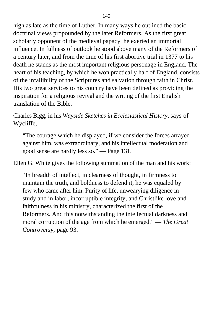high as late as the time of Luther. In many ways he outlined the basic doctrinal views propounded by the later Reformers. As the first great scholarly opponent of the medieval papacy, he exerted an immortal influence. In fullness of outlook he stood above many of the Reformers of a century later, and from the time of his first abortive trial in 1377 to his death he stands as the most important religious personage in England. The heart of his teaching, by which he won practically half of England, consists of the infallibility of the Scriptures and salvation through faith in Christ. His two great services to his country have been defined as providing the inspiration for a religious revival and the writing of the first English translation of the Bible.

Charles Bigg, in his *Wayside Sketches in Ecclesiastical History,* says of Wycliffe,

"The courage which he displayed, if we consider the forces arrayed against him, was extraordinary, and his intellectual moderation and good sense are hardly less so." — Page 131.

Ellen G. White gives the following summation of the man and his work:

"In breadth of intellect, in clearness of thought, in firmness to maintain the truth, and boldness to defend it, he was equaled by few who came after him. Purity of life, unwearying diligence in study and in labor, incorruptible integrity, and Christlike love and faithfulness in his ministry, characterized the first of the Reformers. And this notwithstanding the intellectual darkness and moral corruption of the age from which he emerged." — *The Great Controversy,* page 93.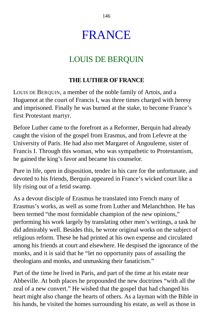146

## FRANCE

## LOUIS DE BERQUIN

### **THE LUTHER OF FRANCE**

LOUIS DE BERQUIN, a member of the noble family of Artois, and a Huguenot at the court of Francis I, was three times charged with heresy and imprisoned. Finally he was burned at the stake, to become France's first Protestant martyr.

Before Luther came to the forefront as a Reformer, Berquin had already caught the vision of the gospel from Erasmus, and from Lefevre at the University of Paris. He had also met Margaret of Angouleme, sister of Francis I. Through this woman, who was sympathetic to Protestantism, he gained the king's favor and became his counselor.

Pure in life, open in disposition, tender in his care for the unfortunate, and devoted to his friends, Berquin appeared in France's wicked court like a lily rising out of a fetid swamp.

As a devout disciple of Erasmus he translated into French many of Erasmus's works, as well as some from Luther and Melanchthon. He has been termed "the most formidable champion of the new opinions," performing his work largely by translating other men's writings, a task he did admirably well. Besides this, he wrote original works on the subject of religious reform. These he had printed at his own expense and circulated among his friends at court and elsewhere. He despised the ignorance of the monks, and it is said that he "let no opportunity pass of assailing the theologians and monks, and unmasking their fanaticism."

Part of the time he lived in Paris, and part of the time at his estate near Abbeville. At both places he propounded the new doctrines "with all the zeal of a new convert." He wished that the gospel that had changed his heart might also change the hearts of others. As a layman with the Bible in his hands, he visited the homes surrounding his estate, as well as those in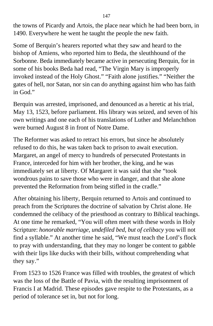the towns of Picardy and Artois, the place near which he had been born, in 1490. Everywhere he went he taught the people the new faith.

Some of Berquin's hearers reported what they saw and heard to the bishop of Amiens, who reported him to Beda, the sleuthhound of the Sorbonne. Beda immediately became active in persecuting Berquin, for in some of his books Beda had read, "The Virgin Mary is improperly invoked instead of the Holy Ghost." "Faith alone justifies." "Neither the gates of hell, nor Satan, nor sin can do anything against him who has faith in God."

Berquin was arrested, imprisoned, and denounced as a heretic at his trial, May 13, 1523, before parliament. His library was seized, and seven of his own writings and one each of his translations of Luther and Melanchthon were burned August 8 in front of Notre Dame.

The Reformer was asked to retract his errors, but since he absolutely refused to do this, he was taken back to prison to await execution. Margaret, an angel of mercy to hundreds of persecuted Protestants in France, interceded for him with her brother, the king, and he was immediately set at liberty. Of Margaret it was said that she "took wondrous pains to save those who were in danger, and that she alone prevented the Reformation from being stifled in the cradle."

After obtaining his liberty, Berquin returned to Artois and continued to preach from the Scriptures the doctrine of salvation by Christ alone. He condemned the celibacy of the priesthood as contrary to Biblical teachings. At one time he remarked, "You will often meet with these words in Holy Scripture: *honorable marriage, undefiled bed, but of celibacy* you will not find a syllable." At another time he said, "We must teach the Lord's flock to pray with understanding, that they may no longer be content to gabble with their lips like ducks with their bills, without comprehending what they say."

From 1523 to 1526 France was filled with troubles, the greatest of which was the loss of the Battle of Pavia, with the resulting imprisonment of Francis I at Madrid. These episodes gave respite to the Protestants, as a period of tolerance set in, but not for long.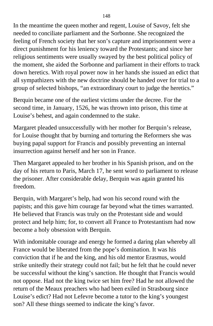In the meantime the queen mother and regent, Louise of Savoy, felt she needed to conciliate parliament and the Sorbonne. She recognized the feeling of French society that her son's capture and imprisonment were a direct punishment for his leniency toward the Protestants; and since her religious sentiments were usually swayed by the best political policy of the moment, she aided the Sorbonne and parliament in their efforts to track down heretics. With royal power now in her hands she issued an edict that all sympathizers with the new doctrine should be handed over for trial to a group of selected bishops, "an extraordinary court to judge the heretics."

Berquin became one of the earliest victims under the decree. For the second time, in January, 1526, he was thrown into prison, this time at Louise's behest, and again condemned to the stake.

Margaret pleaded unsuccessfully with her mother for Berquin's release, for Louise thought that by burning and torturing the Reformers she was buying papal support for Francis and possibly preventing an internal insurrection against herself and her son in France.

Then Margaret appealed to her brother in his Spanish prison, and on the day of his return to Paris, March 17, he sent word to parliament to release the prisoner. After considerable delay, Berquin was again granted his freedom.

Berquin, with Margaret's help, had won his second round with the papists; and this gave him courage far beyond what the times warranted. He believed that Francis was truly on the Protestant side and would protect and help him; for, to convert all France to Protestantism had now become a holy obsession with Berquin.

With indomitable courage and energy he formed a daring plan whereby all France would be liberated from the pope's domination. It was his conviction that if he and the king, and his old mentor Erasmus, would strike unitedly their strategy could not fail; but he felt that he could never be successful without the king's sanction. He thought that Francis would not oppose. Had not the king twice set him free? Had he not allowed the return of the Meaux preachers who had been exiled in Strasbourg since Louise's edict? Had not Lefevre become a tutor to the king's youngest son? All these things seemed to indicate the king's favor.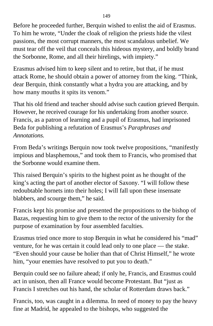Before he proceeded further, Berquin wished to enlist the aid of Erasmus. To him he wrote, "Under the cloak of religion the priests hide the vilest passions, the most corrupt manners, the most scandalous unbelief. We must tear off the veil that conceals this hideous mystery, and boldly brand the Sorbonne, Rome, and all their hirelings, with impiety."

Erasmus advised him to keep silent and to retire, but that, if he must attack Rome, he should obtain a power of attorney from the king. "Think, dear Berquin, think constantly what a hydra you are attacking, and by how many mouths it spits its venom."

That his old friend and teacher should advise such caution grieved Berquin. However, he received courage for his undertaking from another source. Francis, as a patron of learning and a pupil of Erasmus, had imprisoned Beda for publishing a refutation of Erasmus's *Paraphrases and Annotations.*

From Beda's writings Berquin now took twelve propositions, "manifestly impious and blasphemous," and took them to Francis, who promised that the Sorbonne would examine them.

This raised Berquin's spirits to the highest point as he thought of the king's acting the part of another elector of Saxony. "I will follow these redoubtable hornets into their holes; I will fall upon these insensate blabbers, and scourge them," he said.

Francis kept his promise and presented the propositions to the bishop of Bazas, requesting him to give them to the rector of the university for the purpose of examination by four assembled faculties.

Erasmus tried once more to stop Berquin in what he considered his "mad" venture, for he was certain it could lead only to one place — the stake. "Even should your cause be holier than that of Christ Himself," he wrote him, "your enemies have resolved to put you to death."

Berquin could see no failure ahead; if only he, Francis, and Erasmus could act in unison, then all France would become Protestant. But "just as Francis I stretches out his hand, the scholar of Rotterdam draws back."

Francis, too, was caught in a dilemma. In need of money to pay the heavy fine at Madrid, he appealed to the bishops, who suggested the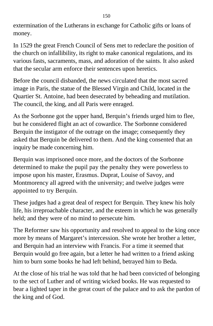extermination of the Lutherans in exchange for Catholic gifts or loans of money.

In 1529 the great French Council of Sens met to redeclare the position of the church on infallibility, its right to make canonical regulations, and its various fasts, sacraments, mass, and adoration of the saints. It also asked that the secular arm enforce their sentences upon heretics.

Before the council disbanded, the news circulated that the most sacred image in Paris, the statue of the Blessed Virgin and Child, located in the Quartier St. Antoine, had been desecrated by beheading and mutilation. The council, the king, and all Paris were enraged.

As the Sorbonne got the upper hand, Berquin's friends urged him to flee, but he considered flight an act of cowardice. The Sorbonne considered Berquin the instigator of the outrage on the image; consequently they asked that Berquin be delivered to them. And the king consented that an inquiry be made concerning him.

Berquin was imprisoned once more, and the doctors of the Sorbonne determined to make the pupil pay the penalty they were powerless to impose upon his master, Erasmus. Duprat, Louise of Savoy, and Montmorency all agreed with the university; and twelve judges were appointed to try Berquin.

These judges had a great deal of respect for Berquin. They knew his holy life, his irreproachable character, and the esteem in which he was generally held; and they were of no mind to persecute him.

The Reformer saw his opportunity and resolved to appeal to the king once more by means of Margaret's intercession. She wrote her brother a letter, and Berquin had an interview with Francis. For a time it seemed that Berquin would go free again, but a letter he had written to a friend asking him to burn some books he had left behind, betrayed him to Beda.

At the close of his trial he was told that he had been convicted of belonging to the sect of Luther and of writing wicked books. He was requested to bear a lighted taper in the great court of the palace and to ask the pardon of the king and of God.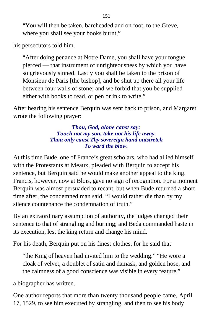"You will then be taken, bareheaded and on foot, to the Greve, where you shall see your books burnt,"

his persecutors told him.

"After doing penance at Notre Dame, you shall have your tongue pierced — that instrument of unrighteousness by which you have so grievously sinned. Lastly you shall be taken to the prison of Monsieur de Paris [the bishop], and be shut up there all your life between four walls of stone; and we forbid that you be supplied either with books to read, or pen or ink to write."

After hearing his sentence Berquin was sent back to prison, and Margaret wrote the following prayer:

> *Thou, God, alone canst say: Touch not my son, take not his life away. Thou only canst Thy sovereign hand outstretch To ward the blow.*

At this time Bude, one of France's great scholars, who had allied himself with the Protestants at Meaux, pleaded with Berquin to accept his sentence, but Berquin said he would make another appeal to the king. Francis, however, now at Blois, gave no sign of recognition. For a moment Berquin was almost persuaded to recant, but when Bude returned a short time after, the condemned man said, "I would rather die than by my silence countenance the condemnation of truth."

By an extraordinary assumption of authority, the judges changed their sentence to that of strangling and burning; and Beda commanded haste in its execution, lest the king return and change his mind.

For his death, Berquin put on his finest clothes, for he said that

"the King of heaven had invited him to the wedding." "He wore a cloak of velvet, a doublet of satin and damask, and golden hose, and the calmness of a good conscience was visible in every feature,"

a biographer has written.

One author reports that more than twenty thousand people came, April 17, 1529, to see him executed by strangling, and then to see his body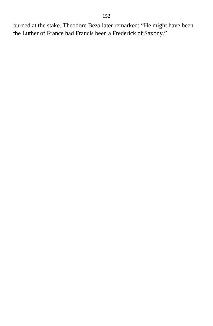burned at the stake. Theodore Beza later remarked: "He might have been the Luther of France had Francis been a Frederick of Saxony."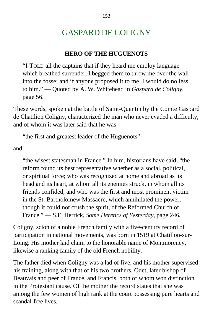## GASPARD DE COLIGNY

#### **HERO OF THE HUGUENOTS**

"I TOLD all the captains that if they heard me employ language which breathed surrender, I begged them to throw me over the wall into the fosse; and if anyone proposed it to me, I would do no less to him." — Quoted by A. W. Whitehead in *Gaspard de Coligny,* page 56.

These words, spoken at the battle of Saint-Quentin by the Comte Gaspard de Chatilion Coligny, characterized the man who never evaded a difficulty, and of whom it was later said that he was

"the first and greatest leader of the Huguenots"

and

"the wisest statesman in France." In him, historians have said, "the reform found its best representative whether as a social, political, or spiritual force; who was recognized at home and abroad as its head and its heart, at whom all its enemies struck, in whom all its friends confided, and who was the first and most prominent victim in the St. Bartholomew Massacre, which annihilated the power, though it could not crush the spirit, of the Reformed Church of France." — S.E. Herrick, *Some Heretics of Yesterday,* page 246*.*

Coligny, scion of a noble French family with a five-century record of participation in national movements, was born in 1519 at Chatillon-sur-Loing. His mother laid claim to the honorable name of Montmorency, likewise a ranking family of the old French nobility.

The father died when Coligny was a lad of five, and his mother supervised his training, along with that of his two brothers, Odet, later bishop of Beauvais and peer of France, and Francis, both of whom won distinction in the Protestant cause. Of the mother the record states that she was among the few women of high rank at the court possessing pure hearts and scandal-free lives.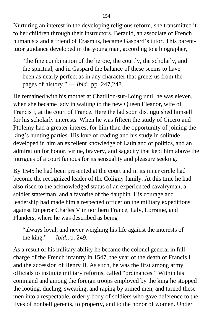Nurturing an interest in the developing religious reform, she transmitted it to her children through their instructors. Berauld, an associate of French humanists and a friend of Erasmus, became Gaspard's tutor. This parenttutor guidance developed in the young man, according to a biographer,

"the fine combination of the heroic, the courtly, the scholarly, and the spiritual, and in Gaspard the balance of these seems to have been as nearly perfect as in any character that greets us from the pages of history." — *Ibid.,* pp. 247,248.

He remained with his mother at Chatillon-sur-Loing until he was eleven, when she became lady in waiting to the new Queen Eleanor, wife of Francis I, at the court of France. Here the lad soon distinguished himself for his scholarly interests. When he was fifteen the study of Cicero and Ptolemy had a greater interest for him than the opportunity of joining the king's hunting parties. His love of reading and his study in solitude developed in him an excellent knowledge of Latin and of politics, and an admiration for honor, virtue, bravery, and sagacity that kept him above the intrigues of a court famous for its sensuality and pleasure seeking.

By 1545 he had been presented at the court and in its inner circle had become the recognized leader of the Coligny family. At this time he had also risen to the acknowledged status of an experienced cavalryman, a soldier statesman, and a favorite of the dauphin. His courage and leadership had made him a respected officer on the military expeditions against Emperor Charles V in northern France, Italy, Lorraine, and Flanders, where he was described as being

"always loyal, and never weighing his life against the interests of the king." — *Ibid.,* p. 249.

As a result of his military ability he became the colonel general in full charge of the French infantry in 1547, the year of the death of Francis I and the accession of Henry II. As such, he was the first among army officials to institute military reforms, called "ordinances." Within his command and among the foreign troops employed by the king he stopped the looting, dueling, swearing, and raping by armed men, and turned these men into a respectable, orderly body of soldiers who gave deference to the lives of nonbelligerents, to property, and to the honor of women. Under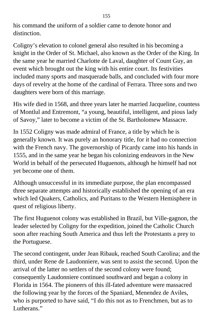his command the uniform of a soldier came to denote honor and distinction.

Coligny's elevation to colonel general also resulted in his becoming a knight in the Order of St. Michael, also known as the Order of the King. In the same year he married Charlotte de Laval, daughter of Count Guy, an event which brought out the king with his entire court. Its festivities included many sports and masquerade balls, and concluded with four more days of revelry at the home of the cardinal of Ferrara. Three sons and two daughters were born of this marriage.

His wife died in 1568, and three years later he married Jacqueline, countess of Montlul and Entremont, "a young, beautiful, intelligent, and pious lady of Savoy," later to become a victim of the St. Bartholomew Massacre.

In 1552 Coligny was made admiral of France, a title by which he is generally known. It was purely an honorary title, for it had no connection with the French navy. The governorship of Picardy came into his hands in 1555, and in the same year he began his colonizing endeavors in the New World in behalf of the persecuted Huguenots, although he himself had not yet become one of them.

Although unsuccessful in its immediate purpose, the plan encompassed three separate attempts and historically established the opening of an era which led Quakers, Catholics, and Puritans to the Western Hemisphere in quest of religious liberty.

The first Huguenot colony was established in Brazil, but Ville-gagnon, the leader selected by Coligny for the expedition, joined the Catholic Church soon after reaching South America and thus left the Protestants a prey to the Portuguese.

The second contingent, under Jean Ribauk, reached South Carolina; and the third, under Rene de Laudonniere, was sent to assist the second. Upon the arrival of the latter no settlers of the second colony were found; consequently Laudonniere continued southward and began a colony in Florida in 1564. The pioneers of this ill-fated adventure were massacred the following year by the forces of the Spaniard, Menendez de Aviles, who is purported to have said, "I do this not as to Frenchmen, but as to Lutherans<sup>"</sup>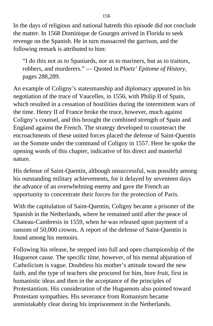In the days of religious and national hatreds this episode did not conclude the matter. In 1568 Dominique de Gourges arrived in Florida to seek revenge on the Spanish. He in turn massacred the garrison, and the following remark is attributed to him:

"I do this not as to Spaniards, nor as to mariners, but as to traitors, robbers, and murderers." — Quoted in *Ploetz' Epitome of History,* pages 288,289.

An example of Coligny's statesmanship and diplomacy appeared in his negotiation of the truce of Vaucelles, in 1556, with Philip II of Spain, which resulted in a cessation of hostilities during the intermittent wars of the time. Henry II of France broke the truce, however, much against Coligny's counsel, and this brought the combined strength of Spain and England against the French. The strategy developed to counteract the encroachments of these united forces placed the defense of Saint-Quentin on the Somme under the command of Coligny in 1557. Here he spoke the opening words of this chapter, indicative of his direct and masterful nature.

His defense of Saint-Quentin, although unsuccessful, was possibly among his outstanding military achievements, for it delayed by seventeen days the advance of an overwhelming enemy and gave the French an opportunity to concentrate their forces for the protection of Paris.

With the capitulation of Saint-Quentin, Coligny became a prisoner of the Spanish in the Netherlands, where he remained until after the peace of Chateau-Cambresis in 1559, when he was released upon payment of a ransom of 50,000 crowns. A report of the defense of Saint-Quentin is found among his memoirs.

Following his release, he stepped into full and open championship of the Huguenot cause. The specific time, however, of his mental abjuration of Catholicism is vague. Doubtless his mother's attitude toward the new faith, and the type of teachers she procured for him, bore fruit, first in humanistic ideas and then in the acceptance of the principles of Protestantism. His consideration of the Huguenots also pointed toward Protestant sympathies. His severance from Romanism became unmistakably clear during his imprisonment in the Netherlands.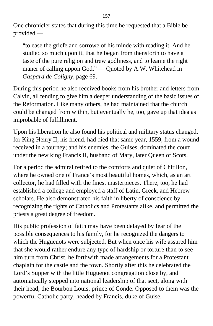One chronicler states that during this time he requested that a Bible be provided —

"to ease the griefe and sorrowe of his minde with reading it. And he studied so much upon it, that he began from thensforth to have a taste of the pure religion and trew godliness, and to leame the right maner of calling uppon God." — Quoted by A.W. Whitehead in *Gaspard de Coligny,* page 69.

During this period he also received books from his brother and letters from Calvin, all tending to give him a deeper understanding of the basic issues of the Reformation. Like many others, he had maintained that the church could be changed from within, but eventually he, too, gave up that idea as improbable of fulfillment.

Upon his liberation he also found his political and military status changed, for King Henry II, his friend, had died that same year, 1559, from a wound received in a tourney; and his enemies, the Guises, dominated the court under the new king Francis II, husband of Mary, later Queen of Scots.

For a period the admiral retired to the comforts and quiet of Chltillon, where he owned one of France's most beautiful homes, which, as an art collector, he had filled with the finest masterpieces. There, too, he had established a college and employed a staff of Latin, Greek, and Hebrew scholars. He also demonstrated his faith in liberty of conscience by recognizing the rights of Catholics and Protestants alike, and permitted the priests a great degree of freedom.

His public profession of faith may have been delayed by fear of the possible consequences to his family, for he recognized the dangers to which the Huguenots were subjected. But when once his wife assured him that she would rather endure any type of hardship or torture than to see him turn from Christ, he forthwith made arrangements for a Protestant chaplain for the castle and the town. Shortly after this he celebrated the Lord's Supper with the little Huguenot congregation close by, and automatically stepped into national leadership of that sect, along with their head, the Bourbon Louis, prince of Conde. Opposed to them was the powerful Catholic party, headed by Francis, duke of Guise.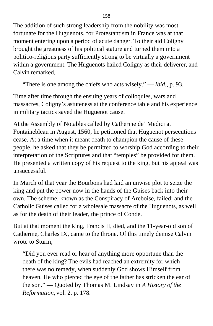The addition of such strong leadership from the nobility was most fortunate for the Huguenots, for Protestantism in France was at that moment entering upon a period of acute danger. To their aid Coligny brought the greatness of his political stature and turned them into a politico-religious party sufficiently strong to be virtually a government within a government. The Huguenots hailed Coligny as their deliverer, and Calvin remarked,

"There is one among the chiefs who acts wisely." — *Ibid.,* p. 93.

Time after time through the ensuing years of colloquies, wars and massacres, Coligny's astuteness at the conference table and his experience in military tactics saved the Huguenot cause.

At the Assembly of Notables called by Catherine de' Medici at Fontainebleau in August, 1560, he petitioned that Huguenot persecutions cease. At a time when it meant death to champion the cause of these people, he asked that they be permitted to worship God according to their interpretation of the Scriptures and that "temples" be provided for them. He presented a written copy of his request to the king, but his appeal was unsuccessful.

In March of that year the Bourbons had laid an unwise plot to seize the king and put the power now in the hands of the Guises back into their own. The scheme, known as the Conspiracy of Areboise, failed; and the Catholic Guises called for a wholesale massacre of the Huguenots, as well as for the death of their leader, the prince of Conde.

But at that moment the king, Francis II, died, and the 11-year-old son of Catherine, Charles IX, came to the throne. Of this timely demise Calvin wrote to Sturm,

"Did you ever read or hear of anything more opportune than the death of the king? The evils had reached an extremity for which there was no remedy, when suddenly God shows Himself from heaven. He who pierced the eye of the father has stricken the ear of the son." — Quoted by Thomas M. Lindsay in *A History of the Reformation,* vol. 2, p. 178.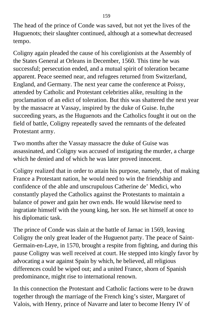The head of the prince of Conde was saved, but not yet the lives of the Huguenots; their slaughter continued, although at a somewhat decreased tempo.

Coligny again pleaded the cause of his coreligionists at the Assembly of the States General at Orleans in December, 1560. This time he was successful; persecution ended, and a mutual spirit of toleration became apparent. Peace seemed near, and refugees returned from Switzerland, England, and Germany. The next year came the conference at Poissy, attended by Catholic and Protestant celebrities alike, resulting in the proclamation of an edict of toleration. But this was shattered the next year by the massacre at Vassay, inspired by the duke of Guise. In,the succeeding years, as the Huguenots and the Catholics fought it out on the field of battle, Coligny repeatedly saved the remnants of the defeated Protestant army.

Two months after the Vassay massacre the duke of Guise was assassinated, and Coligny was accused of instigating the murder, a charge which he denied and of which he was later proved innocent.

Coligny realized that in order to attain his purpose, namely, that of making France a Protestant nation, he would need to win the friendship and confidence of the able and unscrupulous Catherine de' Medici, who constantly played the Catholics against the Protestants to maintain a balance of power and gain her own ends. He would likewise need to ingratiate himself with the young king, her son. He set himself at once to his diplomatic task.

The prince of Conde was slain at the battle of Jarnac in 1569, leaving Coligny the only great leader of the Huguenot party. The peace of Saint-Germain-en-Laye, in 1570, brought a respite from fighting, and during this pause Coligny was well received at court. He stepped into kingly favor by advocating a war against Spain by which, he believed, all religious differences could be wiped out; and a united France, shorn of Spanish predominance, might rise to international renown.

In this connection the Protestant and Catholic factions were to be drawn together through the marriage of the French king's sister, Margaret of Valois, with Henry, prince of Navarre and later to become Henry IV of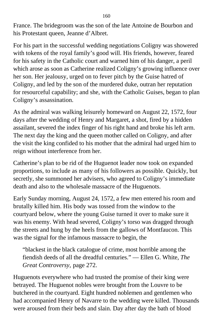France. The bridegroom was the son of the late Antoine de Bourbon and his Protestant queen, Jeanne d'Albret.

For his part in the successful wedding negotiations Coligny was showered with tokens of the royal family's good will. His friends, however, feared for his safety in the Catholic court and warned him of his danger, a peril which arose as soon as Catherine realized Coligny's growing influence over her son. Her jealousy, urged on to fever pitch by the Guise hatred of Coligny, and led by the son of the murdered duke, outran her reputation for resourceful capability; and she, with the Catholic Guises, began to plan Coligny's assassination.

As the admiral was walking leisurely homeward on August 22, 1572, four days after the wedding of Henry and Margaret, a shot, fired by a hidden assailant, severed the index finger of his right hand and broke his left arm. The next day the king and the queen mother called on Coligny, and after the visit the king confided to his mother that the admiral had urged him to reign without interference from her.

Catherine's plan to be rid of the Huguenot leader now took on expanded proportions, to include as many of his followers as possible. Quickly, but secretly, she summoned her advisers, who agreed to Coligny's immediate death and also to the wholesale massacre of the Huguenots.

Early Sunday morning, August 24, 1572, a few men entered his room and brutally killed him. His body was tossed from the window to the courtyard below, where the young Guise turned it over to make sure it was his enemy. With head severed, Coligny's torso was dragged through the streets and hung by the heels from the gallows of Montfaucon. This was the signal for the infamous massacre to begin, the

"blackest in the black catalogue of crime, most horrible among the fiendish deeds of all the dreadful centuries." — Ellen G. White, *The Great Controversy,* page 272.

Huguenots everywhere who had trusted the promise of their king were betrayed. The Huguenot nobles were brought from the Louvre to be butchered in the courtyard. Eight hundred noblemen and gentlemen who had accompanied Henry of Navarre to the wedding were killed. Thousands were aroused from their beds and slain. Day after day the bath of blood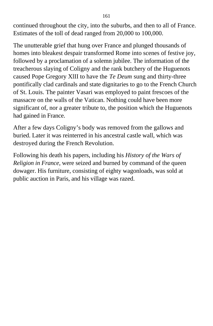continued throughout the city, into the suburbs, and then to all of France. Estimates of the toll of dead ranged from 20,000 to 100,000.

The unutterable grief that hung over France and plunged thousands of homes into bleakest despair transformed Rome into scenes of festive joy, followed by a proclamation of a solemn jubilee. The information of the treacherous slaying of Coligny and the rank butchery of the Huguenots caused Pope Gregory XlII to have the *Te Deum* sung and thirty-three pontifically clad cardinals and state dignitaries to go to the French Church of St. Louis. The painter Vasari was employed to paint frescoes of the massacre on the walls of the Vatican. Nothing could have been more significant of, nor a greater tribute to, the position which the Huguenots had gained in France.

After a few days Coligny's body was removed from the gallows and buried. Later it was reinterred in his ancestral castle wall, which was destroyed during the French Revolution.

Following his death his papers, including his *History of the Wars of Religion in France*, were seized and burned by command of the queen dowager. His furniture, consisting of eighty wagonloads, was sold at public auction in Paris, and his village was razed.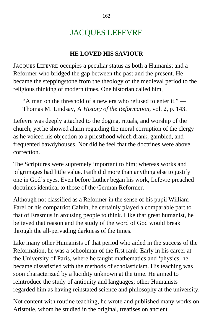## JACQUES LEFEVRE

### **HE LOVED HIS SAVIOUR**

JACQUES LEFEVRE occupies a peculiar status as both a Humanist and a Reformer who bridged the gap between the past and the present. He became the steppingstone from the theology of the medieval period to the religious thinking of modern times. One historian called him,

"A man on the threshold of a new era who refused to enter it." — Thomas M. Lindsay, A *History of the Reformation,* vol. 2, p. 143.

Lefevre was deeply attached to the dogma, rituals, and worship of the church; yet he showed alarm regarding the moral corruption of the clergy as he voiced his objection to a priesthood which drank, gambled, and frequented bawdyhouses. Nor did he feel that the doctrines were above correction.

The Scriptures were supremely important to him; whereas works and pilgrimages had little value. Faith did more than anything else to justify one in God's eyes. Even before Luther began his work, Lefevre preached doctrines identical to those of the German Reformer.

Although not classified as a Reformer in the sense of his pupil William Farel or his compatriot Calvin, he certainly played a comparable part to that of Erasmus in arousing people to think. Like that great humanist, he believed that reason and the study of the word of God would break through the all-pervading darkness of the times.

Like many other Humanists of that period who aided in the success of the Reformation, he was a schoolman of the first rank. Early in his career at the University of Paris, where he taught mathematics and 'physics, he became dissatisfied with the methods of scholasticism. His teaching was soon characterized by a lucidity unknown at the time. He aimed to reintroduce the study of antiquity and languages; other Humanists regarded him as having reinstated science and philosophy at the university.

Not content with routine teaching, he wrote and published many works on Aristotle, whom he studied in the original, treatises on ancient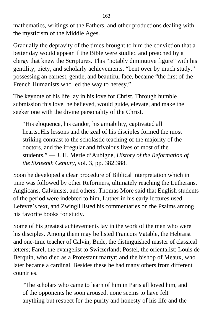mathematics, writings of the Fathers, and other productions dealing with the mysticism of the Middle Ages.

Gradually the depravity of the times brought to him the conviction that a better day would appear if the Bible were studied and preached by a clergy that knew the Scriptures. This "notably diminutive figure" with his gentility, piety, and scholarly achievements, "bent over by much study," possessing an earnest, gentle, and beautiful face, became "the first of the French Humanists who led the way to heresy."

The keynote of his life lay in his love for Christ. Through humble submission this love, he believed, would guide, elevate, and make the seeker one with the divine personality of the Christ.

"His eloquence, his candor, his amiability, captivated all hearts..His lessons and the zeal of his disciples formed the most striking contrast to the scholastic teaching of the majority of the doctors, and the irregular and frivolous lives of most of the students." — J. H. Merle d'Aubigne, *History of the Reformation of the Sixteenth Century,* vol. 3, pp. 382,388.

Soon he developed a clear procedure of Biblical interpretation which in time was followed by other Reformers, ultimately reaching the Lutherans, Anglicans, Calvinists, and others. Thomas More said that English students of the period were indebted to him, Luther in his early lectures used Lefevre's text, and Zwingli listed his commentaries on the Psalms among his favorite books for study.

Some of his greatest achievements lay in the work of the men who were his disciples. Among them may be listed Francois Vatable, the Hebraist and one-time teacher of Calvin; Bude, the distinguished master of classical letters; Farel, the evangelist to Switzerland; Postel, the orientalist; Louis de Berquin, who died as a Protestant martyr; and the bishop of Meaux, who later became a cardinal. Besides these he had many others from different countries.

"The scholars who came to learn of him in Paris all loved him, and of the opponents he soon aroused, none seems to have felt anything but respect for the purity and honesty of his life and the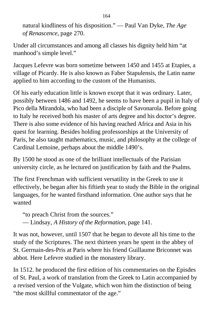natural kindliness of his disposition." — Paul Van Dyke, *The Age of Renascence,* page 270.

Under all circumstances and among all classes his dignity held him "at manhood's simple level."

Jacques Lefevre was born sometime between 1450 and 1455 at Etapies, a village of Picardy. He is also known as Faber Stapulensis, the Latin name applied to him according to the custom of the Humanists.

Of his early education little is known except that it was ordinary. Later, possibly between 1486 and 1492, he seems to have been a pupil in Italy of Pico della Mirandola, who had been a disciple of Savonarola. Before going to Italy he received both his master of arts degree and his doctor's degree. There is also some evidence of his having reached Africa and Asia in his quest for learning. Besides holding professorships at the University of Paris, he also taught mathematics, music, and philosophy at the college of Cardinal Lemoine, perhaps about the middle 1490's.

By 1500 he stood as one of the brilliant intellectuals of the Parisian university circle, as he lectured on justification by faith and the Psalms.

The first Frenchman with sufficient versatility in the Greek to use it effectively, he began after his fiftieth year to study the Bible in the original languages, for he wanted firsthand information. One author says that he wanted

"to preach Christ from the sources." — Lindsay, *A History of the Reformation,* page 141.

It was not, however, until 1507 that he began to devote all his time to the study of the Scriptures. The next thirteen years he spent in the abbey of St. Gerrnain-des-Pris at Paris where his friend Guillaume Briconnet was abbot. Here Lefevre studied in the monastery library.

In 1512. he produced the first edition of his commentaries on the Episdes of St. Paul, a work of translation from the Greek to Latin accompanied by a revised version of the Vulgate, which won him the distinction of being "the most skillful commentator of the age."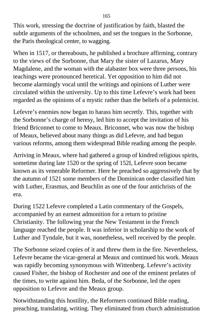This work, stressing the doctrine of justification by faith, blasted the subtle arguments of the schoolmen, and set the tongues in the Sorbonne, the Paris theological center, to wagging.

When in 1517, or thereabouts, he published a brochure affirming, contrary to the views of the Sorbonne, that Mary the sister of Lazarus, Mary Magdalene, and the woman with the alabaster box were three persons, his teachings were pronounced heretical. Yet opposition to him did not become alarmingly vocal until the writings and opinions of Luther were circulated within the university. Up to this time Lefevre's work had been regarded as the opinions of a mystic rather than the beliefs of a polemicist.

Lefevre's enemies now began to harass him secretly. This, together with the Sorbonne's charge of heresy, led him to accept the invitation of his friend Briconnet to come to Meaux. Briconnet, who was now the bishop of Meaux, believed about many things as did Lefevre, and had begun various reforms, among them widespread Bible reading among the people.

Arriving in Meaux, where had gathered a group of kindred religious spirits, sometime during late 1520 or the spring of 152I, Lefevre soon became known as its venerable Reformer. Here he preached so aggressively that by the autumn of 1521 some members of the Dominican order classified him with Luther, Erasmus, and Beuchlin as one of the four antichrists of the era.

During 1522 Lefevre completed a Latin commentary of the Gospels, accompanied by an earnest admonition for a return to pristine Christianity. The following year the New Testament in the French language reached the people. It was inferior in scholarship to the work of Luther and Tyndale, but it was, nonetheless, well received by the people.

The Sorbonne seized copies of it and threw them in the fire. Nevertheless, Lefevre became the vicar-general at Meaux and continued his work. Meaux was rapidly becoming synonymous with Wittenberg. Lefevre's activity caused Fisher, the bishop of Rochester and one of the eminent prelates of the times, to write against him. Beda, of the Sorbonne, led the open opposition to Lefevre and the Meaux group.

Notwithstanding this hostility, the Reformers continued Bible reading, preaching, translating, writing. They eliminated from church administration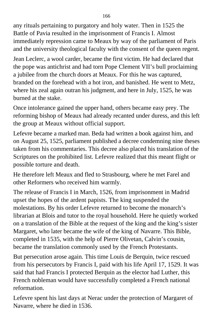any rituals pertaining to purgatory and holy water. Then in 1525 the Battle of Pavia resulted in the imprisonment of Francis I. Almost immediately repression came to Meaux by way of the parliament of Paris and the university theological faculty with the consent of the queen regent.

Jean Leclerc, a wool carder, became the first victim. He had declared that the pope was antichrist and had torn Pope Clement VII's bull proclaiming a jubilee from the church doors at Meaux. For this he was captured, branded on the forehead with a hot iron, and banished. He went to Metz, where his zeal again outran his judgment, and here in July, 1525, he was burned at the stake.

Once intolerance gained the upper hand, others became easy prey. The reforming bishop of Meaux had already recanted under duress, and this left the group at Meaux without official support.

Lefevre became a marked man. Beda had written a book against him, and on August 25, 1525, parliament published a decree condemning nine theses taken from his commentaries. This decree also placed his translation of the Scriptures on the prohibited list. Lefevre realized that this meant flight or possible torture and death.

He therefore left Meaux and fled to Strasbourg, where he met Farel and other Reformers who received him warmly.

The release of Francis I in March, 1526, from imprisonment in Madrid upset the hopes of the ardent papists. The king suspended the molestations. By his order Lefevre returned to become the monarch's librarian at Blois and tutor to the royal household. Here he quietly worked on a translation of the Bible at the request of the king and the king's sister Margaret, who later became the wife of the king of Navarre. This Bible, completed in 1535, with the help of Pierre Olivetan, Calvin's cousin, became the translation commonly used by the French Protestants.

But persecution arose again. This time Louis de Berquin, twice rescued from his persecutors by Francis I, paid with his life April 17, 1529. It was said that had Francis I protected Berquin as the elector had Luther, this French nobleman would have successfully completed a French national reformation.

Lefevre spent his last days at Nerac under the protection of Margaret of Navarre, where he died in 1536.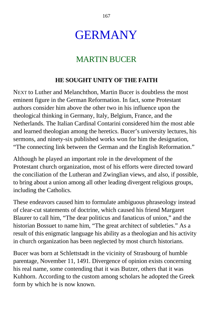# GERMANY

### MARTIN BUCER

### **HE SOUGHT UNITY OF THE FAITH**

NEXT to Luther and Melanchthon, Martin Bucer is doubtless the most eminent figure in the German Reformation. In fact, some Protestant authors consider him above the other two in his influence upon the theological thinking in Germany, Italy, Belgium, France, and the Netherlands. The Italian Cardinal Contarini considered him the most able and learned theologian among the heretics. Bucer's university lectures, his sermons, and ninety-six published works won for him the designation, "The connecting link between the German and the English Reformation."

Although he played an important role in the development of the Protestant church organization, most of his efforts were directed toward the conciliation of the Lutheran and Zwinglian views, and also, if possible, to bring about a union among all other leading divergent religious groups, including the Catholics.

These endeavors caused him to formulate ambiguous phraseology instead of clear-cut statements of doctrine, which caused his friend Margaret Blaurer to call him, "The dear politicus and fanaticus of union," and the historian Bossuet to name him, "The great architect of subtleties." As a result of this enigmatic language his ability as a theologian and his activity in church organization has been neglected by most church historians.

Bucer was born at Schlettstadt in the vicinity of Strasbourg of humble parentage, November 11, 1491. Divergence of opinion exists concerning his real name, some contending that it was Butzer, others that it was Kuhhorn. According to the custom among scholars he adopted the Greek form by which he is now known.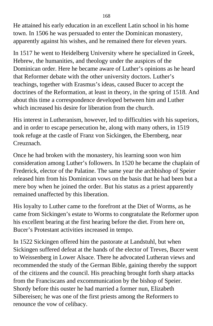He attained his early education in an excellent Latin school in his home town. In 1506 he was persuaded to enter the Dominican monastery, apparently against his wishes, and he remained there for eleven years.

In 1517 he went to Heidelberg University where he specialized in Greek, Hebrew, the humanities, and theology under the auspices of the Dominican order. Here he became aware of Luther's opinions as he heard that Reformer debate with the other university doctors. Luther's teachings, together with Erasmus's ideas, caused Bucer to accept the doctrines of the Reformation, at least in theory, in the spring of 1518. And about this time a correspondence developed between him and Luther which increased his desire for liberation from the church.

His interest in Lutheranism, however, led to difficulties with his superiors, and in order to escape persecution he, along with many others, in 1519 took refuge at the castle of Franz von Sickingen, the Ebernberg, near Creuznach.

Once he had broken with the monastery, his learning soon won him consideration among Luther's followers. In 1520 he became the chaplain of Frederick, elector of the Palatine. The same year the archbishop of Speier released him from his Dominican vows on the basis that he had been but a mere boy when he joined the order. But his status as a priest apparently remained unaffected by this liberation.

His loyalty to Luther came to the forefront at the Diet of Worms, as he came from Sickingen's estate to Worms to congratulate the Reformer upon his excellent bearing at the first hearing before the diet. From here on, Bucer's Protestant activities increased in tempo.

In 1522 Sickingen offered him the pastorate at Landstuhl, but when Sickingen suffered defeat at the hands of the elector of Treves, Bucer went to Weissenberg in Lower Alsace. There he advocated Lutheran views and recommended the study of the German Bible, gaining thereby the support of the citizens and the council. His preaching brought forth sharp attacks from the Franciscans and excommunication by the bishop of Speier. Shordy before this ouster he had married a former nun, Elizabeth Silbereisen; he was one of the first priests among the Reformers to renounce the vow of celibacy.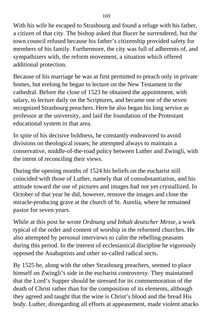With his wife he escaped to Strasbourg and found a refuge with his father, a citizen of that city. The bishop asked that Bucer be surrendered, but the town council refused because his father's citizenship provided safety for members of his family. Furthermore, the city was full of adherents of, and sympathizers with, the reform movement, a situation which offered additional protection.

Because of his marriage he was at first permitted to preach only in private homes, but erelong he began to lecture on the New Testament in the cathedral. Before the close of 1523 he obtained the appointment, with salary, to lecture daily on the Scriptures, and became one of the seven recognized Strasbourg preachers. Here he also began his long service as professor at the university, and laid the foundation of the Protestant educational system in that area.

In spite of his decisive boldness, he constantly endeavored to avoid divisions on theological issues; he attempted always to maintain a conservative, middle-of-the-road policy between Luther and Zwingli, with the intent of reconciling their views.

During the opening months of 1524 his beliefs on the eucharist still coincided with those of Luther, namely that of consubstantiation, and his attitude toward the use of pictures and images had not yet crystallized. In October of that year he did, however, remove the images and close the miracle-producing grave at the church of St. Aurelia, where he remained pastor for seven years.

While at this post he wrote *Ordnung und Inhalt deutscher Messe,* a work typical of the order and content of worship in the reformed churches. He also attempted by personal interviews to calm the rebelling peasants during this period. In the interest of ecclesiastical discipline he vigorously opposed the Anabaptists and other so-called radical sects.

By 1525 he, along with the other Strasbourg preachers, seemed to place himself on Zwingli's side in the eucharist controversy. They maintained that the Lord's Supper should be stressed for its commemoration of the death of Christ rather than for the composition of its elements, although they agreed and taught that the wine is Christ's blood and the bread His body. Luther, disregarding all efforts at appeasement, made violent attacks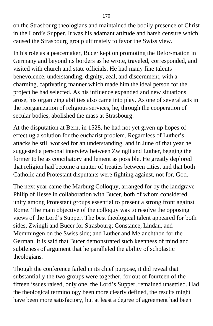on the Strasbourg theologians and maintained the bodily presence of Christ in the Lord's Supper. It was his adamant attitude and harsh censure which caused the Strasbourg group ultimately to favor the Swiss view.

In his role as a peacemaker, Bucer kept on promoting the Befor-mation in Germany and beyond its borders as he wrote, traveled, corresponded, and visited with church and state officials. He had many fine talents benevolence, understanding, dignity, zeal, and discernment, with a charming, captivating manner which made him the ideal person for the project he had selected. As his influence expanded and new situations arose, his organizing abilities also came into play. As one of several acts in the reorganization of religious services, he, through the cooperation of secular bodies, abolished the mass at Strasbourg.

At the disputation at Bern, in 1528, he had not yet given up hopes of effectlug a solution for the eucharist problem. Regardless of Luther's attacks he still worked for an understanding, and in June of that year he suggested a personal interview between Zwingli and Luther, begging the former to be as conciliatory and lenient as possible. He greatly deplored that religion had become a matter of treaties between cities, and that both Catholic and Protestant disputants were fighting against, not for, God.

The next year came the Marburg Colloquy, arranged for by the landgrave Philip of Hesse in collaboration with Bucer, both of whom considered unity among Protestant groups essential to present a strong front against Rome. The main objective of the colloquy was to resolve the opposing views of the Lord's Supper. The best theological talent appeared for both sides, Zwingli and Bucer for Strasbourg; Constance, Lindau, and Memmingen on the Swiss side; and Luther and Melanchthon for the German. It is said that Bucer demonstrated such keenness of mind and subtleness of argument that he paralleled the ability of scholastic theologians.

Though the conference failed in its chief purpose, it did reveal that substantially the two groups were together, for out of fourteen of the fifteen issues raised, only one, the Lord's Supper, remained unsettled. Had the theological terminology been more clearly defined, the results might have been more satisfactory, but at least a degree of agreement had been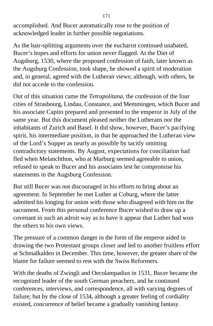accomplished. And Bucer automatically rose to the position of acknowledged leader in further possible negotiations.

As the hair-splitting arguments over the eucharist continued unabated, Bucer's hopes and efforts for union never flagged. At the Diet of Augsburg, 1530, where the proposed confession of faith, later known as the Augsburg Confession, took shape, he showed a spirit of moderation and, in general, agreed with the Lutheran views; although, with others, he did not accede to the confession.

Out of this situation came the *Tetrapolitana,* the confession of the four cities of Strasbourg, Lindau, Constance, and Memmingen, which Bucer and his associate Capito prepared and presented to the emperor in July of the same year. But this document pleased neither the Lutherans nor the inhabitants of Zurich and Basel. It did show, however, Bucer's pacifying spirit, his intermediate position, in that he approached the Lutheran view of the Lord's Supper as nearly as possible by tacitly omitting contradictory statements. By August, expectations for conciliation had fled when Melanchthon, who at Marburg seemed agreeable to union, refused to speak to Bucer and his associates lest he compromise his statements in the Augsburg Confession.

But still Bucer was not discouraged in his efforts to bring about an agreement. In September he met Luther at Coburg, where the latter admitted his longing for union with those who disagreed with him on the sacrament. From this personal conference Bucer wished to draw up a covenant in such an adroit way as to have it appear that Luther had won the others to his own views.

The pressure of a common danger in the form of the emperor aided in drawing the two Protestant groups closer and led to another fruitless effort at Schmalkalden in December. This time, however, the greater share of the blame for failure seemed to rest with the Swiss Reformers.

With the deaths of Zwingli and Oecolampadius in 1531, Bucer became the recognized leader of the south German preachers, and he continued conferences, interviews, and correspondence, all with varying degrees of failure; but by the close of 1534, although a greater feeling of cordiality existed, concurrence of belief became a gradually vanishing fantasy.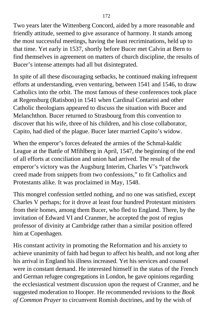Two years later the Wittenberg Concord, aided by a more reasonable and friendly attitude, seemed to give assurance of harmony. It stands among the most successful meetings, having the least recriminations, held up to that time. Yet early in 1537, shortly before Bucer met Calvin at Bern to find themselves in agreement on matters of church discipline, the results of Bucer's intense attempts had all but disintegrated.

In spite of all these discouraging setbacks, he continued making infrequent efforts at understanding, even venturing, between 1541 and 1546, to draw Catholics into the orbit. The most famous of these conferences took place at Regensburg (Ratisbon) in 1541 when Cardinal Contarini and other Catholic theologians appeared to discuss the situation with Bucer and Melanchthon. Bucer returned to Strasbourg from this convention to discover that his wife, three of his children, and his close collaborator, Capito, had died of the plague. Bucer later married Capito's widow.

When the emperor's forces defeated the armies of the Schmal-kaldic League at the Battle of Mfihlberg in April, 1547, the beginning of the end of all efforts at conciliation and union had arrived. The result of the emperor's victory was the Augsburg Interim, Charles V's "patchwork creed made from snippets from two confessions," to fit Catholics and Protestants alike. It was proclaimed in May, 1548.

This mongrel confession settled nothing, and no one was satisfied, except Charles V perhaps; for it drove at least four hundred Protestant ministers from their homes, among them Bucer, who fled to England. There, by the invitation of Edward VI and Cranmer, he accepted the post of regius professor of divinity at Cambridge rather than a similar position offered him at Copenhagen.

His constant activity in promoting the Reformation and his anxiety to achieve unanimity of faith had begun to affect his health, and not long after his arrival in England his illness increased. Yet his services and counsel were in constant demand. He interested himself in the status of the French and German refugee congregations in London, he gave opinions regarding the ecclesiastical vestment discussion upon the request of Cranmer, and he suggested moderation to Hooper. He recommended revisions to the *Book of Common Prayer* to circumvent Romish doctrines, and by the wish of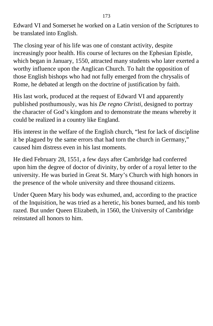Edward VI and Somerset he worked on a Latin version of the Scriptures to be translated into English.

The closing year of his life was one of constant activity, despite increasingly poor health. His course of lectures on the Ephesian Epistle, which began in January, 1550, attracted many students who later exerted a worthy influence upon the Anglican Church. To halt the opposition of those English bishops who had not fully emerged from the chrysalis of Rome, he debated at length on the doctrine of justification by faith.

His last work, produced at the request of Edward VI and apparently published posthumously, was his *De regno Christi,* designed to portray the character of God's kingdom and to demonstrate the means whereby it could be realized in a country like England.

His interest in the welfare of the English church, "lest for lack of discipline it be plagued by the same errors that had torn the church in Germany," caused him distress even in his last moments.

He died February 28, 1551, a few days after Cambridge had conferred upon him the degree of doctor of divinity, by order of a royal letter to the university. He was buried in Great St. Mary's Church with high honors in the presence of the whole university and three thousand citizens.

Under Queen Mary his body was exhumed, and, according to the practice of the Inquisition, he was tried as a heretic, his bones burned, and his tomb razed. But under Queen Elizabeth, in 1560, the University of Cambridge reinstated all honors to him.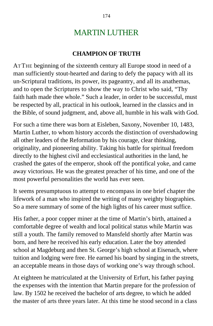## MARTIN LUTHER

### **CHAMPION OF TRUTH**

AT THE beginning of the sixteenth century all Europe stood in need of a man sufficiently stout-hearted and daring to defy the papacy with all its un-Scriptural traditions, its power, its pageantry, and all its anathemas, and to open the Scriptures to show the way to Christ who said, "Thy faith hath made thee whole." Such a leader, in order to be successful, must be respected by all, practical in his outlook, learned in the classics and in the Bible, of sound judgment, and, above all, humble in his walk with God.

For such a time there was born at Eisleben, Saxony, November 10, 1483, Martin Luther, to whom history accords the distinction of overshadowing all other leaders of the Reformation by his courage, clear thinking, originality, and pioneering ability. Taking his battle for spiritual freedom directly to the highest civil and ecclesiastical authorities in the land, he crashed the gates of the emperor, shook off the pontifical yoke, and came away victorious. He was the greatest preacher of his time, and one of the most powerful personalities the world has ever seen.

It seems presumptuous to attempt to encompass in one brief chapter the lifework of a man who inspired the writing of many weighty biographies. So a mere summary of some of the high lights of his career must suffice.

His father, a poor copper miner at the time of Martin's birth, attained a comfortable degree of wealth and local political status while Martin was still a youth. The family removed to Mansfeld shortly after Martin was born, and here he received his early education. Later the boy attended school at Magdeburg and then St. George's high school at Eisenach, where tuition and lodging were free. He earned his board by singing in the streets, an acceptable means in those days of working one's way through school.

At eighteen he matriculated at the University of Erfurt, his father paying the expenses with the intention that Martin prepare for the profession of law. By 1502 he received the bachelor of arts degree, to which he added the master of arts three years later. At this time he stood second in a class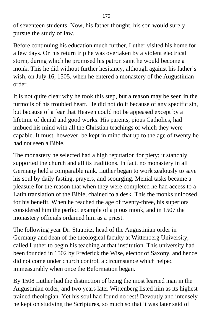of seventeen students. Now, his father thought, his son would surely pursue the study of law.

Before continuing his education much further, Luther visited his home for a few days. On his return trip he was overtaken by a violent electrical storm, during which he promised his patron saint he would become a monk. This he did without further hesitancy, although against his father's wish, on July 16, 1505, when he entered a monastery of the Augustinian order.

It is not quite clear why he took this step, but a reason may be seen in the turmoils of his troubled heart. He did not do it because of any specific sin, but because of a fear that Heaven could not be appeased except by a lifetime of denial and good works. His parents, pious Catholics, had imbued his mind with all the Christian teachings of which they were capable. It must, however, be kept in mind that up to the age of twenty he had not seen a Bible.

The monastery he selected had a high reputation for piety; it stanchly supported the church and all its traditions. In fact, no monastery in all Germany held a comparable rank. Luther began to work zealously to save his soul by daily fasting, prayers, and scourging. Menial tasks became a pleasure for the reason that when they were completed he had access to a Latin translation of the Bible, chained to a desk. This the monks unloosed for his benefit. When he reached the age of twenty-three, his superiors considered him the perfect example of a pious monk, and in 1507 the monastery officials ordained him as a priest.

The following year Dr. Staupitz, head of the Augustinian order in Germany and dean of the theological faculty at Wittenberg University, called Luther to begin his teaching at that institution. This university had been founded in 1502 by Frederick the Wise, elector of Saxony, and hence did not come under church control, a circumstance which helped immeasurably when once the Beformation began.

By 1508 Luther had the distinction of being the most learned man in the Augustinian order, and two years later Wittenberg listed him as its highest trained theologian. Yet his soul had found no rest! Devoutly and intensely he kept on studying the Scriptures, so much so that it was later said of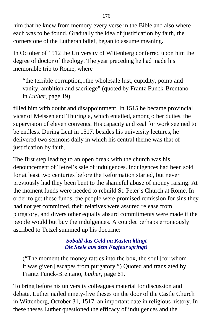him that he knew from memory every verse in the Bible and also where each was to be found. Gradually the idea of justification by faith, the cornerstone of the Lutheran bdief, began to assume meaning.

In October of 1512 the University of Wittenberg conferred upon him the degree of doctor of theology. The year preceding he had made his memorable trip to Rome, where

"the terrible corruption,..the wholesale lust, cupidity, pomp and vanity, ambition and sacrilege" (quoted by Frantz Funck-Brentano in *Luther,* page 19),

filled him with doubt and disappointment. In 1515 he became provincial vicar of Meissen and Thuringia, which entailed, among other duties, the supervision of eleven convents. His capacity and zeal for work seemed to be endless. During Lent in 1517, besides his university lectures, he delivered two sermons daily in which his central theme was that of justification by faith.

The first step leading to an open break with the church was his denouncement of Tetzel's sale of indulgences. Indulgences had been sold for at least two centuries before the Reformation started, but never previously had they been bent to the shameful abuse of money raising. At the moment funds were needed to rebuild St. Peter's Church at Rome. In order to get these funds, the people were promised remission for sins they had not yet committed, their relatives were assured release from purgatory, and divers other equally absurd commitments were made if the people would but buy the indulgences. A couplet perhaps erroneously ascribed to Tetzel summed up his doctrine:

#### *Sobald das Geld im Kasten klingt Die Seele aus dem Fegfeur springt!*

("The moment the money rattles into the box, the soul [for whom it was given] escapes from purgatory.") Quoted and translated by Frantz Funck-Brentano, *Luther,* page 61.

To bring before his university colleagues material for discussion and debate, Luther nailed ninety-five theses on the door of the Castle Church in Wittenberg, October 31, 1517, an important date in religious history. In these theses Luther questioned the efficacy of indulgences and the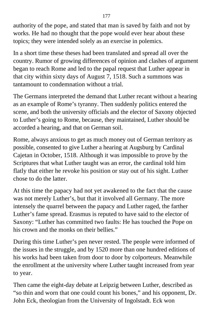authority of the pope, and stated that man is saved by faith and not by works. He had no thought that the pope would ever hear about these topics; they were intended solely as an exercise in polemics.

In a short time these theses had been translated and spread all over the country. Rumor of growing differences of opinion and clashes of argument began to reach Rome and led to the papal request that Luther appear in that city within sixty days of August 7, 1518. Such a summons was tantamount to condemnation without a trial.

The Germans interpreted the demand that Luther recant without a hearing as an example of Rome's tyranny. Then suddenly politics entered the scene, and both the university officials and the elector of Saxony objected to Luther's going to Rome, because, they maintained, Luther should be accorded a hearing, and that on German soil.

Rome, always anxious to get as much money out of German territory as possible, consented to give Luther a hearing at Augsburg by Cardinal Cajetan in October, 1518. Although it was impossible to prove by the Scriptures that what Luther taught was an error, the cardinal told him flatly that either he revoke his position or stay out of his sight. Luther chose to do the latter.

At this time the papacy had not yet awakened to the fact that the cause was not merely Luther's, but that it involved all Germany. The more intensely the quarrel between the papacy and Luther raged, the farther Luther's fame spread. Erasmus is reputed to have said to the elector of Saxony: "Luther has committed two faults: He has touched the Pope on his crown and the monks on their bellies."

During this time Luther's pen never rested. The people were informed of the issues in the struggle, and by 1520 more than one hundred editions of his works had been taken from door to door by colporteurs. Meanwhile the enrollment at the university where Luther taught increased from year to year.

Then came the eight-day debate at Leipzig between Luther, described as "so thin and worn that one could count his bones," and his opponent, Dr. John Eck, theologian from the University of Ingolstadt. Eck won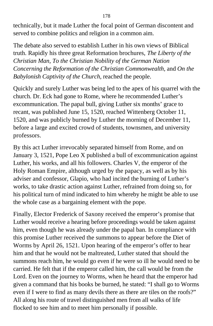technically, but it made Luther the focal point of German discontent and served to combine politics and religion in a common aim.

The debate also served to establish Luther in his own views of Biblical truth. Rapidly his three great Reformation brochures, *The Liberty of the Christian Man, To the Christian Nobility of the German Nation Concerning the Reformation of the Christian Commonwealth,* and *On the Babylonish Captivity of the Church,* reached the people.

Quickly and surely Luther was being led to the apex of his quarrel with the church. Dr. Eck had gone to Rome, where he recommended Luther's excommunication. The papal bull, giving Luther six months' grace to recant, was published June 15, 1520, reached Wittenberg October 11, 1520, and was publicly burned by Luther the morning of December 11, before a large and excited crowd of students, townsmen, and university professors.

By this act Luther irrevocably separated himself from Rome, and on January 3, 1521, Pope Leo X published a bull of excommunication against Luther, his works, and all his followers. Charles V, the emperor of the Holy Roman Empire, although urged by the papacy, as well as by his adviser and confessor, Glapio, who had incited the burning of Luther's works, to take drastic action against Luther, refrained from doing so, for his political turn of mind indicated to him whereby he might be able to use the whole case as a bargaining element with the pope.

Finally, Elector Frederick of Saxony received the emperor's promise that Luther would receive a hearing before proceedings would be taken against him, even though he was already under the papal ban. In compliance with this promise Luther received the summons to appear before the Diet of Worms by April 26, 1521. Upon hearing of the emperor's offer to hear him and that he would not be maltreated, Luther stated that should the summons reach him, he would go even if he were so ill he would need to be carried. He felt that if the emperor called him, the call would be from the Lord. Even on the journey to Worms, when he heard that the emperor had given a command that his books be burned, he stated: "I shall go to Worms even if I were to find as many devils there as there are tiles on the roofs?" All along his route of travel distinguished men from all walks of life flocked to see him and to meet him personally if possible.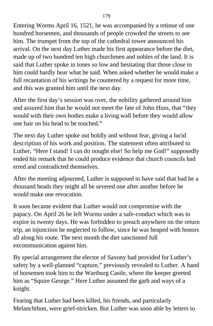Entering Worms April 16, 1521, he was accompanied by a retinue of one hundred horsemen, and thousands of people crowded the streets to see him. The trumpet from the top of the cathedral tower announced his arrival. On the next day Luther made his first appearance before the diet, made up of two hundred ten high churchmen and nobles of the land. It is said that Luther spoke in tones so low and hesitating that those close to him could hardly hear what he said. When asked whether he would make a full recantation of his writings he countered by a request for more time, and this was granted him until the next day.

After the first day's session was over, the nobility gathered around him and assured him that he would not meet the fate of John Huss, that "they would with their own bodies make a living wall before they would allow one hair on his head to be touched."

The next day Luther spoke out boldly and without fear, giving a lucid description of his work and position. The statement often attributed to Luther, "Here I stand! I can do nought else! So help me God!" supposedly ended his remark that he could produce evidence that church councils had erred and contradicted themselves.

After the meeting adjourned, Luther is supposed to have said that had he a thousand heads they might all be severed one after another before he would make one revocation.

It soon became evident that Luther would not compromise with the papacy. On April 26 he left Worms under a safe-conduct which was to expire in twenty days. He was forbidden to preach anywhere on the return trip, an injunction he neglected to follow, since he was heaped with honors all along his route. The next month the diet sanctioned full excommunication against him.

By special arrangement the elector of Saxony had provided for Luther's safety by a well-planned "capture," previously revealed to Luther. A band of horsemen took him to the Wartburg Castle, where the keeper greeted him as "Squire George." Here Luther assumed the garb and ways of a knight.

Fearing that Luther had been killed, his friends, and particularly Melanchthon, were grief-stricken. But Luther was soon able by letters to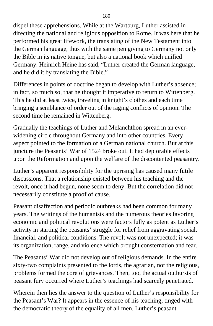dispel these apprehensions. While at the Wartburg, Luther assisted in directing the national and religious opposition to Rome. It was here that he performed his great lifework, the translating of the New Testament into the German language, thus with the same pen giving to Germany not only the Bible in its native tongue, but also a national book which unified Germany. Heinrich Heine has said, "Luther created the German language, and he did it by translating the Bible."

Differences in points of doctrine began to develop with Luther's absence; in fact, so much so, that he thought it imperative to return to Wittenberg. This he did at least twice, traveling in knight's clothes and each time bringing a semblance of order out of the raging conflicts of opinion. The second time he remained in Wittenberg.

Gradually the teachings of Luther and Melanchthon spread in an everwidening circle throughout Germany and into other countries. Every aspect pointed to the formation of a German national church. But at this juncture the Peasants' War of 1524 broke out. It had deplorable effects upon the Reformation and upon the welfare of the discontented peasantry.

Luther's apparent responsibility for the uprising has caused many futile discussions. That a relationship existed between his teaching and the revolt, once it had begun, none seem to deny. But the correlation did not necessarily constitute a proof of cause.

Peasant disaffection and periodic outbreaks had been common for many years. The writings of the humanists and the numerous theories favoring economic and political revolutions were factors fully as potent as Luther's activity in starting the peasants' struggle for relief from aggravating social, financial, and political conditions. The revolt was not unexpected; it was its organization, range, and violence which brought consternation and fear.

The Peasants' War did not develop out of religious demands. In the entire sixty-two complaints presented to the lords, the agrarian, not the religious, problems formed the core of grievances. Then, too, the actual outbursts of peasant fury occurred where Luther's teachings had scarcely penetrated.

Wherein then lies the answer to the question of Luther's responsibility for the Peasant's War? It appears in the essence of his teaching, tinged with the democratic theory of the equality of all men. Luther's peasant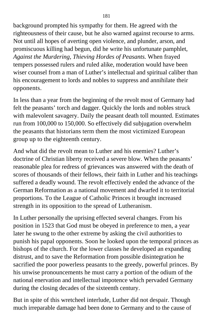background prompted his sympathy for them. He agreed with the righteousness of their cause, but he also warned against recourse to arms. Not until all hopes of averting open violence, and plunder, arson, and promiscuous killing had begun, did he write his unfortunate pamphlet, *Against the Murdering, Thieving Hordes of Peasants.* When frayed tempers possessed rulers and ruled alike, moderation would have been wiser counsel from a man of Luther's intellectual and spiritual caliber than his encouragement to lords and nobles to suppress and annihilate their opponents.

In less than a year from the beginning of the revolt most of Germany had felt the peasants' torch and dagger. Quickly the lords and nobles struck with malevolent savagery. Daily the peasant death toll mounted. Estimates run from 100,000 to 150,000. So effectively did subjugation overwhelm the peasants that historians term them the most victimized European group up to the eighteenth century.

And what did the revolt mean to Luther and his enemies? Luther's doctrine of Christian liberty received a severe blow. When the peasants' reasonable plea for redress of grievances was answered with the death of scores of thousands of their fellows, their faith in Luther and his teachings suffered a deadly wound. The revolt effectively ended the advance of the German Reformation as a national movement and dwarfed it to territorial proportions. To the League of Catholic Princes it brought increased strength in its opposition to the spread of Lutheranism.

In Luther personally the uprising effected several changes. From his position in 1523 that God must be obeyed in preference to men, a year later he swung to the other extreme by asking the civil authorities to punish his papal opponents. Soon he looked upon the temporal princes as bishops of the church. For the lower classes he developed an expanding distrust, and to save the Reformation from possible disintegration he sacrified the poor powerless peasants to the greedy, powerful princes. By his unwise pronouncements he must carry a portion of the odium of the national enervation and intellectual impotence which pervaded Germany during the closing decades of the sixteenth century.

But in spite of this wretcheel interlude, Luther did not despair. Though much irreparable damage had been done to Germany and to the cause of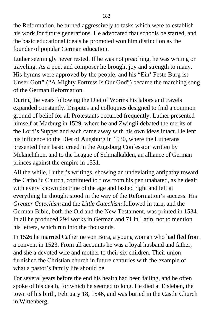the Reformation, he turned aggressively to tasks which were to establish his work for future generations. He advocated that schools be started, and the basic educational ideals he promoted won him distinction as the founder of popular German education.

Luther seemingly never rested. If he was not preaching, he was writing or traveling. As a poet and composer he brought joy and strength to many. His hymns were approved by the people, and his "Ein' Feste Burg ist Unser Gott" ("A Mighty Fortress Is Our God") became the marching song of the German Reformation.

During the years following the Diet of Worms his labors and travels expanded constantly. Disputes and colloquies designed to find a common ground of belief for all Protestants occurred frequently. Luther presented himself at Marburg in 1529, where he and Zwingli debated the merits of the Lord's Supper and each came away with his own ideas intact. He lent his influence to the Diet of Augsburg in 1530, where the Lutherans presented their basic creed in the Augsburg Confession written by Melanchthon, and to the League of Schmalkalden, an alliance of German princes against the empire in 1531.

All the while, Luther's writings, showing an undeviating antipathy toward the Catholic Church, continued to flow from his pen unabated, as he dealt with every known doctrine of the age and lashed right and left at everything he thought stood in the way of the Reformation's success. His *Greater Catechism* and the *Little Catechism* followed in turn, and the German Bible, both the Old and the New Testament, was printed in 1534. In all he produced 294 works in German and 71 in Latin, not to mention his letters, which run into the thousands.

In 1526 he married Catherine von Bora, a young woman who had fled from a convent in 1523. From all accounts he was a loyal husband and father, and she a devoted wife and mother to their six children. Their union furnished the Christian church in future centuries with the example of what a pastor's family life should be.

For several years before the end his health had been failing, and he often spoke of his death, for which he seemed to long. He died at Eisleben, the town of his birth, February 18, 1546, and was buried in the Castle Church in Wittenberg.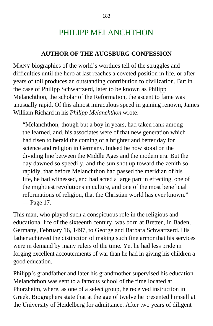## PHILIPP MELANCHTHON

#### **AUTHOR OF THE AUGSBURG CONFESSION**

MANY biographies of the world's worthies tell of the struggles and difficulties until the hero at last reaches a coveted position in life, or after years of toil produces an outstanding contribution to civilization. But in the case of Philipp Schwartzerd, later to be known as Philipp Melanchthon, the scholar of the Reformation, the ascent to fame was unusually rapid. Of this almost miraculous speed in gaining renown, James William Richard in his *Philipp Melanchthon* wrote:

"Melanchthon, though but a boy in years, had taken rank among the learned, and..his associates were of that new generation which had risen to herald the coming of a brighter and better day for science and religion in Germany. Indeed he now stood on the dividing line between the Middle Ages and the modem era. But the day dawned so speedily, and the sun shot up toward the zenith so rapidly, that before Melanchthon had passed the meridian of his life, he had witnessed, and had acted a large part in effecting, one of the mightiest revolutions in culture, and one of the most beneficial reformations of religion, that the Christian world has ever known." — Page 17.

This man, who played such a conspicuous role in the religious and educational life of the sixteenth century, was born at Bretten, in Baden, Germany, February 16, 1497, to George and Barbara Schwartzerd. His father achieved the distinction of making such fine armor that his services were in demand by many rulers of the time. Yet he had less pride in forging excellent accouterments of war than he had in giving his children a good education.

Philipp's grandfather and later his grandmother supervised his education. Melanchthon was sent to a famous school of the time located at Phorzheim, where, as one of a select group, he received instruction in Greek. Biographers state that at the age of twelve he presented himself at the University of Heidelberg for admittance. After two years of diligent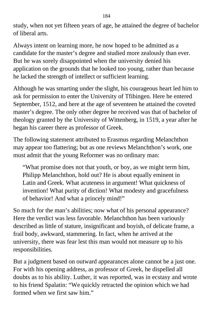study, when not yet fifteen years of age, he attained the degree of bachelor of liberal arts.

Always intent on learning more, he now hoped to be admitted as a candidate for the master's degree and studied more zealously than ever. But he was sorely disappointed when the university denied his application on the grounds that he looked too young, rather than because he lacked the strength of intellect or sufficient learning.

Although he was smarting under the slight, his courageous heart led him to ask for permission to enter the University of Tfibingen. Here he entered September, 1512, and here at the age of seventeen he attained the coveted master's degree. The only other degree he received was that of bachelor of theology granted by the University of Wittenberg, in 1519, a year after he began his career there as professor of Greek.

The following statement attributed to Erasmus regarding Melanchthon may appear too flattering; but as one reviews Melanchthon's work, one must admit that the young Reformer was no ordinary man:

"What promise does not that youth, or boy, as we might term him, Philipp Melanchthon, hold out? He is about equally eminent in Latin and Greek. What acuteness in argument! What quickness of invention! What purity of diction! What modesty and gracefulness of behavior! And what a princely mind!"

So much for the man's abilities; now what of his personal appearance? Here the verdict was less favorable. Melanchthon has been variously described as little of stature, insignificant and boyish, of delicate frame, a frail body, awkward, stammering. In fact, when he arrived at the university, there was fear lest this man would not measure up to his responsibilities.

But a judgment based on outward appearances alone cannot be a just one. For with his opening address, as professor of Greek, he dispelled all doubts as to his ability. Luther, it was reported, was in ecstasy and wrote to his friend Spalatin: "We quickly retracted the opinion which we had formed when we first saw him."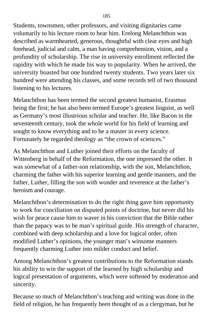Students, townsmen, other professors, and visiting dignitaries came voluntarily to his lecture room to hear him. Erelong Melanchthon was described as warmhearted, generous, thoughtful with clear eyes and high forehead, judicial and calm, a man having comprehension, vision, and a profundity of scholarship. The rise in university enrollment reflected the rapidity with which he made his way to popularity. When he arrived, the university boasted but one hundred twenty students. Two years later six hundred were attending his classes, and some records tell of two thousand listening to his lectures.

Melanchthon has been termed the second greatest humanist, Erasmus being the first; he has also been termed Europe's greatest linguist, as well as Germany's most illustrious scholar and teacher. He, like Bacon in the seventeenth century, took the whole world for his field of learning and sought to know everything and to be a master in every science. Fortunately he regarded theology as "the crown of sciences."

As Melanchthon and Luther joined their efforts on the faculty of Wittenberg in behalf of the Reformation, the one impressed the other. It was somewhat of a father-son relationship, with the son, Melanchthon, charming the father with his superior learning and gentle manners, and the father, Luther, filling the son with wonder and reverence at the father's heroism and courage.

Melanchthon's determination to do the right thing gave him opportunity to work for conciliation on disputed points of doctrine, but never did his wish for peace cause him to waver in his conviction that the Bible rather than the papacy was to be man's spiritual guide. His strength of character, combined with deep scholarship and a love for logical order, often modified Luther's opinions, the younger man's winsome manners frequently charming Luther into milder conduct and belief.

Among Melanchthon's greatest contributions to the Reformation stands his ability to win the support of the learned by high scholarship and logical presentation of arguments, which were softened by moderation and sincerity.

Because so much of Melanchthon's teaching and writing was done in the field of religion, he has frequently been thought of as a clergyman, but he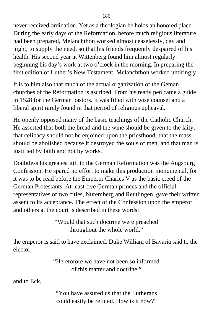never received ordination. Yet as a theologian he holds an honored place. During the early days of the Reformation, before much religious literature had been prepared, Melanchthon worked almost ceaselessly, day and night, to supply the need, so that his friends frequently despaired of his health. His second year at Wittenberg found him almost regularly beginning his day's work at two o'clock in the morning. In preparing the first edition of Luther's New Testament, Melanchthon worked untiringly.

It is to him also that much of the actual organization of the Geman churches of the Reformation is ascribed. From his ready pen came a guide in 1528 for the German pastors. It was filled with wise counsel and a liberal spirit rarely found in that period of religious upheaval.

He openly opposed many of the basic teachings of the Catholic Church. He asserted that both the bread and the wine should be given to the laity, that celibacy should not be enjoined upon the priesthood, that the mass should be abolished because it destroyed the souls of men, and that man is justified by faith and not by works.

Doubtless his greatest gift to the German Reformation was the Augsburg Confession. He spared no effort to make this production monumental, for it was to be read before the Emperor Charles V as the basic creed of the German Protestants. At least five German princes and the official representatives of two cities, Nuremberg and Reutlingen, gave their written assent to its acceptance. The effect of the Confession upon the emperor and others at the court is described in these words:

> "Would that such doctrine were preached throughout the whole world,"

the emperor is said to have exclaimed. Duke William of Bavaria said to the elector,

> "Heretofore we have not been so informed of this matter and doctrine;"

and to Eck,

"You have assured us that the Lutherans could easily be refuted. How is it now?"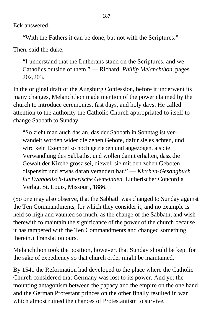Eck answered,

"With the Fathers it can be done, but not with the Scriptures."

Then, said the duke,

"I understand that the Lutherans stand on the Scriptures, and we Catholics outside of them." — Richard, *Phillip Melanchthon,* pages 202,203.

In the original draft of the Augsburg Confession, before it underwent its many changes, Melanchthon made mention of the power claimed by the church to introduce ceremonies, fast days, and holy days. He called attention to the authority the Catholic Church appropriated to itself to change Sabbath to Sunday.

"So zieht man auch das an, das der Sabbath in Sonntag ist verwandelt worden wider die zehen Gebote, dafur sie es achten, und wird kein Exempel so hoch getrieben und angezogen, als die Verwandlung des Sabbaths, und wollen damit erhalten, dasz die Gewalt der Kirche grosz sei, diewell sie mit den zehen Geboten dispensirt und etwas daran verandert hat." — *Kirchen-Gesangbuch fur Evangelisch-Lutherische Gemeinden,* Lutherischer Concordia Verlag, St. Louis, Missouri, 1886.

(So one may also observe, that the Sabbath was changed to Sunday against the Ten Commandments, for which they consider it, and no example is held so high and vaunted so much, as the change of the Sabbath, and wish therewith to maintain the significance of the power of the church because it has tampered with the Ten Commandments and changed something therein.) Translation ours.

Melanchthon took the position, however, that Sunday should be kept for the sake of expediency so that church order might be maintained.

By 1541 the Reformation had developed to the place where the Catholic Church considered that Germany was lost to its power. And yet the mounting antagonism between the papacy and the empire on the one hand and the German Protestant princes on the other finally resulted in war which almost ruined the chances of Protestantism to survive.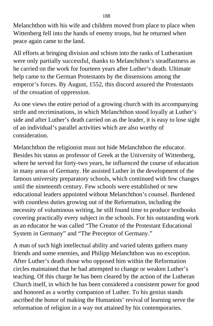Melanchthon with his wife and children moved from place to place when Wittenberg fell into the hands of enemy troops, but he returned when peace again came to the land.

All efforts at bringing division and schism into the ranks of Lutheranism were only partially successful, thanks to Melanchthon's steadfastness as he carried on the work for fourteen years after Luther's death. Ultimate help came to the German Protestants by the dissensions among the emperor's forces. By August, 1552, this discord assured the Protestants of the cessation of oppression.

As one views the entire period of a growing church with its accompanying strife and recriminations, in which Melanchthon stood loyally at Luther's side and after Luther's death carried on as the leader, it is easy to lose sight of an individual's parallel activities which are also worthy of consideration.

Melanchthon the religionist must not hide Melanchthon the educator. Besides his status as professor of Greek at the University of Wittenberg, where he served for forty-two years, he influenced the course of education in many areas of Germany. He assisted Luther in the development of the famous university preparatory schools, which continued with few changes until the nineteenth century. Few schools were established or new educational leaders appointed without Melanchthon's counsel. Burdened with countless duties growing out of the Reformation, including the necessity of voluminous writing, he still found time to produce textbooks covering practically every subject in the schools. For his outstanding work as an educator he was called "The Creator of the Protestant Educational System in Germany" and "The Preceptor of Germany."

A man of such high intellectual ability and varied talents gathers many friends and some enemies, and Philipp Melanchthon was no exception. After Luther's death those who opposed him within the Reformation circles maintained that he had attempted to change or weaken Luther's teaching. Of this charge he has been cleared by the action of the Lutheran Church itself, in which he has been considered a consistent power for good and honored as a worthy companion of Luther. To his genius stands ascribed the honor of making the Humanists' revival of learning serve the reformation of religion in a way not attained by his contemporaries.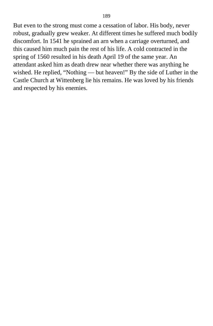But even to the strong must come a cessation of labor. His body, never robust, gradually grew weaker. At different times he suffered much bodily discomfort. In 1541 he sprained an arn when a carriage overturned, and this caused him much pain the rest of his life. A cold contracted in the spring of 1560 resulted in his death April 19 of the same year. An attendant asked him as death drew near whether there was anything he wished. He replied, "Nothing — but heaven!" By the side of Luther in the Castle Church at Wittenberg lie his remains. He was loved by his friends and respected by his enemies.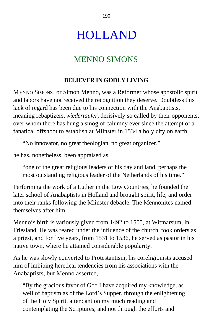# HOLLAND

# MENNO SIMONS

## **BELIEVER IN GODLY LIVING**

MENNO SIMONS, or Simon Menno, was a Reformer whose apostolic spirit and labors have not received the recognition they deserve. Doubtless this lack of regard has been due to his connection with the Anabaptists, meaning rebaptizers, *wiedertaufer,* derisively so called by their opponents, over whom there has hung a smog of calumny ever since the attempt of a fanatical offshoot to establish at Miinster in 1534 a holy city on earth.

"No innovator, no great theologian, no great organizer,"

he has, nonetheless, been appraised as

"one of the great religious leaders of his day and land, perhaps the most outstanding religious leader of the Netherlands of his time."

Performing the work of a Luther in the Low Countries, he founded the later school of Anabaptists in Holland and brought spirit, life, and order into their ranks following the Miinster debacle. The Mennonites named themselves after him.

Menno's birth is variously given from 1492 to 1505, at Witmarsum, in Friesland. He was reared under the influence of the church, took orders as a priest, and for five years, from 1531 to 1536, he served as pastor in his native town, where he attained considerable popularity.

As he was slowly converted to Protestantism, his coreligionists accused him of imbibing heretical tendencies from his associations with the Anabaptists, but Menno asserted,

"By the gracious favor of God I have acquired my knowledge, as well of baptism as of the Lord's Supper, through the enlightening of the Holy Spirit, attendant on my much reading and contemplating the Scriptures, and not through the efforts and

190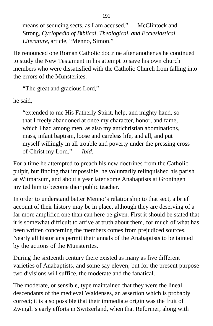means of seducing sects, as I am accused." — McClintock and Strong, *Cyclopedia of Biblical, Theological, and Ecclesiastical Literature,* article, "Menno, Simon."

He renounced one Roman Catholic doctrine after another as he continued to study the New Testament in his attempt to save his own church members who were dissatisfied with the Catholic Church from falling into the errors of the Munsterites.

"The great and gracious Lord,"

he said,

"extended to me His Fatherly Spirit, help, and mighty hand, so that I freely abandoned at once my character, honor, and fame, which I had among men, as also my antichristian abominations, mass, infant baptism, loose and careless life, and all, and put myself willingly in all trouble and poverty under the pressing cross of Christ my Lord." — *Ibid*.

For a time he attempted to preach his new doctrines from the Catholic pulpit, but finding that impossible, he voluntarily relinquished his parish at Witmarsum, and about a year later some Anabaptists at Groningen invited him to become their public teacher.

In order to understand better Menno's relationship to that sect, a brief account of their history may be in place, although they are deserving of a far more amplified one than can here be given. First it should be stated that it is somewhat difficult to arrive at truth about them, for much of what has been written concerning the members comes from prejudiced sources. Nearly all historians permit their annals of the Anabaptists to be tainted by the actions of the Munsterites.

During the sixteenth century there existed as many as five different varieties of Anabaptists, and some say eleven; but for the present purpose two divisions will suffice, the moderate and the fanatical.

The moderate, or sensible, type maintained that they were the lineal descendants of the medieval Waldenses, an assertion which is probably correct; it is also possible that their immediate origin was the fruit of Zwingli's early efforts in Switzerland, when that Reformer, along with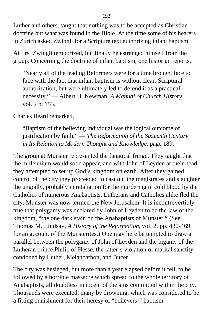Luther and others, taught that nothing was to be accepted as Christian doctrine but what was found in the Bible. At the time some of his hearers in Zurich asked Zwingli for a Scripture text authorizing infant baptism.

At first Zwingli temporized, but finally he estranged himself from the group. Concerning the doctrine of infant baptism, one historian reports,

"Nearly all of the leading Reformers were for a time brought face to face with the fact that infant baptism is without clear, Scriptural authorization, but were ultimately led to defend it as a practical necessity." — Albert H. Newman, *A Manual of Church History,* vol. 2 p. 153.

Charles Beard remarked,

"Baptism of the believing individual was the logical outcome of justification by faith." — *The Reformation of the Sixteenth Century in Its Relation to Modern Thought and Knowledge,* page 189.

The group at Munster represented the fanatical fringe. They taught that the millennium would soon appear, and with John of Leyden at their head they attempted to set up God's kingdom on earth. After they gained control of the city they proceeded to cast out the magistrates and slaughter the ungodly, probably in retaliation for the murdering in cold blood by the Catholics of numerous Anabaptists. Lutherans and Catholics alike fled the city. Munster was now termed the New Jerusalem. It is incontrovertibly true that polygamy was declared by John of Leyden to be the law of the kingdom, "the one dark stain on the Anabaptists of Munster." (See Thomas M. Lindsay, *A History of the Reformation,* vol. 2, pp. 430-469, for an account of the Munsterites.) One may here be tempted to draw a parallel between the polygamy of John of Leyden and the bigamy of the Lutheran prince Philip of Hesse, the latter's violation of marital sanctity condoned by Luther, Melanchthon, and Bucer.

The city was besieged, but more than a year elapsed before it fell, to be followed by a horrible massacre which spread to the whole territory of Anabaptists, all doubtless innocent of the sins committed within the city. Thousands were executed, many by drowning, which was considered to be a fitting punishment for their heresy of "believers'" baptism.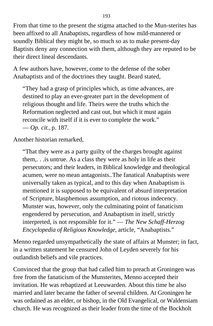From that time to the present the stigma attached to the Mun-sterites has been affixed to all Anabaptists, regardless of how mild-mannered or soundly Biblical they might be, so much so as to make present-day Baptists deny any connection with them, although they are reputed to be their direct lineal descendants.

A few authors have, however, come to the defense of the sober Anabaptists and of the doctrines they taught. Beard stated,

"They had a grasp of principles which, as time advances, are destined to play an ever-greater part in the development of religious thought and life. Theirs were the truths which the Reformation neglected and cast out, but which it must again reconcile with itself if it is ever to complete the work." — *Op. cit.,* p. 187.

Another historian remarked,

"That they were as a party guilty of the charges brought against them,. . .is untrue. As a class they were as holy in life as their persecutors; and their leaders, in Biblical knowledge and theological acumen, were no mean antagonists..The fanatical Anabaptists were universally taken as typical, and to this day when Anabaptism is mentioned it is supposed to be equivalent of absurd interpretation of Scripture, blasphemous assumption, and riotous indecency. Munster was, however, only the culminating point of fanaticism engendered by persecution, and Anabaptism in itself, strictly interpreted, is not responsible for it." — *The New Schaff-Herzog Encyclopedia of Religious Knowledge,* article, "Anabaptists."

Menno regarded unsympathetically the state of affairs at Munster; in fact, in a written statement he censured John of Leyden severely for his outlandish beliefs and vile practices.

Convinced that the group that had called him to preach at Groningen was free from the fanaticism of the Munsterites, Menno accepted their invitation. He was rebaptized at Leeuwarden. About this time he also married and later became the father of several children. At Groningen he was ordained as an elder, or bishop, in the Old Evangelical, or Waldensiam church. He was recognized as their leader from the time of the Bockholt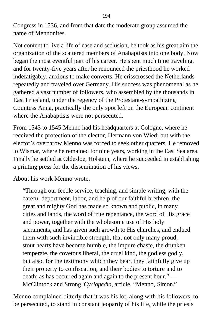Congress in 1536, and from that date the moderate group assumed the name of Mennonites.

Not content to live a life of ease and seclusion, he took as his great aim the organization of the scattered members of Anabaptists into one body. Now began the most eventful part of his career. He spent much time traveling, and for twenty-five years after he renounced the priesthood he worked indefatigably, anxious to make converts. He crisscrossed the Netherlands repeatedly and traveled over Germany. His success was phenomenal as he gathered a vast number of followers, who assembled by the thousands in East Friesland, under the regency of the Protestant-sympathizing Countess Anna, practically the only spot left on the European continent where the Anabaptists were not persecuted.

From 1543 to 1545 Menno had his headquarters at Cologne, where he received the protection of the elector, Hermann von Wied; but with the elector's overthrow Menno was forced to seek other quarters. He removed to Wismar, where he remained for nine years, working in the East Sea area. Finally he settled at Oldesloe, Holstein, where he succeeded in establishing a printing press for the dissemination of his views.

About his work Menno wrote,

"Through our feeble service, teaching, and simple writing, with the careful deportment, labor, and help of our faithful brethren, the great and mighty God has made so known and public, in many cities and lands, the word of true repentance, the word of His grace and power, together with the wholesome use of His holy sacraments, and has given such growth to His churches, and endued them with such invincible strength, that not only many proud, stout hearts have become humble, the impure chaste, the drunken temperate, the covetous liberal, the cruel kind, the godless godly, but also, for the testimony which they bear, they faithfully give up their property to confiscation, and their bodies to torture and to death; as has occurred again and again to the present hour." — McClintock and Strong, *Cyclopedia,* article, "Menno, Simon."

Menno complained bitterly that it was his lot, along with his followers, to be persecuted, to stand in constant jeopardy of his life, while the priests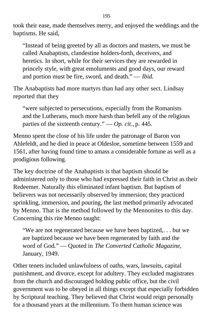took their ease, made themselves merry, and enjoyed the weddings and the baptisms. He said,

"Instead of being greeted by all as doctors and masters, we must be called Anabaptists, clandestine holders-forth, deceivers, and heretics. In short, while for their services they are rewarded in princely style, with great emoluments and good days, our reward and portion must be fire, sword, and death." — *Ibid*.

The Anabaptists had more martyrs than had any other sect. Lindsay reported that they

"were subjected to persecutions, especially from the Romanists and the Lutherans, much more harsh than befell any of the religious parties of the sixteenth century." — *Op. cit.,* p. 445.

Menno spent the close of his life under the patronage of Baron von Ahlefeldt, and he died in peace at Oldesloe, sometime between 1559 and 1561, after having found time to amass a considerable fortune as well as a prodigious following.

The key doctrine of the Anabaptists is that baptism should be administered only to those who had expressed their faith in Christ as their Redeemer. Naturally this eliminated infant baptism. But baptism of believers was not necessarily observed by immersion; they practiced sprinkling, immersion, and pouring, the last method primarily advocated by Menno. That is the method followed by the Mennonites to this day. Concerning this rite Menno taught:

"We are not regenerated because we have been baptized,. . . but we are baptized because we have been regenerated by faith and the word of God." — Quoted in *The Converted Catholic Magazine,* January, 1949.

Other tenets included unlawfulness of oaths, wars, lawsuits, capital punishment, and divorce, except for adultery. They excluded magistrates from the church and discouraged holding public office, but the civil government was to be obeyed in all things except that especially forbidden by Scriptural teaching. They believed that Christ would reign personally for a thousand years at the millennium. To them human science was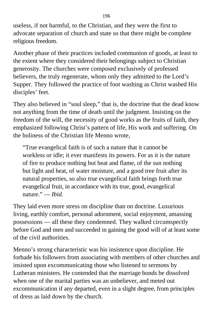useless, if not harmful, to the Christian, and they were the first to advocate separation of church and state so that there might be complete religious freedom.

Another phase of their practices included communion of goods, at least to the extent where they considered their belongings subject to Christian generosity. The churches were composed exclusively of professed believers, the truly regenerate, whom only they admitted to the Lord's Supper. They followed the practice of foot washing as Christ washed His disciples' feet.

They also believed in "soul sleep," that is, the doctrine that the dead know not anything from the time of death until the judgment. Insisting on the freedom of the will, the necessity of good works as the fruits of faith, they emphasized following Christ's pattern of life, His work and suffering. On the holiness of the Christian life Menno wrote,

"True evangelical faith is of such a nature that it cannot be workless or idle; it ever manifests its powers. For as it is the nature of fire to produce nothing but heat and flame, of the sun nothing but light and heat, of water moisture, and a good tree fruit after its natural properties, so also true evangelical faith brings forth true evangelical fruit, in accordance with its true, good, evangelical nature." — *Ibid*.

They laid even more stress on discipline than on doctrine. Luxurious living, earthly comfort, personal adornment, social enjoyment, amassing possessions — all these they condemned. They walked circumspectly before God and men and succeeded in gaining the good will of at least some of the civil authorities.

Menno's strong characteristic was his insistence upon discipline. He forbade his followers from associating with members of other churches and insisted upon excommunicating those who listened to sermons by Lutheran ministers. He contended that the marriage bonds be dissolved when one of the marital parties was an unbeliever, and meted out excommunication if any departed, even in a slight degree, from principles of dress as laid down by the church.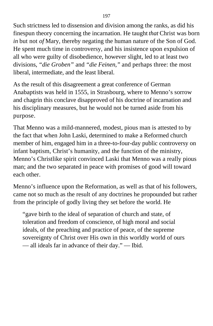Such strictness led to dissension and division among the ranks, as did his finespun theory concerning the incarnation. He taught *that* Christ was born *in* but not *of* Mary, thereby negating the human nature of the Son of God. He spent much time in controversy, and his insistence upon expulsion of all who were guilty of disobedience, however slight, led to at least two divisions, *"die Groben"* and *"die Feinen,"* and perhaps three: the most liberal, intermediate, and the least liberal.

As the result of this disagreement a great conference of German Anabaptists was held in 1555, in Strasbourg, where to Menno's sorrow and chagrin this conclave disapproved of his doctrine of incarnation and his disciplinary measures, but he would not be turned aside from his purpose.

That Menno was a mild-mannered, modest, pious man is attested to by the fact that when John Laski, determined to make a Reformed church member of him, engaged him in a three-to-four-day public controversy on infant baptism, Christ's humanity, and the function of the ministry, Menno's Christlike spirit convinced Laski that Menno was a really pious man; and the two separated in peace with promises of good will toward each other.

Menno's influence upon the Reformation, as well as that of his followers, came not so much as the result of any doctrines he propounded but rather from the principle of godly living they set before the world. He

"gave birth to the ideal of separation of church and state, of toleration and freedom of conscience, of high moral and social ideals, of the preaching and practice of peace, of the supreme sovereignty of Christ over His own in this worldly world of ours — all ideals far in advance of their day." — Ibid.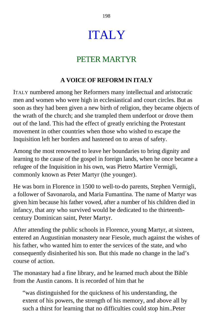# ITALY

## PETER MARTYR

## **A VOICE OF REFORM IN ITALY**

ITALY numbered among her Reformers many intellectual and aristocratic men and women who were high in ecclesiastical and court circles. But as soon as they had been given a new birth of religion, they became objects of the wrath of the church; and she trampled them underfoot or drove them out of the land. This had the effect of greatly enriching the Protestant movement in other countries when those who wished to escape the Inquisition left her borders and hastened on to areas of safety.

Among the most renowned to leave her boundaries to bring dignity and learning to the cause of the gospel in foreign lands, when he once became a refugee of the Inquisition in his own, was Pietro Martire Vermigli, commonly known as Peter Martyr (the younger).

He was born in Florence in 1500 to well-to-do parents, Stephen Vermigli, a follower of Savonarola, and Maria Fumantina. The name of Martyr was given him because his father vowed, after a number of his children died in infancy, that any who survived would be dedicated to the thirteenthcentury Dominican saint, Peter Martyr.

After attending the public schools in Florence, young Martyr, at sixteen, entered an Augustinian monastery near Fiesole, much against the wishes of his father, who wanted him to enter the services of the state, and who consequently disinherited his son. But this made no change in the lad's course of action.

The monastary had a fine library, and he learned much about the Bible from the Austin canons. It is recorded of him that he

"was distinguished for the quickness of his understanding, the extent of his powers, the strength of his memory, and above all by such a thirst for learning that no difficulties could stop him..Peter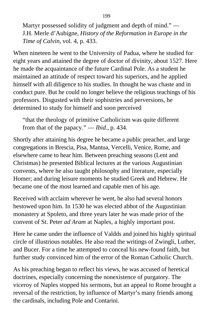Martyr possessed solidity of judgment and depth of mind." — J.H. Merle d'Aubigne, *History of the Reformation in Europe in the Time of Calvin,* vol. 4, p. 433.

When nineteen he went to the University of Padua, where he studied for eight years and attained the degree of doctor of divinity, about 1527. Here he made the acquaintance of the future Cardinal Pole. As a student he maintained an attitude of respect toward his superiors, and he applied himself with all diligence to his studies. In thought he was chaste and in conduct pure. But he could no longer believe the religious teachings of his professors. Disgusted with their sophistries and perversions, he determined to study for himself and soon perceived

"that the theology of primitive Catholicism was quite different from that of the papacy." — *Ibid.,* p. 434.

Shortly after attaining his degree he became a public preacher, and large congregations in Brescia, Pisa, Mantua, Vercelli, Venice, Rome, and elsewhere came to hear him. Between preaching seasons (Lent and Christmas) he presented Biblical lectures at the various Augustinian convents, where he also taught philosophy and literature, especially Homer; and during leisure moments he studied Greek and Hebrew. He became one of the most learned and capable men of his age.

Received with acclaim wherever he went, he also had several honors bestowed upon him. In 1530 he was elected abbot of the Augustinian monastery at Spoleto, and three years later he was made prior of the convent of St. Peter *ad Aram* at Naples, a highly important post.

Here he came under the influence of Valdds and joined his highly spiritual circle of illustrious notables. He also read the writings of Zwingli, Luther, and Bucer. For a time he attempted to conceal his new-found faith, but further study convinced him of the error of the Roman Catholic Church.

As his preaching began to reflect his views, he was accused of heretical doctrines, especially concerning the nonexistence of purgatory. The viceroy of Naples stopped his sermons, but an appeal to Rome brought a reversal of the restriction, by influence of Martyr's many friends among the cardinals, including Pole and Contarini.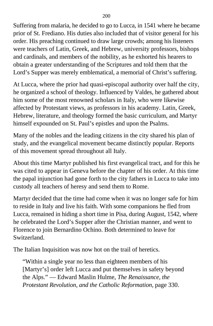Suffering from malaria, he decided to go to Lucca, in 1541 where he became prior of St. Frediano. His duties also included that of visitor general for his order. His preaching continued to draw large crowds; among his listeners were teachers of Latin, Greek, and Hebrew, university professors, bishops and cardinals, and members of the nobility, as he exhorted his hearers to obtain a greater understanding of the Scriptures and told them that the Lord's Supper was merely emblematical, a memorial of Christ's suffering.

At Lucca, where the prior had quasi-episcopal authority over half the city, he organized a school of theology. Influenced by Valdes, he gathered about him some of the most renowned scholars in Italy, who were likewise affected by Protestant views, as professors in his academy. Latin, Greek, Hebrew, literature, and theology formed the basic curriculum, and Martyr himself expounded on St. Paul's epistles and upon the Psalms.

Many of the nobles and the leading citizens in the city shared his plan of study, and the evangelical movement became distinctly popular. Reports of this movement spread throughout all Italy.

About this time Martyr published his first evangelical tract, and for this he was cited to appear in Geneva before the chapter of his order. At this time the papal injunction had gone forth to the city fathers in Lucca to take into custody all teachers of heresy and send them to Rome.

Martyr decided that the time had come when it was no longer safe for him to reside in Italy and live his faith. With some companions he fled from Lucca, remained in hiding a short time in Pisa, during August, 1542, where he celebrated the Lord's Supper after the Christian manner, and went to Florence to join Bernardino Ochino. Both determined to leave for Switzerland.

The Italian Inquisition was now hot on the trail of heretics.

"Within a single year no less than eighteen members of his [Martyr's] order left Lucca and put themselves in safety beyond the Alps." — Edward Maslin Hulme, *The Renaissance, the Protestant Revolution, and the Catholic Reformation,* page 330.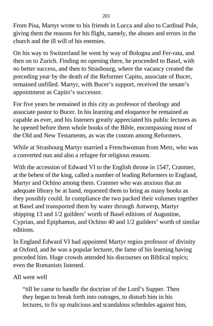From Pisa, Martyr wrote to his friends in Lucca and also to Cardinal Pole, giving them the reasons for his flight, namely, the abuses and errors in the church and the ill will of his enemies.

On his way to Switzerland he went by way of Bologna and Fer-rata, and then on to Zurich. Finding no opening there, he proceeded to Basel, with no better success, and then to Strasbourg, where the vacancy created the preceding year by the death of the Reformer Capito, associate of Bucer, remained unfilled. Martyr, with Bucer's support, received the senate's appointment as Capito's successor.

For five years he remained in this city as professor of theology and associate pastor to Bucer. In his learning and eloquence he remained as capable as ever, and his listeners greatly appreciated his public lectures as he opened before them whole books of the Bible, encompassing most of the Old and New Testaments, as was the custom among Reformers.

While at Strasbourg Martyr married a Frenchwoman from Metz, who was a converted nun and also a refugee for religious reasons.

With the accession of Edward VI to the English throne in 1547, Cranmer, at the behest of the king, called a number of leading Reformers to England, Martyr and Ochino among them. Cranmer who was anxious that an adequate library be at hand, requested them to bring as many books as they possibly could. In compliance the two packed their volumes together at Basel and transported them by water through Antwerp, Martyr shipping 13 and 1/2 guilders' worth of Basel editions of Augustine, Cyprian, and Epiphamus, and Ochino 40 and 1/2 guilders' worth of similar editions.

In England Edward VI had appointed Martyr regius professor of divinity at Oxford, and he was a popular lecturer, the fame of his learning having preceded him. Huge crowds attended his discourses on Biblical topics; even the Romanists listened.

### All went well

"till he came to handle the doctrine of the Lord's Supper. Then they began to break forth into outrages, to disturb him in his lectures, to fix up malicious and scandalous schedules against him,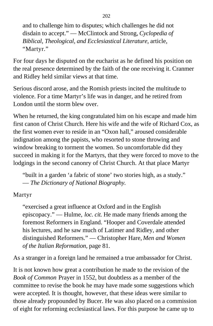and to challenge him to disputes; which challenges he did not disdain to accept." — McClintock and Strong, *Cyclopedia of Biblical, Theological, and Ecclesiastical Literature,* article, "Martyr."

For four days he disputed on the eucharist as he defined his position on the real presence determined by the faith of the one receiving it. Cranmer and Ridley held similar views at that time.

Serious discord arose, and the Romish priests incited the multitude to violence. For a time Martyr's life was in danger, and he retired from London until the storm blew over.

When he returned, the king congratulated him on his escape and made him first canon of Christ Church. Here his wife and the wife of Richard Cox, as the first women ever to reside in an "Oxon hall," aroused considerable indignation among the papists, who resorted to stone throwing and window breaking to torment the women. So uncomfortable did they succeed in making it for the Martyrs, that they were forced to move to the lodgings in the second canonry of Christ Church. At that place Martyr

"built in a garden 'a fabric of stone' two stories high, as a study." — *The Dictionary of National Biography.*

Martyr

"exercised a great influence at Oxford and in the English episcopacy." — Hulme, *loc. cit.* He made many friends among the foremost Reformers in England. "Hooper and Coverdale attended his lectures, and he saw much of Latimer and Ridley, and other distinguished Reformers." — Christopher Hare, *Men and Women of the Italian Reformation,* page 81.

As a stranger in a foreign land he remained a true ambassador for Christ.

It is not known how great a contribution he made to the revision of the *Book of Common* Prayer in 1552, but doubtless as a member of the committee to revise the book he may have made some suggestions which were accepted. It is thought, however, that these ideas were similar to those already propounded by Bucer. He was also placed on a commission of eight for reforming ecclesiastical laws. For this purpose he came up to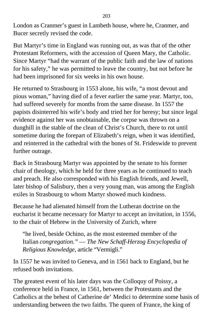London as Cranmer's guest in Lambeth house, where he, Cranmer, and Bucer secretly revised the code.

But Martyr's time in England was running out, as was that of the other Protestant Reformers, with the accession of Queen Mary, the Catholic. Since Martyr "had the warrant of the public faith and the law of nations for his safety," he was permitted to leave the country, but not before he had been imprisoned for six weeks in his own house.

He returned to Strasbourg in 1553 alone, his wife, "a most devout and pious woman," having died of a fever earlier the same year. Martyr, too, had suffered severely for months from the same disease. In 1557 the papists disinterred his wife's body and tried her for heresy; but since legal evidence against her was unobtainable, the corpse was thrown on a dunghill in the stable of the clean of Christ's Church, there to rot until sometime during the forepart of Elizabeth's reign, when it was identified, and reinterred in the cathedral with the bones of St. Frideswide to prevent further outrage.

Back in Strasbourg Martyr was appointed by the senate to his former chair of theology, which he held for three years as he continued to teach and preach. He also corresponded with his English friends, and Jewell, later bishop of Salisbury, then a very young man, was among the English exiles in Strasbourg to whom Martyr showed much kindness.

Because he had alienated himself from the Lutheran doctrine on the eucharist it became necessary for Martyr to accept an invitation, in 1556, to the chair of Hebrew in the University of Zurich, where

"he lived, beside Ochino, as the most esteemed member of the Italian *congregation."* — *The New Schaff-Herzog Encyclopedia of Religious Knowledge,* article "Vermigli."

In 1557 he was invited to Geneva, and in 1561 back to England, but he refused both invitations.

The greatest event of his later days was the Colloquy of Poissy, a conference held in France, in 1561, between the Protestants and the Catholics at the behest of Catherine de' Medici to determine some basis of understanding between the two faiths. The queen of France, the king of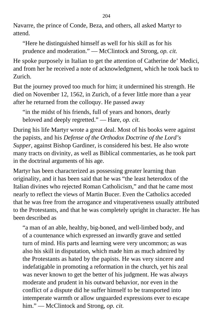Navarre, the prince of Conde, Beza, and others, all asked Martyr to attend.

"Here he distinguished himself as well for his skill as for his prudence and moderation." — McClintock and Strong, *op. cit.*

He spoke purposely in Italian to get the attention of Catherine de' Medici, and from her he received a note of acknowledgment, which he took back to Zurich.

But the journey proved too much for him; it undermined his strength. He died on November 12, 1562, in Zurich, of a fever little more than a year after he returned from the colloquy. He passed away

"in the midst of his friends, full of years and honors, dearly beloved and deeply regretted." — Hare, *op. cit.*

During his life Martyr wrote a great deal. Most of his books were against the papists, and his *Defense of the Orthodox Doctrine of the Lord's Supper,* against Bishop Gardiner, is considered his best. He also wrote many tracts on divinity, as well as Biblical commentaries, as he took part in the doctrinal arguments of his age.

Martyr has been characterized as possessing greater learning than originality, and it has been said that he was "the least heterodox of the Italian divines who rejected Roman Catholicism," and that he came most nearly to reflect the views of Martin Bucer. Even the Catholics acceded that he was free from the arrogance and vituperativeness usually attributed to the Protestants, and that he was completely upright in character. He has been described as

"a man of an able, healthy, big-boned, and well-limbed body, and of a countenance which expressed an inwardly grave and settled turn of mind. His parts and learning were very uncommon; as was also his skill in disputation, which made him as much admired by the Protestants as hated by the papists. He was very sincere and indefatigable in promoting a reformation in the church, yet his zeal was never known to get the better of his judgment. He was always moderate and prudent in his outward behavior, nor even in the conflict of a dispute did he suffer himself to be transported into intemperate warmth or allow unguarded expressions ever to escape him." — McClintock and Strong, *op. cit.*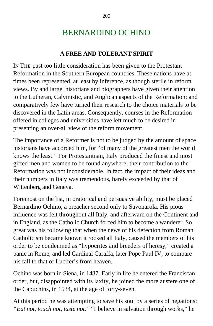# BERNARDINO OCHINO

### **A FREE AND TOLERANT SPIRIT**

IN THE past too little consideration has been given to the Protestant Reformation in the Southern European countries. These nations have at times been represented, at least by inference, as though sterile in reform views. By and large, historians and biographers have given their attention to the Lutheran, Calvinistic, and Anglican aspects of the Reformation; and comparatively few have turned their research to the choice materials to be discovered in the Latin areas. Consequently, courses in the Reformation offered in colleges and universities have left much to be desired in presenting an over-all view of the reform movement.

The importance of a Reformer is not to be judged by the amount of space historians have accorded him, for "of many of the greatest men the world knows the least." For Protestantism, Italy produced the finest and most gifted men and women to be found anywhere; their contribution to the Reformation was not inconsiderable. In fact, the impact of their ideas and their numbers in Italy was tremendous, barely exceeded by that of Wittenberg and Geneva.

Foremost on the list, in oratorical and persuasive ability, must be placed Bernardino Ochino, a preacher second only to Savonarola. His pious influence was felt throughout all Italy, and afterward on the Continent and in England, as the Catholic Church forced him to become a wanderer. So great was his following that when the news of his defection from Roman Catholicism became known it rocked all Italy, caused the members of his order to be condemned as "hypocrites and breeders of heresy," created a panic in Rome, and led Cardinal Caraffa, later Pope Paul IV, to compare his fall to that of Lucifer's from heaven.

Ochino was born in Siena, in 1487. Early in life he entered the Franciscan order, but, disappointed with its laxity, he joined the more austere one of the Capuchins, in 1534, at the age of forty-seven.

At this period he was attempting to save his soul by a series of negations: *"Eat not, touch not, taste not."* "I believe in salvation through works," he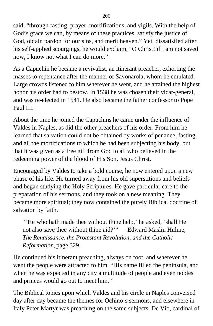said, "through fasting, prayer, mortifications, and vigils. With the help of God's grace we can, by means of these practices, satisfy the justice of God, obtain pardon for our sins, and merit heaven." Yet, dissatisfied after his self-applied scourgings, he would exclaim, "O Christ! if I am not saved now, I know not what I can do more."

As a Capuchin he became a revivalist, an itinerant preacher, exhorting the masses to repentance after the manner of Savonarola, whom he emulated. Large crowds listened to him wherever he went, and he attained the highest honor his order had to bestow. In 1538 he was chosen their vicar-general, and was re-elected in 1541. He also became the father confessor to Pope Paul III.

About the time he joined the Capuchins he came under the influence of Valdes in Naples, as did the other preachers of his order. From him he learned that salvation could not be obtained by works of penance, fasting, and all the mortifications to which he had been subjecting his body, but that it was given as a free gift from God to all who believed in the redeeming power of the blood of His Son, Jesus Christ.

Encouraged by Valdes to take a bold course, he now entered upon a new phase of his life. He turned away from his old superstitions and beliefs and began studying the Holy Scriptures. He gave particular care to the preparation of his sermons, and they took on a new meaning. They became more spiritual; they now contained the purely Biblical doctrine of salvation by faith.

"'He who hath made thee without thine help,' he asked, 'shall He not also save thee without thine aid?'" — Edward Maslin Hulme, *The Renaissance, the Protestant Revolution, and the Catholic Reformation,* page 329.

He continued his itinerant preaching, always on foot, and wherever he went the people were attracted to him. "His name filled the peninsula, and when he was expected in any city a multitude of people and even nobles and princes would go out to meet him."

The Biblical topics upon which Valdes and his circle in Naples conversed day after day became the themes for Ochino's sermons, and elsewhere in Italy Peter Martyr was preaching on the same subjects. De Vio, cardinal of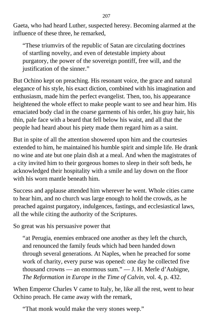Gaeta, who had heard Luther, suspected heresy. Becoming alarmed at the influence of these three, he remarked,

"These triumvirs of the republic of Satan are circulating doctrines of startling novelty, and even of detestable impiety about purgatory, the power of the sovereign pontiff, free will, and the justification of the sinner."

But Ochino kept on preaching. His resonant voice, the grace and natural elegance of his style, his exact diction, combined with his imagination and enthusiasm, made him the perfect evangelist. Then, too, his appearance heightened the whole effect to make people want to see and hear him. His emaciated body clad in the coarse garments of his order, his gray hair, his thin, pale face with a beard that fell below his waist, and all that the people had heard about his piety made them regard him as a saint.

But in spite of all the attention showered upon him and the courtesies extended to him, he maintained his humble spirit and simple life. He drank no wine and ate but one plain dish at a meal. And when the magistrates of a city invited him to their gorgeous homes to sleep in their soft beds, he acknowledged their hospitality with a smile and lay down on the floor with his worn mantle beneath him.

Success and applause attended him wherever he went. Whole cities came to hear him, and no church was large enough to hold the crowds, as he preached against purgatory, indulgences, fastings, and ecclesiastical laws, all the while citing the authority of the Scriptures.

So great was his persuasive power that

"at Perugia, enemies embraced one another as they left the church, and renounced the family feuds which had been handed down through several generations. At Naples, when he preached for some work of charity, every purse was opened: one day he collected five thousand crowns — an enormous sum." — J. H. Merle d'Aubigne, *The Reformation in Europe in the Time of Calvin,* vol. 4, p. 432.

When Emperor Charles V came to Italy, he, like all the rest, went to hear Ochino preach. He came away with the remark,

"That monk would make the very stones weep."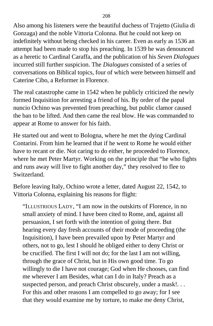Also among his listeners were the beautiful duchess of Trajetto (Giulia di Gonzaga) and the noble Vittoria Colonna. But he could not keep on indefinitely without being checked in his career. Even as early as 1536 an attempt had been made to stop his preaching. In 1539 he was denounced as a heretic to Cardinal Caraffa, and the publication of his *Seven Dialogues* incurred still further suspicion. The *Dialogues* consisted of a series of conversations on Biblical topics, four of which were between himself and Caterine Cibo, a Reformer in Florence.

The real catastrophe came in 1542 when he publicly criticized the newly formed Inquisition for arresting a friend of his. By order of the papal nuncio Ochino was prevented from preaching, but public clamor caused the ban to be lifted. And then came the real blow. He was commanded to appear at Rome to answer for his faith.

He started out and went to Bologna, where he met the dying Cardinal Contarini. From him he learned that if he went to Rome he would either have to recant or die. Not caring to do either, he proceeded to Florence, where he met Peter Martyr. Working on the principle that "he who fights and runs away will live to fight another day," they resolved to flee to Switzerland.

Before leaving Italy, Ochino wrote a letter, dated August 22, 1542, to Vittoria Colonna, explaining his reasons for flight:

"ILLUSTRIOUS LADY, "I am now in the outskirts of Florence, in no small anxiety of mind. I have been cited to Rome, and, against all persuasion, I set forth with the intention of going there. But hearing every day fresh accounts of their mode of proceeding (the Inquisition), I have been prevailed upon by Peter Martyr and others, not to go, lest I should he obliged either to deny Christ or be crucified. The first I will not do; for the last I am not willing, through the grace of Christ, but in His own good time. To go willingly to die I have not courage; God when He chooses, can find me wherever I am Besides, what can I do in Italy? Preach as a suspected person, and preach Christ obscurely, under a mask!... For this and other reasons I am compelled to go away; for I see that they would examine me by torture, to make me deny Christ,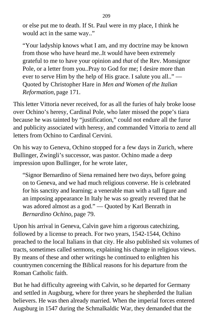or else put me to death. If St. Paul were in my place, I think he would act in the same way.."

"Your ladyship knows what I am, and my doctrine may be known from those who have heard me..It would have been extremely grateful to me to have your opinion and *that* of the Rev. Monsignor Pole, or a letter from you..Pray to God for me; I desire more than ever to serve Him by the help of His grace. I salute you all.." — Quoted by Christopher Hare in *Men and Women of the Italian Reformation,* page 171.

This letter Vittoria never received, for as all the furies of haly broke loose over Ochino's heresy, Cardinal Pole, who later missed the pope's tiara because he was tainted by "justification," could not endure all the furor and publicity associated with heresy, and commanded Vittoria to zend all letters from Ochino to Cardinal Cervini.

On his way to Geneva, Ochino stopped for a few days in Zurich, where Bullinger, Zwingli's successor, was pastor. Ochino made a deep impression upon Bullinger, for he wrote later,

"Signor Bernardino of Siena remained here two days, before going on to Geneva, and we had much religious converse. He is celebrated for his sanctity and learning; a venerable man with a tall figure and an imposing appearance In Italy he was so greatly revered that he was adored almost as a god." — Quoted by Karl Benrath in *Bernardino Ochino,* page 79.

Upon his arrival in Geneva, Calvin gave him a rigorous catechizing, followed by a license to preach. For two years, 1542-1544, Ochino preached to the local Italians in that city. He also published six volumes of tracts, sometimes called sermons, explaining his change in religious views. By means of these and other writings he continued to enlighten his countrymen concerning the Biblical reasons for his departure from the Roman Catholic faith.

But he had difficulty agreeing with Calvin, so he departed for Germany and settled in Augsburg, where for three years he shepherded the Italian believers. He was then already married. When the imperial forces entered Augsburg in 1547 during the Schmalkaldic War, they demanded that the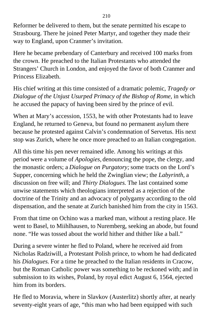Reformer be delivered to them, but the senate permitted his escape to Strasbourg. There he joined Peter Martyr, and together they made their way to England, upon Cranmer's invitation.

Here he became prebendary of Canterbury and received 100 marks from the crown. He preached to the Italian Protestants who attended the Strangers' Church in London, and enjoyed the favor of both Cranmer and Princess Elizabeth.

His chief writing at this time consisted of a dramatic polemic, *Tragedy or Dialogue of the Unjust Usurped Primacy of the Bishop of Rome,* in which he accused the papacy of having been sired by the prince of evil.

When at Mary's accession, 1553, he with other Protestants had to leave England, he returned to Geneva, but found no permanent asylum there because he protested against Calvin's condemnation of Servetus. His next stop was Zurich, where he once more preached to an Italian congregation.

All this time his pen never remained idle. Among his writings at this period were a volume of *Apologies,* denouncing the pope, the clergy, and the monastic orders; a *Dialogue on Purgatory;* some tracts on the Lord's Supper, concerning which he held the Zwinglian view; the *Labyrinth,* a discussion on free will; and *Thirty Dialogues.* The last contained some unwise statements which theologians interpreted as a rejection of the doctrine of the Trinity and an advocacy of polygamy according to the old dispensation, and the senate at Zurich banished him from the city in 1563.

From that time on Ochino was a marked man, without a resting place. He went to Basel, to Miihlhausen, to Nuremberg, seeking an abode, but found none. "He was tossed about the world hither and thither like a ball."

During a severe winter he fled to Poland, where he received aid from Nicholas Radziwill, a Protestant Polish prince, to whom he had dedicated his *Dialogues.* For a time he preached to the Italian residents in Cracow, but the Roman Catholic power was something to be reckoned with; and in submission to its wishes, Poland, by royal edict August 6, 1564, ejected him from its borders.

He fled to Moravia, where in Slavkov (Austerlitz) shortly after, at nearly seventy-eight years of age, "this man who had been equipped with such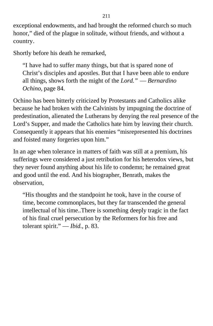exceptional endowments, and had brought the reformed church so much honor," died of the plague in solitude, without friends, and without a country.

Shortly before his death he remarked,

"I have had to suffer many things, but that is spared none of Christ's disciples and apostles. But that I have been able to endure all things, shows forth the might of the *Lord."* — *Bernardino Ochino,* page 84.

Ochino has been bitterly criticized by Protestants and Catholics alike because he had broken with the Calvinists by impugning the doctrine of predestination, alienated the Lutherans by denying the real presence of the Lord's Supper, and made the Catholics hate him by leaving their church. Consequently it appears that his enemies "misrepresented his doctrines and foisted many forgeries upon him."

In an age when tolerance in matters of faith was still at a premium, his sufferings were considered a just retribution for his heterodox views, but they never found anything about his life to condemn; he remained great and good until the end. And his biographer, Benrath, makes the observation,

"His thoughts and the standpoint he took, have in the course of time, become commonplaces, but they far transcended the general intellectual of his time..There is something deeply tragic in the fact of his final cruel persecution by the Reformers for his free and tolerant spirit." — *Ibid.,* p. 83.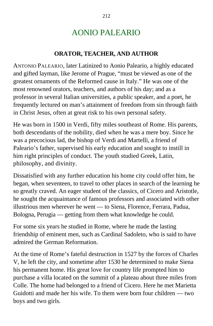# AONIO PALEARIO

### **ORATOR, TEACHER, AND AUTHOR**

ANTONIO PALEARIO, later Latinized to Aonio Paleario, a highly educated and gifted layman, like Jerome of Prague, "must be viewed as one of the greatest ornaments of the Reformed cause in Italy." He was one of the most renowned orators, teachers, and authors of his day; and as a professor in several Italian universities, a public speaker, and a poet, he frequently lectured on man's attainment of freedom from sin through faith in Christ Jesus, often at great risk to his own personal safety.

He was born in 1500 in Verdi, fifty miles southeast of Rome. His parents, both descendants of the nobility, died when he was a mere boy. Since he was a precocious lad, the bishop of Verdi and Martelli, a friend of Paleario's father, supervised his early education and sought to instill in him right principles of conduct. The youth studied Greek, Latin, philosophy, and divinity.

Dissatisfied with any further education his home city could offer him, he began, when seventeen, to travel to other places in search of the learning he so greatly craved. An eager student of the classics, of Cicero and Aristotle, he sought the acquaintance of famous professors and associated with other illustrious men wherever he went — to Siena, Florence, Ferrara, Padua, Bologna, Perugia — getting from them what knowledge he could.

For some six years he studied in Rome, where he made the lasting friendship of eminent men, such as Cardinal Sadoleto, who is said to have admired the German Reformation.

At the time of Rome's fateful destruction in 1527 by the forces of Charles V, he left the city, and sometime after 1530 he determined to make Siena his permanent home. His great love for country life prompted him to purchase a villa located on the summit of a plateau about three miles from Colle. The home had belonged to a friend of Cicero. Here he met Marietta Guidotti and made her his wife. To them were born four children — two boys and two girls.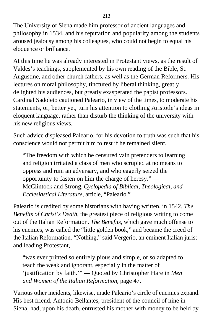The University of Siena made him professor of ancient languages and philosophy in 1534, and his reputation and popularity among the students aroused jealousy among his colleagues, who could not begin to equal his eloquence or brilliance.

At this time he was already interested in Protestant views, as the result of Valdes's teachings, supplemented by his own reading of the Bible, St. Augustine, and other church fathers, as well as the German Reformers. His lectures on moral philosophy, tinctured by liberal thinking, greatly delighted his audiences, but greatly exasperated the papist professors. Cardinal Sadoleto cautioned Paleario, in view of the times, to moderate his statements, or, better yet, turn his attention to clothing Aristotle's ideas in eloquent language, rather than disturb the thinking of the university with his new religious views.

Such advice displeased Paleario, for his devotion to truth was such that his conscience would not permit him to rest if he remained silent.

"The freedom with which he censured vain pretenders to learning and religion irritated a class of men who scrupled at no means to oppress and ruin an adversary, and who eagerly seized the opportunity to fasten on him the charge of heresy." — McClintock and Strong, *Cyclopedia of Biblical, Theological, and Ecclesiastical Literature,* article, "Paleario."

Paleario is credited by some historians with having written, in 1542, *The Benefits of Christ's Death,* the greatest piece of religious writing to come out of the Italian Reformation. *The Benefits,* which gave much offense to his enemies, was called the "little golden book," and became the creed of the Italian Reformation. "Nothing," said Vergerio, an eminent Italian jurist and leading Protestant,

"was ever printed so entirely pious and simple, or so adapted to teach the weak and ignorant, especially in the matter of 'justification by faith.'" — Quoted by Christopher Hare in *Men and Women of the Italian Reformation,* page 47.

Various other incidents, likewise, made Paleario's circle of enemies expand. His best friend, Antonio Bellantes, president of the council of nine in Siena, had, upon his death, entrusted his mother with money to be held by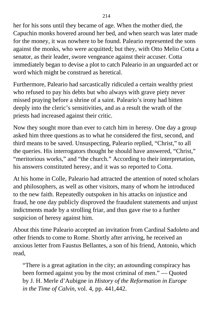her for his sons until they became of age. When the mother died, the Capuchin monks hovered around her bed, and when search was later made for the money, it was nowhere to be found. Paleario represented the sons against the monks, who were acquitted; but they, with Otto Melio Cotta a senator, as their leader, swore vengeance against their accuser. Cotta immediately began to devise a plot to catch Paleario in an unguarded act or word which might be construed as heretical.

Furthermore, Paleario had sarcastically ridiculed a certain wealthy priest who refused to pay his debts but who always with grave piety never missed praying before a shrine of a saint. Paleario's irony had bitten deeply into the cleric's sensitivities, and as a result the wrath of the priests had increased against their critic.

Now they sought more than ever to catch him in heresy. One day a group asked him three questions as to what he considered the first, second, and third means to be saved. Unsuspecting, Paleario replied, "Christ," to all the queries. His interrogators thought he should have answered, "Christ," "meritorious works," and "the church." According to their interpretation, his answers constituted heresy, and it was so reported to Cotta.

At his home in Colle, Paleario had attracted the attention of noted scholars and philosophers, as well as other visitors, many of whom he introduced to the new faith. Repeatedly outspoken in his attacks on injustice and fraud, he one day publicly disproved the fraudulent statements and unjust indictments made by a strolling friar, and thus gave rise to a further suspicion of heresy against him.

About this time Paleario accepted an invitation from Cardinal Sadoleto and other friends to come to Rome. Shortly after arriving, he received an anxious letter from Faustus Bellantes, a son of his friend, Antonio, which read,

"There is a great agitation in the city; an astounding conspiracy has been formed against you by the most criminal of men." — Quoted by J. H. Merle d'Aubigne in *History of the Reformation in Europe in the Time of Calvin,* vol. 4, pp. 441,442.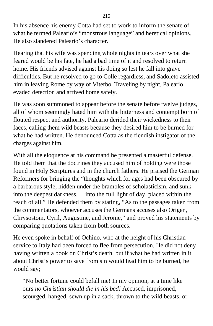In his absence his enemy Cotta had set to work to inform the senate of what he termed Paleario's "monstrous language" and heretical opinions. He also slandered Paleario's character.

Hearing that his wife was spending whole nights in tears over what she feared would be his fate, he had a bad time of it and resolved to return home. His friends advised against his doing so lest he fall into grave difficulties. But he resolved to go to Colle regardless, and Sadoleto assisted him in leaving Rome by way of Viterbo. Traveling by night, Paleario evaded detection and arrived home safely.

He was soon summoned to appear before the senate before twelve judges, all of whom seemingly hated him with the bitterness and contempt born of flouted respect and authority. Paleario derided their wickedness to their faces, calling them wild beasts because they desired him to be burned for what he had written. He denounced Cotta as the fiendish instigator of the charges against him.

With all the eloquence at his command he presented a masterful defense. He told them that the doctrines they accused him of holding were those found in Holy Scriptures and in the church fathers. He praised the German Reformers for bringing the "thoughts which for ages had been obscured by a barbarous style, hidden under the brambles of scholasticism, and sunk into the deepest darkness. . . into the full light of day, placed within the reach of all." He defended them by stating, "As to the passages taken from the commentators, whoever accuses the Germans accuses also Origen, Chrysostom, Cyril, Augustine, and Jerome," and proved his statements by comparing quotations taken from both sources.

He even spoke in behalf of Ochino, who at the height of his Christian service to Italy had been forced to flee from persecution. He did not deny having written a book on Christ's death, but if what he had written in it about Christ's power to save from sin would lead him to be burned, he would say;

"No better fortune could befall me! In my opinion, at a time like ours *no Christian should die in his bed!* Accused, imprisoned, scourged, hanged, sewn up in a sack, thrown to the wild beasts, or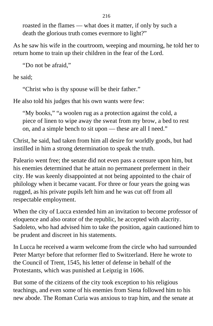roasted in the flames — what does it matter, if only by such a death the glorious truth comes evermore to light?"

As he saw his wife in the courtroom, weeping and mourning, he told her to return home to train up their children in the fear of the Lord.

"Do not be afraid,"

he said;

"Christ who is thy spouse will be their father."

He also told his judges that his own wants were few:

"My books," "a woolen rug as a protection against the cold, a piece of linen to wipe away the sweat from my brow, a bed to rest on, and a simple bench to sit upon — these are all I need."

Christ, he said, had taken from him all desire for worldly goods, but had instilled in him a strong determination to speak the truth.

Paleario went free; the senate did not even pass a censure upon him, but his enemies determined that he attain no permanent preferment in their city. He was keenly disappointed at not being appointed to the chair of philology when it became vacant. For three or four years the going was rugged, as his private pupils left him and he was cut off from all respectable employment.

When the city of Lucca extended him an invitation to become professor of eloquence and also orator of the republic, he accepted with alacrity. Sadoleto, who had advised him to take the position, again cautioned him to be prudent and discreet in his statements.

In Lucca he received a warm welcome from the circle who had surrounded Peter Martyr before that reformer fled to Switzerland. Here he wrote to the Council of Trent, 1545, his letter of defense in behalf of the Protestants, which was punished at Leipzig in 1606.

But some of the citizens of the city took exception to his religious teachings, and even some of his enemies from Siena followed him to his new abode. The Roman Curia was anxious to trap him, and the senate at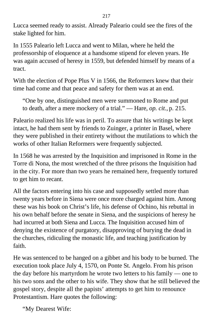Lucca seemed ready to assist. Already Paleario could see the fires of the stake lighted for him.

In 1555 Paleario left Lucca and went to Milan, where he held the professorship of eloquence at a handsome stipend for eleven years. He was again accused of heresy in 1559, but defended himself by means of a tract.

With the election of Pope Plus V in 1566, the Reformers knew that their time had come and that peace and safety for them was at an end.

"One by one, distinguished men were summoned to Rome and put to death, after a mere mockery of a trial." — Hare, *op. cit.,* p. 215.

Paleario realized his life was in peril. To assure that his writings be kept intact, he had them sent by friends to Zuinger, a printer in Basel, where they were published in their entirety without the mutilations to which the works of other Italian Reformers were frequently subjected.

In 1568 he was arrested by the Inquisition and imprisoned in Rome in the Torre di Nona, the most wretched of the three prisons the Inquisition had in the city. For more than two years he remained here, frequently tortured to get him to recant.

All the factors entering into his case and supposedly settled more than twenty years before in Siena were once more charged against him. Among these was his book on Christ's life, his defense of Ochino, his rebuttal in his own behalf before the senate in Siena, and the suspicions of heresy he had incurred at both Siena and Lucca. The Inquisition accused him of denying the existence of purgatory, disapproving of burying the dead in the churches, ridiculing the monastic life, and teaching justification by faith.

He was sentenced to be hanged on a gibbet and his body to be burned. The execution took place July 4, 1570, on Ponte St. Angelo. From his prison the day before his martyrdom he wrote two letters to his family — one to his two sons and the other to his wife. They show that he still believed the gospel story, despite all the papists' attempts to get him to renounce Protestantism. Hare quotes the following:

"My Dearest Wife: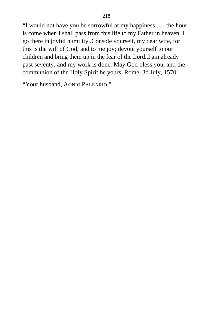"I would not have you be sorrowful at my happiness;. . . the hour is come when I shall pass from this life to my Father in heaven· I go there in joyful humility..Console yourself, my dear wife, for this is the will of God, and to me joy; devote yourself to our children and bring them up in the fear of the Lord..I am already past seventy, and my work is done. May God bless you, and the communion of the Holy Spirit be yours. Rome, 3d July, 1570.

"Your husband, AONIO PALEARIO."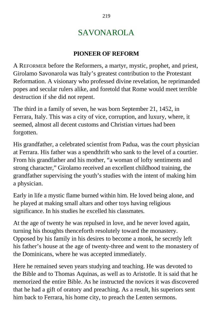## SAVONAROLA

### **PIONEER OF REFORM**

A REFORMER before the Reformers, a martyr, mystic, prophet, and priest, Girolamo Savonarola was Italy's greatest contribution to the Protestant Reformation. A visionary who professed divine revelation, he reprimanded popes and secular rulers alike, and foretold that Rome would meet terrible destruction if she did not repent.

The third in a family of seven, he was born September 21, 1452, in Ferrara, Italy. This was a city of vice, corruption, and luxury, where, it seemed, almost all decent customs and Christian virtues had been forgotten.

His grandfather, a celebrated scientist from Padua, was the court physician at Ferrara. His father was a spendthrift who sank to the level of a courtier. From his grandfather and his mother, "a woman of lofty sentiments and strong character," Girolamo received an excellent childhood training, the grandfather supervising the youth's studies with the intent of making him a physician.

Early in life a mystic flame burned within him. He loved being alone, and he played at making small altars and other toys having religious significance. In his studies he excelled his classmates.

At the age of twenty he was repulsed in love, and he never loved again, turning his thoughts thenceforth resolutely toward the monastery. Opposed by his family in his desires to become a monk, he secretly left his father's house at the age of twenty-three and went to the monastery of the Dominicans, where he was accepted immediately.

Here he remained seven years studying and teaching. He was devoted to the Bible and to Thomas Aquinas, as well as to Aristotle. It is said that he memorized the entire Bible. As he instructed the novices it was discovered that he had a gift of oratory and preaching. As a result, his superiors sent him back to Ferrara, his home city, to preach the Lenten sermons.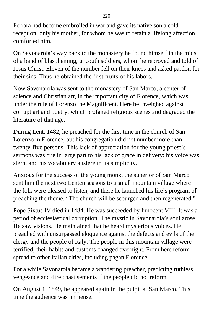Ferrara had become embroiled in war and gave its native son a cold reception; only his mother, for whom he was to retain a lifelong affection, comforted him.

On Savonarola's way back to the monastery he found himself in the midst of a band of blaspheming, uncouth soldiers, whom he reproved and told of Jesus Christ. Eleven of the number fell on their knees and asked pardon for their sins. Thus he obtained the first fruits of his labors.

Now Savonarola was sent to the monastery of San Marco, a center of science and Christian art, in the important city of Florence, which was under the rule of Lorenzo the Magnificent. Here he inveighed against corrupt art and poetry, which profaned religious scenes and degraded the literature of that age.

During Lent, 1482, he preached for the first time in the church of San Lorenzo in Florence, but his congregation did not number more than twenty-five persons. This lack of appreciation for the young priest's sermons was due in large part to his lack of grace in delivery; his voice was stern, and his vocabulary austere in its simplicity.

Anxious for the success of the young monk, the superior of San Marco sent him the next two Lenten seasons to a small mountain village where the folk were pleased to listen, and there he launched his life's program of preaching the theme, "The church will be scourged and then regenerated."

Pope Sixtus IV died in 1484. He was succeeded by Innocent VIII. It was a period of ecclesiastical corruption. The mystic in Savonarola's soul arose. He saw visions. He maintained that he heard mysterious voices. He preached with unsurpassed eloquence against the defects and evils of the clergy and the people of Italy. The people in this mountain village were terrified; their habits and customs changed overnight. From here reform spread to other Italian cities, including pagan Florence.

For a while Savonarola became a wandering preacher, predicting ruthless vengeance and dire chastisements if the people did not reform.

On August 1, 1849, he appeared again in the pulpit at San Marco. This time the audience was immense.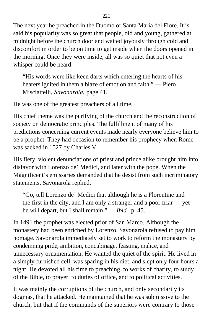The next year he preached in the Duomo or Santa Maria del Fiore. It is said his popularity was so great that people, old and young, gathered at midnight before the church door and waited joyously through cold and discomfort in order to be on time to get inside when the doors opened in the morning. Once they were inside, all was so quiet that not even a whisper could be heard.

"His words were like keen darts which entering the hearts of his hearers ignited in them a blaze of emotion and faith." — Piero Misciattelli, *Savonarola,* page 41.

He was one of the greatest preachers of all time.

His chief theme was the purifying of the church and the reconstruction of society on democratic principles. The fulfillment of many of his predictions concerning current events made nearly everyone believe him to be a prophet. They had occasion to remember his prophecy when Rome was sacked in 1527 by Charles V.

His fiery, violent denunciations of priest and prince alike brought him into disfavor with Lorenzo de' Medici, and later with the pope. When the Magnificent's emissaries demanded that he desist from such incriminatory statements, Savonarola replied,

"Go, tell Lorenzo de' Medici that although he is a Florentine and the first in the city, and I am only a stranger and a poor friar — yet he will depart, but I shall remain." — *Ibid.,* p. 45.

In 1491 the prophet was elected prior of San Marco. Although the monastery had been enriched by Lorenzo, Savonarola refused to pay him homage. Savonarola immediately set to work to reform the monastery by condemning pride, ambition, concubinage, feasting, malice, and unnecessary ornamentation. He wanted the quiet of the spirit. He lived in a simply furnished cell, was sparing in his diet, and slept only four hours a night. He devoted all his time to preaching, to works of charity, to study of the Bible, to prayer, to duties of office, and to political activities.

It was mainly the corruptions of the church, and only secondarily its dogmas, that he attacked. He maintained that he was submissive to the church, but that if the commands of the superiors were contrary to those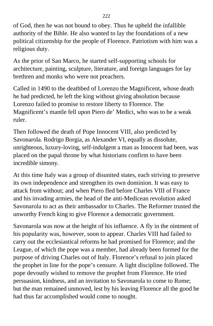of God, then he was not bound to obey. Thus he upheld the infallible authority of the Bible. He also wanted to lay the foundations of a new political citizenship for the people of Florence. Patriotism with him was a religious duty.

As the prior of San Marco, he started self-supporting schools for architecture, painting, sculpture, literature, and foreign languages for lay brethren and monks who were not preachers.

Called in 1490 to the deathbed of Lorenzo the Magnificent, whose death he had predicted, he left the king without giving absolution because Lorenzo failed to promise to restore liberty to Florence. The Magnificent's mantle fell upon Piero de' Medici, who was to be a weak ruler.

Then followed the death of Pope Innocent VIII, also predicted by Savonarola. Rodrigo Borgia, as Alexander VI, equally as dissolute, unrighteous, luxury-loving, self-indulgent a man as Innocent had been, was placed on the papal throne by what historians confirm to have been incredible simony.

At this time Italy was a group of disunited states, each striving to preserve its own independence and strengthen its own dominion. It was easy to attack from without; and when Piero fled before Charles VIII of France and his invading armies, the head of the anti-Medicean revolution asked Savonarola to act as their ambassador to Charles. The Reformer trusted the unworthy French king to give Florence a democratic government.

Savonarola was now at the height of his influence. A fly in the ointment of his popularity was, however, soon to appear. Charles VIII had failed to carry out the ecclesiastical reforms he had promised for Florence; and the League, of which the pope was a member, had already been formed for the purpose of driving Charles out of Italy. Florence's refusal to join placed the prophet in line for the pope's censure. A light discipline followed. The pope devoutly wished to remove the prophet from Florence. He tried persuasion, kindness, and an invitation to Savonarola to come to Rome; but the man remained unmoved, lest by his leaving Florence all the good he had thus far accomplished would come to nought.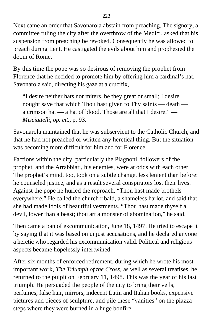Next came an order that Savonarola abstain from preaching. The signory, a committee ruling the city after the overthrow of the Medici, asked that his suspension from preaching be revoked. Consequently he was allowed to preach during Lent. He castigated the evils about him and prophesied the doom of Rome.

By this time the pope was so desirous of removing the prophet from Florence that he decided to promote him by offering him a cardinal's hat. Savonarola said, directing his gaze at a crucifix,

"I desire neither hats nor miters, be they great or small; I desire nought save that which Thou hast given to Thy saints — death a crimson hat — a hat of blood. Those are all that I desire." — *Misciattelli, op. cit.,* p. 93.

Savonarola maintained that he was subservient to the Catholic Church, and that he had not preached or written any heretical thing. But the situation was becoming more difficult for him and for Florence.

Factions within the city, particularly the Piagnoni, followers of the prophet, and the Arrabbiati, his enemies, were at odds with each other. The prophet's mind, too, took on a subtle change, less lenient than before: he counseled justice, and as a result several conspirators lost their lives. Against the pope he hurled the reproach, "Thou hast made brothels everywhere." He called the church ribald, a shameless harlot, and said that she had made idols of beautiful vestments. "Thou hast made thyself a devil, lower than a beast; thou art a monster of abomination," he said.

Then came a ban of excommunication, June 18, 1497. He tried to escape it by saying that it was based on unjust accusations, and he declared anyone a heretic who regarded his excommunication valid. Political and religious aspects became hopelessly intertwined.

After six months of enforced retirement, during which he wrote his most important work, *The Triumph of the Cross,* as well as several treatises, he returned to the pulpit on February 11, 1498. This was the year of his last triumph. He persuaded the people of the city to bring their veils, perfumes, false hair, mirrors, indecent Latin and Italian books, expensive pictures and pieces of sculpture, and pile these "vanities" on the piazza steps where they were burned in a huge bonfire.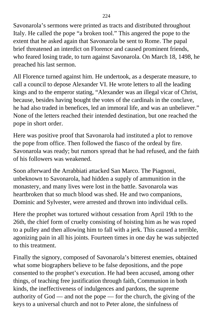Savonarola's sermons were printed as tracts and distributed throughout Italy. He called the pope "a broken tool." This angered the pope to the extent that he asked again that Savonarola be sent to Rome. The papal brief threatened an interdict on Florence and caused prominent friends, who feared losing trade, to turn against Savonarola. On March 18, 1498, he preached his last sermon.

All Florence turned against him. He undertook, as a desperate measure, to call a council to depose Alexander VI. He wrote letters to all the leading kings and to the emperor stating, "Alexander was an illegal vicar of Christ, because, besides having bought the votes of the cardinals in the conclave, he had also traded in benefices, led an immoral life, and was an unbeliever." None of the letters reached their intended destination, but one reached the pope in short order.

Here was positive proof that Savonarola had instituted a plot to remove the pope from office. Then followed the fiasco of the ordeal by fire. Savonarola was ready; but rumors spread that he had refused, and the faith of his followers was weakened.

Soon afterward the Arrabbiati attacked San Marco. The Piagnoni, unbeknown to Savonarola, had hidden a supply of ammunition in the monastery, and many lives were lost in the battle. Savonarola was heartbroken that so much blood was shed. He and two companions, Dominic and Sylvester, were arrested and thrown into individual cells.

Here the prophet was tortured without cessation from April 19th to the 26th, the chief form of cruelty consisting of hoisting him as he was roped to a pulley and then allowing him to fall with a jerk. This caused a terrible, agonizing pain in all his joints. Fourteen times in one day he was subjected to this treatment.

Finally the signory, composed of Savonarola's bitterest enemies, obtained what some biographers believe to be false depositions, and the pope consented to the prophet's execution. He had been accused, among other things, of teaching free justification through faith, Communion in both kinds, the ineffectiveness of indulgences and pardons, the supreme authority of God — and not the pope — for the church, the giving of the keys to a universal church and not to Peter alone, the sinfulness of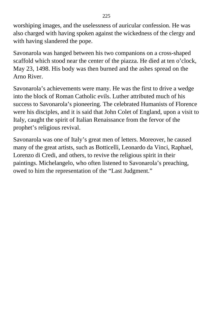worshiping images, and the uselessness of auricular confession. He was also charged with having spoken against the wickedness of the clergy and with having slandered the pope.

Savonarola was hanged between his two companions on a cross-shaped scaffold which stood near the center of the piazza. He died at ten o'clock, May 23, 1498. His body was then burned and the ashes spread on the Arno River.

Savonarola's achievements were many. He was the first to drive a wedge into the block of Roman Catholic evils. Luther attributed much of his success to Savonarola's pioneering. The celebrated Humanists of Florence were his disciples, and it is said that John Colet of England, upon a visit to Italy, caught the spirit of Italian Renaissance from the fervor of the prophet's religious revival.

Savonarola was one of Italy's great men of letters. Moreover, he caused many of the great artists, such as Botticelli, Leonardo da Vinci, Raphael, Lorenzo di Credi, and others, to revive the religious spirit in their paintings. Michelangelo, who often listened to Savonarola's preaching, owed to him the representation of the "Last Judgment."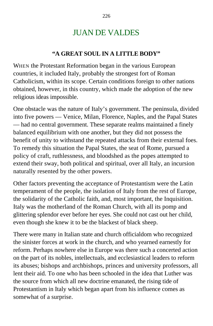## JUAN DE VALDES

#### **"A GREAT SOUL IN A LITTLE BODY"**

WHEN the Protestant Reformation began in the various European countries, it included Italy, probably the strongest fort of Roman Catholicism, within its scope. Certain conditions foreign to other nations obtained, however, in this country, which made the adoption of the new religious ideas impossible.

One obstacle was the nature of Italy's government. The peninsula, divided into five powers — Venice, Milan, Florence, Naples, and the Papal States — had no central government. These separate realms maintained a finely balanced equilibrium with one another, but they did not possess the benefit of unity to withstand the repeated attacks from their external foes. To remedy this situation the Papal States, the seat of Rome, pursued a policy of craft, ruthlessness, and bloodshed as the popes attempted to extend their sway, both political and spiritual, over all Italy, an incursion naturally resented by the other powers.

Other factors preventing the acceptance of Protestantism were the Latin temperament of the people, the isolation of Italy from the rest of Europe, the solidarity of the Catholic faith, and, most important, the Inquisition. Italy was the motherland of the Roman Church, with all its pomp and glittering splendor ever before her eyes. She could not cast out her child, even though she knew it to be the blackest of black sheep.

There were many in Italian state and church officialdom who recognized the sinister forces at work in the church, and who yearned earnestly for reform. Perhaps nowhere else in Europe was there such a concerted action on the part of its nobles, intellectuals, and ecclesiastical leaders to reform its abuses; bishops and archbishops, princes and university professors, all lent their aid. To one who has been schooled in the idea that Luther was the source from which all new doctrine emanated, the rising tide of Protestantism in Italy which began apart from his influence comes as somewhat of a surprise.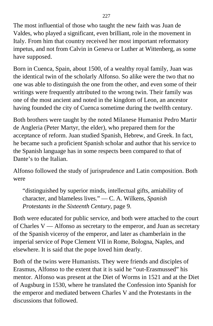The most influential of those who taught the new faith was Juan de Valdes, who played a significant, even brilliant, role in the movement in Italy. From him that country received her most important reformatory impetus, and not from Calvin in Geneva or Luther at Wittenberg, as some have supposed.

Born in Cuenca, Spain, about 1500, of a wealthy royal family, Juan was the identical twin of the scholarly Alfonso. So alike were the two that no one was able to distinguish the one from the other, and even some of their writings were frequently attributed to the wrong twin. Their family was one of the most ancient and noted in the kingdom of Leon, an ancestor having founded the city of Cuenca sometime during the twelfth century.

Both brothers were taught by the noted Milanese Humanist Pedro Martir de Angleria (Peter Martyr, the elder), who prepared them for the acceptance of reform. Juan studied Spanish, Hebrew, and Greek. In fact, he became such a proficient Spanish scholar and author that his service to the Spanish language has in some respects been compared to that of Dante's to the Italian.

Alfonso followed the study of jurisprudence and Latin composition. Both were

"distinguished by superior minds, intellectual gifts, amiability of character, and blameless lives." — C. A. Wilkens, *Spanish Protestants in the Sixteenth Century,* page 9.

Both were educated for public service, and both were attached to the court of Charles V — Alfonso as secretary to the emperor, and Juan as secretary of the Spanish viceroy of the emperor, and later as chamberlain in the imperial service of Pope Clement VII in Rome, Bologna, Naples, and elsewhere. It is said that the pope loved him dearly.

Both of the twins were Humanists. They were friends and disciples of Erasmus, Alfonso to the extent that it is said he "out-Erasmussed" his mentor. Alfonso was present at the Diet of Worms in 1521 and at the Diet of Augsburg in 1530, where he translated the Confession into Spanish for the emperor and mediated between Charles V and the Protestants in the discussions that followed.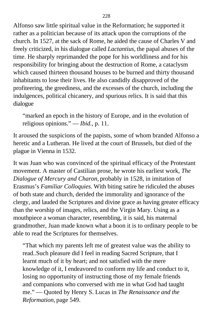Alfonso saw little spiritual value in the Reformation; he supported it rather as a politician because of its attack upon the corruptions of the church. In 1527, at the sack of Rome, he aided the cause of Charles V and freely criticized, in his dialogue called *Lactantius,* the papal abuses of the time. He sharply reprimanded the pope for his worldliness and for his responsibility for bringing about the destruction of Rome, a cataclysm which caused thirteen thousand houses to be burned and thirty thousand inhabitants to lose their lives. He also candidly disapproved of the profiteering, the greediness, and the excesses of the church, including the indulgences, political chicanery, and spurious relics. It is said that this dialogue

"marked an epoch in the history of Europe, and in the evolution of religious opinions." — *Ibid.,* p. 11.

It aroused the suspicions of the papists, some of whom branded Alfonso a heretic and a Lutheran. He lived at the court of Brussels, but died of the plague in Vienna in 1532.

It was Juan who was convinced of the spiritual efficacy of the Protestant movement. A master of Castilian prose, he wrote his earliest work, *The Dialogue of Mercury and Charon,* probably in 1528, in imitation of Erasmus's *Familiar Colloquies.* With biting satire he ridiculed the abuses of both state and church, derided the immorality and ignorance of the clergy, and lauded the Scriptures and divine grace as having greater efficacy than the worship of images, relics, and the Virgin Mary. Using as a mouthpiece a woman character, resembling, it is said, his maternal grandmother, Juan made known what a boon it is to ordinary people to be able to read the Scriptures for themselves.

"That which my parents left me of greatest value was the ability to read..Such pleasure did I feel in reading Sacred Scripture, that I learnt much of it by heart; and not satisfied with the mere knowledge of it, I endeavored to conform my life and conduct to it, losing no opportunity of instructing those of my female friends and companions who conversed with me in what God had taught me." — Quoted by Henry S. Lucas in *The Renaissance and the Reformation,* page 549.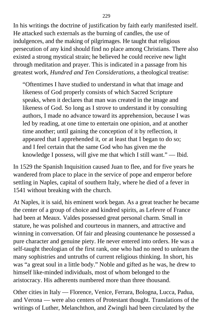In his writings the doctrine of justification by faith early manifested itself. He attacked such externals as the burning of candles, the use of indulgences, and the making of pilgrimages. He taught that religious persecution of any kind should find no place among Christians. There also existed a strong mystical strain; he believed he could receive new light through meditation and prayer. This is indicated in a passage from his greatest work, *Hundred and Ten Considerations,* a theological treatise:

"Oftentimes I have studied to understand in what that image and likeness of God properly consists of which Sacred Scripture speaks, when it declares that man was created in the image and likeness of God. So long as I strove to understand it by consulting authors, I made no advance toward its apprehension, because I was led by reading, at one time to entertain one opinion, and at another time another; until gaining the conception of it by reflection, it appeared that I apprehended it, or at least that I began to do so; and I feel certain that the same God who has given me the knowledge I possess, will give me that which I still want." — Ibid.

In 1529 the Spanish Inquisition caused Juan to flee, and for five years he wandered from place to place in the service of pope and emperor before settling in Naples, capital of southern Italy, where he died of a fever in 1541 without breaking with the church.

At Naples, it is said, his eminent work began. As a great teacher he became the center of a group of choice and kindred spirits, as Lefevre of France had been at Meaux. Valdes possessed great personal charm. Small in stature, he was polished and courteous in manners, and attractive and winning in conversation. Of fair and pleasing countenance he possessed a pure character and genuine piety. He never entered into orders. He was a self-taught theologian of the first rank, one who had no need to unlearn the many sophistries and untruths of current religious thinking. In short, his was "a great soul in a little body." Noble and gifted as he was, he drew to himself like-minded individuals, most of whom belonged to the aristocracy. His adherents numbered more than three thousand.

Other cities in Italy — Florence, Venice, Ferrara, Bologna, Lucca, Padua, and Verona — were also centers of Protestant thought. Translations of the writings of Luther, Melanchthon, and Zwingli had been circulated by the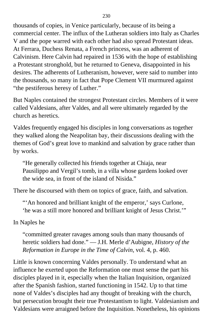thousands of copies, in Venice particularly, because of its being a commercial center. The influx of the Lutheran soldiers into Italy as Charles V and the pope warred with each other had also spread Protestant ideas. At Ferrara, Duchess Renata, a French princess, was an adherent of Calvinism. Here Calvin had repaired in 1536 with the hope of establishing a Protestant stronghold, but he returned to Geneva, disappointed in his desires. The adherents of Lutheranism, however, were said to number into the thousands, so many in fact that Pope Clement VII murmured against "the pestiferous heresy of Luther."

But Naples contained the strongest Protestant circles. Members of it were called Valdesians, after Valdes, and all were ultimately regarded by the church as heretics.

Valdes frequently engaged his disciples in long conversations as together they walked along the Neapolitan bay, their discussions dealing with the themes of God's great love to mankind and salvation by grace rather than by works.

"He generally collected his friends together at Chiaja, near Pausilippo and Vergil's tomb, in a villa whose gardens looked over the wide sea, in front of the island of Nisida."

There he discoursed with them on topics of grace, faith, and salvation.

"'An honored and brilliant knight of the emperor,' says Curlone, 'he was a still more honored and brilliant knight of Jesus Christ.'"

In Naples he

"committed greater ravages among souls than many thousands of heretic soldiers had done." — J.H. Merle d'Aubigne, *History of the Reformation in Europe in the Time of Calvin,* vol. 4, p. 460.

Little is known concerning Valdes personally. To understand what an influence he exerted upon the Reformation one must sense the part his disciples played in it, especially when the Italian Inquisition, organized after the Spanish fashion, started functioning in 1542. Up to that time none of Valdes's disciples had any thought of breaking with the church, but persecution brought their true Protestantism to light. Valdesianism and Valdesians were arraigned before the Inquisition. Nonetheless, his opinions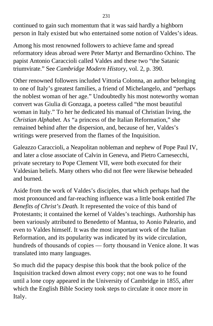continued to gain such momentum that it was said hardly a highborn person in Italy existed but who entertained some notion of Valdes's ideas.

Among his most renowned followers to achieve fame and spread reformatory ideas abroad were Peter Martyr and Bernardino Ochino. The papist Antonio Caraccioli called Valdes and these two "the Satanic triumvirate." See *Cambridge Modern History,* vol. 2, p. 390.

Other renowned followers included Vittoria Colonna, an author belonging to one of Italy's greatest families, a friend of Michelangelo, and "perhaps the noblest woman of her age." Undoubtedly his most noteworthy woman convert was Giulia di Gonzaga, a poetess called "the most beautiful woman in Italy." To her he dedicated his manual of Christian living, the *Christian Alphabet.* As "a princess of the Italian Reformation," she remained behind after the dispersion, and, because of her, Valdes's writings were preserved from the flames of the Inquisition.

Galeazzo Caraccioli, a Neapolitan nobleman and nephew of Pope Paul IV, and later a close associate of Calvin in Geneva, and Pietro Carnesecchi, private secretary to Pope Clement VII, were both executed for their Valdesian beliefs. Many others who did not flee were likewise beheaded and burned.

Aside from the work of Valdes's disciples, that which perhaps had the most pronounced and far-reaching influence was a little book entitled *The Benefits of Christ's Death.* It represented the voice of this band of Protestants; it contained the kernel of Valdes's teachings. Authorship has been variously attributed to Benedetto of Mantua, to Aonio Paleario, and even to Valdes himself. It was the most important work of the Italian Reformation, and its popularity was indicated by its wide circulation, hundreds of thousands of copies — forty thousand in Venice alone. It was translated into many languages.

So much did the papacy despise this book that the book police of the Inquisition tracked down almost every copy; not one was to he found until a lone copy appeared in the University of Cambridge in 1855*,* after which the English Bible Society took steps to circulate it once more in Italy.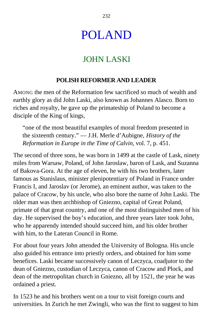## POLAND

## JOHN LASKI

#### **POLISH REFORMER AND LEADER**

AMONG the men of the Reformation few sacrificed so much of wealth and earthly glory as did John Laski, also known as Johannes Alasco. Born to riches and royalty, he gave up the primateship of Poland to become a disciple of the King of kings,

"one of the most beautiful examples of moral freedom presented in the sixteenth century." — J.H. Merle d'Aubigne, *History of the Reformation in Europe in the Time of Calvin,* vol. 7, p. 451.

The second of three sons, he was born in 1499 at the castle of Lask, ninety miles from Warsaw, Poland, of John Jaroslaw, baron of Lask, and Suzanna of Bakova-Gora. At the age of eleven, he with his two brothers, later famous as Stanislaus, minister plenipotentiary of Poland in France under Francis I, and Jaroslav (or Jerome), an eminent author, was taken to the palace of Cracow, by his uncle, who also bore the name of John Laski. The older man was then archbishop of Gniezno, capital of Great Poland, primate of that great country, and one of the most distinguished men of his day. He supervised the boy's education, and three years later took John, who he apparendy intended should succeed him, and his older brother with him, to the Lateran Council in Rome.

For about four years John attended the University of Bologna. His uncle also guided his entrance into priestly orders, and obtained for him some benefices. Laski became successively canon of Leczyca, coadjutor to the dean of Gniezno, custodian of Leczyca, canon of Cracow and Plock, and dean of the metropolitan church in Gniezno, all by 1521, the year he was ordained a priest.

In 1523 he and his brothers went on a tour to visit foreign courts and universities. In Zurich he met Zwingli, who was the first to suggest to him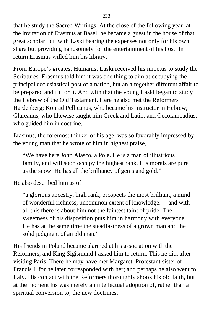that he study the Sacred Writings. At the close of the following year, at the invitation of Erasmus at Basel, he became a guest in the house of that great scholar, but with Laski bearing the expenses not only for his own share but providing handsomely for the entertainment of his host. In return Erasmus willed him his library.

From Europe's greatest Humanist Laski received his impetus to study the Scriptures. Erasmus told him it was one thing to aim at occupying the principal ecclesiastical post of a nation, but an altogether different affair to be prepared and fit for it. And with that the young Laski began to study the Hebrew of the Old Testament. Here he also met the Reformers Hardenberg; Konrad Pellicanus, who became his instructor in Hebrew; Glareanus, who likewise taught him Greek and Latin; and Oecolampadius, who guided him in doctrine.

Erasmus, the foremost thinker of his age, was so favorably impressed by the young man that he wrote of him in highest praise,

"We have here John Alasco, a Pole. He is a man of illustrious family, and will soon occupy the highest rank. His morals are pure as the snow. He has all the brilliancy of gems and gold."

He also described him as of

"a glorious ancestry, high rank, prospects the most brilliant, a mind of wonderful richness, uncommon extent of knowledge. . . and with all this there is about him not the faintest taint of pride. The sweetness of his disposition puts him in harmony with everyone. He has at the same time the steadfastness of a grown man and the solid judgment of an old man."

His friends in Poland became alarmed at his association with the Reformers, and King Sigismund I asked him to return. This he did, after visiting Paris. There he may have met Margaret, Protestant sister of Francis I, for he later corresponded with her; and perhaps he also went to Italy. His contact with the Reformers thoroughly shook his old faith, but at the moment his was merely an intellectual adoption of, rather than a spiritual conversion to, the new doctrines.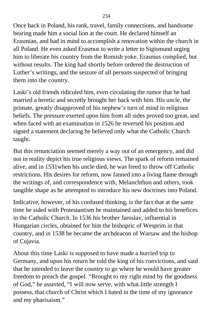Once back in Poland, his rank, travel, family connections, and handsome bearing made him a social lion at the court. He declared himself an Erasmian, and had in mind to accomplish a renovation within the church in all Poland. He even asked Erasmus to write a letter to Sigismund urging him to liberate his country from the Romish yoke. Erasmus complied, but without results. The king had shortly before ordered the destruction of Luther's writings, and the seizure of all persons suspected of bringing them into the country.

Laski's old friends ridiculed him, even circulating the rumor that he had married a heretic and secretly brought her back with him. His uncle, the primate, greatly disapproved of his nephew's turn of mind in religious beliefs. The pressure exerted upon him from all sides proved too great, and when faced with an examination in 1526 he reversed his position and signed a statement declaring he believed only what the Catholic Church taught.

But this renunciation seemed merely a way out of an emergency, and did not in reality depict his true religious views. The spark of reform remained alive, and in 1531when his uncle died, he was freed to throw off Catholic restrictions. His desires for reform, now fanned into a living flame through the writings of, and correspondence with, Melanchthon and others, took tangible shape as he attempted to introduce his new doctrines into Poland.

Indicative, however, of his confused thinking, is the fact that at the same time he sided with Protestantism he maintained and added to his benefices in the Catholic Church. In 1536 his brother Jaroslav, influential in Hungarian circles, obtained for him the bishopric of Wesprim in that country, and in 1538 he became the archdeacon of Warsaw and the bishop of Cujavia.

About this time Laski is supposed to have made a hurried trip to Germany, and upon his return he told the king of his convictions, and said that he intended to leave the country to go where he would have greater freedom to preach the gospel. "Brought to my right mind by the goodness of God," he asserted, "I will now serve, with what.little strength I possess, that church of Christ which I hated in the time of my ignorance and my pharisaism."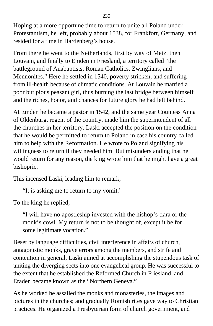Hoping at a more opportune time to return to unite all Poland under Protestantism, he left, probably about 1538, for Frankfort, Germany, and resided for a time in Hardenberg's house.

From there he went to the Netherlands, first by way of Metz, then Louvain, and finally to Emden in Friesland, a territory called "the battleground of Anabaptists, Roman Catholics, Zwinglians, and Mennonites." Here he settled in 1540, poverty stricken, and suffering from ill-health because of climatic conditions. At Louvain he married a poor but pious peasant girl, thus burning the last bridge between himself and the riches, honor, and chances for future glory he had left behind.

At Emden he became a pastor in 1542, and the same year Countess Anna of Oldenburg, regent of the country, made him the superintendent of all the churches in her territory. Laski accepted the position on the condition that he would be permitted to return to Poland in case his country called him to help with the Reformation. He wrote to Poland signifying his willingness to return if they needed him. But misunderstanding that he would return for any reason, the king wrote him that he might have a great bishopric.

This incensed Laski, leading him to remark,

"It is asking me to return to my vomit."

To the king he replied,

"I will have no apostleship invested with the hishop's tiara or the monk's cowl. My return is not to be thought of, except it be for some legitimate vocation."

Beset by language difficulties, civil interference in affairs of church, antagonistic monks, grave errors among the members, and strife and contention in general, Laski aimed at accomplishing the stupendous task of uniting the diverging sects into one evangelical group. He was successful to the extent that he established the Reformed Church in Friesland, and Eraden became known as the "Northern Geneva."

As he worked he assailed the monks and monasteries, the images and pictures in the churches; and gradually Romish rites gave way to Christian practices. He organized a Presbyterian form of church government, and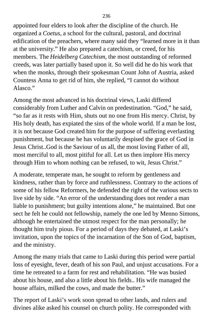appointed four elders to look after the discipline of the church. He organized a *Coetus,* a school for the cultural, pastoral, and doctrinal edification of the preachers, where many said they "learned more in it than at the university." He also prepared a catechism, or creed, for his members. The *Heidelberg Catechism,* the most outstanding of reformed creeds, was later partially based upon it. So well did he do his work that when the monks, through their spokesman Count John of Austria, asked Countess Anna to get rid of him, she replied, "I cannot do without Alasco<sup>"</sup>

Among the most advanced in his doctrinal views, Laski differed considerably from Luther and Calvin on predestination. "God," he said, "so far as it rests with Him, shuts out no one from His mercy. Christ, by His holy death, has expiated the sins of the whole world. If a man be lost, it is not because God created him for the purpose of suffering everlasting punishment, but because he has voluntarily despised the grace of God in Jesus Christ..God is the Saviour of us all, the most loving Father of all, most merciful to all, most pitiful for all. Let us then implore His mercy through Him to whom nothing can be refused, to wit, Jesus Christ."

A moderate, temperate man, he sought to reform by gentleness and kindness, rather than by force and ruthlessness. Contrary to the actions of some of his fellow Reformers, he defended the right of the various sects to live side by side. "An error of the understanding does not render a man liable to punishment; but guilty intentions alone," he maintained. But one sect he felt he could not fellowship, namely the one led by Menno Simons, although he entertained the utmost respect for the man personally; he thought him truly pious. For a period of days they debated, at Laski's invitation, upon the topics of the incarnation of the Son of God, baptism, and the ministry.

Among the many trials that came to Laski during this period were partial loss of eyesight, fever, death of his son Paul, and unjust accusations. For a time he retreated to a farm for rest and rehabilitation. "He was busied about his house, and also a little about his fields.. His wife managed the house affairs, milked the cows, and made the butter."

The report of Laski's work soon spread to other lands, and rulers and divines alike asked his counsel on church polity. He corresponded with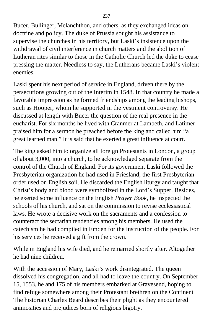Bucer, Bullinger, Melanchthon, and others, as they exchanged ideas on doctrine and policy. The duke of Prussia sought his assistance to supervise the churches in his territory, but Laski's insistence upon the withdrawal of civil interference in church matters and the abolition of Lutheran rites similar to those in the Catholic Church led the duke to cease pressing the matter. Needless to say, the Lutherans became Laski's violent enemies.

Laski spent his next period of service in England, driven there by the persecutions growing out of the Interim in 1548. In that country he made a favorable impression as he formed friendships among the leading bishops, such as Hooper, whom he supported in the vestment controversy. He discussed at length with Bucer the question of the real presence in the eucharist. For six months he lived with Cranmer at Lambeth, and Latimer praised him for a sermon he preached before the king and called him "a great learned man." It is said that he exerted a great influence at court.

The king asked him to organize all foreign Protestants in London, a group of about 3,000, into a church, to be acknowledged separate from the control of the Church of England. For its government Laski followed the Presbyterian organization he had used in Friesland, the first Presbyterian order used on English soil. He discarded the English liturgy and taught that Christ's body and blood were symbolized in the Lord's Supper. Besides, he exerted some influence on the English *Prayer Book,* he inspected the schools of his church, and sat on the commission to revise ecclesiastical laws. He wrote a decisive work on the sacraments and a confession to counteract the sectarian tendencies among his members. He used the catechism he had compiled in Emden for the instruction of the people. For his services he received a gift from the crown.

While in England his wife died, and he remarried shortly after. Altogether he had nine children.

With the accession of Mary, Laski's work disintegrated. The queen dissolved his congregation, and all had to leave the country. On September 15, 1553, he and 175 of his members embarked at Gravesend, hoping to find refuge somewhere among their Protestant brethren on the Continent The historian Charles Beard describes their plight as they encountered animosities and prejudices born of religious bigotry.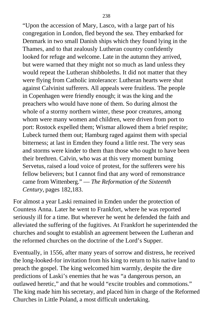"Upon the accession of Mary, Lasco, with a large part of his congregation in London, fled beyond the sea. They embarked for Denmark in two small Danish ships which they found lying in the Thames, and to that zealously Lutheran country confidently looked for refuge and welcome. Late in the autumn they arrived, but were warned that they might not so much as land unless they would repeat the Lutheran shibboleths. It did not matter that they were flying from Catholic intolerance: Lutheran hearts were shut against Calvinist sufferers. All appeals were fruitless. The people in Copenhagen were friendly enough; it was the king and the preachers who would have none of them. So during almost the whole of a stormy northern winter, these poor creatures, among whom were many women and children, were driven from port to port: Rostock expelled them; Wismar allowed them a brief respite; Lubeck turned them out; Hamburg raged against them with special bitterness; at last in Emden they found a little rest. The very seas and storms were kinder to them than those who ought to have been their brethren. Calvin, who was at this very moment burning Servetus, raised a loud voice of protest, for the sufferers were his fellow believers; but I cannot find that any word of remonstrance came from Wittenberg." — *The Reformation of the Sixteenth Century,* pages 182,183.

For almost a year Laski remained in Emden under the protection of Countess Anna. Later he went to Frankfort, where he was reported seriously ill for a time. But wherever he went he defended the faith and alleviated the suffering of the fugitives. At Frankfort he superintended the churches and sought to establish an agreement between the Lutheran and the reformed churches on the doctrine of the Lord's Supper.

Eventually, in 1556, after many years of sorrow and distress, he received the long-looked-for invitation from his king to return to his native land to preach the gospel. The king welcomed him warmly, despite the dire predictions of Laski's enemies that he was "a dangerous person, an outlawed heretic," and that he would "excite troubles and commotions." The king made him his secretary, and placed him in charge of the Reformed Churches in Little Poland, a most difficult undertaking.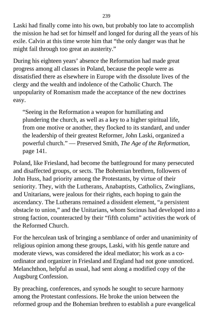Laski had finally come into his own, but probably too late to accomplish the mission he had set for himself and longed for during all the years of his exile. Calvin at this time wrote him that "the only danger was that he might fail through too great an austerity."

During his eighteen years' absence the Reformation had made great progress among all classes in Poland, because the people were as dissatisfied there as elsewhere in Europe with the dissolute lives of the clergy and the wealth and indolence of the Catholic Church. The unpopularity of Romanism made the acceptance of the new doctrines easy.

"Seeing in the Reformation a weapon for humiliating and plundering the church, as well as a key to a higher spiritual life, from one motive or another, they flocked to its standard, and under the leadership of their greatest Reformer, John Laski, organized a powerful church." — Preserved Smith, *The Age of the Reformation,* page 141.

Poland, like Friesland, had become the battleground for many persecuted and disaffected groups, or sects. The Bohemian brethren, followers of John Huss, had priority among the Protestants, by virtue of their seniority. They, with the Lutherans, Anabaptists, Catholics, Zwinglians, and Unitarians, were jealous for their rights, each hoping to gain the ascendancy. The Lutherans remained a dissident element, "a persistent obstacle to union," and the Unitarians, whom Socinus had developed into a strong faction, counteracted by their "fifth column" activities the work of the Reformed Church.

For the herculean task of bringing a semblance of order and unaniminity of religious opinion among these groups, Laski, with his gentle nature and moderate views, was considered the ideal mediator; his work as a coordinator and organizer in Friesland and England had not gone unnoticed. Melanchthon, helpful as usual, had sent along a modified copy of the Augsburg Confession.

By preaching, conferences, and synods he sought to secure harmony among the Protestant confessions. He broke the union between the reformed group and the Bohemian brethren to establish a pure evangelical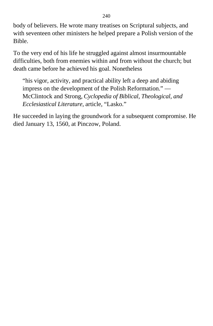body of believers. He wrote many treatises on Scriptural subjects, and with seventeen other ministers he helped prepare a Polish version of the Bible.

To the very end of his life he struggled against almost insurmountable difficulties, both from enemies within and from without the church; but death came before he achieved his goal. Nonetheless

"his vigor, activity, and practical ability left a deep and abiding impress on the development of the Polish Reformation." — McClintock and Strong, *Cyclopedia of Biblical, Theological, and Ecclesiastical Literature,* article, "Lasko."

He succeeded in laying the groundwork for a subsequent compromise. He died January 13, 1560, at Pinczow, Poland.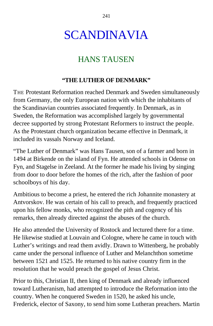# SCANDINAVIA

## HANS TAUSEN

#### **"THE LUTHER OF DENMARK"**

THE Protestant Reformation reached Denmark and Sweden simultaneously from Germany, the only European nation with which the inhabitants of the Scandinavian countries associated frequently. In Denmark, as in Sweden, the Reformation was accomplished largely by governmental decree supported by strong Protestant Reformers to instruct the people. As the Protestant church organization became effective in Denmark, it included its vassals Norway and Iceland.

"The Luther of Denmark" was Hans Tausen, son of a farmer and born in 1494 at Birkende on the island of Fyn. He attended schools in Odense on Fyn, and Stagelse in Zeeland. At the former he made his living by singing from door to door before the homes of the rich, after the fashion of poor schoolboys of his day.

Ambitious to become a priest, he entered the rich Johannite monastery at Antvorskov. He was certain of his call to preach, and frequently practiced upon his fellow monks, who recognized the pith and cogency of his remarks, then already directed against the abuses of the church.

He also attended the University of Rostock and lectured there for a time. He likewise studied at Louvain and Cologne, where he came in touch with Luther's writings and read them avidly. Drawn to Wittenberg, he probably came under the personal influence of Luther and Melanchthon sometime between 1521 and 1525. He returned to his native country firm in the resolution that he would preach the gospel of Jesus Christ.

Prior to this, Christian II, then king of Denmark and already influenced toward Lutheranism, had attempted to introduce the Reformation into the country. When he conquered Sweden in 1520, he asked his uncle, Frederick, elector of Saxony, to send him some Lutheran preachers. Martin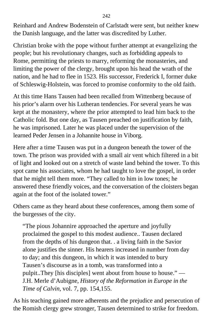Reinhard and Andrew Bodenstein of Carlstadt were sent, but neither knew the Danish language, and the latter was discredited by Luther.

Christian broke with the pope without further attempt at evangelizing the people; but his revolutionary changes, such as forbidding appeals to Rome, permitting the priests to marry, reforming the monasteries, and limiting the power of the clergy, brought upon his head the wrath of the nation, and he had to flee in 1523. His successor, Frederick I, former duke of Schleswig-Holstein, was forced to promise conformity to the old faith.

At this time Hans Tausen had been recalled from Wittenberg because of his prior's alarm over his Lutheran tendencies. For several years he was kept at the monastery, where the prior attempted to lead him back to the Catholic fold. But one day, as Tausen preached on justification by faith, he was imprisoned. Later he was placed under the supervision of the learned Peder Jensen in a Johannite house in Viborg.

Here after a time Tausen was put in a dungeon beneath the tower of the town. The prison was provided with a small air vent which filtered in a bit of light and looked out on a stretch of waste land behind the tower. To this spot came his associates, whom he had taught to love the gospel, in order that he might tell them more. "They called to him in low tones; he answered these friendly voices, and the conversation of the cloisters began again at the foot of the isolated tower."

Others came as they heard about these conferences, among them some of the burgesses of the city.

"The pious Johannire approached the aperture and joyfully proclaimed the gospel to this modest audience.. Tausen declared from the depths of his dungeon that. . a living faith in the Savior alone justifies the sinner. His hearers increased in number from day to day; and this dungeon, in which it was intended to bury Tausen's discourse as in a tomb, was transformed into a pulpit..They [his disciples] went about from house to house." — J.H. Merle d'Aubigne, *History of the Reformation in Europe in the Time of Calvin,* vol. 7, pp. 154,155.

As his teaching gained more adherents and the prejudice and persecution of the Romish clergy grew stronger, Tausen determined to strike for freedom.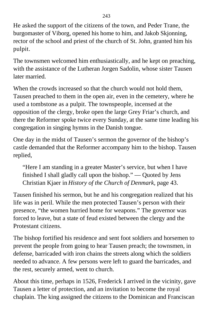He asked the support of the citizens of the town, and Peder Trane, the burgomaster of Viborg, opened his home to him, and Jakob Skjonning, rector of the school and priest of the church of St. John, granted him his pulpit.

The townsmen welcomed him enthusiastically, and he kept on preaching, with the assistance of the Lutheran Jorgen Sadolin, whose sister Tausen later married.

When the crowds increased so that the church would not hold them. Tausen preached to them in the open air, even in the cemetery, where he used a tombstone as a pulpit. The townspeople, incensed at the opposition of the clergy, broke open the large Grey Friar's church, and there the Reformer spoke twice every Sunday, at the same time leading his congregation in singing hymns in the Danish tongue.

One day in the midst of Tausen's sermon the governor of the bishop's castle demanded that the Reformer accompany him to the bishop. Tausen replied,

"Here I am standing in a greater Master's service, but when I have finished I shall gladly call upon the bishop." — Quoted by Jens Christian Kjaer in *History of the Church of Denmark,* page 43.

Tausen finished his sermon, but he and his congregation realized that his life was in peril. While the men protected Tausen's person with their presence, "the women hurried home for weapons." The governor was forced to leave, but a state of feud existed between the clergy and the Protestant citizens.

The bishop fortified his residence and sent foot soldiers and horsemen to prevent the people from going to hear Tausen preach; the townsmen, in defense, barricaded with iron chains the streets along which the soldiers needed to advance. A few persons were left to guard the barricades, and the rest, securely armed, went to church.

About this time, perhaps in 1526, Frederick I arrived in the vicinity, gave Tausen a letter of protection, and an invitation to become the royal chaplain. The king assigned the citizens to the Dominican and Franciscan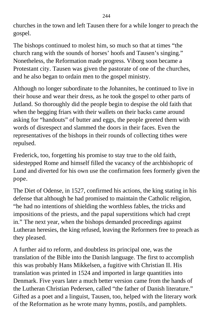churches in the town and left Tausen there for a while longer to preach the gospel.

The bishops continued to molest him, so much so that at times "the church rang with the sounds of horses' hoofs and Tausen's singing." Nonetheless, the Reformation made progress. Viborg soon became a Protestant city. Tausen was given the pastorate of one of the churches, and he also began to ordain men to the gospel ministry.

Although no longer subordinate to the Johannites, he continued to live in their house and wear their dress, as he took the gospel to other parts of Jutland. So thoroughly did the people begin to despise the old faith that when the begging friars with their wallets on their backs came around asking for "handouts" of butter and eggs, the people greeted them with words of disrespect and slammed the doors in their faces. Even the representatives of the bishops in their rounds of collecting tithes were repulsed.

Frederick, too, forgetting his promise to stay true to the old faith, sidestepped Rome and himself filled the vacancy of the archbishopric of Lund and diverted for his own use the confirmation fees formerly given the pope.

The Diet of Odense, in 1527, confirmed his actions, the king stating in his defense that although he had promised to maintain the Catholic religion, "he had no intentions of shielding the worthless fables, the tricks and impositions of the priests, and the papal superstitions which had crept in." The next year, when the bishops demanded proceedings against Lutheran heresies, the king refused, leaving the Reformers free to preach as they pleased.

A further aid to reform, and doubtless its principal one, was the translation of the Bible into the Danish language. The first to accomplish this was probably Hans Mikkelsen, a fugitive with Christian II. His translation was printed in 1524 and imported in large quantities into Denmark. Five years later a much better version came from the hands of the Lutheran Christian Pedersen, called "the father of Danish literature." Gifted as a poet and a linguist, Tausen, too, helped with the literary work of the Reformation as he wrote many hymns, postils, and pamphlets.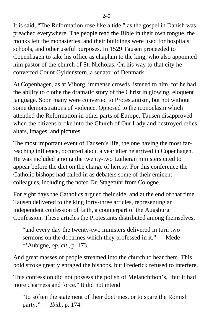It is said, "The Reformation rose like a tide," as the gospel in Danish was preached everywhere. The people read the Bible in their own tongue, the monks left the monasteries, and their buildings were used for hospitals, schools, and other useful purposes. In 1529 Tausen proceeded to Copenhagen to take his office as chaplain to the king, who also appointed him pastor of the church of St. Nicholas. On his way to that city he converted Count Gyldenstern, a senator of Denmark.

At Copenhagen, as at Viborg, immense crowds listened to him, for he had the ability to clothe the dramatic story of the Christ in glowing, eloquent language. Soon many were converted to Protestantism, but not without some demonstrations of violence. Opposed to the iconoclasm which attended the Reformation in other parts of Europe, Tausen disapproved when the citizens broke into the Church of Our Lady and destroyed relics, altars, images, and pictures.

The most important event of Tausen's life, the one having the most farreaching influence, occurred about a year after he arrived in Copenhagen. He was included among the twenty-two Lutheran ministers cited to appear before the diet on the charge of heresy. For this conference the Catholic bishops had called in as debaters some of their eminent colleagues, including the noted Dr. Stagefuhr from Cologne.

For eight days the Catholics argued their side, and at the end of that time Tausen delivered to the king forty-three articles, representing an independent confession of faith, a counterpart of the Augsburg Confession. These articles the Protestants distributed among themselves,

"and every day the twenty-two ministers delivered in turn two sermons on the doctrines which they professed in it." — Mede d'Aubigne, *op. cit.,* p. 173.

And great masses of people streamed into the church to hear them. This bold stroke greatly enraged the bishops, but Frederick refused to interfere.

This confession did not possess the polish of Melanchthon's, "but it had more clearness and force." It did not intend

"to soften the statement of their doctrines, or to spare the Romish party." — *Ibid.,* p. 174.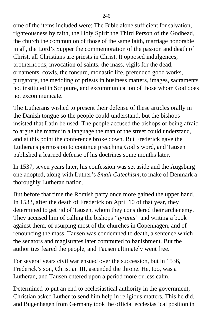ome of the items included were: The Bible alone sufficient for salvation, righteousness by faith, the Holy Spirit the Third Person of the Godhead, the church the communion of those of the same faith, marriage honorable in all, the Lord's Supper the commemoration of the passion and death of Christ, all Christians are priests in Christ. It opposed indulgences, brotherhoods, invocation of saints, the mass, vigils for the dead, ornaments, cowls, the tonsure, monastic life, pretended good works, purgatory, the meddling of priests in business matters, images, sacraments not instituted in Scripture, and excommunication of those whom God does not excommunicate.

The Lutherans wished to present their defense of these articles orally in the Danish tongue so the people could understand, but the bishops insisted that Latin be used. The people accused the bishops of being afraid to argue the matter in a language the man of the street could understand, and at this point the conference broke down. But Frederick gave the Lutherans permission to continue preaching God's word, and Tausen published a learned defense of his doctrines some months later.

In 1537, seven years later, his confession was set aside and the Augsburg one adopted, along with Luther's *Small Catechism,* to make of Denmark a thoroughly Lutheran nation.

But before that time the Romish party once more gained the upper hand. In 1533, after the death of Frederick on April 10 of that year, they determined to get rid of Tausen, whom they considered their archenemy. They accused him of calling the bishops *"tyrants"* and writing a book against them, of usurping most of the churches in Copenhagen, and of renouncing the mass. Tausen was condemned to death, a sentence which the senators and magistrates later commuted to banishment. But the authorities feared the people, and Tausen ultimately went free.

For several years civil war ensued over the succession, but in 1536, Frederick's son, Christian III, ascended the throne. He, too, was a Lutheran, and Tausen entered upon a period more or less calm.

Determined to put an end to ecclesiastical authority in the government, Christian asked Luther to send him help in religious matters. This he did, and Bugenhagen from Germany took the official ecclesiastical position in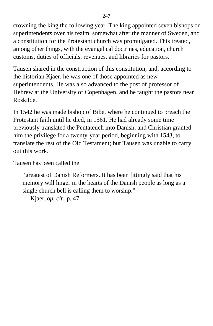crowning the king the following year. The king appointed seven bishops or superintendents over his realm, somewhat after the manner of Sweden, and a constitution for the Protestant church was promulgated. This treated, among other things, with the evangelical doctrines, education, church customs, duties of officials, revenues, and libraries for pastors.

Tausen shared in the construction of this constitution, and, according to the historian Kjaer, he was one of those appointed as new superintendents. He was also advanced to the post of professor of Hebrew at the University of Copenhagen, and he taught the pastors near Roskilde.

In 1542 he was made bishop of Bibe, where he continued to preach the Protestant faith until he died, in 1561. He had already some time previously translated the Pentateuch into Danish, and Christian granted him the privilege for a twenty-year period, beginning with 1543, to translate the rest of the Old Testament; but Tausen was unable to carry out this work.

Tausen has been called the

"greatest of Danish Reformers. It has been fittingly said that his memory will linger in the hearts of the Danish people as long as a single church bell is calling them to worship."

— Kjaer, *op. cit.,* p. 47.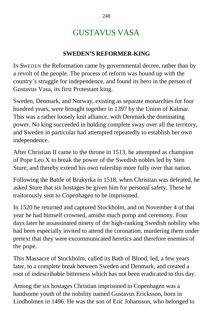## GUSTAVUS VASA

#### **SWEDEN'S REFORMER-KING**

IN SWEDEN the Reformation came by governmental decree, rather than by a revolt of the people. The process of reform was bound up with the country's struggle for independence, and found its hero in the person of Gustavus Vasa, its first Protestant king.

Sweden, Denmark, and Norway, existing as separate monarchies for four hundred years, were brought together in 1397 by the Union of Kalmar. This was a rather loosely knit alliance, with Denmark the dominating power. No king succeeded in holding complete sway over all the territory, and Sweden in particular had attempted repeatedly to establish her own independence.

After Christian II came to the throne in 1513, he attempted as champion of Pope Leo X to break the power of the Swedish nobles led by Sten Sture, and thereby extend his own rulership more fully over that nation.

Following the Battle of Brakyrka in 1518, when Christian was defeated, he asked Sture that six hostages be given him for personal safety. These he traitorously sent to Copenhagen to be imprisoned.

In 1520 he returned and captured Stockholm, and on November 4 of that year he had himself crowned, amidst much pomp and ceremony. Four days later he assassinated ninety of the high-ranking Swedish nobility who had been especially invited to attend the coronation, murdering them under pretext that they were excommunicated heretics and therefore enemies of the pope.

This Massacre of Stockholm, called its Bath of Blood, led, a few years later, to a complete break between Sweden and Denmark, and created a root of indescribable bitterness which has not been eradicated to this day.

Among the six hostages Christian imprisoned in Copenhagen was a handsome youth of the nobility named Gustavus Ericksson, born in Lindholmen in 1496. He was the son of Eric Johansson, who belonged to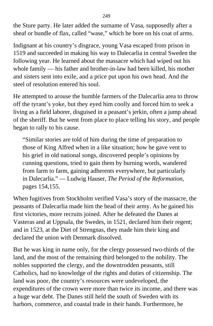the Sture party. He later added the surname of Vasa, supposedly after a sheaf or bundle of flax, called "wase," which he bore on his coat of arms.

Indignant at his country's disgrace, young Vasa escaped from prison in 1519 and succeeded in making his way to Dalecarlia in central Sweden the following year. He learned about the massacre which had wiped out his whole family — his father and brother-in-law had been killed, his mother and sisters sent into exile, and a price put upon his own head. And the steel of resolution entered his soul.

He attempted to arouse the humble farmers of the Dalecarlia area to throw off the tyrant's yoke, but they eyed him coolly and forced him to seek a living as a field laborer, disguised in a peasant's jerkin, often a jump ahead of the sheriff. But he went from place to place telling his story, and people began to rally to his cause.

"Similar stories are told of him during the time of preparation to those of King Alfred when in a like situation; how he gave vent to his grief in old national songs, discovered people's opinions by cunning questions, tried to gain them by burning words, wandered from farm to farm, gaining adherents everywhere, but particularly in Dalecarlia." — Ludwig Hauser, *The Period of the Reformation,* pages 154,155.

When fugitives from Stockholm verified Vasa's story of the massacre, the peasants of Dalecarlia made him the head of their army. As he gained his first victories, more recruits joined. After he defeated the Danes at Vasteras and at Uppsala, the Swedes, in 1521, declared him their regent; and in 1523, at the Diet of Strengnas, they made him their king and declared the union with Denmark dissolved.

But he was king in name only, for the clergy possessed two-thirds of the land, and the most of the remaining third belonged to the nobility. The nobles supported the clergy, and the downtrodden peasants, still Catholics, had no knowledge of the rights and duties of citizenship. The land was poor, the country's resources were undeveloped, the expenditures of the crown were more than twice its income, and there was a huge war debt. The Danes still held the south of Sweden with its harbors, commerce, and coastal trade in their hands. Furthermore, he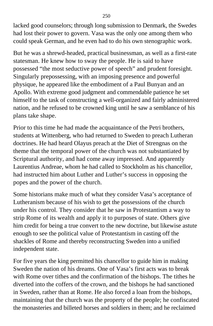lacked good counselors; through long submission to Denmark, the Swedes had lost their power to govern. Vasa was the only one among them who could speak German, and he even had to do his own stenographic work.

But he was a shrewd-headed, practical businessman, as well as a first-rate statesman. He knew how to sway the people. He is said to have possessed "the most seductive power of speech" and prudent foresight. Singularly prepossessing, with an imposing presence and powerful physique, he appeared like the embodiment of a Paul Bunyan and an Apollo. With extreme good judgment and commendable patience he set himself to the task of constructing a well-organized and fairly administered nation, and he refused to be crowned king until he saw a semblance of his plans take shape.

Prior to this time he had made the acquaintance of the Petri brothers, students at Wittenberg, who had returned to Sweden to preach Lutheran doctrines. He had heard Olayus preach at the Diet of Strengnas on the theme that the temporal power of the church was not substantiated by Scriptural authority, and had come away impressed. And apparently Laurentius Andreae, whom he had called to Stockholm as his chancellor, had instructed him about Luther and Luther's success in opposing the popes and the power of the church.

Some historians make much of what they consider Vasa's acceptance of Lutheranism because of his wish to get the possessions of the church under his control. They consider that he saw in Protestantism a way to strip Rome of its wealth and apply it to purposes of state. Others give him credit for being a true convert to the new doctrine, but likewise astute enough to see the political value of Protestantism in casting off the shackles of Rome and thereby reconstructing Sweden into a unified independent state.

For five years the king permitted his chancellor to guide him in making Sweden the nation of his dreams. One of Vasa's first acts was to break with Rome over tithes and the confirmation of the bishops. The tithes he diverted into the coffers of the crown, and the bishops he had sanctioned in Sweden, rather than at Rome. He also forced a loan from the bishops, maintaining that the church was the property of the people; he confiscated the monasteries and billeted horses and soldiers in them; and he reclaimed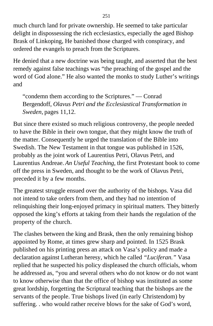much church land for private ownership. He seemed to take particular delight in dispossessing the rich ecclesiastics, especially the aged Bishop Brask of Linkoping, He banished those charged with conspiracy, and ordered the evangels to preach from the Scriptures.

He denied that a new doctrine was being taught, and asserted that the best remedy against false teachings was "the preaching of the gospel and the word of God alone." He also wanted the monks to study Luther's writings and

"condemn them according to the Scriptures." — Conrad Bergendoff, *Olavus Petri and the Ecclesiastical Transformation in Sweden,* pages 11,12.

But since there existed so much religious controversy, the people needed to have the Bible in their own tongue, that they might know the truth of the matter. Consequently he urged the translation of the Bible into Swedish. The New Testament in that tongue was published in 1526, probably as the joint work of Laurentius Petri, Olavus Petri, and Laurentius Andreae. *An Useful Teaching,* the first Protestant book to come off the press in Sweden, and thought to be the work of Olavus Petri, preceded it by a few months.

The greatest struggle ensued over the authority of the bishops. Vasa did not intend to take orders from them, and they had no intention of relinquishing their long-enjoyed primacy in spiritual matters. They bitterly opposed the king's efforts at taking from their hands the regulation of the property of the church.

The clashes between the king and Brask, then the only remaining bishop appointed by Rome, at times grew sharp and pointed. In 1525 Brask published on his printing press an attack on Vasa's policy and made a declaration against Lutheran heresy, which he called *"Luciferan."* Vasa replied that he suspected his policy displeased the church officials, whom he addressed as, "you and several others who do not know or do not want to know otherwise than that the office of bishop was instituted as some great lordship, forgetting the Scriptural teaching that the bishops are the servants of the people. True bishops lived (in early Christendom) by suffering. . who would rather receive blows for the sake of God's word,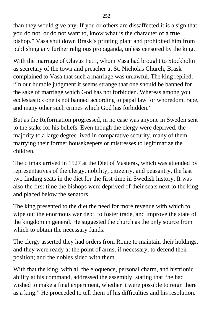than they would give any. If you or others are dissaffected it is a sign that you do not, or do not want to, know what is the character of a true bishop." Vasa shut down Brask's printing plant and prohibited him from publishing any further religious propaganda, unless censored by the king.

With the marriage of Olavus Petri, whom Vasa had brought to Stockholm as secretary of the town and preacher at St. Nicholas Church, Brask complained to Vasa that such a marriage was unlawful. The king replied, "In our humble judgment it seems strange that one should be banned for the sake of marriage which God has not forbidden. Whereas among you ecclesiastics one is not banned according to papal law for whoredom, rape, and many other such crimes which God has forbidden."

But as the Reformation progressed, in no case was anyone in Sweden sent to the stake for his beliefs. Even though the clergy were deprived, the majority to a large degree lived in comparative security, many of them marrying their former housekeepers or mistresses to legitimatize the children.

The climax arrived in 1527 at the Diet of Vasteras, which was attended by representatives of the clergy, nobility, citizenry, and peasantry, the last two finding seats in the diet for the first time in Swedish history. It was also the first time the bishops were deprived of their seats next to the king and placed below the senators.

The king presented to the diet the need for more revenue with which to wipe out the enormous war debt, to foster trade, and improve the state of the kingdom in general. He suggested the church as the only source from which to obtain the necessary funds.

The clergy asserted they had orders from Rome to maintain their holdings, and they were ready at the point of arms, if necessary, to defend their position; and the nobles sided with them.

With that the king, with all the eloquence, personal charm, and histrionic ability at his command, addressed the assembly, stating that "he had wished to make a final experiment, whether it were possible to reign there as a king." He proceeded to tell them of his difficulties and his resolution.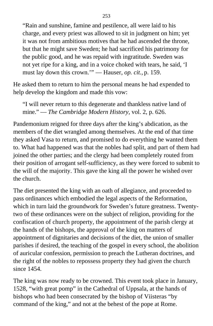"Rain and sunshine, famine and pestilence, all were laid to his charge, and every priest was allowed to sit in judgment on him; yet it was not from ambitious motives that he had ascended the throne, but that he might save Sweden; he had sacrificed his patrimony for the public good, and he was repaid with ingratitude. Sweden was not yet ripe for a king, and in a voice choked with tears, he said, 'I must lay down this crown.'" — Hauser, *op. cit.,* p. 159.

He asked them to return to him the personal means he had expended to help develop the kingdom and made this vow:

"I will never return to this degenerate and thankless native land of mine." — *The Cambridge Modern History,* vol. 2, p. 626.

Pandemonium reigned for three days after the king's abdication, as the members of the diet wrangled among themselves. At the end of that time they asked Vasa to return, and promised to do everything he wanted them to. What had happened was that the nobles had split, and part of them had joined the other parties; and the clergy had been completely routed from their position of arrogant self-sufficiency, as they were forced to submit to the will of the majority. This gave the king all the power he wished over the church.

The diet presented the king with an oath of allegiance, and proceeded to pass ordinances which embodied the legal aspects of the Reformation, which in turn laid the groundwork for Sweden's future greatness. Twentytwo of these ordinances were on the subject of religion, providing for the confiscation of church property, the appointment of the parish clergy at the hands of the bishops, the approval of the king on matters of appointment of dignitaries and decisions of the diet, the union of smaller parishes if desired, the teaching of the gospel in every school, the abolition of auricular confession, permission to preach the Lutheran doctrines, and the right of the nobles to repossess property they had given the church since 1454.

The king was now ready to be crowned. This event took place in January, 1528, "with great pomp" in the Cathedral of Uppsala, at the hands of bishops who had been consecrated by the bishop of Viisteras "by command of the king," and not at the behest of the pope at Rome.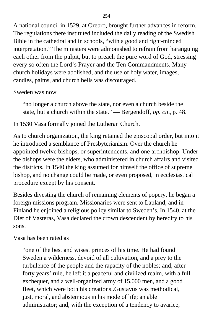A national council in 1529, at Orebro, brought further advances in reform. The regulations there instituted included the daily reading of the Swedish Bible in the cathedral and in schools, "with a good and right-minded interpretation." The ministers were admonished to refrain from haranguing each other from the pulpit, but to preach the pure word of God, stressing every so often the Lord's Prayer and the Ten Commandments. Many church holidays were abolished, and the use of holy water, images, candles, palms, and church bells was discouraged.

Sweden was now

"no longer a church above the state, nor even a church beside the state, but a church within the state." — Bergendoff, *op. cit.,* p. 48.

In 1530 Vasa formally joined the Lutheran Church.

As to church organization, the king retained the episcopal order, but into it he introduced a semblance of Presbyterianism. Over the church he appointed twelve bishops, or superintendents, and one archbishop. Under the bishops were the elders, who administered in church affairs and visited the districts. In 1540 the king assumed for himself the office of supreme bishop, and no change could be made, or even proposed, in ecclesiastical procedure except by his consent.

Besides divesting the church of remaining elements of popery, he began a foreign missions program. Missionaries were sent to Lapland, and in Finland he enjoined a religious policy similar to Sweden's. In 1540, at the Diet of Vasteras, Vasa declared the crown descendent by heredity to his sons.

Vasa has been rated as

"one of the best and wisest princes of his time. He had found Sweden a wilderness, devoid of all cultivation, and a prey to the turbulence of the people and the rapacity of the nobles; and, after forty years' rule, he left it a peaceful and civilized realm, with a full exchequer, and a well-organized army of 15,000 men, and a good fleet, which were both his creations..Gustavus was methodical, just, moral, and abstemious in his mode of life; an able administrator; and, with the exception of a tendency to avarice,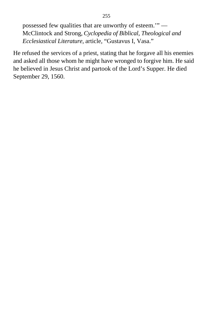possessed few qualities that are unworthy of esteem.'" — McClintock and Strong, *Cyclopedia of Biblical, Theological and Ecclesiastical Literature,* article, "Gustavus I, Vasa."

He refused the services of a priest, stating that he forgave all his enemies and asked all those whom he might have wronged to forgive him. He said he believed in Jesus Christ and partook of the Lord's Supper. He died September 29, 1560.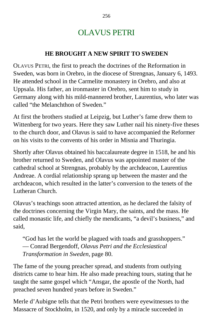## OLAVUS PETRI

#### **HE BROUGHT A NEW SPIRIT TO SWEDEN**

OLAVUS PETRI, the first to preach the doctrines of the Reformation in Sweden, was born in Orebro, in the diocese of Strengnas, January 6, 1493. He attended school in the Carmelite monastery in Orebro, and also at Uppsala. His father, an ironmaster in Orebro, sent him to study in Germany along with his mild-mannered brother, Laurentius, who later was called "the Melanchthon of Sweden."

At first the brothers studied at Leipzig, but Luther's fame drew them to Wittenberg for two years. Here they saw Luther nail his ninety-five theses to the church door, and Olavus is said to have accompanied the Reformer on his visits to the convents of his order in Misnia and Thuringia.

Shortly after Olavus obtained his baccalaureate degree in 1518, he and his brother returned to Sweden, and Olavus was appointed master of the cathedral school at Strengnas, probably by the archdeacon, Laurentius Andreae. A cordial relationship sprang up between the master and the archdeacon, which resulted in the latter's conversion to the tenets of the Lutheran Church.

Olavus's teachings soon attracted attention, as he declared the falsity of the doctrines concerning the Virgin Mary, the saints, and the mass. He called monastic life, and chiefly the mendicants, "a devil's business," and said,

"God has let the world be plagued with toads and grasshoppers." — Conrad Bergendoff, *Olavus Petri and the Ecclesiastical Transformation in Sweden,* page 80.

The fame of the young preacher spread, and students from outlying districts came to hear him. He also made preaching tours, stating that he taught the same gospel which "Ansgar, the apostle of the North, had preached seven hundred years before in Sweden."

Merle d'Aubigne tells that the Petri brothers were eyewitnesses to the Massacre of Stockholm, in 1520, and only by a miracle succeeded in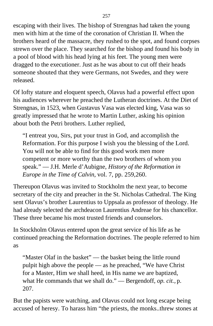escaping with their lives. The bishop of Strengnas had taken the young men with him at the time of the coronation of Christian II. When the brothers heard of the massacre, they rushed to the spot, and found corpses strewn over the place. They searched for the bishop and found his body in a pool of blood with his head lying at his feet. The young men were dragged to the executioner. Just as he was about to cut off their heads someone shouted that they were Germans, not Swedes, and they were released.

Of lofty stature and eloquent speech, Olavus had a powerful effect upon his audiences wherever he preached the Lutheran doctrines. At the Diet of Strengnas, in 1523*,* when Gustavus Vasa was elected king, Vasa was so greatly impressed that he wrote to Martin Luther, asking his opinion about both the Petri brothers. Luther replied,

"I entreat you, Sirs, put your trust in God, and accomplish the Reformation. For this purpose I wish you the blessing of the Lord. You will not be able to find for this good work men more competent or more worthy than the two brothers of whom you speak." — J.H. Merle d'Aubigne, *History of the Reformation in Europe in the Time of Calvin,* vol. 7, pp. 259,260.

Thereupon Olavus was invited to Stockholm the next year, to become secretary of the city and preacher in the St. Nicholas Cathedral. The King sent Olavus's brother Laurentius to Uppsala as professor of theology. He had already selected the archdeacon Laurentius Andreae for his chancellor. These three became his most trusted friends and counselors.

In Stockholm Olavus entered upon the great service of his life as he continued preaching the Reformation doctrines. The people referred to him as

"Master Olaf in the basket" — the basket being the little round pulpit high above the people — as he preached, "We have Christ for a Master, Him we shall heed, in His name we are baptized, what He commands that we shall do." — Bergendoff, *op. cit.,* p. 207.

But the papists were watching, and Olavus could not long escape being accused of heresy. To harass him "the priests, the monks..threw stones at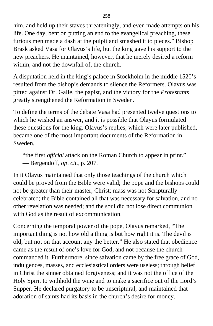him, and held up their staves threateningly, and even made attempts on his life. One day, bent on putting an end to the evangelical preaching, these furious men made a dash at the pulpit and smashed it to pieces." Bishop Brask asked Vasa for Olavus's life, but the king gave his support to the new preachers. He maintained, however, that he merely desired a reform within, and not the downfall of, the church.

A disputation held in the king's palace in Stockholm in the middle 1520's resulted from the bishop's demands to silence the Reformers. Olavus was pitted against Dr. Galle, the papist, and the victory for the *Protestants* greatly strengthened the Reformation in Sweden.

To define the terms of the debate Vasa had presented twelve questions to which he wished an answer, and it is possible that Olayus formulated these questions for the king. Olavus's replies, which were later published, became one of the most important documents of the Reformation in Sweden,

"the first *official* attack on the Roman Church to appear in print." — Bergendoff, *op*. *cit.,* p. 207.

In it Olavus maintained that only those teachings of the church which could be proved from the Bible were valid; the pope and the bishops could not be greater than their master, Christ; mass was not Scripturally celebrated; the Bible contained all that was necessary for salvation, and no other revelation was needed; and the soul did not lose direct communion with God as the result of excommunication.

Concerning the temporal power of the pope, Olavus remarked, "The important thing is not how old a thing is but how right it is. The devil is old, but not on that account any the better." He also stated that obedience came as the result of one's love for God, and not because the church commanded it. Furthermore, since salvation came by the free grace of God, indulgences, masses, and ecclesiastical orders were useless; through belief in Christ the sinner obtained forgiveness; and it was not the office of the Holy Spirit to withhold the wine and to make a sacrifice out of the Lord's Supper. He declared purgatory to be unscriptural, and maintained that adoration of saints had its basis in the church's desire for money.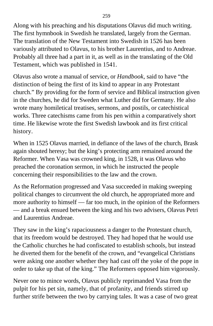Along with his preaching and his disputations Olavus did much writing. The first hymnbook in Swedish he translated, largely from the German. The translation of the New Testament into Swedish in 1526 has been variously attributed to Olavus, to his brother Laurentius, and to Andreae. Probably all three had a part in it, as well as in the translating of the Old Testament, which was published in 1541.

Olavus also wrote a manual of service, or *Handbook,* said to have "the distinction of being the first of its kind to appear in any Protestant church." By providing for the form of service and Biblical instruction given in the churches, he did for Sweden what Luther did for Germany. He also wrote many homiletical treatises, sermons, and postils, or catechistical works. Three catechisms came from his pen within a comparatively short time. He likewise wrote the first Swedish lawbook and its first critical history.

When in 1525 Olavus married, in defiance of the laws of the church, Brask again shouted heresy; but the king's protecting arm remained around the Reformer. When Vasa was crowned king, in 1528, it was Olavus who preached the coronation sermon, in which he instructed the people concerning their responsibilities to the law and the crown.

As the Reformation progressed and Vasa succeeded in making sweeping political changes to circumvent the old church, he appropriated more and more authority to himself — far too much, in the opinion of the Reformers — and a break ensued between the king and his two advisers, Olavus Petri and Laurentius Andreae.

They saw in the king's rapaciousness a danger to the Protestant church, that its freedom would be destroyed. They had hoped that he would use the Catholic churches he had confiscated to establish schools, but instead he diverted them for the benefit of the crown, and "evangelical Christians were asking one another whether they had cast off the yoke of the pope in order to take up that of the king." The Reformers opposed him vigorously.

Never one to mince words, Olavus publicly reprimanded Vasa from the pulpit for his pet sin, namely, that of profanity, and friends stirred up further strife between the two by carrying tales. It was a case of two great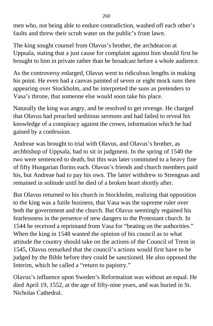men who, not being able to endure contradiction, washed off each other's faults and threw their scrub water on the public's front lawn.

The king sought counsel from Olavus's brother, the archdeacon at Uppsala, stating that a just cause for complaint against him should first be brought to him in private rather than be broadcast before a whole audience.

As the controversy enlarged, Olavus went to ridiculous lengths in making his point. He even had a canvas painted of seven or eight mock suns then appearing over Stockholm, and he interpreted the suns as pretenders to Vasa's throne, that someone else would soon take his place.

Naturally the king was angry, and be resolved to get revenge. He charged that Olavus had preached seditious sermons and had failed to reveal his knowledge of a conspiracy against the crown, information which he had gained by a confession.

Andreae was brought to trial with Olavus, and Olavus's brother, as archbishop of Uppsala, had to sit in judgment. In the spring of 1540 the two were sentenced to death, but this was later commuted to a heavy fine of fifty Hungarian florins each. Olavus's friends and church members paid his, but Andreae had to pay his own. The latter withdrew to Strengnas and remained in solitude until he died of a broken heart shortly after.

But Olavus returned to his church in Stockholm, realizing that opposition to the king was a futile business, that Vasa was the supreme ruler over both the government and the church. But Olavus seemingly regained his fearlessness in the presence of new dangers to the Protestant church. In 1544 he received a reprimand from Vasa for "beating on the authorities." When the king in 1548 wanted the opinion of his council as to what attitude the country should take on the actions of the Council of Trent in 1545, Olavus remarked that the council's actions would first have to be judged by the Bible before they could be sanctioned. He also opposed the Interim, which he called a "return to papistry."

Olavus's influence upon Sweden's Reformation was without an equal. He died April 19, 1552, at the age of fifty-nine years, and was buried in St. Nicholas Cathedral.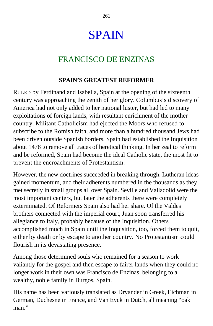# SPAIN

## FRANCISCO DE ENZINAS

#### **SPAIN'S GREATEST REFORMER**

RULED by Ferdinand and Isabella, Spain at the opening of the sixteenth century was approaching the zenith of her glory. Columbus's discovery of America had not only added to her national luster, but had led to many exploitations of foreign lands, with resultant enrichment of the mother country. Militant Catholicism had ejected the Moors who refused to subscribe to the Romish faith, and more than a hundred thousand Jews had been driven outside Spanish borders. Spain had established the Inquisition about 1478 to remove all traces of heretical thinking. In her zeal to reform and be reformed, Spain had become the ideal Catholic state, the most fit to prevent the encroachments of Protestantism.

However, the new doctrines succeeded in breaking through. Lutheran ideas gained momentum, and their adherents numbered in the thousands as they met secretly in small groups all over Spain. Seville and Valladolid were the most important centers, but later the adherents there were completely exterminated. Of Reformers Spain also had her share. Of the Valdes brothers connected with the imperial court, Juan soon transferred his allegiance to Italy, probably because of the Inquisition. Others accomplished much in Spain until the Inquisition, too, forced them to quit, either by death or by escape to another country. No Protestantism could flourish in its devastating presence.

Among those determined souls who remained for a season to work valiantly for the gospel and then escape to fairer lands when they could no longer work in their own was Francisco de Enzinas, belonging to a wealthy, noble family in Burgos, Spain.

His name has been variously translated as Dryander in Greek, Eichman in German, Duchesne in France, and Van Eyck in Dutch, all meaning "oak man."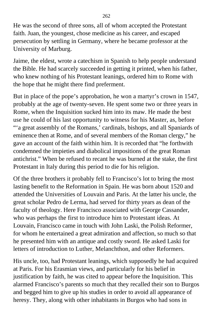He was the second of three sons, all of whom accepted the Protestant faith. Juan, the youngest, chose medicine as his career, and escaped persecution by settling in Germany, where he became professor at the University of Marburg.

Jaime, the eldest, wrote a catechism in Spanish to help people understand the Bible. He had scarcely succeeded in getting it printed, when his father, who knew nothing of his Protestant leanings, ordered him to Rome with the hope that he might there find preferment.

But in place of the pope's approbation, he won a martyr's crown in 1547, probably at the age of twenty-seven. He spent some two or three years in Rome, when the Inquisition sucked him into its maw. He made the best use he could of his last opportunity to witness for his Master, as, before "'a great assembly of the Romans,' cardinals, bishops, and all Spaniards of eminence then at Rome, and of several members of the Roman clergy," he gave an account of the faith within him. It is recorded that "he forthwith condemned the impieties and diabolical impositions of the great Roman antichrist." When be refused to recant he was burned at the stake, the first Protestant in Italy during this period to die for his religion.

Of the three brothers it probably fell to Francisco's lot to bring the most lasting benefit to the Reformation in Spain. He was born about 1520 and attended the Universities of Louvain and Paris. At the latter his uncle, the great scholar Pedro de Lerma, had served for thirty years as dean of the faculty of theology. Here Francisco associated with George Cassander, who was perhaps the first to introduce him to Protestant ideas. At Louvain, Francisco came in touch with John Laski, the Polish Reformer, for whom he entertained a great admiration and affection, so much so that he presented him with an antique and costly sword. He asked Laski for letters of introduction to Luther, Melanchthon, and other Reformers.

His uncle, too, had Protestant leanings, which supposedly he had acquired at Paris. For his Erasmian views, and particularly for his belief in justification by faith, he was cited to appear before the Inquisition. This alarmed Francisco's parents so much that they recalled their son to Burgos and begged him to give up his studies in order to avoid all appearance of heresy. They, along with other inhabitants in Burgos who had sons in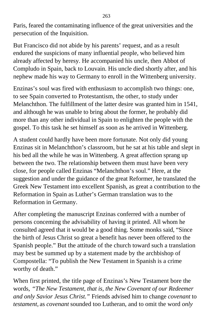Paris, feared the contaminating influence of the great universities and the persecution of the Inquisition.

But Francisco did not abide by his parents' request, and as a result endured the suspicions of many influential people, who believed him already affected by heresy. He accompanied his uncle, then Abbot of Compludo in Spain, back to Louvain. His uncle died shortly after, and his nephew made his way to Germany to enroll in the Wittenberg university.

Enzinas's soul was fired with enthusiasm to accomplish two things: one, to see Spain converted to Protestantism, the other, to study under Melanchthon. The fulfillment of the latter desire was granted him in 1541, and although he was unable to bring about the former, he probably did more than any other individual in Spain to enlighten the people with the gospel. To this task he set himself as soon as he arrived in Wittenberg.

A student could hardly have been more fortunate. Not only did young Enzinas sit in Melanchthon's classroom, but he sat at his table and slept in his bed all the while he was in Wittenberg. A great affection sprang up between the two. The relationship between them must have been very close, for people called Enzinas "Melanchthon's soul." Here, at the suggestion and under the guidance of the great Reformer, he translated the Greek New Testament into excellent Spanish, as great a contribution to the Reformation in Spain as Luther's German translation was to the Reformation in Germany.

After completing the manuscript Enzinas conferred with a number of persons conceming the advisability of having it printed. All whom he consulted agreed that it would be a good thing. Some monks said, "Since the birth of Jesus Christ so great a benefit has never been offered to the Spanish people." But the attitude of the church toward such a translation may best be summed up by a statement made by the archbishop of Compostella: "To publish the New Testament in Spanish is a crime worthy of death."

When first printed, the title page of Enzinas's New Testament bore the words, *"The New Testament, that is, the New Covenant of our Redeemer and only Savior Jesus Christ."* Friends advised him to change *covenant* to *testament,* as *covenant* sounded too Lutheran, and to omit the word *only*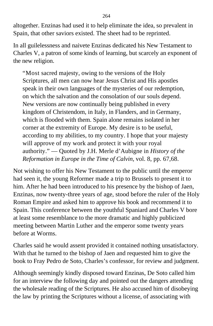altogether. Enzinas had used it to help eliminate the idea, so prevalent in Spain, that other saviors existed. The sheet had to be reprinted.

In all guilelessness and naivete Enzinas dedicated his New Testament to Charles V, a patron of some kinds of learning, but scarcely an exponent of the new religion.

"Most sacred majesty, owing to the versions of the Holy Scriptures, all men can now hear Jesus Christ and His apostles speak in their own languages of the mysteries of our redemption, on which the salvation and the consolation of our souls depend. New versions are now continually being published in every kingdom of Christendom, in Italy, in Flanders, and in Germany, which is flooded with them. Spain alone remains isolated in her corner at the extremity of Europe. My desire is to be useful, according to my abilities, to my country. I hope that your majesty will approve of my work and protect it with your royal authority." — Quoted by J.H. Merle d'Aubigne in *History of the Reformation in Europe in the Time of Calvin,* vol. 8, pp. 67,68.

Not wishing to offer his New Testament to the public until the emperor had seen it, the young Reformer made a trip to Brussels to present it to him. After he had been introduced to his presence by the bishop of Jaen, Enzinas, now twenty-three years of age, stood before the ruler of the Holy Roman Empire and asked him to approve his book and recommend it to Spain. This conference between the youthful Spaniard and Charles V bore at least some resemblance to the more dramatic and highly publicized meeting between Martin Luther and the emperor some twenty years before at Worms.

Charles said he would assent provided it contained nothing unsatisfactory. With that he turned to the bishop of Jaen and requested him to give the book to Fray Pedro de Soto, Charles's confessor, for review and judgment.

Although seemingly kindly disposed toward Enzinas, De Soto called him for an interview the following day and pointed out the dangers attending the wholesale reading of the Scriptures. He also accused him of disobeying the law by printing the Scriptures without a license, of associating with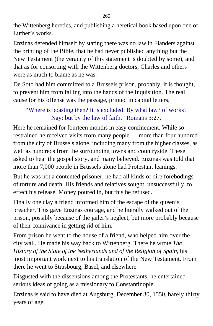the Wittenberg heretics, and publishing a heretical book based upon one of Luther's works.

Enzinas defended himself by stating there was no law in Flanders against the printing of the Bible, that he had never published anything but the New Testament (the veracity of this statement is doubted by some), and that as for consorting with the Wittenberg doctors, Charles and others were as much to blame as he was.

De Soto had him committed to a Brussels prison, probably, it is thought, to prevent him from falling into the hands of the Inquisition. The real cause for his offense was the passage, printed in capital letters,

#### "Where is boasting then? It is excluded. By what law? of works? Nay: but by the law of faith." Romans 3:27.

Here he remained for fourteen months in easy confinement. While so restrained he received visits from many people — more than four hundred from the city of Brussels alone, including many from the higher classes, as well as hundreds from the surrounding towns and countryside. These asked to hear the gospel story, and many believed. Enzinas was told that more than 7,000 people in Brussels alone had Protestant leanings.

But he was not a contented prisoner; he had all kinds of dire forebodings of torture and death. His friends and relatives sought, unsuccessfully, to effect his release. Money poured in, but this he refused.

Finally one clay a friend informed him of the escape of the queen's preacher. This gave Enzinas courage, and he literally walked out of the prison, possibly because of the jailer's neglect, but more probably because of their connivance in getting rid of him.

From prison he went to the house of a friend, who helped him over the city wall. He made his way back to Wittenberg. There he wrote *The History of the State of the Netherlands and of the Religion of Spain,* his most important work next to his translation of the New Testament. From there he went to Strasbourg, Basel, and elsewhere.

Disgusted with the dissensions among the Protestants, he entertained serious ideas of going as a missionary to Constantinople.

Enzinas is said to have died at Augsburg, December 30, 1550, barely thirty years of age.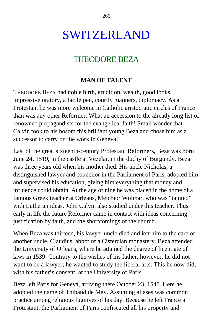## SWITZERLAND

### THEODORE BEZA

#### **MAN OF TALENT**

THEODORE BEZA had noble birth, erudition, wealth, good looks, impressive oratory, a facile pen, courtly manners, diplomacy. As a Protestant he was more welcome in Catholic aristocratic circles of France than was any other Reformer. What an accession to the already long list of renowned propagandists for the evangelical faith! Small wonder that Calvin took to his bosom this brilliant young Beza and chose him as a successor to carry on the work in Geneva!

Last of the great sixteenth-century Protestant Reformers, Beza was born June 24, 1519, in the castle at Vezelai, in the duchy of Burgundy. Beza was three years old when his mother died. His uncle Nicholas, a distinguished lawyer and councilor in the Parliament of Paris, adopted him and supervised his education, giving him everything that money and influence could obtain. At the age of nine he was placed in the home of a famous Greek teacher at Orleans, Melchior Wolmar, who was "tainted" with Lutheran ideas. John Calvin also studied under this teacher. Thus early in life the future Reformer came in contact with ideas concerning justification by faith, and the shortcomings of the church.

When Beza was thirteen, his lawyer uncle died and left him to the care of another uncle, Claudius, abbot of a Cistercian monastery. Beza attended the University of Orleans, where he attained the degree of licentiate of laws in 1539. Contrary to the wishes of his father, however, he did not want to be a lawyer; he wanted to study the liberal arts. This he now did, with his father's consent, at the University of Paris.

Beza left Paris for Geneva, arriving there October 23, 1548. Here he adopted the name of Thibaud de May. Assuming aliases was common practice among religious fugitives of his day. Because he left France a Protestant, the Parliament of Paris confiscated all his property and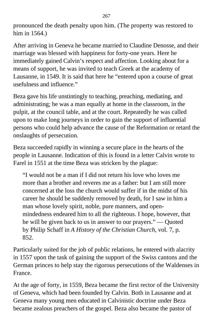pronounced the death penalty upon him. (The property was restored to him in 1564.)

After arriving in Geneva he became married to Claudine Denosse, and their marriage was blessed with happiness for forty-one years. Here he immediately gained Calvin's respect and affection. Looking about for a means of support, he was invited to teach Greek at the academy of Lausanne, in 1549. It is said that here he "entered upon a course of great usefulness and influence."

Beza gave his life unstintingly to teaching, preaching, mediating, and administrating; he was a man equally at home in the classroom, in the pulpit, at the council table, and at the court. Repeatedly he was called upon to make long journeys in order to gain the support of influential persons who could help advance the cause of the Reformation or retard the onslaughts of persecution.

Beza succeeded rapidly in winning a secure place in the hearts of the people in Lausanne. Indication of this is found in a letter Calvin wrote to Farel in 1551 at the time Beza was stricken by the plague:

"I would not be a man if I did not return his love who loves me more than a brother and reveres me as a father: but I am still more concerned at the loss the church would suffer if in the midst of his career he should be suddenly removed by death, for I saw in him a man whose lovely spirit, noble, pure manners, and openmindedness endeared him to all the righteous. I hope, however, that he will be given back to us in answer to our prayers." — Quoted by Philip Schaff in *A History of the Christian Church,* vol. 7, p. 852.

Particularly suited for the job of public relations, he entered with alacrity in 1557 upon the task of gaining the support of the Swiss cantons and the German princes to help stay the rigorous persecutions of the Waldenses in France.

At the age of forty, in 1559, Beza became the first rector of the University of Geneva, which had been founded by Calvin. Both in Lausanne and at Geneva many young men educated in Calvinistic doctrine under Beza became zealous preachers of the gospel. Beza also became the pastor of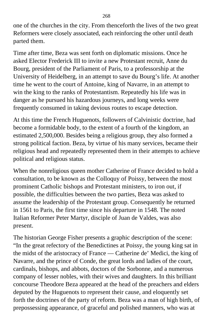one of the churches in the city. From thenceforth the lives of the two great Reformers were closely associated, each reinforcing the other until death parted them.

Time after time, Beza was sent forth on diplomatic missions. Once he asked Elector Frederick III to invite a new Protestant recruit, Anne du Bourg, president of the Parliament of Paris, to a professorship at the University of Heidelberg, in an attempt to save du Bourg's life. At another time he went to the court of Antoine, king of Navarre, in an attempt to win the king to the ranks of Protestantism. Repeatedly his life was in danger as he pursued his hazardous journeys, and long weeks were frequently consumed in taking devious routes to escape detection.

At this time the French Huguenots, followers of Calvinistic doctrine, had become a formidable body, to the extent of a fourth of the kingdom, an estimated 2,500,000. Besides being a religious group, they also formed a strong political faction. Beza, by virtue of his many services, became their religious head and repeatedly represented them in their attempts to achieve political and religious status.

When the nonreligious queen mother Catherine of France decided to hold a consultation, to be known as the Colloquy of Poissy, between the most prominent Catholic bishops and Protestant ministers, to iron out, if possible, the difficulties between the two parties, Beza was asked to assume the leadership of the Protestant group. Consequently he returned in 1561 to Paris, the first time since his departure in 1548. The noted Italian Reformer Peter Martyr, disciple of Juan de Valdes, was also present.

The historian George Fisher presents a graphic description of the scene: "In the great refectory of the Benedictines at Poissy, the young king sat in the midst of the aristocracy of France — Catherine de' Medici, the king of Navarre, and the prince of Conde, the great lords and ladies of the court, cardinals, bishops, and abbots, doctors of the Sorbonne, and a numerous company of lesser nobles, with their wives and daughters. In this brilliant concourse Theodore Beza appeared at the head of the preachers and elders deputed by the Huguenots to represent their cause, and eloquently set forth the doctrines of the party of reform. Beza was a man of high birth, of prepossessing appearance, of graceful and polished manners, who was at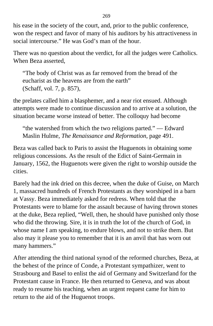his ease in the society of the court, and, prior to the public conference, won the respect and favor of many of his auditors by his attractiveness in social intercourse." He was God's man of the hour.

There was no question about the verdict, for all the judges were Catholics. When Beza asserted,

"The body of Christ was as far removed from the bread of the eucharist as the heavens are from the earth" (Schaff, vol. 7, p. 857),

the prelates called him a blasphemer, and a near riot ensued. Although attempts were made to continue discussion and to arrive at a solution, the situation became worse instead of better. The colloquy had become

"the watershed from which the two religions parted." — Edward Maslin Hulme, *The Renaissance and Reformation,* page 491.

Beza was called back to Paris to assist the Huguenots in obtaining some religious concessions. As the result of the Edict of Saint-Germain in January, 1562, the Huguenots were given the right to worship outside the cities.

Barely had the ink dried on this decree, when the duke of Guise, on March 1, massacred hundreds of French Protestants as they worshiped in a barn at Vassy. Beza immediately asked for redress. When told that the Protestants were to blame for the assault because of having thrown stones at the duke, Beza replied, "Well, then, he should have punished only those who did the throwing. Sire, it is in truth the lot of the church of God, in whose name I am speaking, to endure blows, and not to strike them. But also may it please you to remember that it is an anvil that has worn out many hammers."

After attending the third national synod of the reformed churches, Beza, at the behest of the prince of Conde, a Protestant sympathizer, went to Strasbourg and Basel to enlist the aid of Germany and Switzerland for the Protestant cause in France. He then returned to Geneva, and was about ready to resume his teaching, when an urgent request came for him to return to the aid of the Huguenot troops.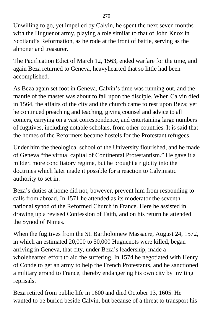Unwilling to go, yet impelled by Calvin, he spent the next seven months with the Huguenot army, playing a role similar to that of John Knox in Scotland's Reformation, as he rode at the front of battle, serving as the almoner and treasurer.

The Pacification Edict of March 12, 1563, ended warfare for the time, and again Beza returned to Geneva, heavyhearted that so little had been accomplished.

As Beza again set foot in Geneva, Calvin's time was running out, and the mantle of the master was about to fall upon the disciple. When Calvin died in 1564, the affairs of the city and the church came to rest upon Beza; yet he continued preaching and teaching, giving counsel and advice to all comers, carrying on a vast correspondence, and entertaining large numbers of fugitives, including notable scholars, from other countries. It is said that the homes of the Reformers became hostels for the Protestant refugees.

Under him the theological school of the University flourished, and he made of Geneva "the virtual capital of Continental Protestantism." He gave it a milder, more conciliatory regime, but he brought a rigidity into the doctrines which later made it possible for a reaction to Calvinistic authority to set in.

Beza's duties at home did not, bowever, prevent him from responding to calls from abroad. In 1571 he attended as its moderator the seventh national synod of the Reformed Church in France. Here he assisted in drawing up a revised Confession of Faith, and on his return he attended the Synod of Nimes.

When the fugitives from the St. Bartholomew Massacre, August 24, 1572, in which an estimated 20,000 to 50,000 Huguenots were killed, began arriving in Geneva, that city, under Beza's leadership, made a wholehearted effort to aid the suffering. In 1574 he negotiated with Henry of Conde to get an army to help the French Protestants, and he sanctioned a military errand to France, thereby endangering his own city by inviting reprisals.

Beza retired from public life in 1600 and died October 13, 1605. He wanted to be buried beside Calvin, but because of a threat to transport his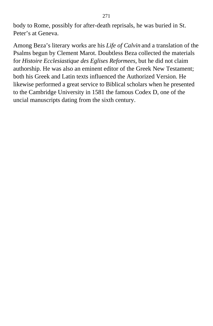body to Rome, possibly for after-death reprisals, he was buried in St. Peter's at Geneva.

Among Beza's literary works are his *Life of Calvin* and a translation of the Psalms begun by Clement Marot. Doubtless Beza collected the materials for *Histoire Ecclesiastique des Eglises Reformees,* but he did not claim authorship. He was also an eminent editor of the Greek New Testament; both his Greek and Latin texts influenced the Authorized Version. He likewise performed a great service to Biblical scholars when he presented to the Cambridge University in 1581 the famous Codex D, one of the uncial manuscripts dating from the sixth century.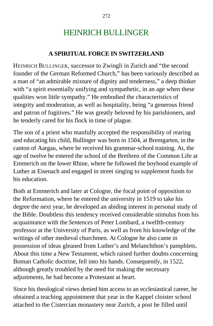## HEINRICH BULLINGER

#### **A SPIRITUAL FORCE IN SWITZERLAND**

HEINRICH BULLINGER, successor to Zwingli in Zurich and "the second founder of the German Reformed Church," has been variously described as a man of "an admirable mixture of dignity and tenderness," a deep thinker with "a spirit essentially unifying and sympathetic, in an age when these qualities won little sympathy." He embodied the characteristics of integrity and moderation, as well as hospitality, being "a generous friend and patron of fugitives." He was greatly beloved by his parishioners, and he tenderly cared for his flock in time of plague.

The son of a priest who manfully accepted the responsibility of rearing and educating his child, Bullinger was born in 1504, at Bremgarten, in the canton of Aargau, where he received his grammar-school training. At, the age of twelve he entered the school of the Brethren of the Common Life at Emmerich on the lower Rhine, where he followed the boyhood example of Luther at Eisenach and engaged in street singing to supplement funds for his education.

Both at Emmerich and later at Cologne, the focal point of opposition to the Reformation, where he entered the university in 1519 to take his degree the next year, he developed an abiding interest in personal study of the Bible. Doubtless this tendency received considerable stimulus from his acquaintance with the *Sentences* of Peter Lombard, a twelfth-century professor at the University of Paris, as well as from his knowledge of the writings of other medieval churchmen. At Cologne he also came in possession of ideas gleaned from Luther's and Melanchthon's pamphlets. About this time a New Testament, which raised further doubts concerning Boman Catholic doctrine, fell into his hands. Consequently, in 1522, although greatly troubled by the need for making the necessary adjustments, he had become a Protestant at heart.

Since his theological views denied him access to an ecclesiastical career, he obtained a teaching appointment that year in the Kappel cloister school attached to the Cistercian monastery near Zurich, a post he filled until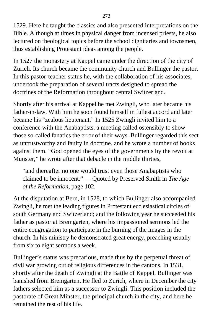1529. Here he taught the classics and also presented interpretations on the Bible. Although at times in physical danger from incensed priests, he also lectured on theological topics before the school dignitaries and townsmen, thus establishing Protestant ideas among the people.

In 1527 the monastery at Kappel came under the direction of the city of Zurich. Its church became the community church and Bullinger the pastor. In this pastor-teacher status he, with the collaboration of his associates, undertook the preparation of several tracts designed to spread the doctrines of the Reformation throughout central Switzerland.

Shortly after his arrival at Kappel he met Zwingli, who later became his father-in-law. With him he soon found himself in fullest accord and later became his "zealous lieutenant." In 1525 Zwingli invited him to a conference with the Anabaptists, a meeting called ostensibly to show those so-called fanatics the error of their ways. Bullinger regarded this sect as untrustworthy and faulty in doctrine, and he wrote a number of books against them. "God opened the eyes of the governments by the revolt at Munster," he wrote after that debacle in the middle thirties,

"and thereafter no one would trust even those Anabaptists who claimed to be innocent." — Quoted by Preserved Smith in *The Age of the Reformation,* page 102.

At the disputation at Bern, in 1528, to which Bullinger also accompanied Zwingli, he met the leading figures in Protestant ecclesiastical circles of south Germany and Switzerland; and the following year he succeeded his father as pastor at Bremgarten, where his impassioned sermons led the entire congregation to participate in the burning of the images in the church. In his ministry he demonstrated great energy, preaching usually from six to eight sermons a week.

Bullinger's status was precarious, made thus by the perpetual threat of civil war growing out of religious differences in the cantons. In 1531, shortly after the death of Zwingli at the Battle of Kappel, Bullinger was banished from Bremgarten. He fled to Zurich, where in December the city fathers selected him as a successor to Zwingli. This position included the pastorate of Great Minster, the principal church in the city, and here he remained the rest of his life.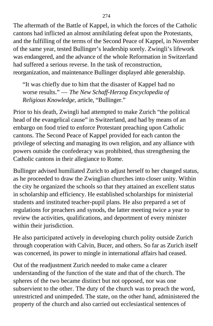The aftermath of the Battle of Kappel, in which the forces of the Catholic cantons had inflicted an almost annihilating defeat upon the Protestants, and the fulfilling of the terms of the Second Peace of Kappel, in November of the same year, tested Bullinger's leadership sorely. Zwingli's lifework was endangered, and the advance of the whole Reformation in Switzerland had suffered a serious reverse. In the task of reconstruction, reorganization, and maintenance Bullinger displayed able generalship.

"It was chiefly due to him that the disaster of Kappel had no worse results." — *The New Schaff-Herzog Encyclopedia of Religious Knowledge,* article, "Bullinger."

Prior to his death, Zwingli had attempted to make Zurich "the political head of the evangelical cause" in Switzerland, and had by means of an embargo on food tried to enforce Protestant preaching upon Catholic cantons. The Second Peace of Kappel provided for each canton the privilege of selecting and managing its own religion, and any alliance with powers outside the confederacy was prohibited, thus strengthening the Catholic cantons in their allegiance to Rome.

Bullinger advised humiliated Zurich to adjust herself to her changed status, as he proceeded to draw the Zwinglian churches into closer unity. Within the city he organized the schools so that they attained an excellent status in scholarship and efficiency. He established scholarships for ministerial students and instituted teacher-pupil plans. He also prepared a set of regulations for preachers and synods, the latter meeting twice a year to review the activities, qualifications, and deportment of every minister within their jurisdiction.

He also participated actively in developing church polity outside Zurich through cooperation with Calvin, Bucer, and others. So far as Zurich itself was concerned, its power to mingle in international affairs had ceased.

Out of the readjustment Zurich needed to make came a clearer understanding of the function of the state and that of the church. The spheres of the two became distinct but not opposed, nor was one subservient to the other. The duty of the church was to preach the word, unrestricted and unimpeded. The state, on the other hand, administered the property of the church and also carried out ecclesiastical sentences of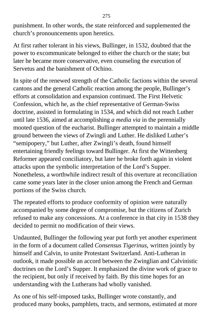punishment. In other words, the state reinforced and supplemented the church's pronouncements upon heretics.

At first rather tolerant in his views, Bullinger, in 1532, doubted that the power to excommunicate belonged to either the church or the state; but later he became more conservative, even counseling the execution of Servetus and the banishment of Ochino.

In spite of the renewed strength of the Catholic factions within the several cantons and the general Catholic reaction among the people, Bullinger's efforts at consolidation and expansion continued. The First Helvetic Confession, which he, as the chief representative of German-Swiss doctrine, assisted in formulating in 1534, and which did not reach Luther until late 1536, aimed at accomplishing *a media via* in the perennially mooted question of the eucharist. Bullinger attempted to maintain a middle ground between the views of Zwingli and Luther. He disliked Luther's "semipopery," but Luther, after Zwingli's death, found himself entertaining friendly feelings toward Bullinger. At first the Wittenberg Reformer appeared conciliatory, but later he broke forth again in violent attacks upon the symbolic interpretation of the Lord's Supper. Nonetheless, a worthwhile indirect result of this overture at reconciliation came some years later in the closer union among the French and German portions of the Swiss church.

The repeated efforts to produce conformity of opinion were naturally accompanied by some degree of compromise, but the citizens of Zurich refused to make any concessions. At a conference in that city in 1538 they decided to permit no modification of their views.

Undaunted, Bullinger the following year put forth yet another experiment in the form of a document called *Consensus Tigerinus,* written jointly by himself and Calvin, to unite Protestant Switzerland. Anti-Lutheran in outlook, it made possible an accord between the Zwinglian and Calvinistic doctrines on the Lord's Supper. It emphasized the divine work of grace to the recipient, but only if received by faith. By this time hopes for an understanding with the Lutherans had wholly vanished.

As one of his self-imposed tasks, Bullinger wrote constantly, and produced many books, pamphlets, tracts, and sermons, estimated at more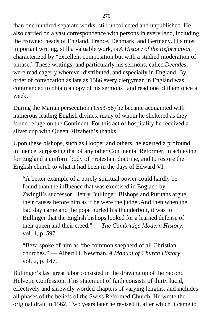than one hundred separate works, still uncollected and unpublished. He also carried on a vast correspondence with persons in every land, including the crowned heads of England, France, Denmark, and Germany. His most important writing, still a valuable work, is *A History of the Reformation,* characterized by "excellent composition but with a studied moderation of phrase." These writings, and particularly his sermons, called *Decades,* were read eagerly wherever distributed, and especially in England. By order of convocation as late as 1586 every clergyman in England was commanded to obtain a copy of his sermons "and read one of them once a week."

During the Marian persecution (1553-58) he became acquainted with numerous leading English divines, many of whom he sheltered as they found refuge on the Continent. For this act of hospitality he received a silver cup with Queen Elizabeth's thanks.

Upon these bishops, such as Hooper and others, he exerted a profound influence, surpassing that of any other Continental Reformer, in achieving for England a uniform body of Protestant doctrine, and to restore the English church to what it had been in the days of Edward VI.

"A better example of a purely spiritual power could hardly be found than the influence that was exercised in England by Zwingli's successor, Henry Bullinger. Bishops and Puritans argue their causes before him as if he were the judge..And then when the bad day came and the pope hurled his thunderbolt, it was to Bullinger that the English bishops looked for a learned defense of their queen and their creed." — *The Cambridge Modern History,* vol. 1, p. 597.

"Beza spoke of him as 'the common shepherd of all Christian churches." — Albert H. Newman, *A Manual of Church History,* vol. 2, p. 147.

Bullinger's last great labor consisted in the drawing up of the Second Helvetic Confession. This statement of faith consists of thirty lucid, effectively and shrewdly worded chapters of varying lengths, and includes all phases of the beliefs of the Swiss Reformed Church. He wrote the original draft in 1562. Two years later he revised it, after which it came to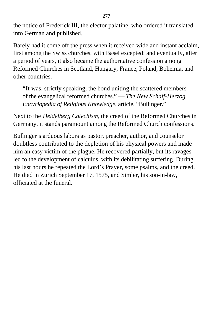the notice of Frederick III, the elector palatine, who ordered it translated into German and published.

Barely had it come off the press when it received wide and instant acclaim, first among the Swiss churches, with Basel excepted; and eventually, after a period of years, it also became the authoritative confession among Reformed Churches in Scotland, Hungary, France, Poland, Bohemia, and other countries.

"It was, strictly speaking, the bond uniting the scattered members of the evangelical reformed churches." — *The New Schaff-Herzog Encyclopedia of Religious Knowledge,* article, "Bullinger."

Next to the *Heidelberg Catechism,* the creed of the Reformed Churches in Germany, it stands paramount among the Reformed Church confessions.

Bullinger's arduous labors as pastor, preacher, author, and counselor doubtless contributed to the depletion of his physical powers and made him an easy victim of the plague. He recovered partially, but its ravages led to the development of calculus, with its debilitating suffering. During his last hours he repeated the Lord's Prayer, some psalms, and the creed. He died in Zurich September 17, 1575, and Simler, his son-in-law, officiated at the funeral.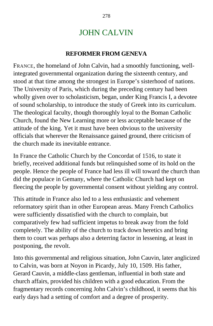### JOHN CALVIN

#### **REFORMER FROM GENEVA**

FRANCE, the homeland of John Calvin, had a smoothly functioning, wellintegrated governmental organization during the sixteenth century, and stood at that time among the strongest in Europe's sisterhood of nations. The University of Paris, which during the preceding century had been wholly given over to scholasticism, began, under King Francis I, a devotee of sound scholarship, to introduce the study of Greek into its curriculum. The theological faculty, though thoroughly loyal to the Boman Catholic Church, found the New Learning more or less acceptable because of the attitude of the king. Yet it must have been obvious to the university officials that wherever the Renaissance gained ground, there criticism of the church made its inevitable entrance.

In France the Catholic Church by the Concordat of 1516, to state it briefly, received additional funds but relinquished some of its hold on the people. Hence the people of France had less ill will toward the church than did the populace in Gemany, where the Catholic Church had kept on fleecing the people by governmental consent without yielding any control.

This attitude in France also led to a less enthusiastic and vehement reformatory spirit than in other European areas. Many French Catholics were sufficiently dissatisfied with the church to complain, but comparatively few had sufficient impetus to break away from the fold completely. The ability of the church to track down heretics and bring them to court was perhaps also a deterring factor in lessening, at least in postponing, the revolt.

Into this governmental and religious situation, John Cauvin, later anglicized to Calvin, was born at Noyon in Picardy, July 10, 1509. His father, Gerard Cauvin, a middle-class gentleman, influential in both state and church affairs, provided his children with a good education. From the fragmentary records concerning John Calvin's childhood, it seems that his early days had a setting of comfort and a degree of prosperity.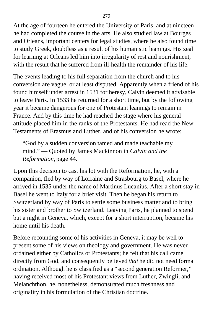At the age of fourteen he entered the University of Paris, and at nineteen he had completed the course in the arts. He also studied law at Bourges and Orleans, important centers for legal studies, where he also found time to study Greek, doubtless as a result of his humanistic leanings. His zeal for learning at Orleans led him into irregularity of rest and nourishment, with the result that he suffered from ill-health the remainder of his life.

The events leading to his full separation from the church and to his conversion are vague, or at least disputed. Apparently when a friend of his found himself under arrest in 1531 for heresy, Calvin deemed it advisable to leave Paris. In 1533 he returned for a short time, but by the following year it became dangerous for one of Protestant leanings to remain in France. And by this time he had reached the stage where his general attitude placed him in the ranks of the Protestants. He had read the New Testaments of Erasmus and Luther, and of his conversion he wrote:

"God by a sudden conversion tamed and made teachable my mind." — Quoted by James Mackinnon in *Calvin and the Reformation,* page 44.

Upon this decision to cast his lot with the Reformation, he, with a companion, fled by way of Lorraine and Strasbourg to Basel, where he arrived in 1535 under the name of Martinus Lucanius. After a short stay in Basel he went to Italy for a brief visit. Then he began his return to Switzerland by way of Paris to settle some business matter and to bring his sister and brother to Switzerland. Leaving Paris, he planned to spend but a night in Geneva, which, except for a short interruption, became his home until his death.

Before recounting some of his activities in Geneva, it may be well to present some of his views on theology and government. He was never ordained either by Catholics or Protestants; he felt that his call came directly from God, and consequently believed *that* he did not need formal ordination. Although he is classified as a "second generation Reformer," having received most of his Protestant views from Luther, Zwingli, and Melanchthon, he, nonetheless, demonstrated much freshness and originality in his formulation of the Christian doctrine.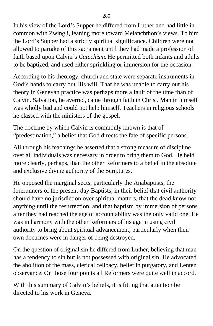In his view of the Lord's Supper he differed from Luther and had little in common with Zwingli, leaning more toward Melanchthon's views. To him the Lord's Supper had a strictly spiritual significance. Children were not allowed to partake of this sacrament until they had made a profession of faith based upon Calvin's *Catechism.* He permitted both infants and adults to be baptized, and used either sprinkling or immersion for the occasion.

According to his theology, church and state were separate instruments in God's hands to carry out His will. That he was unable to carry out his theory in Genevan practice was perhaps more a fault of the time than of Calvin. Salvation, he averred, came through faith in Christ. Man in himself was wholly bad and could not help himself. Teachers in religious schools he classed with the ministers of the gospel.

The doctrine by which Calvin is commonly known is that of "predestination," a belief that God directs the fate of specific persons.

All through his teachings he asserted that a strong measure of discipline over all individuals was necessary in order to bring them to God. He held more clearly, perhaps, than the other Reformers to a belief in the absolute and exclusive divine authority of the Scriptures.

He opposed the marginal sects, particularly the Anabaptists, the forerunners of the present-day Baptists, in their belief that civil authority should have no jurisdiction over spiritual matters, that the dead know not anything until the resurrection, and that baptism by immersion of persons after they had reached the age of accountability was the only valid one. He was in harmony with the other Reformers of his age in using civil authority to bring about spiritual advancement, particularly when their own doctrines were in danger of being destroyed.

On the question of original sin he differed from Luther, believing that man has a tendency to sin but is not possessed with original sin. He advocated the abolition of the mass, clerical celibacy, belief in purgatory, and Lenten observance. On those four points all Reformers were quite well in accord.

With this summary of Calvin's beliefs, it is fitting that attention be directed to his work in Geneva.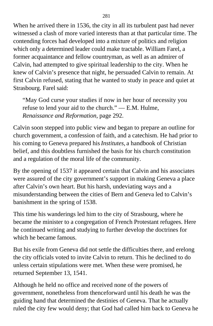When he arrived there in 1536, the city in all its turbulent past had never witnessed a clash of more varied interests than at that particular time. The contending forces had developed into a mixture of politics and religion which only a determined leader could make tractable. William Farel, a former acquaintance and fellow countryman, as well as an admirer of Calvin, had attempted to give spiritual leadership to the city. When he knew of Calvin's presence that night, he persuaded Calvin to remain. At first Calvin refused, stating that he wanted to study in peace and quiet at Strasbourg. Farel said:

"May God curse your studies if now in her hour of necessity you refuse to lend your aid to the church." — E.M. Hulme, *Renaissance and Reformation,* page 292.

Calvin soon stepped into public view and began to prepare an outline for church government, a confession of faith, and a catechism. He had prior to his coming to Geneva prepared his *Institutes,* a handbook of Christian belief, and this doubtless furnished the basis for his church constitution and a regulation of the moral life of the community.

By the opening of 1537 it appeared certain that Calvin and his associates were assured of the city government's support in making Geneva a place after Calvin's own heart. But his harsh, undeviating ways and a misunderstanding between the cities of Bern and Geneva led to Calvin's banishment in the spring of 1538.

This time his wanderings led him to the city of Strasbourg, where he became the minister to a congregation of French Protestant refugees. Here he continued writing and studying to further develop the doctrines for which he became famous.

But his exile from Geneva did not settle the difficulties there, and erelong the city officials voted to invite Calvin to return. This he declined to do unless certain stipulations were met. When these were promised, he returned September 13, 1541.

Although he held no office and received none of the powers of government, nonetheless from thenceforward until his death he was the guiding hand that determined the destinies of Geneva. That he actually ruled the city few would deny; that God had called him back to Geneva he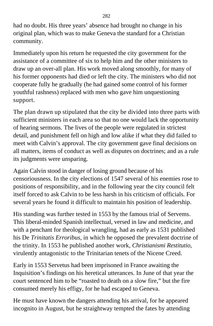had no doubt. His three years' absence had brought no change in his original plan, which was to make Geneva the standard for a Christian community.

Immediately upon his return he requested the city government for the assistance of a committee of six to help him and the other ministers to draw up an over-all plan. His work moved along smoothly, for many of his former opponents had died or left the city. The ministers who did not cooperate fully he gradually (he had gained some control of his former youthful rashness) replaced with men who gave him unquestioning support.

The plan drawn up stipulated that the city be divided into three parts with sufficient ministers in each area so that no one would lack the opportunity of hearing sermons. The lives of the people were regulated in strictest detail, and punishment fell on high and low alike if what they did failed to meet with Calvin's approval. The city government gave final decisions on all matters, items of conduct as well as disputes on doctrines; and as a rule its judgments were unsparing.

Again Calvin stood in danger of losing ground because of his censoriousness. In the city elections of 1547 several of his enemies rose to positions of responsibility, and in the following year the city council felt itself forced to ask Calvin to be less harsh in his criticism of officials. For several years he found it difficult to maintain his position of leadership.

His standing was further tested in 1553 by the famous trial of Servems. This liberal-minded Spanish intellectual, versed in law and medicine, and with a penchant for theological wrangling, had as early as 1531 published his De *Trinitatis Erroribus,* in which he opposed the prevalent doctrine of the trinity. In 1553 he published another work, *Christianismi Restitutio,* virulently antagonistic to the Trinitarian tenets of the Nicene Creed.

Early in 1553 Servetus had been imprisoned in France awaiting the Inquisition's findings on his heretical utterances. In June of that year the court sentenced him to be "roasted to death on a slow fire," but the fire consumed merely his effigy, for he had escaped to Geneva.

He must have known the dangers attending his arrival, for he appeared incognito in August, but he straightway tempted the fates by attending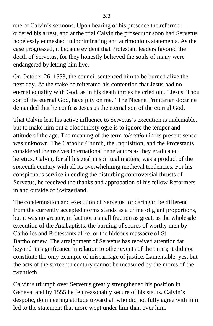one of Calvin's sermons. Upon hearing of his presence the reformer ordered his arrest, and at the trial Calvin the prosecutor soon had Servetus hopelessly enmeshed in incriminating and acrimonious statements. As the case progressed, it became evident that Protestant leaders favored the death of Servetus, for they honestly believed the souls of many were endangered by letting him live.

On October 26, 1553, the council sentenced him to be burned alive the next day. At the stake he reiterated his contention that Jesus had no eternal equality with God, as in his death throes he cried out, "Jesus, Thou son of the eternal God, have pity on me." The Nicene Trinitarian doctrine demanded that he confess Jesus as the eternal son of the eternal God.

That Calvin lent his active influence to Servetus's execution is undeniable, but to make him out a bloodthirsty ogre is to ignore the temper and attitude of the age. The meaning of the term *toleration* in its present sense was unknown. The Catholic Church, the Inquisition, and the Protestants considered themselves international benefactors as they eradicated heretics. Calvin, for all his zeal in spiritual matters, was a product of the sixteenth century with all its overwhelming medieval tendencies. For his conspicuous service in ending the disturbing controversial thrusts of Servetus, he received the thanks and approbation of his fellow Reformers in and outside of Switzerland.

The condemnation and execution of Servetus for daring to be different from the currently accepted norms stands as a crime of giant proportions, but it was no greater, in fact not a small fraction as great, as the wholesale execution of the Anabaptists, the burning of scores of worthy men by Catholics and Protestants alike, or the hideous massacre of St. Bartholomew. The arraignment of Servetus has received attention far beyond its significance in relation to other events of the times; it did not constitute the only example of miscarriage of justice. Lamentable, yes, but the acts of the sixteenth century cannot be measured by the mores of the twentieth.

Calvin's triumph over Servetus greatly strengthened his position in Geneva, and by 1555 he felt reasonably secure of his status. Calvin's despotic, domineering attitude toward all who did not fully agree with him led to the statement that more wept under him than over him.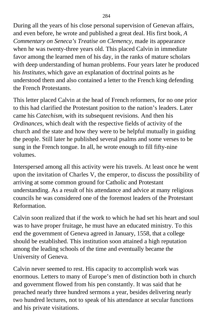During all the years of his close personal supervision of Genevan affairs, and even before, he wrote and published a great deal. His first book, *A Commentary on Seneca's Treatise on Clemency,* made its appearance when he was twenty-three years old. This placed Calvin in immediate favor among the learned men of his day, in the ranks of mature scholars with deep understanding of human problems. Four years later he produced his *Institutes,* which gave an explanation of doctrinal points as he understood them and also contained a letter to the French king defending the French Protestants.

This letter placed Calvin at the head of French reformers, for no one prior to this had clarified the Protestant position to the nation's leaders. Later came his *Catechism,* with its subsequent revisions. And then his *Ordinances,* which dealt with the respective fields of activity of the church and the state and how they were to be helpful mutually in guiding the people. Still later he published several psalms and some verses to be sung in the French tongue. In all, he wrote enough to fill fifty-nine volumes.

Interspersed among all this activity were his travels. At least once he went upon the invitation of Charles V, the emperor, to discuss the possibility of arriving at some common ground for Catholic and Protestant understanding. As a result of his attendance and advice at many religious councils he was considered one of the foremost leaders of the Protestant **Reformation** 

Calvin soon realized that if the work to which he had set his heart and soul was to have proper fruitage, he must have an educated ministry. To this end the government of Geneva agreed in January, 1558, that a college should be established. This institution soon attained a high reputation among the leading schools of the time and eventually became the University of Geneva.

Calvin never seemed to rest. His capacity to accomplish work was enormous. Letters to many of Europe's men of distinction both in church and government flowed from his pen constantly. It was said that he preached nearly three hundred sermons a year, besides delivering nearly two hundred lectures, not to speak of his attendance at secular functions and his private visitations.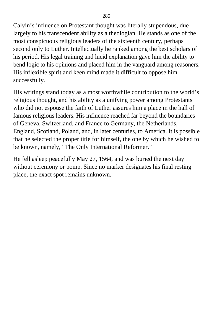Calvin's influence on Protestant thought was literally stupendous, due largely to his transcendent ability as a theologian. He stands as one of the most conspicuous religious leaders of the sixteenth century, perhaps second only to Luther. Intellectually he ranked among the best scholars of his period. His legal training and lucid explanation gave him the ability to bend logic to his opinions and placed him in the vanguard among reasoners. His inflexible spirit and keen mind made it difficult to oppose him successfully.

His writings stand today as a most worthwhile contribution to the world's religious thought, and his ability as a unifying power among Protestants who did not espouse the faith of Luther assures him a place in the hall of famous religious leaders. His influence reached far beyond the boundaries of Geneva, Switzerland, and France to Germany, the Netherlands, England, Scotland, Poland, and, in later centuries, to America. It is possible that he selected the proper title for himself, the one by which he wished to be known, namely, "The Only International Reformer."

He fell asleep peacefully May 27, 1564, and was buried the next day without ceremony or pomp. Since no marker designates his final resting place, the exact spot remains unknown.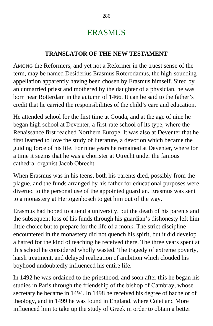## ERASMUS

#### **TRANSLATOR OF THE NEW TESTAMENT**

AMONG the Reformers, and yet not a Reformer in the truest sense of the term, may be named Desiderius Erasmus Roterodamus, the high-sounding appellation apparently having been chosen by Erasmus himself. Sired by an unmarried priest and mothered by the daughter of a physician, he was born near Rotterdam in the autumn of 1466. It can be said to the father's credit that he carried the responsibilities of the child's care and education.

He attended school for the first time at Gouda, and at the age of nine he began high school at Deventer, a first-rate school of its type, where the Renaissance first reached Northern Europe. It was also at Deventer that he first learned to love the study of literature, a devotion which became the guiding force of his life. For nine years he remained at Deventer, where for a time it seems that he was a chorister at Utrecht under the famous cathedral organist Jacob Obrecht.

When Erasmus was in his teens, both his parents died, possibly from the plague, and the funds arranged by his father for educational purposes were diverted to the personal use of the appointed guardian. Erasmus was sent to a monastery at Hertogenbosch to get him out of the way.

Erasmus had hoped to attend a university, but the death of his parents and the subsequent loss of his funds through his guardian's dishonesty left him little choice but to prepare for the life of a monk. The strict discipline encountered in the monastery did not quench his spirit, but it did develop a hatred for the kind of teaching he received there. The three years spent at this school he considered wholly wasted. The tragedy of extreme poverty, harsh treatment, and delayed realization of ambition which clouded his boyhood undoubtedly influenced his entire life.

In 1492 he was ordained to the priesthood, and soon after this he began his studies in Paris through the friendship of the bishop of Cambray, whose secretary he became in 1494. In 1498 he received his degree of bachelor of theology, and in 1499 he was found in England, where Colet and More influenced him to take up the study of Greek in order to obtain a better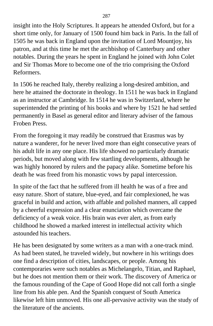insight into the Holy Scriptures. It appears he attended Oxford, but for a short time only, for January of 1500 found him back in Paris. In the fall of 1505 he was back in England upon the invitation of Lord Mountjoy, his patron, and at this time he met the archbishop of Canterbury and other notables. During the years he spent in England he joined with John Colet and Sir Thomas More to become one of the trio comprising the Oxford Reformers.

In 1506 he reached Italy, thereby realizing a long-desired ambition, and here he attained the doctorate in theology. In 1511 he was back in England as an instructor at Cambridge. In 1514 he was in Switzerland, where he superintended the printing of his books and where by 1521 he had settled permanently in Basel as general editor and literary adviser of the famous Froben Press.

From the foregoing it may readily be construed that Erasmus was by nature a wanderer, for he never lived more than eight consecutive years of his adult life in any one place. His life showed no particularly dramatic periods, but moved along with few startling developments, although he was highly honored by rulers and the papacy alike. Sometime before his death he was freed from his monastic vows by papal intercession.

In spite of the fact that he suffered from ill health he was of a free and easy nature. Short of stature, blue-eyed, and fair complexioned, he was graceful in build and action, with affable and polished manners, all capped by a cheerful expression and a clear enunciation which overcame the deficiency of a weak voice. His brain was ever alert, as from early childhood he showed a marked interest in intellectual activity which astounded his teachers.

He has been designated by some writers as a man with a one-track mind. As had been stated, he traveled widely, but nowhere in his writings does one find a description of cities, landscapes, or people. Among his contemporaries were such notables as Michelangelo, Titian, and Raphael, but he does not mention them or their work. The discovery of America or the famous rounding of the Cape of Good Hope did not call forth a single line from his able pen. And the Spanish conquest of South America likewise left him unmoved. His one all-pervasive activity was the study of the literature of the ancients.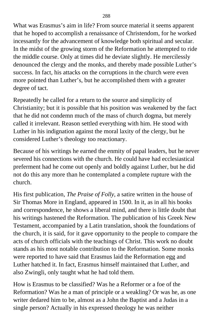What was Erasmus's aim in life? From source material it seems apparent that he hoped to accomplish a renaissance of Christendom, for he worked incessantly for the advancement of knowledge both spiritual and secular. In the midst of the growing storm of the Reformation he attempted to ride the middle course. Only at times did he deviate slightly. He mercilessly denounced the clergy and the monks, and thereby made possible Luther's success. In fact, his attacks on the corruptions in the church were even more pointed than Luther's, but he accomplished them with a greater degree of tact.

Repeatedly he called for a return to the source and simplicity of Christianity; but it is possible that his position was weakened by the fact that he did not condemn much of the mass of church dogma, but merely called it irrelevant. Reason settled everything with him. He stood with Luther in his indignation against the moral laxity of the clergy, but he considered Luther's theology too reactionary.

Because of his writings he earned the enmity of papal leaders, but he never severed his connections with the church. He could have had ecclesiastical preferment had he come out openly and boldly against Luther, but he did not do this any more than he contemplated a complete rupture with the church.

His first publication, *The Praise of Folly,* a satire written in the house of Sir Thomas More in England, appeared in 1500. In it, as in all his books and correspondence, he shows a liberal mind, and there is little doubt that his writings hastened the Reformation. The publication of his Greek New Testament, accompanied by a Latin translation, shook the foundations of the church, it is said, for it gave opportunity to the people to compare the acts of church officials with the teachings of Christ. This work no doubt stands as his most notable contribution to the Reformation. Some monks were reported to have said that Erasmus laid the Reformation egg and Luther hatched it. In fact, Erasmus himself maintained that Luther, and also Zwingli, only taught what he had told them.

How is Erasmus to be classified? Was he a Reformer or a foe of the Reformation? Was he a man of principle or a weakling? Or was he, as one writer dedared him to be, almost as a John the Baptist and a Judas in a single person? Actually in his expressed theology he was neither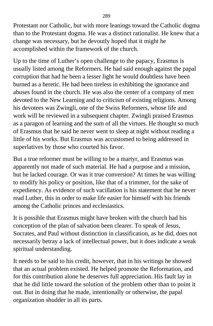Protestant nor Catholic, but with more leanings toward the Catholic dogma than to the Protestant dogma. He was a distinct rationalist. He knew that a change was necessary, but he devoutly hoped that it might he accomplished within the framework of the church.

Up to the time of Luther's open challenge to the papacy, Erasmus is usually listed among the Reformers. He had said enough against the papal corruption that had he been a lesser light he would doubtless have been burned as a heretic. He had been tireless in exhibiting the ignorance and abuses found in the church. He was also the center of a company of men devoted to the New Learning and to criticism of existing religions. Among his devotees was Zwingli, one of the Swiss Reformers, whose life and work will be reviewed in a subsequent chapter. Zwingli praised Erasmus as a paragon of learning and the sum of all the virtues. He thought so much of Erasmus that he said he never went to sleep at night without reading a little of his works. But Erasmus was accustomed to being addressed in superlatives by those who courted his favor.

But a true reformer must be willing to be a martyr, and Erasmus was apparently not made of such material. He had a purpose and a mission, but he lacked courage. Or was it true conversion? At times he was willing to modify his policy or position, like that of a trimmer, for the sake of expediency. As evidence of such vacillation is his statement that he never read Luther, this in order to make life easier for himself with his friends among the Catholic princes and ecclesiastics.

It is possible that Erasmus might have broken with the church had his conception of the plan of salvation been clearer. To speak of Jesus, Socrates, and Paul without distinction in classification, as he did, does not necessarily betray a lack of intellectual power, but it does indicate a weak spiritual understanding.

It needs to be said to his credit, however, that in his writings he showed that an actual problem existed. He helped promote the Reformation, and for this contribution alone he deserves full appreciation. His fault lay in that he did little toward the solution of the problem other than to point it out. But in doing that he made, intentionally or otherwise, the papal organization shudder in all its parts.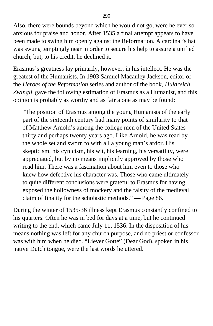Also, there were bounds beyond which he would not go, were he ever so anxious for praise and honor. After 1535 a final attempt appears to have been made to swing him openly against the Reformation. A cardinal's hat was swung temptingly near in order to secure his help to assure a unified church; but, to his credit, he declined it.

Erasmus's greatness lay primarily, however, in his intellect. He was the greatest of the Humanists. In 1903 Samuel Macauley Jackson, editor of the *Heroes of the Reformation* series and author of the book, *Huldreich Zwingli,* gave the following estimation of Erasmus as a Humanist, and this opinion is probably as worthy and as fair a one as may be found:

"The position of Erasmus among the young Humanists of the early part of the sixteenth century had many points of similarity to that of Matthew Arnold's among the college men of the United States thirty and perhaps twenty years ago. Like Arnold, he was read by the whole set and sworn to with all a young man's ardor. His skepticism, his cynicism, his wit, his learning, his versatility, were appreciated, but by no means implicitly approved by those who read him. There was a fascination about him even to those who knew how defective his character was. Those who came ultimately to quite different conclusions were grateful to Erasmus for having exposed the hollowness of mockery and the falsity of the medieval claim of finality for the scholastic methods." — Page 86.

During the winter of 1535-36 illness kept Erasmus constantly confined to his quarters. Often he was in bed for days at a time, but he continued writing to the end, which came July 11, 1536. In the disposition of his means nothing was left for any church purpose, and no priest or confessor was with him when he died. "Liever Gotte" (Dear God), spoken in his native Dutch tongue, were the last words he uttered.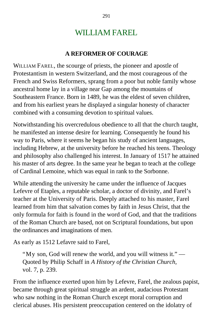### WILLIAM FAREL

#### **A REFORMER OF COURAGE**

WILLIAM FAREL, the scourge of priests, the pioneer and apostle of Protestantism in western Switzerland, and the most courageous of the French and Swiss Reformers, sprang from a poor but noble family whose ancestral home lay in a village near Gap among the mountains of Southeastern France. Born in 1489, he was the eldest of seven children, and from his earliest years he displayed a singular honesty of character combined with a consuming devotion to spiritual values.

Notwithstanding his overcredulous obedience to all that the church taught, he manifested an intense desire for learning. Consequently he found his way to Paris, where it seems he began his study of ancient languages, including Hebrew, at the university before he reached his teens. Theology and philosophy also challenged his interest. In January of 1517 he attained his master of arts degree. In the same year he began to teach at the college of Cardinal Lemoine, which was equal in rank to the Sorbonne.

While attending the university he came under the influence of Jacques Lefevre of Etaples, a reputable scholar, a doctor of divinity, and Farel's teacher at the University of Paris. Deeply attached to his master, Farel learned from him that salvation comes by faith in Jesus Christ, that the only formula for faith is found in the word of God, and that the traditions of the Roman Church are based, not on Scriptural foundations, but upon the ordinances and imaginations of men.

As early as 1512 Lefavre said to Farel,

"My son, God will renew the world, and you will witness it." Quoted by Philip Schaff in *A History of the Christian Church,* vol. 7, p. 239.

From the influence exerted upon him by Lefevre, Farel, the zealous papist, became through great spiritual struggle an ardent, audacious Protestant who saw nothing in the Roman Church except moral corruption and clerical abuses. His persistent preoccupation centered on the idolatry of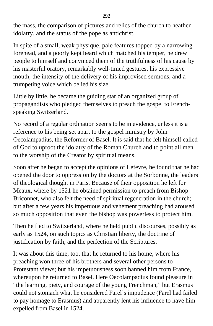the mass, the comparison of pictures and relics of the church to heathen idolatry, and the status of the pope as antichrist.

In spite of a small, weak physique, pale features topped by a narrowing forehead, and a poorly kept beard which matched his temper, he drew people to himself and convinced them of the truthfulness of his cause by his masterful oratory, remarkably well-timed gestures, his expressive mouth, the intensity of the delivery of his improvised sermons, and a trumpeting voice which belied his size.

Little by little, he became the guiding star of an organized group of propagandists who pledged themselves to preach the gospel to Frenchspeaking Switzerland.

No record of a regular ordination seems to be in evidence, unless it is a reference to his being set apart to the gospel ministry by John Oecolampadius, the Reformer of Basel. It is said that he felt himself called of God to uproot the idolatry of the Roman Church and to point all men to the worship of the Creator by spiritual means.

Soon after he began to accept the opinions of Lefevre, he found that he had opened the door to oppression by the doctors at the Sorbonne, the leaders of theological thought in Paris. Because of their opposition he left for Meaux, where by 1521 he obtained permission to preach from Bishop Briconnet, who also felt the need of spiritual regeneration in the church; but after a few years his impetuous and vehement preaching had aroused so much opposition that even the bishop was powerless to protect him.

Then he fled to Switzerland, where he held public discourses, possibly as early as 1524, on such topics as Christian liberty, the doctrine of justification by faith, and the perfection of the Scriptures.

It was about this time, too, that he returned to his home, where his preaching won three of his brothers and several other persons to Protestant views; but his impetuousness soon banned him from France, whereupon he returned to Basel. Here Oecolampadius found pleasure in "the learning, piety, and courage of the young Frenchman," but Erasmus could not stomach what he considered Farel's impudence (Farel had failed to pay homage to Erasmus) and apparently lent his influence to have him expelled from Basel in 1524.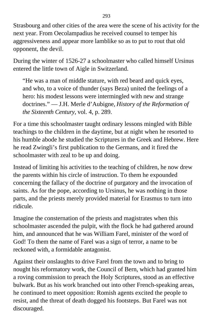Strasbourg and other cities of the area were the scene of his activity for the next year. From Oecolampadius he received counsel to temper his aggressiveness and appear more lamblike so as to put to rout that old opponent, the devil.

During the winter of 1526-27 a schoolmaster who called himself Ursinus entered the little town of Aigle in Switzerland.

"He was a man of middle stature, with red beard and quick eyes, and who, to a voice of thunder (says Beza) united the feelings of a hero: his modest lessons were intermingled with new and strange doctrines." — J.H. Merle d'Aubigne, *History of the Reformation of the Sixteenth Century,* vol. 4, p. 289.

For a time this schoolmaster taught ordinary lessons mingled with Bible teachings to the children in the daytime, but at night when he resorted to his humble abode he studied the Scriptures in the Greek and Hebrew. Here he read Zwingli's first publication to the Germans, and it fired the schoolmaster with zeal to be up and doing.

Instead of limiting his activities to the teaching of children, he now drew the parents within his circle of instruction. To them he expounded concerning the fallacy of the doctrine of purgatory and the invocation of saints. As for the pope, according to Ursinus, he was nothing in those parts, and the priests merely provided material for Erasmus to turn into ridicule.

Imagine the consternation of the priests and magistrates when this schoolmaster ascended the pulpit, with the flock he had gathered around him, and announced that he was William Farel, minister of the word of God! To them the name of Farel was a sign of terror, a name to be reckoned with, a formidable antagonist.

Against their onslaughts to drive Farel from the town and to bring to nought his reformatory work, the Council of Bern, which had granted him a roving commission to preach the Holy Scriptures, stood as an effective bulwark. But as his work branched out into other French-speaking areas, he continued to meet opposition: Romish agents excited the people to resist, and the threat of death dogged his footsteps. But Farel was not discouraged.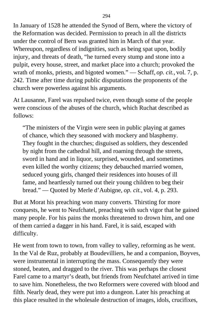In January of 1528 he attended the Synod of Bern, where the victory of the Reformation was decided. Permission to preach in all the districts under the control of Bern was granted him in March of that year. Whereupon, regardless of indignities, such as being spat upon, bodily injury, and threats of death, "he turned every stump and stone into a pulpit, every house, street, and market place into a church; provoked the wrath of monks, priests, and bigoted women." — Schaff, *op. cit.,* vol. 7, p. 242. Time after time during public disputations the proponents of the church were powerless against his arguments.

At Lausanne, Farel was repulsed twice, even though some of the people were conscious of the abuses of the church, which Ruchat described as follows:

"The ministers of the Virgin were seen in public playing at games of chance, which they seasoned with mockery and blasphemy. They fought in the churches; disguised as soldiers, they descended by night from the cathedral hill, and roaming through the streets, sword in hand and in liquor, surprised, wounded, and sometimes even killed the worthy citizens; they debauched married women, seduced young girls, changed their residences into houses of ill fame, and heartlessly turned out their young children to beg their bread." — Quoted by Merle d'Aubigne, *op. cit.,* vol. 4, p. 293.

But at Morat his preaching won many converts. Thirsting for more conquests, he went to Neufchatel, preaching with such vigor that he gained many people. For his pains the monks threatened to drown him, and one of them carried a dagger in his hand. Farel, it is said, escaped with difficulty.

He went from town to town, from valley to valley, reforming as he went. In the Val de Ruz, probably at Boudevilliers, he and a companion, Boyves, were instrumental in interrupting the mass. Consequently they were stoned, beaten, and dragged to the river. This was perhaps the closest Farel came to a martyr's death, but friends from Neufchatel arrived in time to save him. Nonetheless, the two Reformers were covered with blood and filth. Nearly dead, they were put into a dungeon. Later his preaching at this place resulted in the wholesale destruction of images, idols, crucifixes,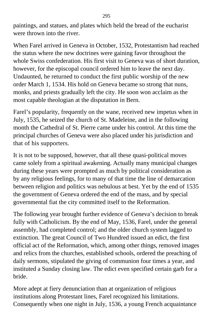paintings, and statues, and plates which held the bread of the eucharist were thrown into the river.

When Farel arrived in Geneva in October, 1532, Protestantism had reached the status where the new doctrines were gaining favor throughout the whole Swiss confederation. His first visit to Geneva was of short duration, however, for the episcopal council ordered him to leave the next day. Undaunted, he returned to conduct the first public worship of the new order March 1, 1534. His hold on Geneva became so strong that nuns, monks, and priests gradually left the city. He soon won acclaim as the most capable theologian at the disputation in Bern.

Farel's popularity, frequently on the wane, received new impetus when in July, 1535, he seized the church of St. Madeleine, and in the following month the Cathedral of St. Pierre came under his control. At this time the principal churches of Geneva were also placed under his jurisdiction and that of his supporters.

It is not to be supposed, however, that all these quasi-political moves came solely from a spiritual awakening. Actually many municipal changes during these years were prompted as much by political consideration as by any religious feelings, for to many of that time the line of demarcation between religion and politics was nebulous at best. Yet by the end of 1535 the government of Geneva ordered the end of the mass, and by special governmental fiat the city committed itself to the Reformation.

The following year brought further evidence of Geneva's decision to break fully with Catholicism. By the end of May, 1536, Farel, under the general assembly, had completed control; and the older church system lagged to extinction. The great Council of Two Hundred issued an edict, the first official act of the Reformation, which, among other things, removed images and relics from the churches, established schools, ordered the preaching of daily sermons, stipulated the giving of communion four times a year, and instituted a Sunday closing law. The edict even specified certain garb for a bride.

More adept at fiery denunciation than at organization of religious institutions along Protestant lines, Farel recognized his limitations. Consequently when one night in July, 1536, a young French acquaintance

295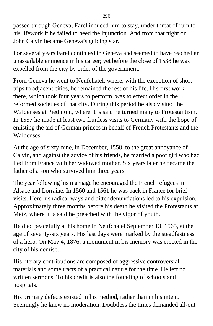passed through Geneva, Farel induced him to stay, under threat of ruin to his lifework if he failed to heed the injunction. And from that night on John Calvin became Geneva's guiding star.

For several years Farel continued in Geneva and seemed to have reached an unassailable eminence in his career; yet before the close of 1538 he was expelled from the city by order of the government.

From Geneva he went to Neufchatel, where, with the exception of short trips to adjacent cities, he remained the rest of his life. His first work there, which took four years to perform, was to effect order in the reformed societies of that city. During this period he also visited the Waldenses at Piedmont, where it is said he turned many to Protestantism. In 1557 he made at least two fruitless visits to Germany with the hope of enlisting the aid of German princes in behalf of French Protestants and the Waldenses.

At the age of sixty-nine, in December, 1558, to the great annoyance of Calvin, and against the advice of his friends, he married a poor girl who had fled from France with her widowed mother. Six years later he became the father of a son who survived him three years.

The year following his marriage he encouraged the French refugees in Alsace and Lorraine. In 1560 and 1561 he was back in France for brief visits. Here his radical ways and bitter denunciations led to his expulsion. Approximately three months before his death he visited the Protestants at Metz, where it is said he preached with the vigor of youth.

He died peacefully at his home in Neufchatel September 13, 1565, at the age of seventy-six years. His last days were marked by the steadfastness of a hero. On May 4, 1876, a monument in his memory was erected in the city of his demise.

His literary contributions are composed of aggressive controversial materials and some tracts of a practical nature for the time. He left no written sermons. To his credit is also the founding of schools and hospitals.

His primary defects existed in his method, rather than in his intent. Seemingly he knew no moderation. Doubtless the times demanded all-out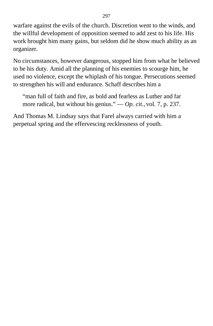warfare against the evils of the church. Discretion went to the winds, and the willful development of opposition seemed to add zest to his life. His work brought him many gains, but seldom did he show much ability as an organizer.

No circumstances, however dangerous, stopped him from what he believed to be his duty. Amid all the planning of his enemies to scourge him, he used no violence, except the whiplash of his tongue. Persecutions seemed to strengthen his will and endurance. Schaff describes him a

"man full of faith and fire, as bold and fearless as Luther and far more radical, but without his genius." — *Op. cit.,* vol. 7, p. 237.

And Thomas M. Lindsay says that Farel always carried with him a perpetual spring and the effervescing recklessness of youth.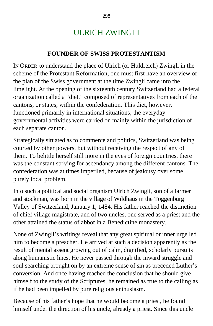# ULRICH ZWINGLI

#### **FOUNDER OF SWISS PROTESTANTISM**

IN ORDER to understand the place of Ulrich (or Huldreich) Zwingli in the scheme of the Protestant Reformation, one must first have an overview of the plan of the Swiss government at the time Zwingli came into the limelight. At the opening of the sixteenth century Switzerland had a federal organization called a "diet," composed of representatives from each of the cantons, or states, within the confederation. This diet, however, functioned primarily in international situations; the everyday governmental activities were carried on mainly within the jurisdiction of each separate canton.

Strategically situated as to commerce and politics, Switzerland was being courted by other powers, but without receiving the respect of any of them. To belittle herself still more in the eyes of foreign countries, there was the constant striving for ascendancy among the different cantons. The confederation was at times imperiled, because of jealousy over some purely local problem.

Into such a political and social organism Ulrich Zwingli, son of a farmer and stockman, was born in the village of Wildhaus in the Toggenburg Valley of Switzerland, January 1, 1484. His father reached the distinction of chief village magistrate, and of two uncles, one served as a priest and the other attained the status of abbot in a Benedictine monastery.

None of Zwingli's writings reveal that any great spiritual or inner urge led him to become a preacher. He arrived at such a decision apparently as the result of mental assent growing out of calm, dignified, scholarly pursuits along humanistic lines. He never passed through the inward struggle and soul searching brought on by an extreme sense of sin as preceded Luther's conversion. And once having reached the conclusion that he should give himself to the study of the Scriptures, he remained as true to the calling as if he had been impelled by pure religious enthusiasm.

Because of his father's hope that he would become a priest, he found himself under the direction of his uncle, already a priest. Since this uncle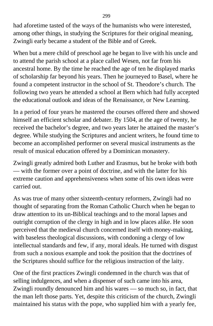had aforetime tasted of the ways of the humanists who were interested, among other things, in studying the Scriptures for their original meaning, Zwingli early became a student of the Bible and of Greek.

When but a mere child of preschool age he began to live with his uncle and to attend the parish school at a place called Wesen, not far from his ancestral home. By the time he reached the age of ten he displayed marks of scholarship far beyond his years. Then he journeyed to Basel, where he found a competent instructor in the school of St. Theodore's church. The following two years he attended a school at Bern which had fully accepted the educational outlook and ideas of the Renaissance, or New Learning.

In a period of four years he mastered the courses offered there and showed himself an efficient scholar and debater. By 1504, at the age of twenty, he received the bachelor's degree, and two years later he attained the master's degree. While studying the Scriptures and ancient writers, he found time to become an accomplished performer on several musical instruments as the result of musical education offered by a Dominican monastery.

Zwingli greatly admired both Luther and Erasmus, but he broke with both — with the former over a point of doctrine, and with the latter for his extreme caution and apprehensiveness when some of his own ideas were carried out.

As was true of many other sixteenth-century reformers, Zwingli had no thought of separating from the Roman Catholic Church when he began to draw attention to its un-Biblical teachings and to the moral lapses and outright corruption of the clergy in high and in low places alike. He soon perceived that the medieval church concerned itself with money-making, with baseless theological discussions, with condoning a clergy of low intellectual standards and few, if any, moral ideals. He turned with disgust from such a noxious example and took the position that the doctrines of the Scriptures should suffice for the religious instruction of the laity.

One of the first practices Zwingli condemned in the church was that of selling indulgences, and when a dispenser of such came into his area, Zwingli roundly denounced him and his wares — so much so, in fact, that the man left those parts. Yet, despite this criticism of the church, Zwingli maintained his status with the pope, who supplied him with a yearly fee,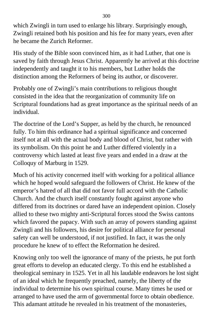which Zwingli in turn used to enlarge his library. Surprisingly enough, Zwingli retained both his position and his fee for many years, even after he became the Zurich Reformer.

His study of the Bible soon convinced him, as it had Luther, that one is saved by faith through Jesus Christ. Apparently he arrived at this doctrine independently and taught it to his members, but Luther holds the distinction among the Reformers of being its author, or discoverer.

Probably one of Zwingli's main contributions to religious thought consisted in the idea that the reorganization of community life on Scriptural foundations had as great importance as the spiritual needs of an individual.

The doctrine of the Lord's Supper, as held by the church, he renounced fully. To him this ordinance had a spiritual significance and concerned itself not at all with the actual body and blood of Christ, but rather with its symbolism. On this point he and Luther differed violently in a controversy which lasted at least five years and ended in a draw at the Colloquy of Marburg in 1529.

Much of his activity concerned itself with working for a political alliance which he hoped would safeguard the followers of Christ. He knew of the emperor's hatred of all that did not favor full accord with the Catholic Church. And the church itself constantly fought against anyone who differed from its doctrines or dared have an independent opinion. Closely allied to these two mighty anti-Scriptural forces stood the Swiss cantons which favored the papacy. With such an array of powers standing against Zwingli and his followers, his desire for political alliance for personal safety can well be understood, if not justified. In fact, it was the only procedure he knew of to effect the Reformation he desired.

Knowing only too well the ignorance of many of the priests, he put forth great efforts to develop an educated clergy. To this end he established a theological seminary in 1525. Yet in all his laudable endeavors he lost sight of an ideal which he frequently preached, namely, the liberty of the individual to determine his own spiritual course. Many times he used or arranged to have used the arm of governmental force to obtain obedience. This adamant attitude he revealed in his treatment of the monasteries,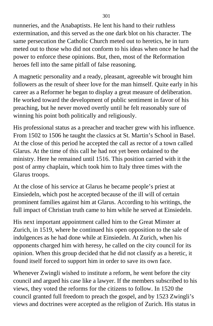nunneries, and the Anabaptists. He lent his hand to their ruthless extermination, and this served as the one dark blot on his character. The same persecution the Catholic Church meted out to heretics, he in turn meted out to those who did not conform to his ideas when once he had the power to enforce these opinions. But, then, most of the Reformation heroes fell into the same pitfall of false reasoning.

A magnetic personality and a ready, pleasant, agreeable wit brought him followers as the result of sheer love for the man himself. Quite early in his career as a Reformer he began to display a great measure of deliberation. He worked toward the development of public sentiment in favor of his preaching, but he never moved overtly until he felt reasonably sure of winning his point both politically and religiously.

His professional status as a preacher and teacher grew with his influence. From 1502 to 1506 he taught the classics at St. Martin's School in Basel. At the close of this period he accepted the call as rector of a town called Glarus. At the time of this call he had not yet been ordained to the ministry. Here he remained until 1516. This position carried with it the post of army chaplain, which took him to Italy three times with the Glarus troops.

At the close of his service at Glarus he became people's priest at Einsiedeln, which post he accepted because of the ill will of certain prominent families against him at Glarus. According to his writings, the full impact of Christian truth came to him while he served at Einsiedeln.

His next important appointment called him to the Great Minster at Zurich, in 1519, where he continued his open opposition to the sale of indulgences as he had done while at Einsiedeln. At Zurich, when his opponents charged him with heresy, he called on the city council for its opinion. When this group decided that he did not classify as a heretic, it found itself forced to support him in order to save its own face.

Whenever Zwingli wished to institute a reform, he went before the city council and argued his case like a lawyer. If the members subscribed to his views, they voted the reforms for the citizens to follow. In 1520 the council granted full freedom to preach the gospel, and by 1523 Zwingli's views and doctrines were accepted as the religion of Zurich. His status in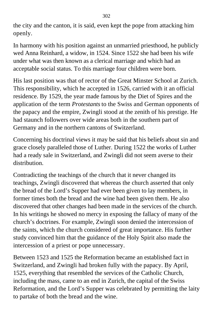the city and the canton, it is said, even kept the pope from attacking him openly.

In harmony with his position against an unmarried priesthood, he publicly wed Anna Reinhard, a widow, in 1524. Since 1522 she had been his wife under what was then known as a clerical marriage and which had an acceptable social status. To this marriage four children were born.

His last position was that of rector of the Great Minster School at Zurich. This responsibility, which he accepted in 1526, carried with it an official residence. By 1529, the year made famous by the Diet of Spires and the application of the term *Protestants* to the Swiss and German opponents of the papacy and the empire, Zwingli stood at the zenith of his prestige. He had staunch followers over wide areas both in the southern part of Germany and in the northern cantons of Switzerland.

Concerning his doctrinal views it may be said that his beliefs about sin and grace closely paralleled those of Luther. During 1522 the works of Luther had a ready sale in Switzerland, and Zwingli did not seem averse to their distribution.

Contradicting the teachings of the church that it never changed its teachings, Zwingli discovered that whereas the church asserted that only the bread of the Lord's Supper had ever been given to lay members, in former times both the bread and the wine had been given them. He also discovered that other changes had been made in the services of the church. In his writings he showed no mercy in exposing the fallacy of many of the church's doctrines. For example, Zwingli soon denied the intercession of the saints, which the church considered of great importance. His further study convinced him that the guidance of the Holy Spirit also made the intercession of a priest or pope unnecessary.

Between 1523 and 1525 the Reformation became an established fact in Switzerland, and Zwingli had broken fully with the papacy. By April, 1525, everything that resembled the services of the Catholic Church, including the mass, came to an end in Zurich, the capital of the Swiss Reformation, and the Lord's Supper was celebrated by permitting the laity to partake of both the bread and the wine.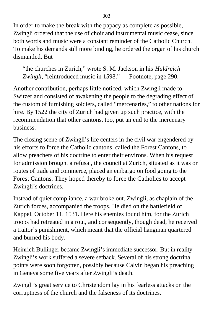In order to make the break with the papacy as complete as possible, Zwingli ordered that the use of choir and instrumental music cease, since both words and music were a constant reminder of the Catholic Church. To make his demands still more binding, he ordered the organ of his church dismantled. But

"the churches in Zurich," wrote S. M. Jackson in his *Huldreich Zwingli,* "reintroduced music in 1598." — Footnote, page 290.

Another contribution, perhaps little noticed, which Zwingli made to Switzerland consisted of awakening the people to the degrading effect of the custom of furnishing soldiers, called "mercenaries," to other nations for hire. By 1522 the city of Zurich had given up such practice, with the recommendation that other cantons, too, put an end to the mercenary business.

The closing scene of Zwingli's life centers in the civil war engendered by his efforts to force the Catholic cantons, called the Forest Cantons, to allow preachers of his doctrine to enter their environs. When his request for admission brought a refusal, the council at Zurich, situated as it was on routes of trade and commerce, placed an embargo on food going to the Forest Cantons. They hoped thereby to force the Catholics to accept Zwingli's doctrines.

Instead of quiet compliance, a war broke out. Zwingli, as chaplain of the Zurich forces, accompanied the troops. He died on the battlefield of Kappel, October 11, 1531. Here his enemies found him, for the Zurich troops had retreated in a rout, and consequently, though dead, he received a traitor's punishment, which meant that the official hangman quartered and burned his body.

Heinrich Bullinger became Zwingli's immediate successor. But in reality Zwingli's work suffered a severe setback. Several of his strong doctrinal points were soon forgotten, possibly because Calvin began his preaching in Geneva some five years after Zwingli's death.

Zwingli's great service to Christendom lay in his fearless attacks on the corruptness of the church and the falseness of its doctrines.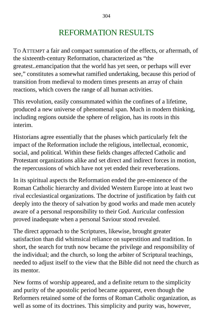## REFORMATION RESULTS

TO ATTEMPT a fair and compact summation of the effects, or aftermath, of the sixteenth-century Reformation, characterized as "the greatest..emancipation that the world has yet seen, or perhaps will ever see," constitutes a somewhat ramified undertaking, because this period of transition from medieval to modern times presents an array of chain reactions, which covers the range of all human activities.

This revolution, easily consummated within the confines of a lifetime, produced a new universe of phenomenal span. Much in modern thinking, including regions outside the sphere of religion, has its roots in this interim.

Historians agree essentially that the phases which particularly felt the impact of the Reformation include the religious, intellectual, economic, social, and political. Within these fields changes affected Catholic and Protestant organizations alike and set direct and indirect forces in motion, the repercussions of which have not yet ended their reverberations.

In its spiritual aspects the Reformation ended the pre-eminence of the Roman Catholic hierarchy and divided Western Europe into at least two rival ecclesiastical organizations. The doctrine of justification by faith cut deeply into the theory of salvation by good works and made men acutely aware of a personal responsibility to their God. Auricular confession proved inadequate when a personal Saviour stood revealed.

The direct approach to the Scriptures, likewise, brought greater satisfaction than did whimsical reliance on superstition and tradition. In short, the search for truth now became the privilege and responsibility of the individual; and the church, so long the arbiter of Scriptural teachings, needed to adjust itself to the view that the Bible did not need the church as its mentor.

New forms of worship appeared, and a definite return to the simplicity and purity of the apostolic period became apparent, even though the Reformers retained some of the forms of Roman Catholic organization, as well as some of its doctrines. This simplicity and purity was, however,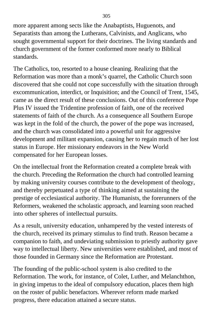more apparent among sects like the Anabaptists, Huguenots, and Separatists than among the Lutherans, Calvinists, and Anglicans, who sought governmental support for their doctrines. The living standards and church government of the former conformed more nearly to Biblical standards.

The Catholics, too, resorted to a house cleaning. Realizing that the Reformation was more than a monk's quarrel, the Catholic Church soon discovered that she could not cope successfully with the situation through excommunication, interdict, or Inquisition; and the Council of Trent, 1545, came as the direct result of these conclusions. Out of this conference Pope Plus IV issued the Tridentine profession of faith, one of the received statements of faith of the church. As a consequence all Southern Europe was kept in the fold of the church, the power of the pope was increased, and the church was consolidated into a powerful unit for aggressive development and militant expansion, causing her to regain much of her lost status in Europe. Her missionary endeavors in the New World compensated for her European losses.

On the intellectual front the Reformation created a complete break with the church. Preceding the Reformation the church had controlled learning by making university courses contribute to the development of theology, and thereby perpetuated a type of thinking aimed at sustaining the prestige of ecclesiastical authority. The Humanists, the forerunners of the Reformers, weakened the scholastic approach, and learning soon reached into other spheres of intellectual pursuits.

As a result, university education, unhampered by the vested interests of the church, received its primary stimulus to find truth. Reason became a companion to faith, and undeviating submission to priestly authority gave way to intellectual liberty. New universities were established, and most of those founded in Germany since the Reformation are Protestant.

The founding of the public-school system is also credited to the Reformation. The work, for instance, of Colet, Luther, and Melanchthon, in giving impetus to the ideal of compulsory education, places them high on the roster of public benefactors. Wherever reform made marked progress, there education attained a secure status.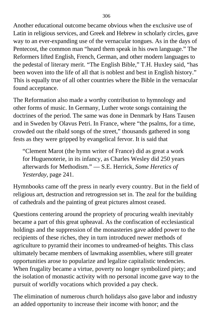Another educational outcome became obvious when the exclusive use of Latin in religious services, and Greek and Hebrew in scholarly circles, gave way to an ever-expanding use of the vernacular tongues. As in the days of Pentecost, the common man "heard them speak in his own language." The Reformers lifted English, French, German, and other modern languages to the pedestal of literary merit. "The English Bible," T.H. Huxley said, "has been woven into the life of all that is noblest and best in English history." This is equally true of all other countries where the Bible in the vernacular found acceptance.

The Reformation also made a worthy contribution to hymnology and other forms of music. In Germany, Luther wrote songs containing the doctrines of the period. The same was done in Denmark by Hans Tausen and in Sweden by Olavus Petri. In France, where "the psalms, for a time, crowded out the ribald songs of the street," thousands gathered in song fests as they were gripped by evangelical fervor. It is said that

"Clement Marot (the hymn writer of France) did as great a work for Huguenoterie, in its infancy, as Charles Wesley did 250 years afterwards for Methodism." — S.E. Herrick, *Some Heretics of Yesterday,* page 241.

Hymnbooks came off the press in nearly every country. But in the field of religious art, destruction and retrogression set in. The zeal for the building of cathedrals and the painting of great pictures almost ceased.

Questions centering around the propriety of procuring wealth inevitably became a part of this great upheaval. As the confiscation of ecclesiastical holdings and the suppression of the monasteries gave added power to the recipients of these riches, they in turn introduced newer methods of agriculture to pyramid their incomes to undreamed-of heights. This class ultimately became members of lawmaking assemblies, where still greater opportunities arose to popularize and legalize capitalistic tendencies. When frugality became a virtue, poverty no longer symbolized piety; and the isolation of monastic activity with no personal income gave way to the pursuit of worldly vocations which provided a pay check.

The elimination of numerous church holidays also gave labor and industry an added opportunity to increase their income with honor; and the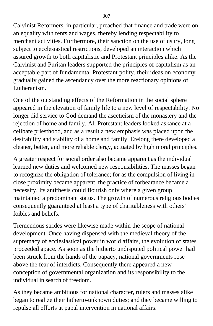Calvinist Reformers, in particular, preached that finance and trade were on an equality with rents and wages, thereby lending respectability to merchant activities. Furthermore, their sanction on the use of usury, long subject to ecclesiastical restrictions, developed an interaction which assured growth to both capitalistic and Protestant principles alike. As the Calvinist and Puritan leaders supported the principles of capitalism as an acceptable part of fundamental Protestant polity, their ideas on economy gradually gained the ascendancy over the more reactionary opinions of Lutheranism.

One of the outstanding effects of the Reformation in the social sphere appeared in the elevation of family life to a new level of respectability. No longer did service to God demand the asceticism of the monastery and the rejection of home and family. All Protestant leaders looked askance at a celibate priesthood, and as a result a new emphasis was placed upon the desirability and stability of a home and family. Erelong there developed a cleaner, better, and more reliable clergy, actuated by high moral principles.

A greater respect for social order also became apparent as the individual learned new duties and welcomed new responsibilities. The masses began to recognize the obligation of tolerance; for as the compulsion of living in close proximity became apparent, the practice of forbearance became a necessity. Its antithesis could flourish only where a given group maintained a predominant status. The growth of numerous religious bodies consequently guaranteed at least a type of charitableness with others' foibles and beliefs.

Tremendous strides were likewise made within the scope of national development. Once having dispensed with the medieval theory of the supremacy of ecclesiastical power in world affairs, the evolution of states proceeded apace. As soon as the hitherto undisputed political power had been struck from the hands of the papacy, national governments rose above the fear of interdicts. Consequently there appeared a new conception of governmental organization and its responsibility to the individual in search of freedom.

As they became ambitious for national character, rulers and masses alike began to realize their hitherto-unknown duties; and they became willing to repulse all efforts at papal intervention in national affairs.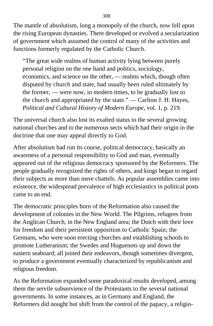The mantle of absolutism, long a monopoly of the church, now fell upon the rising European dynasties. There developed or evolved a secularization of government which assumed the control of many of the activities and functions formerly regulated by the Catholic Church.

"The great wide realms of human activity lying between purely personal religion on the one hand and politics, sociology, economics, and science on the other, — realms which, though often disputed by church and state, had usually been ruled ultimately by the former, — were now, in modern times, to be gradually lost to the church and appropriated by the state." — Carlton J. H. Hayes, *Political and Cultural History of Modern Europe,* vol. 1, p. 219.

The universal church also lost its exalted status to the several growing national churches and to the numerous sects which had their origin in the doctrine that one may appeal directly to God.

After absolutism had run its course, political democracy, basically an awareness of a personal responsibility to God and man, eventually appeared out of the religious democracy sponsored by the Reformers. The people gradually recognized the rights of others, and kings began to regard their subjects as more than mere chattels. As popular assemblies came into existence, the widespread prevalence of high ecclesiastics in political posts came to an end.

The democratic principles born of the Reformation also caused the development of colonies in the New World. The Pilgrims, refugees from the Anglican Church, in the New England area; the Dutch with their love for freedom and their persistent opposition to Catholic Spain; the Germans, who were soon erecting churches and establishing schools to promote Lutheranism; the Swedes and Huguenots up and down the eastern seaboard; all joined their endeavors, though sometimes divergent, to produce a government eventually characterized by republicanism and religious freedom.

As the Reformation expanded some paradoxical results developed, among them the servile subservience of the Protestants to the several national governments. In some instances, as in Germany and England, the Reformers did nought but shift from the control of the papacy, a religio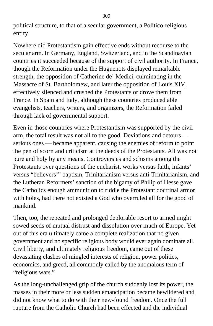political structure, to that of a secular government, a Politico-religious entity.

Nowhere did Protestantism gain effective ends without recourse to the secular arm. In Germany, England, Switzerland, and in the Scandinavian countries it succeeded because of the support of civil authority. In France, though the Reformation under the Huguenots displayed remarkable strength, the opposition of Catherine de' Medici, culminating in the Massacre of St. Bartholomew, and later the opposition of Louis XIV, effectively silenced and crushed the Protestants or drove them from France. In Spain and Italy, although these countries produced able evangelists, teachers, writers, and organizers, the Reformation failed through lack of governmental support.

Even in those countries where Protestantism was supported by the civil arm, the total result was not all to the good. Deviations and detours serious ones — became apparent, causing the enemies of reform to point the pen of scorn and criticism at the deeds of the Protestants. All was not pure and holy by any means. Controversies and schisms among the Protestants over questions of the eucharist, works versus faith, infants' versus "believers'" baptism, Trinitarianism versus anti-Trinitarianism, and the Lutheran Reformers' sanction of the bigamy of Philip of Hesse gave the Catholics enough ammunition to riddle the Protestant doctrinal armor with holes, had there not existed a God who overruled all for the good of mankind.

Then, too, the repeated and prolonged deplorable resort to armed might sowed seeds of mutual distrust and dissolution over much of Europe. Yet out of this era ultimately came a complete realization that no given government and no specific religious body would ever again dominate all. Civil liberty, and ultimately religious freedom, came out of these devastating clashes of mingled interests of religion, power politics, economics, and greed, all commonly called by the anomalous term of "religious wars."

As the long-unchallenged grip of the church suddenly lost its power, the masses in their more or less sudden emancipation became bewildered and did not know what to do with their new-found freedom. Once the full rupture from the Catholic Church had been effected and the individual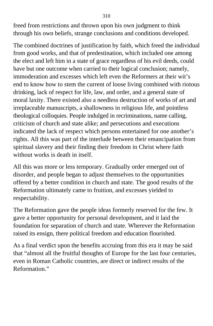freed from restrictions and thrown upon his own judgment to think through his own beliefs, strange conclusions and conditions developed.

The combined doctrines of justification by faith, which freed the individual from good works, and that of predestination, which included one among the elect and left him in a state of grace regardless of his evil deeds, could have but one outcome when carried to their logical conclusion; namely, immoderation and excesses which left even the Reformers at their wit's end to know how to stem the current of loose living combined with riotous drinking, lack of respect for life, law, and order, and a general state of moral laxity. There existed also a needless destruction of works of art and irreplaceable manuscripts, a shallowness in religious life, and pointless theological colloquies. People indulged in recriminations, name calling, criticism of church and state alike; and persecutions and executions indicated the lack of respect which persons entertained for one another's rights. All this was part of the interlude between their emancipation from spiritual slavery and their finding their freedom in Christ where faith without works is death in itself.

All this was more or less temporary. Gradually order emerged out of disorder, and people began to adjust themselves to the opportunities offered by a better condition in church and state. The good results of the Reformation ultimately came to fruition, and excesses yielded to respectability.

The Reformation gave the people ideas formerly reserved for the few. It gave a better opportunity for personal development, and it laid the foundation for separation of church and state. Wherever the Reformation raised its ensign, there political freedom and education flourished.

As a final verdict upon the benefits accruing from this era it may be said that "almost all the fruitful thoughts of Europe for the last four centuries, even in Roman Catholic countries, are direct or indirect results of the Reformation."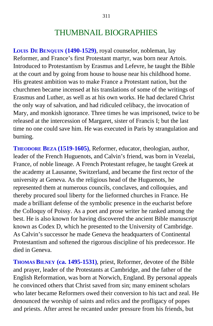### THUMBNAIL BIOGRAPHIES

**LOUIS DE BENQUIN (1490-1529)**, royal counselor, nobleman, lay Reformer, and France's first Protestant martyr, was born near Artois. Introduced to Protestantism by Erasmus and Lefevre, he taught the Bible at the court and by going from house to house near his childhood home. His greatest ambition was to make France a Protestant nation, but the churchmen became incensed at his translations of some of the writings of Erasmus and Luther, as well as at his own works. He had declared Christ the only way of salvation, and had ridiculed celibacy, the invocation of Mary, and monkish ignorance. Three times he was imprisoned, twice to be released at the intercession of Margaret, sister of Francis I; but the last time no one could save him. He was executed in Paris by strangulation and burning.

**THEODORE BEZA (1519-1605)**, Reformer, educator, theologian, author, leader of the French Huguenots, and Calvin's friend, was born in Vezelai, France, of noble lineage. A French Protestant refugee, he taught Greek at the academy at Lausanne, Switzerland, and became the first rector of the university at Geneva. As the religious head of the Huguenots, he represented them at numerous councils, conclaves, and colloquies, and thereby procured soul liberty for the lieformed churches in France. He made a brilliant defense of the symbolic presence in the eucharist before the Colloquy of Poissy. As a poet and prose writer he ranked among the best. He is also known for having discovered the ancient Bible manuscript known as Codex D, which he presented to the University of Cambridge. As Calvin's successor he made Geneva the headquarters of Continental Protestantism and softened the rigorous discipline of his predecessor. He died in Geneva.

**THOMAS BILNEY (ca. 1495-1531)**, priest, Reformer, devotee of the Bible and prayer, leader of the Protestants at Cambridge, and the father of the English Reformation, was born at Norwich, England. By personal appeals he convinced others that Christ saved from sin; many eminent scholars who later became Reformers owed their conversion to his tact and zeal. He denounced the worship of saints and relics and the profligacy of popes and priests. After arrest he recanted under pressure from his friends, but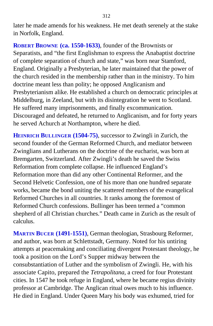later he made amends for his weakness. He met death serenely at the stake in Norfolk, England.

**ROBERT BROWNE (ca. 1550-1633)**, founder of the Brownists or Separatists, and "the first Englishman to express the Anabaptist doctrine of complete separation of church and state," was born near Stamford, England. Originally a Presbyterian, he later maintained that the power of the church resided in the membership rather than in the ministry. To him doctrine meant less than polity; he opposed Anglicanism and Presbyterianism alike. He established a church on democratic principles at Middelburg, in Zeeland, but with its disintegration he went to Scotland. He suffered many imprisonments, and finally excommunication. Discouraged and defeated, he returned to Anglicanism, and for forty years he served Achurch at Northampton, where he died.

**HEINRICH BULLINGER (1504-75)**, successor to Zwingli in Zurich, the second founder of the German Reformed Church, and mediator between Zwinglians and Lutherans on the doctrine of the eucharist, was born at Bremgarten, Switzerland. After Zwingli's death he saved the Swiss Reformation from complete collapse. He influenced England's Reformation more than did any other Continental Reformer, and the Second Helvetic Confession, one of his more than one hundred separate works, became the bond uniting the scattered members of the evangelical Reformed Churches in all countries. It ranks among the foremost of Reformed Church confessions. Bullinger has been termed a "common shepherd of all Christian churches." Death came in Zurich as the result of calculus.

**MARTIN BUCER (1491-1551)**, German theologian, Strasbourg Reformer, and author, was born at Schlettstadt, Germany. Noted for his untiring attempts at peacemaking and conciliating divergent Protestant theology, he took a position on the Lord's Supper midway between the consubstantiation of Luther and the symbolism of Zwingli. He, with his associate Capito, prepared the *Tetrapolitana,* a creed for four Protestant cities. In 1547 he took refuge in England, where he became regius divinity professor at Cambridge. The Anglican ritual owes much to his influence. He died in England. Under Queen Mary his body was exhumed, tried for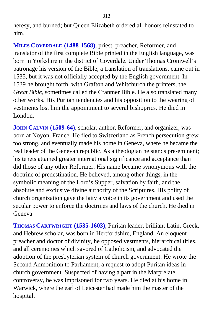heresy, and burned; but Queen Elizabeth ordered all honors reinstated to him.

**MILES COVERDALE (1488-1568)**, priest, preacher, Reformer, and translator of the first complete Bible printed in the English language, was born in Yorkshire in the district of Coverdale. Under Thomas Cromwell's patronage his version of the Bible, a translation of translations, came out in 1535, but it was not officially accepted by the English government. In 1539 he brought forth, with Grafton and Whitchurch the printers, the *Great Bible,* sometimes called the Cranmer Bible. He also translated many other works. His Puritan tendencies and his opposition to the wearing of vestments lost him the appointment to several bishoprics. He died in London.

**JOHN CALVIN (1509-64)**, scholar, author, Reformer, and organizer, was born at Noyon, France. He fled to Switzerland as French persecution grew too strong, and eventually made his home in Geneva, where he became the real leader of the Genevan republic. As a theologian he stands pre-eminent; his tenets attained greater international significance and acceptance than did those of any other Reformer. His name became synonymous with the doctrine of predestination. He believed, among other things, in the symbolic meaning of the Lord's Supper, salvation by faith, and the absolute and exclusive divine authority of the Scriptures. His polity of church organization gave the laity a voice in its government and used the secular power to enforce the doctrines and laws of the church. He died in Geneva.

**THOMAS CARTWRIGHT (1535-1603)**, Puritan leader, brilliant Latin, Greek, and Hebrew scholar, was born in Hertfordshire, England. An eloquent preacher and doctor of divinity, he opposed vestments, hierarchical titles, and all ceremonies which savored of Catholicism, and advocated the adoption of the presbyterian system of church government. He wrote the Second Admonition to Parliament, a request to adopt Puritan ideas in church government. Suspected of having a part in the Marprelate controversy, he was imprisoned for two years. He died at his home in Warwick, where the earl of Leicester had made him the master of the hospital.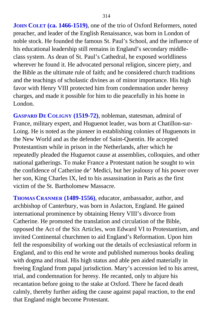**JOHN COLET (ca. 1466-1519)**, one of the trio of Oxford Reformers, noted preacher, and leader of the English Renaissance, was born in London of noble stock. He founded the famous St. Paul's School, and the influence of his educational leadership still remains in England's secondary middleclass system. As dean of St. Paul's Cathedral, he exposed worldliness wherever he found it. He advocated personal religion, sincere piety, and the Bible as the ultimate rule of faith; and he considered church traditions and the teachings of scholastic divines as of minor importance. His high favor with Henry VIII protected him from condemnation under heresy charges, and made it possible for him to die peacefully in his home in London.

**GASPARD DE COLIGNY (1519-72)**, nobleman, statesman, admiral of France, military expert, and Huguenot leader, was born at Chatillon-sur-Loing. He is noted as the pioneer in establishing colonies of Huguenots in the New World and as the defender of Saint-Quentin. He accepted Protestantism while in prison in the Netherlands, after which he repeatedly pleaded the Huguenot cause at assemblies, colloquies, and other national gatherings. To make France a Protestant nation he sought to win the confidence of Catherine de' Medici, but her jealousy of his power over her son, King Charles IX, led to his assassination in Paris as the first victim of the St. Bartholomew Massacre.

**THOMAS CRANMER (1489-1556)**, educator, ambassador, author, and archbishop of Canterbury, was born in Aslacton, England. He gained international prominence by obtaining Henry VIII's divorce from Catherine. He promoted the translation and circulation of the Bible, opposed the Act of the Six Articles, won Edward VI to Protestantism, and invited Continental churchmen to aid England's Reformation. Upon him fell the responsibility of working out the details of ecclesiastical reform in England, and to this end he wrote and published numerous books dealing with dogma and ritual. His high status and able pen aided materially in freeing England from papal jurisdiction. Mary's accession led to his arrest, trial, and condemnation for heresy. He recanted, only to abjure his recantation before going to the stake at Oxford. There he faced death calmly, thereby further aiding the cause against papal reaction, to the end that England might become Protestant.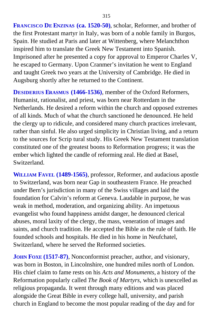**FRANCISCO DE ENZINAS (ca. 1520-50)**, scholar, Reformer, and brother of the first Protestant martyr in Italy, was born of a noble family in Burgos, Spain. He studied at Paris and later at Wittenberg, where Melanchthon inspired him to translate the Greek New Testament into Spanish. Imprisoned after he presented a copy for approval to Emperor Charles V, he escaped to Germany. Upon Cranmer's invitation he went to England and taught Greek two years at the University of Cambridge. He died in Augsburg shortly after he returned to the Continent.

**DESIDERIUS ERASMUS (1466-1536)**, member of the Oxford Reformers, Humanist, rationalist, and priest, was born near Rotterdam in the Netherlands. He desired a reform within the church and opposed extremes of all kinds. Much of what the church sanctioned he denounced. He held the clergy up to ridicule, and considered many church practices irrelevant, rather than sinful. He also urged simplicity in Christian living, and a return to the sources for Scrip tural study. His Greek New Testament translation constituted one of the greatest boons to Reformation progress; it was the ember which lighted the candle of reforming zeal. He died at Basel, Switzerland.

**WILLIAM FAVEL (1489-1565)**, professor, Reformer, and audacious apostle to Switzerland, was born near Gap in southeastern France. He preached under Bern's jurisdiction in many of the Swiss villages and laid the foundation for Calvin's reform at Geneva. Laudable in purpose, he was weak in method, moderation, and organizing ability. An impetuous evangelist who found happiness amidst danger, he denounced clerical abuses, moral laxity of the clergy, the mass, veneration of images and saints, and church tradition. He accepted the Bible as the rule of faith. He founded schools and hospitals. He died in his home in Neufchatel, Switzerland, where he served the Reformed societies.

**JOHN FOXE (1517-87)**, Nonconformist preacher, author, and visionary, was born in Boston, in Lincolnshire, one hundred miles north of London. His chief claim to fame rests on his *Acts and Monuments,* a history of the Reformation popularly called *The Book of Martyrs,* which is unexcelled as religious propaganda. It went through many editions and was placed alongside the Great Bible in every college hall, university, and parish church in England to become the most popular reading of the day and for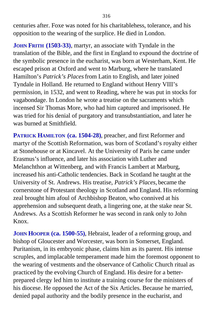centuries after. Foxe was noted for his charitablehess, tolerance, and his opposition to the wearing of the surplice. He died in London.

**JOHN FRITH (1503-33)**, martyr, an associate with Tyndale in the translation of the Bible, and the first in England to expound the doctrine of the symbolic presence in the eucharist, was born at Westerham, Kent. He escaped prison at Oxford and went to Marburg, where he translated Hamilton's *Patrick's Places* from Latin to English, and later joined Tyndale in Holland. He returned to England without Henry VIII's permission, in 1532, and went to Reading, where he was put in stocks for vagabondage. In London he wrote a treatise on the sacraments which incensed Sir Thomas More, who had him captured and imprisoned. He was tried for his denial of purgatory and transubstantiation, and later he was burned at Smithfield.

**PATRICK HAMILTON (ca. 1504-28)**, preacher, and first Reformer and martyr of the Scottish Reformation, was born of Scotland's royalty either at Stonehouse or at Kincavel. At the University of Paris he came under Erasmus's influence, and later his association with Luther and Melanchthon at Wittenberg, and with Francis Lambert at Marburg, increased his anti-Catholic tendencies. Back in Scotland he taught at the University of St. Andrews. His treatise, *Patrick's Places,* became the cornerstone of Protestant theology in Scotland and England. His reforming zeal brought him afoul of Archbishop Beaton, who connived at his apprehension and subsequent death, a lingering one, at the stake near St. Andrews. As a Scottish Reformer he was second in rank only to John Knox.

**JOHN HOOPER (ca. 1500-55)**, Hebraist, leader of a reforming group, and bishop of Gloucester and Worcester, was born in Somerset, England. Puritanism, in its embryonic phase, claims him as its parent. His intense scruples, and implacable temperament made him the foremost opponent to the wearing of vestments and the observance of Catholic Church ritual as practiced by the evolving Church of England. His desire for a betterprepared clergy led him to institute a training course for the ministers of his diocese. He opposed the Act of the Six Articles. Because he married, denied papal authority and the bodily presence in the eucharist, and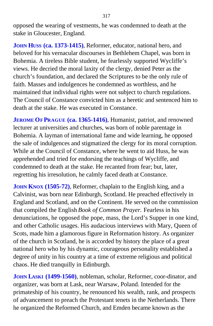opposed the wearing of vestments, he was condemned to death at the stake in Gloucester, England.

**JOHN HUSS (ca. 1373-1415)**, Reformer, educator, national hero, and beloved for his vernacular discourses in Bethlehem Chapel, was born in Bohemia. A tireless Bible student, he fearlessly supported Wycliffe's views. He decried the moral laxity of the clergy, denied Peter as the church's foundation, and declared the Scriptures to be the only rule of faith. Masses and indulgences he condemned as worthless, and he maintained that individual rights were not subject to church regulations. The Council of Constance convicted him as a heretic and sentenced him to death at the stake. He was executed in Constance.

**JEROME OF PRAGUE (ca. 1365-1416)**, Humanist, patriot, and renowned lecturer at universities and churches, was born of noble parentage in Bohemia. A layman of international fame and wide learning, he opposed the sale of indulgences and stigmatized the clergy for its moral corruption. While at the Council of Constance, where he went to aid Huss, he was apprehended and tried for endorsing the teachings of Wycliffe, and condemned to death at the stake. He recanted from fear; but, later, regretting his irresolution, he calmly faced death at Constance.

**JOHN KNOX (1505-72)**, Reformer, chaplain to the English king, and a Calvinist, was born near Edinburgh, Scotland. He preached effectively in England and Scotland, and on the Continent. He served on the commission that compiled the English *Book of Common Prayer.* Fearless in his denunciations, he opposed the pope, mass, the Lord's Supper in one kind, and other Catholic usages. His audacious interviews with Mary, Queen of Scots, made him a glamorous figure in Reformation history. As organizer of the church in Scotland, he is accorded by history the place of a great national hero who by his dynamic, courageous personality established a degree of unity in his country at a time of extreme religious and political chaos. He died tranquilly in Edinburgh.

**JOHN LASKI (1499-1560)**, nobleman, scholar, Reformer, coor-dinator, and organizer, was born at Lask, near Warsaw, Poland. Intended for the primateship of his country, he renounced his wealth, rank, and prospects of advancement to preach the Protestant tenets in the Netherlands. There he organized the Reformed Church, and Emden became known as the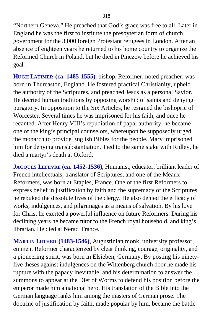"Northern Geneva." He preached that God's grace was free to all. Later in England he was the first to institute the presbyterian form of church government for the 3,000 foreign Protestant refugees in London. After an absence of eighteen years he returned to his home country to organize the Reformed Church in Poland, but he died in Pinczow before he achieved his goal.

**HUGH LATIMER (ca. 1485-1555)**, bishop, Reformer, noted preacher, was born in Thurcaston, England. He fostered practical Christianity, upheld the authority of the Scriptures, and preached Jesus as a personal Savior. He decried human traditions by opposing worship of saints and denying purgatory. In opposition to the Six Articles, he resigned the bishopric of Worcester. Several times he was imprisoned for his faith, and once he recanted. After Henry VIII's repudiation of papal authority, he became one of the king's principal counselors, whereupon he supposedly urged the monarch to provide English Bibles for the people. Mary imprisoned him for denying transubstantiation. Tied to the same stake with Ridley, he died a martyr's death at Oxford.

**JACQUES LEFEVRE (ca. 1452-1536)**, Humanist, educator, brilliant leader of French intellectuals, translator of Scriptures, and one of the Meaux Reformers, was born at Etaples, France. One of the first Reformers to express belief in justification by faith and the supremacy of the Scriptures, he rebuked the dissolute lives of the clergy. He also denied the efficacy of works, indulgences, and pilgrimages as a means of salvation. By his love for Christ he exerted a powerful influence on future Reformers. During his declining years he became tutor to the French royal household, and king's librarian. He died at Nerac, France.

**MARTIN LUTHER (1483-1546)**, Augustinian monk, university professor, eminent Reformer characterized by clear thinking, courage, originality, and a pioneering spirit, was born in Elsieben, Germany. By posting his ninetyfive theses against indulgences on the Wittenberg church door he made his rupture with the papacy inevitable, and his determination to answer the summons to appear at the Diet of Worms to defend his position before the emperor made him a national hero. His translation of the Bible into the German language ranks him among the masters of German prose. The doctrine of justification by faith, made popular by him, became the battle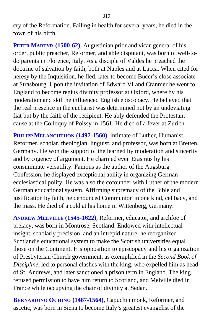cry of the Reformation. Failing in health for several years, he died in the town of his birth.

**PETER MARTYR (1500-62)**, Augustinian prior and vicar-general of his order, public preacher, Reformer, and able disputant, was born of well-todo parents in Florence, Italy. As a disciple of Valdes he preached the doctrine of salvation by faith, both at Naples and at Lucca. When cited for heresy by the Inquisition, he fled, later to become Bucer's close associate at Strasbourg. Upon the invitation of Edward VI and Cranmer he went to England to become regius divinity professor at Oxford, where by his moderation and skill he influenced English episcopacy. He believed that the real presence in the eucharist was determined not by an undeviating fiat but by the faith of the recipient. He ably defended the Protestant cause at the Colloquy of Poissy in 1561. He died of a fever at Zurich.

**PHILIPP MELANCHTHON (1497-1560)**, intimate of Luther, Humanist, Reformer, scholar, theologian, linguist, and professor, was born at Bretten, Germany. He won the support of the learned by moderation and sincerity and by cogency of argument. He charmed even Erasmus by his consummate versatility. Famous as the author of the Augsburg Confession, he displayed exceptional ability in organizing German ecclesiastical polity. He was also the cofounder with Luther of the modern German educational system. Affirming supremacy of the Bible and justification by faith, he denounced Communion in one kind, celibacy, and the mass. He died of a cold at his home in Wittenberg, Germany.

**ANDREW MELVILLE (1545-1622)**, Reformer, educator, and archfoe of prelacy, was born in Montrose, Scotland. Endowed with intellectual insight, scholarly precision, and an intrepid nature, he reorganized Scotland's educational system to make the Scottish universities equal those on the Continent. His opposition to episcopacy and his organization of Presbyterian Church government, as exemplified in the *Second Book of Discipline*, led to personal clashes with the king, who expelled him as head of St. Andrews, and later sanctioned a prison term in England. The king refused permission to have him return to Scotland, and Melville died in France while occupying the chair of divinity at Sedan.

**BERNARDINO OCHINO (1487-1564)**, Capuchin monk, Reformer, and ascetic, was born in Siena to become Italy's greatest evangelist of the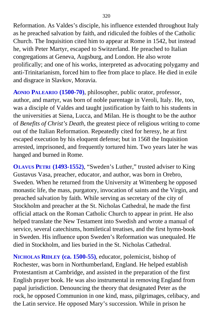Reformation. As Valdes's disciple, his influence extended throughout Italy as he preached salvation by faith, and ridiculed the foibles of the Catholic Church. The Inquisition cited him to appear at Rome in 1542, but instead he, with Peter Martyr, escaped to Switzerland. He preached to Italian congregations at Geneva, Augsburg, and London. He also wrote prolifically; and one of his works, interpreted as advocating polygamy and anti-Trinitarianism, forced him to flee from place to place. He died in exile and disgrace in Slavkov, Moravia.

**AONIO PALEARIO (1500-70)**, philosopher, public orator, professor, author, and martyr, was born of noble parentage in Veroli, Italy. He, too, was a disciple of Valdes and taught justification by faith to his students in the universities at Siena, Lucca, and Milan. He is thought to be the author of *Benefits of Christ's Death,* the greatest piece of religious writing to come out of the Italian Reformation. Repeatedly cited for heresy, he at first escaped execution by his eloquent defense; but in 1568 the Inquisition arrested, imprisoned, and frequently tortured him. Two years later he was hanged and burned in Rome.

**OLAVUS PETRI (1493-1552)**, "Sweden's Luther," trusted adviser to King Gustavus Vasa, preacher, educator, and author, was born in Orebro, Sweden. When he returned from the University at Wittenberg he opposed monastic life, the mass, purgatory, invocation of saints and the Virgin, and preached salvation by faith. While serving as secretary of the city of Stockholm and preacher at the St. Nicholas Cathedral, he made the first official attack on the Roman Catholic Church to appear in print. He also helped translate the New Testament into Swedish and wrote a manual of service, several catechisms, homiletical treatises, and the first hymn-book in Sweden. His influence upon Sweden's Reformation was unequaled. He died in Stockholm, and lies buried in the St. Nicholas Cathedral.

**NICHOLAS RIDLEY (ca. 1500-55)**, educator, polemicist, bishop of Rochester, was born in Northumberland, England. He helped establish Protestantism at Cambridge, and assisted in the preparation of the first English prayer book. He was also instrumental in removing England from papal jurisdiction. Denouncing the theory that designated Peter as the rock, he opposed Communion in one kind, mass, pilgrimages, celibacy, and the Latin service. He opposed Mary's succession. While in prison he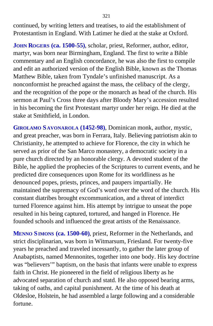continued, by writing letters and treatises, to aid the establishment of Protestantism in England. With Latimer he died at the stake at Oxford.

**JOHN ROGERS (ca. 1500-55)**, scholar, priest, Reformer, author, editor, martyr, was born near Birmingham, England. The first to write a Bible commentary and an English concordance, he was also the first to compile and edit an authorized version of the English Bible, known as the Thomas Matthew Bible, taken from Tyndale's unfinished manuscript. As a nonconformist he preached against the mass, the celibacy of the clergy, and the recognition of the pope or the monarch as head of the church. His sermon at Paul's Cross three days after Bloody Mary's accession resulted in his becoming the first Protestant martyr under her reign. He died at the stake at Smithfield, in London.

**GIROLAMO S AVONAROLA (1452-98)**, Dominican monk, author, mystic, and great preacher, was born in Ferrara, Italy. Believing patriotism akin to Christianity, he attempted to achieve for Florence, the city in which he served as prior of the San Marco monastery, a democratic society in a pure church directed by an honorable clergy. A devoted student of the Bible, he applied the prophecies of the Scriptures to current events, and he predicted dire consequences upon Rome for its worldliness as he denounced popes, priests, princes, and paupers impartially. He maintained the supremacy of God's word over the word of the church. His constant diatribes brought excommunication, and a threat of interdict turned Florence against him. His attempt by intrigue to unseat the pope resulted in his being captured, tortured, and hanged in Florence. He founded schools and influenced the great artists of the Renaissance.

**MENNO SIMONS (ca. 1500-60)**, priest, Reformer in the Netherlands, and strict disciplinarian, was born in Witmarsum, Friesland. For twenty-five years he preached and traveled incessantly, to gather the later group of Anabaptists, named Mennonites, together into one body. His key doctrine was "believers'" baptism, on the basis that infants were unable to express faith in Christ. He pioneered in the field of religious liberty as he advocated separation of church and statd. He also opposed bearing arms, taking of oaths, and capital punishment. At the time of his death at Oldesloe, Holstein, he had assembled a large following and a considerable fortune.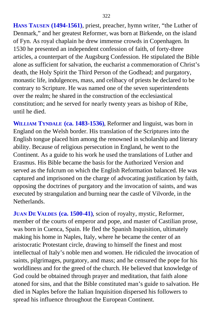**HANS TAUSEN (1494-1561)**, priest, preacher, hymn writer, "the Luther of Denmark," and her greatest Reformer, was born at Birkende, on the island of Fyn. As royal chaplain he drew immense crowds in Copenhagen. In 1530 he presented an independent confession of faith, of forty-three articles, a counterpart of the Augsburg Confession. He stipulated the Bible alone as sufficient for salvation, the eucharist a commemoration of Christ's death, the Holy Spirit the Third Person of the Godhead; and purgatory, monastic life, indulgences, mass, and celibacy of priests he declared to be contrary to Scripture. He was named one of the seven superintendents over the realm; he shared in the construction of the ecclesiastical constitution; and he served for nearly twenty years as bishop of Ribe, until he died.

**WILLIAM TYNDALE (ca. 1483-1536)**, Reformer and linguist, was born in England on the Welsh border. His translation of the Scriptures into the English tongue placed him among the renowned in scholarship and literary ability. Because of religious persecution in England, he went to the Continent. As a guide to his work he used the translations of Luther and Erasmus. His Bible became the basis for the Authorized Version and served as the fulcrum on which the English Reformation balanced. He was captured and imprisoned on the charge of advocating justification by faith, opposing the doctrines of purgatory and the invocation of saints, and was executed by strangulation and burning near the castle of Vilvorde, in the Netherlands.

**JUAN DE VALDES (ca. 1500-41)**, scion of royalty, mystic, Reformer, member of the courts of emperor and pope, and master of Castilian prose, was born in Cuenca, Spain. He fled the Spanish Inquisition, ultimately making his home in Naples, Italy, where he became the center of an aristocratic Protestant circle, drawing to himself the finest and most intellectual of Italy's noble men and women. He ridiculed the invocation of saints, pilgrimages, purgatory, and mass; and he censured the pope for his worldliness and for the greed of the church. He believed that knowledge of God could be obtained through prayer and meditation, that faith alone atoned for sins, and that the Bible constituted man's guide to salvation. He died in Naples before the Italian Inquisition dispersed his followers to spread his influence throughout the European Continent.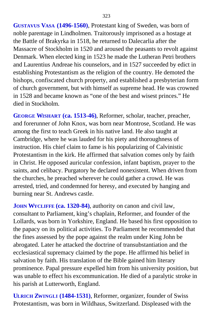**GUSTAVUS VASA (1496-1560)**, Protestant king of Sweden, was born of noble parentage in Lindholmen. Traitorously imprisoned as a hostage at the Battle of Brakyrka in 1518, he returned to Dalecarlia after the Massacre of Stockholm in 1520 and aroused the peasants to revolt against Denmark. When elected king in 1523 he made the Lutheran Petri brothers and Laurentius Andreae his counselors, and in 1527 succeeded by edict in establishing Protestantism as the religion of the country. He demoted the bishops, confiscated church property, and established a presbyterian form of church government, but with himself as supreme head. He was crowned in 1528 and became known as "one of the best and wisest princes." He died in Stockholm.

**GEORGE WISHART (ca. 1513-46)**, Reformer, scholar, teacher, preacher, and forerunner of John Knox, was born near Montrose, Scotland. He was among the first to teach Greek in his native land. He also taught at Cambridge, where he was lauded for his piety and thoroughness of instruction. His chief claim to fame is his popularizing of Calvinistic Protestantism in the kirk. He affirmed that salvation comes only by faith in Christ. He opposed auricular confession, infant baptism, prayer to the saints, and celibacy. Purgatory he declared nonexistent. When driven from the churches, he preached wherever he could gather a crowd. He was arrested, tried, and condemned for heresy, and executed by hanging and burning near St. Andrews castle.

**JOHN WYCLIFFE (ca. 1320-84)**, authority on canon and civil law, consultant to Parliament, king's chaplain, Reformer, and founder of the Lollards, was born in Yorkshire, England. He based his first opposition to the papacy on its political activities. To Parliament he recommended that the fines assessed by the pope against the realm under King John be abrogated. Later he attacked the doctrine of transubstantiation and the ecclesiastical supremacy claimed by the pope. He affirmed his belief in salvation by faith. His translation of the Bible gained him literary prominence. Papal pressure expelled him from his university position, but was unable to effect his excommunication. He died of a paralytic stroke in his parish at Lutterworth, England.

**ULRICH ZWINGLI (1484-1531)**, Reformer, organizer, founder of Swiss Protestantism, was born in Wildhaus, Switzerland. Displeased with the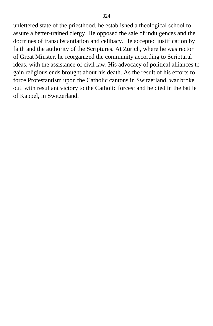unlettered state of the priesthood, he established a theological school to assure a better-trained clergy. He opposed the sale of indulgences and the doctrines of transubstantiation and celibacy. He accepted justification by faith and the authority of the Scriptures. At Zurich, where he was rector of Great Minster, he reorganized the community according to Scriptural ideas, with the assistance of civil law. His advocacy of political alliances to gain religious ends brought about his death. As the result of his efforts to force Protestantism upon the Catholic cantons in Switzerland, war broke out, with resultant victory to the Catholic forces; and he died in the battle of Kappel, in Switzerland.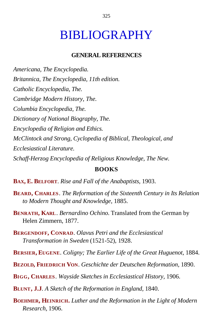## BIBLIOGRAPHY

## **GENERAL REFERENCES**

*Americana, The Encyclopedia. Britannica, The Encyclopedia, 11th edition. Catholic Encyclopedia, The. Cambridge Modern History, The. Columbia Encyclopedia, The. Dictionary of National Biography, The. Encyclopedia of Religion and Ethics. McClintock and Strong, Cyclopedia of Biblical, Theological, and Ecclesiastical Literature. Schaff-Herzog Encyclopedia of Religious Knowledge, The New.*

## **BOOKS**

**BAX, E. BELFORT**. *Rise and Fall of the Anabaptists,* 1903.

- **BEARD, CHARLES**. *The Reformation of the Sixteenth Century in Its Relation to Modern Thought and Knowledge,* 1885.
- **BENRATH, KARL**. *Bernardino Ochino.* Translated from the German by Helen Zimmern, 1877.
- **BERGENDOFF, CONRAD**. *Olavus Petri and the Ecclesiastical Transformation in Sweden* (1521-52), 1928.
- **BERSIER, EUGENE**. *Coligny; The Earlier Life of the Great Huguenot,* 1884.
- **BEZOLD, FRIEDRICH VON**. *Geschichte der Deutschen Reformation,* 1890.
- **BIGG, CHARLES**. *Wayside Sketches in Ecclesiastical History,* 1906.
- **BLUNT, J.J***. A Sketch of the Reformation in England,* 1840.
- **BOEHMER, HEINRICH.** *Luther and the Reformation in the Light of Modern Research,* 1906.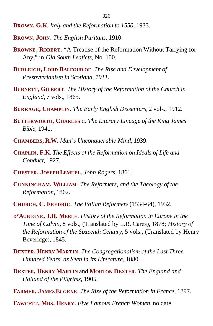- **BROWN, G.K**. *Italy and the Reformation to 1550,* 1933.
- **BROWN, JOHN**. *The English Puritans,* 1910.
- **BROWNE, ROBERT**. "A Treatise of the Reformation Without Tarrying for Any," in *Old South Leaflets,* No. 100.
- **BURLEIGH, LORD BALFOUR OF**. *The Rise and Development of Presbyterianism in Scotland, 1911.*
- **BURNETT, GILBERT**. *The History of the Reformation of the Church in England,* 7 vols., 1865.
- **BURRAGE, CHAMPLIN**. *The Early English Dissenters,* 2 vols., 1912.
- **BUTTERWORTH, CHARLES C**. *The Literary Lineage of the King James Bible,* 1941.
- **CHAMBERS, R.W**. *Man's Unconquerable Mind,* 1939.
- **CHAPLIN, F.K**. *The Effects of the Reformation on Ideals of Life and Conduct,* 1927.
- **CHESTER, JOSEPH LEMUEL**. *John Rogers,* 1861.
- **CUNNINGHAM, WILLIAM**. *The Reformers, and the Theology of the Reformation,* 1862.
- **CHURCH, C. FREDRIC**. *The Italian Reformers* (1534-64), 1932.
- **D'AUBIGNE, J.H. MERLE***. History of the Reformation in Europe in the Time of Calvin,* 8 vols., (Translated by L.R. Cares), 1878; *History of the Reformation of the Sixteenth Century,* 5 vols., (Translated by Henry Beveridge), 1845.
- **DEXTER, HENRY MARTIN**. *The Congregationalism of the Last Three Hundred Years, as Seen in Its Literature,* 1880.
- **DEXTER, HENRY MARTIN** and **MORTON DEXTER**. *The England and Holland of the Pilgrims,* 1905.
- **FARMER, JAMES EUGENE**. *The Rise of the Reformation in France,* 1897.
- **FAWCETT, MRS. HENRY**. *Five Famous French Women,* no date.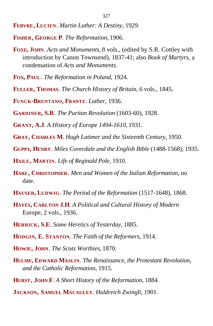- **FEBVRE, LUCIEN**. *Martin Luther: A Destiny,* 1929.
- **FISHER, GEORGE P**. *The Reformation,* 1906.
- **FOXE, JOHN**. *Acts and Monuments,* 8 vols., (edited by S.R. Cottley with introduction by Canon Townsend), 1837-41; also *Book of Martyrs,* a condensation of *Acts and Monuments.*
- **FOX, PAUL**. *The Reformation in Poland,* 1924.
- **FULLER, THOMAS**. *The Church History of Britain,* 6 vols., 1845.
- **FUNCK-BRENTANO, FRANTZ**. *Luther,* 1936.
- **GARDINER, S.R**. *The Puritan Revolution* (1603-60), 1928.
- **GRANT, A.J***. A History of Europe 1494-1610,* 1931.
- **GRAY, CHARLES M**. *Hugh Latimer and the Sixteenth Century,* 1950.
- **GUPPY, HENRY**. *Miles Coverdale and the English Bible* (1488-1568), 1935.
- **HAILE, MARTIN**. *Life of Reginald Pole,* 1910.
- **HARE, CHRISTOPHER**. *Men and Women of the Italian Reformation,* no date.
- **HAUSER, LUDWIG**. *The Period of the Reformation* (1517-1648), 1868.
- **HAYES, CARLTON J.H***. A Political and Cultural History of Modern* Europe, 2 vols., 1936.
- **HERRICK, S.E**. *Some Heretics of Yesterday,* 1885.
- **HODGIN, E. STANTON**. *The Faith of the Reformers,* 1914.
- **HOWIE, JOHN**. *The Scots Worthies,* 1870.
- **HULME, EDWARD MASLIN**. *The Renaissance, the Protestant Revolution, and the Catholic Reformation,* 1915.
- **HURST, JOHN F***. A Short History of the Reformation,* 1884.
- **JACKSON, SAMUEL MACAULEY**. *Huldreich Zwingli,* 1901.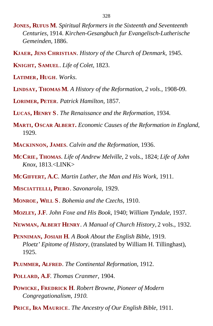- **JONES, RUFUS M**. *Spiritual Reformers in the Sixteenth and Seventeenth Centuries,* 1914. *Kirchen-Gesangbuch fur Evangelisch-Lutherische Gemeinden,* 1886.
- **KJAER, JENS CHRISTIAN**. *History of the Church of Denmark,* 1945.

**KNIGHT, SAMUEL**. *Life of Colet,* 1823.

- **LATIMER, HUGH**. *Works.*
- **LINDSAY, THOMAS M***. A History of the Reformation, 2 vols.,* 1908-09.

**LORIMER, PETER**. *Patrick Hamilton,* 1857.

- **LUCAS, HENRY S**. *The Renaissance and the Reformation,* 1934.
- **MARTI, OSCAR ALBERT.** *Economic Causes of the Reformation in England,* 1929.
- **MACKINNON, JAMES**. *Calvin and the Reformation,* 1936.
- **MCCRIE, THOMAS**. *Life of Andrew Melville,* 2 vols., 1824; *Life of John Knox,* 1813.<LINK>
- **MCGIFFERT, A.C**. *Martin Luther, the Man and His Work,* 1911.
- **MISCIATTELLI, PIERO**. *Savonarola,* 1929.
- **MONROE, WILL S**. *Bohemia and the Czechs,* 1910.
- **MOZLEY, J.F**. *John Foxe and His Book,* 1940; *William Tyndale,* 1937.
- **NEWMAN, ALBERT HENRY**. *A Manual of Church History,* 2 vols., 1932.
- **PENNIMAN, JOSIAH H***. A Book About the English Bible,* 1919. *Ploetz' Epitome of History,* (translated by William H. Tillinghast), 1925.
- **PLUMMER, ALFRED**. *The Continental Reformation,* 1912.
- **POLLARD, A.F**. *Thomas Cranmer,* 1904.
- **POWICKE, FREDRICK H**. *Robert Browne, Pioneer of Modern Congregationalism, 1910.*
- **PRICE, IRA MAURICE**. *The Ancestry of Our English Bible,* 1911.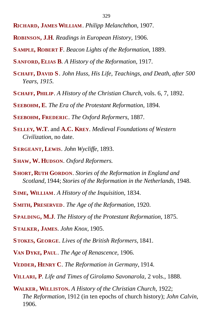- **RICHARD, JAMES WILLIAM**. *Philipp Melanchthon,* 1907.
- **ROBINSON, J.H**. *Readings in European History,* 1906.
- **S AMPLE, ROBERT F**. *Beacon Lights of the Reformation,* 1889.
- **S ANFORD, ELIAS B***. A History of the Reformation,* 1917.
- **S CHAFF, DAVID S**. *John Huss, His Life, Teachings, and Death, after 500 Years, 1915.*
- **S CHAFF, PHILIP**. *A History of the Christian Church,* vols. 6, 7, 1892.
- **SEEBOHM, E**. *The Era of the Protestant Reformation,* 1894.
- **SEEBOHM, FREDERIC**. *The Oxford Reformers,* 1887.
- **SELLEY, W.T**. and **A.C. KREY**. *Medieval Foundations of Western Civilization,* no date.
- **SERGEANT, LEWIS**. *John Wycliffe,* 1893.
- **SHAW, W. HUDSON**. *Oxford Reformers.*
- **SHORT, RUTH GORDON**. *Stories of the Reformation in England and Scotland,* 1944; *Stories of the Reformation in the Netherlands,* 1948.
- **SIME, WILLIAM**. *A History of the Inquisition,* 1834.
- **SMITH, PRESERVED**. *The Age of the Reformation,* 1920.
- **SPALDING, M.J**. *The History of the Protestant Reformation,* 1875.
- **STALKER, JAMES**. *John Knox,* 1905.
- **STOKES, GEORGE**. *Lives of the British Reformers,* 1841.
- **VAN DYKE, PAUL**. *The Age of Renascence,* 1906.
- **VEDDER, HENRY C**. *The Reformation in Germany,* 1914.
- **VILLARI, P**. *Life and Times of Girolamo Savonarola,* 2 vols., 1888.
- **WALKER, WILLISTON.** *A History of the Christian Church,* 1922; *The Reformation,* 1912 (in ten epochs of church history); *John Calvin,* 1906.